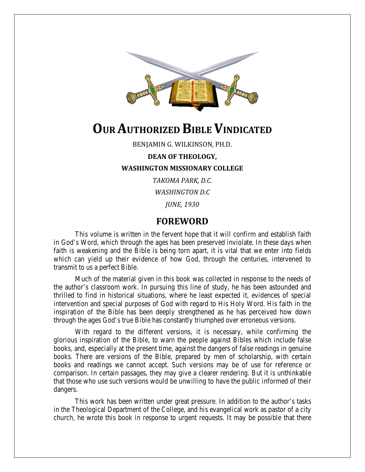

# **OUR AUTHORIZED BIBLE VINDICATED**

BENJAMIN G. WILKINSON, PH.D.

#### **DEAN OF THEOLOGY,**

#### **WASHINGTON MISSIONARY COLLEGE**

*TAKOMA PARK, D.C. WASHINGTON D.C JUNE, 1930*

## **FOREWORD**

This volume is written in the fervent hope that it will confirm and establish faith in God's Word, which through the ages has been preserved inviolate. In these days when faith is weakening and the Bible is being torn apart, it is vital that we enter into fields which can yield up their evidence of how God, through the centuries, intervened to transmit to us a perfect Bible.

Much of the material given in this book was collected in response to the needs of the author's classroom work. In pursuing this line of study, he has been astounded and thrilled to find in historical situations, where he least expected it, evidences of special intervention and special purposes of God with regard to His Holy Word. His faith in the inspiration of the Bible has been deeply strengthened as he has perceived how down through the ages God's true Bible has constantly triumphed over erroneous versions.

With regard to the different versions, it is necessary, while confirming the glorious inspiration of the Bible, to warn the people against Bibles which include false books, and, especially at the present time, against the dangers of false readings in genuine books. There are versions of the Bible, prepared by men of scholarship, with certain books and readings we cannot accept. Such versions may be of use for reference or comparison. In certain passages, they may give a clearer rendering. But it is unthinkable that those who use such versions would be unwilling to have the public informed of their dangers.

This work has been written under great pressure. In addition to the author's tasks in the Theological Department of the College, and his evangelical work as pastor of a city church, he wrote this book in response to urgent requests. It may be possible that there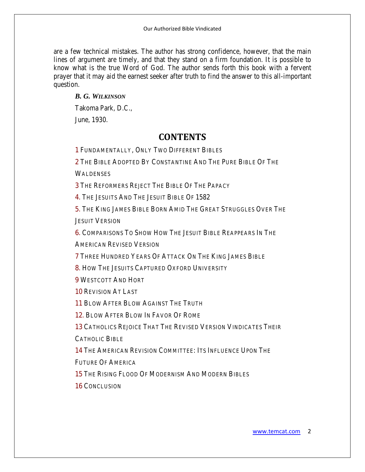Our Authorized Bible Vindicated

are a few technical mistakes. The author has strong confidence, however, that the main lines of argument are timely, and that they stand on a firm foundation. It is possible to know what is the true Word of God. The author sends forth this book with a fervent prayer that it may aid the earnest seeker after truth to find the answer to this all-important question.

#### *B. G. WILKINSON*

Takoma Park, D.C.,

June, 1930.

# **CONTENTS**

**1** FUNDAMENTALLY, ONLY TWO DIFFERENT BIBLES

**2** THE BIBLE ADOPTED BY CONSTANTINE AND THE PURE BIBLE OF THE

**WALDENSES** 

**3** THE REFORMERS REJECT THE BIBLE OF THE PAPACY

**4.** THE JESUITS AND THE JESUIT BIBLE OF 1582

**5.** THE KING JAMES BIBLE BORN AMID THE GREAT STRUGGLES OVER THE JESUIT VERSION

**6.** COMPARISONS TO SHOW HOW THE JESUIT BIBLE REAPPEARS IN THE

AMERICAN REVISED VERSION

**7** THREE HUNDRED YEARS OF ATTACK ON THE KING JAMES BIBLE

**8.** HOW THE JESUITS CAPTURED OXFORD UNIVERSITY

**9** WESTCOTT AND HORT

**10** REVISION AT LAST

**11** BLOW AFTER BLOW AGAINST THE TRUTH

**12.** BLOW AFTER BLOW IN FAVOR OF ROME

**13** CATHOLICS REJOICE THAT THE REVISED VERSION VINDICATES THEIR CATHOLIC BIBLE

**14** THE AMERICAN REVISION COMMITTEE: ITS INFLUENCE UPON THE

FUTURE OF AMERICA

**15** THE RISING FLOOD OF MODERNISM AND MODERN BIBLES

**16** CONCLUSION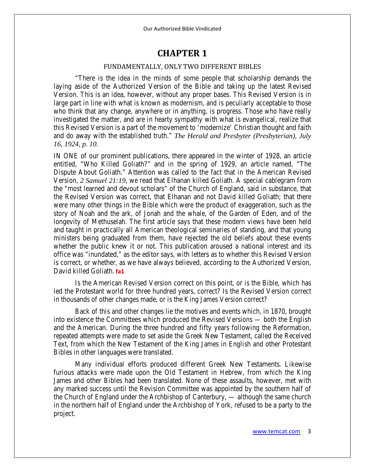# **CHAPTER 1**

#### FUNDAMENTALLY, ONLY TWO DIFFERENT BIBLES

"There is the idea in the minds of some people that scholarship demands the laying aside of the Authorized Version of the Bible and taking up the latest Revised Version. This is an idea, however, without any proper bases. This Revised Version is in large part in line with what is known as modernism, and is peculiarly acceptable to those who think that any change, anywhere or in anything, is progress. Those who have really investigated the matter, and are in hearty sympathy with what is evangelical, realize that this Revised Version is a part of the movement to 'modernize' Christian thought and faith and do away with the established truth." *The Herald and Presbyter (Presbyterian), July 16, 1924, p. 10.*

IN ONE of our prominent publications, there appeared in the winter of 1928, an article entitled, "Who Killed Goliath?" and in the spring of 1929, an article named, "The Dispute About Goliath." Attention was called to the fact that in the American Revised Version, *2 Samuel 21:19,* we read that Elhanan killed Goliath. A special cablegram from the "most learned and devout scholars" of the Church of England, said in substance, that the Revised Version was correct, that Elhanan and not David killed Goliath; that there were many other things in the Bible which were the product of exaggeration, such as the story of Noah and the ark, of Jonah and the whale, of the Garden of Eden, and of the longevity of Methuselah. The first article says that these modern views have been held and taught in practically all American theological seminaries of standing, and that young ministers being graduated from them, have rejected the old beliefs about these events whether the public knew it or not. This publication aroused a national interest and its office was "inundated," as the editor says, with letters as to whether this Revised Version is correct, or whether, as we have always believed, according to the Authorized Version, David killed Goliath. **fa1**

Is the American Revised Version correct on this point, or is the Bible, which has led the Protestant world for three hundred years, correct? Is the Revised Version correct in thousands of other changes made, or is the King James Version correct?

Back of this and other changes lie the motives and events which, in 1870, brought into existence the Committees which produced the Revised Versions — both the English and the American. During the three hundred and fifty years following the Reformation, repeated attempts were made to set aside the Greek New Testament, called the Received Text, from which the New Testament of the King James in English and other Protestant Bibles in other languages were translated.

Many individual efforts produced different Greek New Testaments. Likewise furious attacks were made upon the Old Testament in Hebrew, from which the King James and other Bibles had been translated. None of these assaults, however, met with any marked success until the Revision Committee was appointed by the southern half of the Church of England under the Archbishop of Canterbury, — although the same church in the northern half of England under the Archbishop of York, refused to be a party to the project.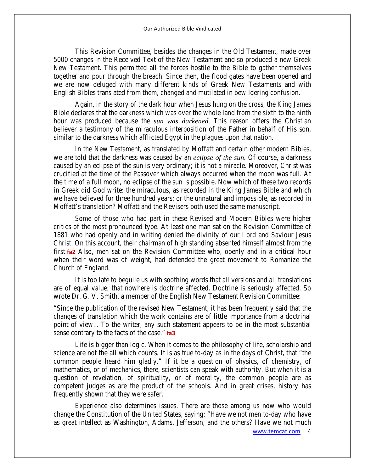This Revision Committee, besides the changes in the Old Testament, made over 5000 changes in the Received Text of the New Testament and so produced a new Greek New Testament. This permitted all the forces hostile to the Bible to gather themselves together and pour through the breach. Since then, the flood gates have been opened and we are now deluged with many different kinds of Greek New Testaments and with English Bibles translated from them, changed and mutilated in bewildering confusion.

Again, in the story of the dark hour when Jesus hung on the cross, the King James Bible declares that the darkness which was over the whole land from the sixth to the ninth hour was produced because the *sun was darkened.* This reason offers the Christian believer a testimony of the miraculous interposition of the Father in behalf of His son, similar to the darkness which afflicted Egypt in the plagues upon that nation.

In the New Testament, as translated by Moffatt and certain other modern Bibles, we are told that the darkness was caused by an *eclipse of the sun.* Of course, a darkness caused by an eclipse of the sun is very ordinary; it is not a miracle. Moreover, Christ was crucified at the time of the Passover which always occurred when the moon was full. At the time of a full moon, no eclipse of the sun is possible. Now which of these two records in Greek did God write: the miraculous, as recorded in the King James Bible and which we have believed for three hundred years; or the unnatural and impossible, as recorded in Moffatt's translation? Moffatt and the Revisers both used the same manuscript.

Some of those who had part in these Revised and Modern Bibles were higher critics of the most pronounced type. At least one man sat on the Revision Committee of 1881 who had openly and in writing denied the divinity of our Lord and Saviour Jesus Christ. On this account, their chairman of high standing absented himself almost from the first.**fa2** Also, men sat on the Revision Committee who, openly and in a critical hour when their word was of weight, had defended the great movement to Romanize the Church of England.

It is too late to beguile us with soothing words that all versions and all translations are of equal value; that nowhere is doctrine affected. Doctrine is seriously affected. So wrote Dr. G. V. Smith, a member of the English New Testament Revision Committee:

"Since the publication of the revised New Testament, it has been frequently said that the changes of translation which the work contains are of little importance from a doctrinal point of view... To the writer, any such statement appears to be in the most substantial sense contrary to the facts of the case." **fa3**

Life is bigger than logic. When it comes to the philosophy of life, scholarship and science are not the all which counts. It is as true to-day as in the days of Christ, that "the common people heard him gladly." If it be a question of physics, of chemistry, of mathematics, or of mechanics, there, scientists can speak with authority. But when it is a question of revelation, of spirituality, or of morality, the common people are as competent judges as are the product of the schools. And in great crises, history has frequently shown that they were safer.

Experience also determines issues. There are those among us now who would change the Constitution of the United States, saying: "Have we not men to-day who have as great intellect as Washington, Adams, Jefferson, and the others? Have we not much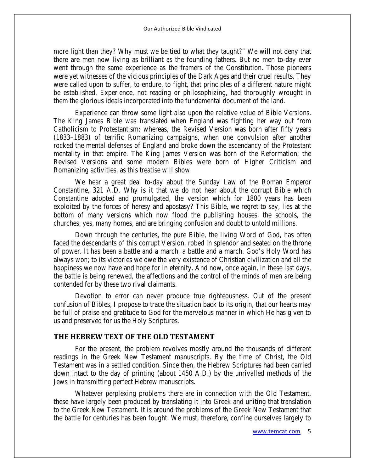more light than they? Why must we be tied to what they taught?" We will not deny that there are men now living as brilliant as the founding fathers. But no men to-day ever went through the same experience as the framers of the Constitution. Those pioneers were yet witnesses of the vicious principles of the Dark Ages and their cruel results. They were called upon to suffer, to endure, to fight, that principles of a different nature might be established. Experience, not reading or philosophizing, had thoroughly wrought in them the glorious ideals incorporated into the fundamental document of the land.

Experience can throw some light also upon the relative value of Bible Versions. The King James Bible was translated when England was fighting her way out from Catholicism to Protestantism; whereas, the Revised Version was born after fifty years (1833–1883) of terrific Romanizing campaigns, when one convulsion after another rocked the mental defenses of England and broke down the ascendancy of the Protestant mentality in that empire. The King James Version was born of the Reformation; the Revised Versions and some modern Bibles were born of Higher Criticism and Romanizing activities, as this treatise will show.

We hear a great deal to-day about the Sunday Law of the Roman Emperor Constantine, 321 A.D. Why is it that we do not hear about the corrupt Bible which Constantine adopted and promulgated, the version which for 1800 years has been exploited by the forces of heresy and apostasy? This Bible, we regret to say, lies at the bottom of many versions which now flood the publishing houses, the schools, the churches, yes, many homes, and are bringing confusion and doubt to untold millions.

Down through the centuries, the pure Bible, the living Word of God, has often faced the descendants of this corrupt Version, robed in splendor and seated on the throne of power. It has been a battle and a march, a battle and a march. God's Holy Word has always won; to its victories we owe the very existence of Christian civilization and all the happiness we now have and hope for in eternity. And now, once again, in these last days, the battle is being renewed, the affections and the control of the minds of men are being contended for by these two rival claimants.

Devotion to error can never produce true righteousness. Out of the present confusion of Bibles, I propose to trace the situation back to its origin, that our hearts may be full of praise and gratitude to God for the marvelous manner in which He has given to us and preserved for us the Holy Scriptures.

#### **THE HEBREW TEXT OF THE OLD TESTAMENT**

For the present, the problem revolves mostly around the thousands of different readings in the Greek New Testament manuscripts. By the time of Christ, the Old Testament was in a settled condition. Since then, the Hebrew Scriptures had been carried down intact to the day of printing (about 1450 A.D.) by the unrivalled methods of the Jews in transmitting perfect Hebrew manuscripts.

Whatever perplexing problems there are in connection with the Old Testament, these have largely been produced by translating it into Greek and uniting that translation to the Greek New Testament. It is around the problems of the Greek New Testament that the battle for centuries has been fought. We must, therefore, confine ourselves largely to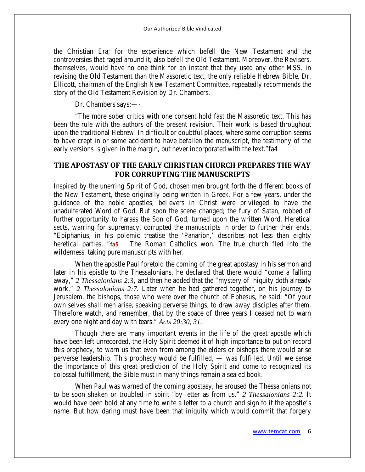the Christian Era; for the experience which befell the New Testament and the controversies that raged around it, also befell the Old Testament. Moreover, the Revisers, themselves, would have no one think for an instant that they used any other MSS. in revising the Old Testament than the Massoretic text, the only reliable Hebrew Bible. Dr. Ellicott, chairman of the English New Testament Committee, repeatedly recommends the story of the Old Testament Revision by Dr. Chambers.

Dr. Chambers says:—-

"The more sober critics with one consent hold fast the Massoretic text. This has been the rule with the authors of the present revision. Their work is based throughout upon the traditional Hebrew. In difficult or doubtful places, where some corruption seems to have crept in or some accident to have befallen the manuscript, the testimony of the early versions is given in the margin, but never incorporated with the text."fa4

## **THE APOSTASY OF THE EARLY CHRISTIAN CHURCH PREPARES THE WAY FOR CORRUPTING THE MANUSCRIPTS**

Inspired by the unerring Spirit of God, chosen men brought forth the different books of the New Testament, these originally being written in Greek. For a few years, under the guidance of the noble apostles, believers in Christ were privileged to have the unadulterated Word of God. But soon the scene changed; the fury of Satan, robbed of further opportunity to harass the Son of God, turned upon the written Word. Heretical sects, warring for supremacy, corrupted the manuscripts in order to further their ends. "Epiphanius, in his polemic treatise the 'Panarion,' describes not less than eighty heretical parties. "**fa5** The Roman Catholics won. The true church fled into the wilderness, taking pure manuscripts with her.

When the apostle Paul foretold the coming of the great apostasy in his sermon and later in his epistle to the Thessalonians, he declared that there would "come a falling away," *2 Thessalonians 2:3;* and then he added that the "mystery of iniquity doth already work." *2 Thessalonians 2:7.* Later when he had gathered together, on his journey to Jerusalem, the bishops, those who were over the church of Ephesus, he said, "Of your own selves shall men arise, speaking perverse things, to draw away disciples after them. Therefore watch, and remember, that by the space of three years I ceased not to warn every one night and day with tears." *Acts 20:30, 31.*

Though there are many important events in the life of the great apostle which have been left unrecorded, the Holy Spirit deemed it of high importance to put on record this prophecy, to warn us that even from among the elders or bishops there would arise perverse leadership. This prophecy would be fulfilled, — was fulfilled. Until we sense the importance of this great prediction of the Holy Spirit and come to recognized its colossal fulfillment, the Bible must in many things remain a sealed book.

When Paul was warned of the coming apostasy, he aroused the Thessalonians not to be soon shaken or troubled in spirit "by letter as from us." *2 Thessalonians 2:2.* It would have been bold at any time to write a letter to a church and sign to it the apostle's name. But how daring must have been that iniquity which would commit that forgery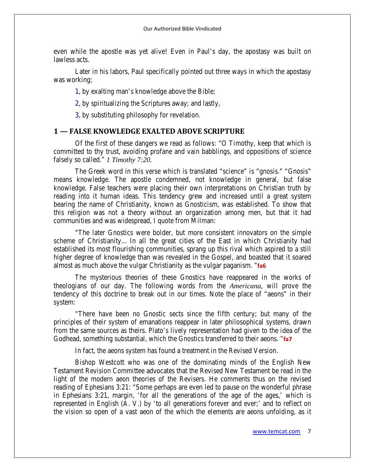even while the apostle was yet alive! Even in Paul's day, the apostasy was built on lawless acts.

Later in his labors, Paul specifically pointed out three ways in which the apostasy was working;

**1,** by exalting man's knowledge above the Bible;

**2,** by spiritualizing the Scriptures away; and lastly,

**3,** by substituting philosophy for revelation.

#### **1 — FALSE KNOWLEDGE EXALTED ABOVE SCRIPTURE**

Of the first of these dangers we read as follows: "O Timothy, keep that which is committed to thy trust, avoiding profane and vain babblings, and oppositions of science falsely so called." *1 Timothy 7:20.*

The Greek word in this verse which is translated "science" is "gnosis." "Gnosis" means knowledge. The apostle condemned, not knowledge in general, but false knowledge. False teachers were placing their own interpretations on Christian truth by reading into it human ideas. This tendency grew and increased until a great system bearing the name of Christianity, known as Gnosticism, was established. To show that this religion was not a theory without an organization among men, but that it had communities and was widespread, I quote from Milman:

"The later Gnostics were bolder, but more consistent innovators on the simple scheme of Christianity... In all the great cities of the East in which Christianity had established its most flourishing communities, sprang up this rival which aspired to a still higher degree of knowledge than was revealed in the Gospel, and boasted that it soared almost as much above the vulgar Christianity as the vulgar paganism. "**fa6**

The mysterious theories of these Gnostics have reappeared in the works of theologians of our day. The following words from the *Americana,* will prove the tendency of this doctrine to break out in our times. Note the place of "aeons" in their system:

"There have been no Gnostic sects since the fifth century; but many of the principles of their system of emanations reappear in later philosophical systems, drawn from the same sources as theirs. Plato's lively representation had given to the idea of the Godhead, something substantial, which the Gnostics transferred to their aeons. "**fa7**

In fact, the aeons system has found a treatment in the Revised Version.

Bishop Westcott who was one of the dominating minds of the English New Testament Revision Committee advocates that the Revised New Testament be read in the light of the modern aeon theories of the Revisers. He comments thus on the revised reading of Ephesians 3:21: "Some perhaps are even led to pause on the wonderful phrase in Ephesians 3:21, margin, 'for all the generations of the age of the ages,' which is represented in English (A. V.) by 'to all generations forever and ever;' and to reflect on the vision so open of a vast aeon of the which the elements are aeons unfolding, as it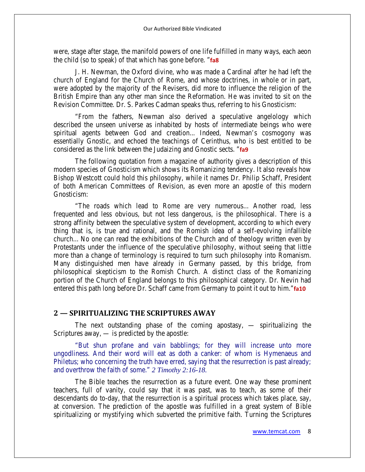were, stage after stage, the manifold powers of one life fulfilled in many ways, each aeon the child (so to speak) of that which has gone before. "**fa8**

J. H. Newman, the Oxford divine, who was made a Cardinal after he had left the church of England for the Church of Rome, and whose doctrines, in whole or in part, were adopted by the majority of the Revisers, did more to influence the religion of the British Empire than any other man since the Reformation. He was invited to sit on the Revision Committee. Dr. S. Parkes Cadman speaks thus, referring to his Gnosticism:

"From the fathers, Newman also derived a speculative angelology which described the unseen universe as inhabited by hosts of intermediate beings who were spiritual agents between God and creation... Indeed, Newman's cosmogony was essentially Gnostic, and echoed the teachings of Cerinthus, who is best entitled to be considered as the link between the Judaizing and Gnostic sects. "**fa9**

The following quotation from a magazine of authority gives a description of this modern species of Gnosticism which shows its Romanizing tendency. It also reveals how Bishop Westcott could hold this philosophy, while it names Dr. Philip Schaff, President of both American Committees of Revision, as even more an apostle of this modern Gnosticism:

"The roads which lead to Rome are very numerous... Another road, less frequented and less obvious, but not less dangerous, is the philosophical. There is a strong affinity between the speculative system of development, according to which every thing that is, is true and rational, and the Romish idea of a self-evolving infallible church... No one can read the exhibitions of the Church and of theology written even by Protestants under the influence of the speculative philosophy, without seeing that little more than a change of terminology is required to turn such philosophy into Romanism. Many distinguished men have already in Germany passed, by this bridge, from philosophical skepticism to the Romish Church. A distinct class of the Romanizing portion of the Church of England belongs to this philosophical category. Dr. Nevin had entered this path long before Dr. Schaff came from Germany to point it out to him."**fa10**

#### **2 — SPIRITUALIZING THE SCRIPTURES AWAY**

The next outstanding phase of the coming apostasy, — spiritualizing the Scriptures away, — is predicted by the apostle:

"But shun profane and vain babblings; for they will increase unto more ungodliness. And their word will eat as doth a canker: of whom is Hymenaeus and Philetus; who concerning the truth have erred, saying that the resurrection is past already; and overthrow the faith of some." *2 Timothy 2:16-18.*

The Bible teaches the resurrection as a future event. One way these prominent teachers, full of vanity, could say that it was past, was to teach, as some of their descendants do to-day, that the resurrection is a spiritual process which takes place, say, at conversion. The prediction of the apostle was fulfilled in a great system of Bible spiritualizing or mystifying which subverted the primitive faith. Turning the Scriptures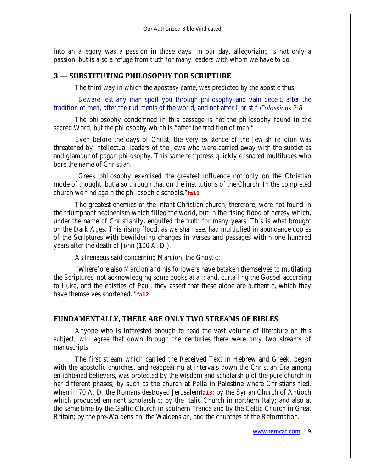into an allegory was a passion in those days. In our day, allegorizing is not only a passion, but is also a refuge from truth for many leaders with whom we have to do.

## **3 — SUBSTITUTING PHILOSOPHY FOR SCRIPTURE**

The third way in which the apostasy came, was predicted by the apostle thus:

"Beware lest any man spoil you through philosophy and vain deceit, after the tradition of men, after the rudiments of the world, and not after Christ." *Colossians 2:8.*

The philosophy condemned in this passage is not the philosophy found in the sacred Word, but the philosophy which is "after the tradition of men."

Even before the days of Christ, the very existence of the Jewish religion was threatened by intellectual leaders of the Jews who were carried away with the subtleties and glamour of pagan philosophy. This same temptress quickly ensnared multitudes who bore the name of Christian.

"Greek philosophy exercised the greatest influence not only on the Christian mode of thought, but also through that on the institutions of the Church. In the completed church we find again the philosophic schools."**fa11**

The greatest enemies of the infant Christian church, therefore, were not found in the triumphant heathenism which filled the world, but in the rising flood of heresy which, under the name of Christianity, engulfed the truth for many years. This is what brought on the Dark Ages. This rising flood, as we shall see, had multiplied in abundance copies of the Scriptures with bewildering changes in verses and passages within one hundred years after the death of John (100 A. D.).

As Irenaeus said concerning Marcion, the Gnostic:

"Wherefore also Marcion and his followers have betaken themselves to mutilating the Scriptures, not acknowledging some books at all; and, curtailing the Gospel according to Luke, and the epistles of Paul, they assert that these alone are authentic, which they have themselves shortened. "**fa12**

#### **FUNDAMENTALLY, THERE ARE ONLY TWO STREAMS OF BIBLES**

Anyone who is interested enough to read the vast volume of literature on this subject, will agree that down through the centuries there were only two streams of manuscripts.

The first stream which carried the Received Text in Hebrew and Greek, began with the apostolic churches, and reappearing at intervals down the Christian Era among enlightened believers, was protected by the wisdom and scholarship of the pure church in her different phases; by such as the church at Pella in Palestine where Christians fled, when in 70 A. D. the Romans destroyed Jerusalem**fa13**; by the Syrian Church of Antioch which produced eminent scholarship; by the Italic Church in northern Italy; and also at the same time by the Gallic Church in southern France and by the Celtic Church in Great Britain; by the pre-Waldensian, the Waldensian, and the churches of the Reformation.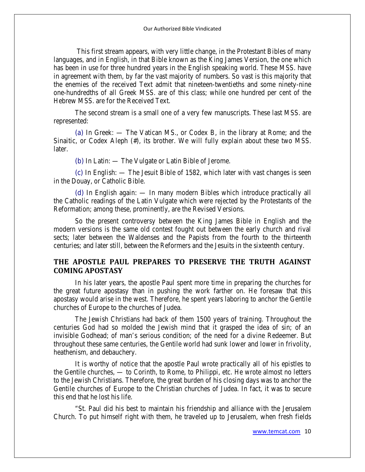This first stream appears, with very little change, in the Protestant Bibles of many languages, and in English, in that Bible known as the King James Version, the one which has been in use for three hundred years in the English speaking world. These MSS. have in agreement with them, by far the vast majority of numbers. So vast is this majority that the enemies of the received Text admit that nineteen-twentieths and some ninety-nine one-hundredths of all Greek MSS. are of this class; while one hundred per cent of the Hebrew MSS. are for the Received Text.

The second stream is a small one of a very few manuscripts. These last MSS. are represented:

**(a)** In Greek: — The Vatican MS., or Codex B, in the library at Rome; and the Sinaitic, or Codex Aleph (#), its brother. We will fully explain about these two MSS. later.

**(b)** In Latin: — The Vulgate or Latin Bible of Jerome.

**(c)** In English: — The Jesuit Bible of 1582, which later with vast changes is seen in the Douay, or Catholic Bible.

**(d)** In English again: — In many modern Bibles which introduce practically all the Catholic readings of the Latin Vulgate which were rejected by the Protestants of the Reformation; among these, prominently, are the Revised Versions.

So the present controversy between the King James Bible in English and the modern versions is the same old contest fought out between the early church and rival sects; later between the Waldenses and the Papists from the fourth to the thirteenth centuries; and later still, between the Reformers and the Jesuits in the sixteenth century.

## **THE APOSTLE PAUL PREPARES TO PRESERVE THE TRUTH AGAINST COMING APOSTASY**

In his later years, the apostle Paul spent more time in preparing the churches for the great future apostasy than in pushing the work farther on. He foresaw that this apostasy would arise in the west. Therefore, he spent years laboring to anchor the Gentile churches of Europe to the churches of Judea.

The Jewish Christians had back of them 1500 years of training. Throughout the centuries God had so molded the Jewish mind that it grasped the idea of sin; of an invisible Godhead; of man's serious condition; of the need for a divine Redeemer. But throughout these same centuries, the Gentile world had sunk lower and lower in frivolity, heathenism, and debauchery.

It is worthy of notice that the apostle Paul wrote practically all of his epistles to the Gentile churches, — to Corinth, to Rome, to Philippi, etc. He wrote almost no letters to the Jewish Christians. Therefore, the great burden of his closing days was to anchor the Gentile churches of Europe to the Christian churches of Judea. In fact, it was to secure this end that he lost his life.

"St. Paul did his best to maintain his friendship and alliance with the Jerusalem Church. To put himself right with them, he traveled up to Jerusalem, when fresh fields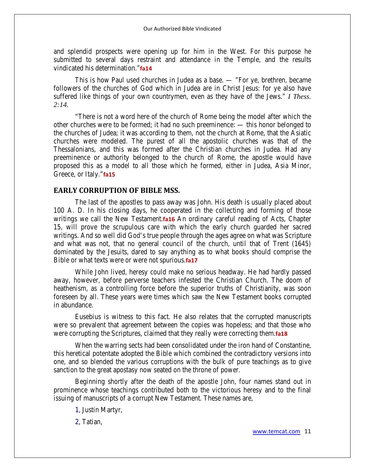and splendid prospects were opening up for him in the West. For this purpose he submitted to several days restraint and attendance in the Temple, and the results vindicated his determination."**fa14**

This is how Paul used churches in Judea as a base. — "For ye, brethren, became followers of the churches of God which in Judea are in Christ Jesus: for ye also have suffered like things of your own countrymen, even as they have of the Jews." *I Thess. 2:14.*

"There is not a word here of the church of Rome being the model after which the other churches were to be formed; it had no such preeminence: — this honor belonged to the churches of Judea; it was according to them, not the church at Rome, that the Asiatic churches were modeled. The purest of all the apostolic churches was that of the Thessalonians, and this was formed after the Christian churches in Judea. Had any preeminence or authority belonged to the church of Rome, the apostle would have proposed this as a model to all those which he formed, either in Judea, Asia Minor, Greece, or Italy."**fa15**

#### **EARLY CORRUPTION OF BIBLE MSS.**

The last of the apostles to pass away was John. His death is usually placed about 100 A. D. In his closing days, he cooperated in the collecting and forming of those writings we call the New Testament.**fa16** An ordinary careful reading of Acts, Chapter 15, will prove the scrupulous care with which the early church guarded her sacred writings. And so well did God's true people through the ages agree on what was Scripture and what was not, that no general council of the church, until that of Trent (1645) dominated by the Jesuits, dared to say anything as to what books should comprise the Bible or what texts were or were not spurious.**fa17**

While John lived, heresy could make no serious headway. He had hardly passed away, however, before perverse teachers infested the Christian Church. The doom of heathenism, as a controlling force before the superior truths of Christianity, was soon foreseen by all. These years were times which saw the New Testament books corrupted in abundance.

Eusebius is witness to this fact. He also relates that the corrupted manuscripts were so prevalent that agreement between the copies was hopeless; and that those who were corrupting the Scriptures, claimed that they really were correcting them.**fa18**

When the warring sects had been consolidated under the iron hand of Constantine, this heretical potentate adopted the Bible which combined the contradictory versions into one, and so blended the various corruptions with the bulk of pure teachings as to give sanction to the great apostasy now seated on the throne of power.

Beginning shortly after the death of the apostle John, four names stand out in prominence whose teachings contributed both to the victorious heresy and to the final issuing of manuscripts of a corrupt New Testament. These names are,

**1,** Justin Martyr,

**2**, Tatian,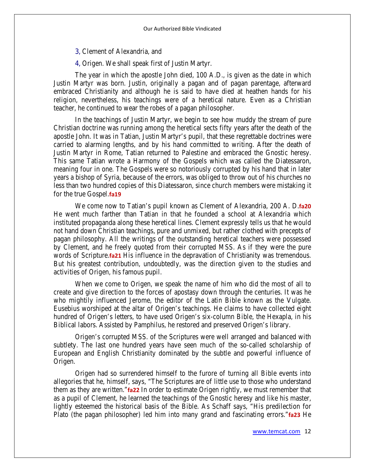- **3,** Clement of Alexandria, and
- **4,** Origen. We shall speak first of Justin Martyr.

The year in which the apostle John died, 100 A.D., is given as the date in which Justin Martyr was born. Justin, originally a pagan and of pagan parentage, afterward embraced Christianity and although he is said to have died at heathen hands for his religion, nevertheless, his teachings were of a heretical nature. Even as a Christian teacher, he continued to wear the robes of a pagan philosopher.

In the teachings of Justin Martyr, we begin to see how muddy the stream of pure Christian doctrine was running among the heretical sects fifty years after the death of the apostle John. It was in Tatian, Justin Martyr's pupil, that these regrettable doctrines were carried to alarming lengths, and by his hand committed to writing. After the death of Justin Martyr in Rome, Tatian returned to Palestine and embraced the Gnostic heresy. This same Tatian wrote a Harmony of the Gospels which was called the Diatessaron, meaning four in one. The Gospels were so notoriously corrupted by his hand that in later years a bishop of Syria, because of the errors, was obliged to throw out of his churches no less than two hundred copies of this Diatessaron, since church members were mistaking it for the true Gospel.**fa19**

We come now to Tatian's pupil known as Clement of Alexandria, 200 A. D.**fa20**  He went much farther than Tatian in that he founded a school at Alexandria which instituted propaganda along these heretical lines. Clement expressly tells us that he would not hand down Christian teachings, pure and unmixed, but rather clothed with precepts of pagan philosophy. All the writings of the outstanding heretical teachers were possessed by Clement, and he freely quoted from their corrupted MSS. As if they were the pure words of Scripture.**fa21** His influence in the depravation of Christianity was tremendous. But his greatest contribution, undoubtedly, was the direction given to the studies and activities of Origen, his famous pupil.

When we come to Origen, we speak the name of him who did the most of all to create and give direction to the forces of apostasy down through the centuries. It was he who mightily influenced Jerome, the editor of the Latin Bible known as the Vulgate. Eusebius worshiped at the altar of Origen's teachings. He claims to have collected eight hundred of Origen's letters, to have used Origen's six-column Bible, the Hexapla, in his Biblical labors. Assisted by Pamphilus, he restored and preserved Origen's library.

Origen's corrupted MSS. of the Scriptures were well arranged and balanced with subtlety. The last one hundred years have seen much of the so-called scholarship of European and English Christianity dominated by the subtle and powerful influence of Origen.

Origen had so surrendered himself to the furore of turning all Bible events into allegories that he, himself, says, "The Scriptures are of little use to those who understand them as they are written."**fa22** In order to estimate Origen rightly, we must remember that as a pupil of Clement, he learned the teachings of the Gnostic heresy and like his master, lightly esteemed the historical basis of the Bible. As Schaff says, "His predilection for Plato (the pagan philosopher) led him into many grand and fascinating errors."**fa23** He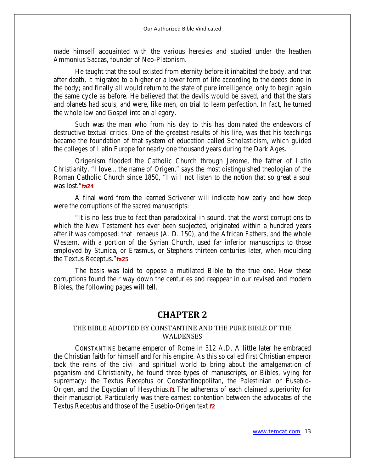made himself acquainted with the various heresies and studied under the heathen Ammonius Saccas, founder of Neo-Platonism.

He taught that the soul existed from eternity before it inhabited the body, and that after death, it migrated to a higher or a lower form of life according to the deeds done in the body; and finally all would return to the state of pure intelligence, only to begin again the same cycle as before. He believed that the devils would be saved, and that the stars and planets had souls, and were, like men, on trial to learn perfection. In fact, he turned the whole law and Gospel into an allegory.

Such was the man who from his day to this has dominated the endeavors of destructive textual critics. One of the greatest results of his life, was that his teachings became the foundation of that system of education called Scholasticism, which guided the colleges of Latin Europe for nearly one thousand years during the Dark Ages.

Origenism flooded the Catholic Church through Jerome, the father of Latin Christianity. "I love... the name of Origen," says the most distinguished theologian of the Roman Catholic Church since 1850, "I will not listen to the notion that so great a soul was lost."**fa24**

A final word from the learned Scrivener will indicate how early and how deep were the corruptions of the sacred manuscripts:

"It is no less true to fact than paradoxical in sound, that the worst corruptions to which the New Testament has ever been subjected, originated within a hundred years after it was composed; that Irenaeus (A. D. 150), and the African Fathers, and the whole Western, with a portion of the Syrian Church, used far inferior manuscripts to those employed by Stunica, or Erasmus, or Stephens thirteen centuries later, when moulding the Textus Receptus."**fa25**

The basis was laid to oppose a mutilated Bible to the true one. How these corruptions found their way down the centuries and reappear in our revised and modern Bibles, the following pages will tell.

## **CHAPTER 2**

#### THE BIBLE ADOPTED BY CONSTANTINE AND THE PURE BIBLE OF THE WALDENSES

CONSTANTINE became emperor of Rome in 312 A.D. A little later he embraced the Christian faith for himself and for his empire. As this so called first Christian emperor took the reins of the civil and spiritual world to bring about the amalgamation of paganism and Christianity, he found three types of manuscripts, or Bibles, vying for supremacy: the Textus Receptus or Constantinopolitan, the Palestinian or Eusebio-Origen, and the Egyptian of Hesychius.**f1** The adherents of each claimed superiority for their manuscript. Particularly was there earnest contention between the advocates of the Textus Receptus and those of the Eusebio-Origen text.**f2**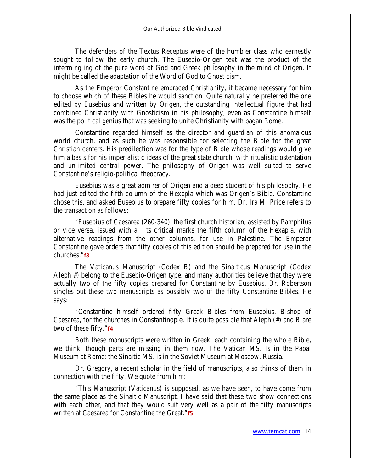The defenders of the Textus Receptus were of the humbler class who earnestly sought to follow the early church. The Eusebio-Origen text was the product of the intermingling of the pure word of God and Greek philosophy in the mind of Origen. It might be called the adaptation of the Word of God to Gnosticism.

As the Emperor Constantine embraced Christianity, it became necessary for him to choose which of these Bibles he would sanction. Quite naturally he preferred the one edited by Eusebius and written by Origen, the outstanding intellectual figure that had combined Christianity with Gnosticism in his philosophy, even as Constantine himself was the political genius that was seeking to unite Christianity with pagan Rome.

Constantine regarded himself as the director and guardian of this anomalous world church, and as such he was responsible for selecting the Bible for the great Christian centers. His predilection was for the type of Bible whose readings would give him a basis for his imperialistic ideas of the great state church, with ritualistic ostentation and unlimited central power. The philosophy of Origen was well suited to serve Constantine's religio-political theocracy.

Eusebius was a great admirer of Origen and a deep student of his philosophy. He had just edited the fifth column of the Hexapla which was Origen's Bible. Constantine chose this, and asked Eusebius to prepare fifty copies for him. Dr. Ira M. Price refers to the transaction as follows:

"Eusebius of Caesarea (260-340), the first church historian, assisted by Pamphilus or vice versa, issued with all its critical marks the fifth column of the Hexapla, with alternative readings from the other columns, for use in Palestine. The Emperor Constantine gave orders that fifty copies of this edition should be prepared for use in the churches."**f3**

The Vaticanus Manuscript (Codex B) and the Sinaiticus Manuscript (Codex Aleph #) belong to the Eusebio-Origen type, and many authorities believe that they were actually two of the fifty copies prepared for Constantine by Eusebius. Dr. Robertson singles out these two manuscripts as possibly two of the fifty Constantine Bibles. He says:

"Constantine himself ordered fifty Greek Bibles from Eusebius, Bishop of Caesarea, for the churches in Constantinople. It is quite possible that Aleph (#) and B are two of these fifty."**f4**

Both these manuscripts were written in Greek, each containing the whole Bible, we think, though parts are missing in them now. The Vatican MS. Is in the Papal Museum at Rome; the Sinaitic MS. is in the Soviet Museum at Moscow, Russia.

Dr. Gregory, a recent scholar in the field of manuscripts, also thinks of them in connection with the fifty. We quote from him:

"This Manuscript (Vaticanus) is supposed, as we have seen, to have come from the same place as the Sinaitic Manuscript. I have said that these two show connections with each other, and that they would suit very well as a pair of the fifty manuscripts written at Caesarea for Constantine the Great."**f5**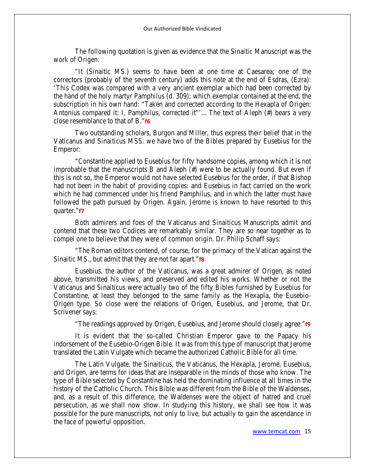The following quotation is given as evidence that the Sinaitic Manuscript was the work of Origen:

"It (Sinaitic MS.) seems to have been at one time at Caesarea; one of the correctors (probably of the seventh century) adds this note at the end of Esdras, (Ezra): 'This Codex was compared with a very ancient exemplar which had been corrected by the hand of the holy martyr Pamphilus (d. 309); which exemplar contained at the end, the subscription in his own hand: "Taken and corrected according to the Hexapla of Origen: Antonius compared it: I, Pamphilus, corrected it"'... The text of Aleph (#) bears a very close resemblance to that of B."**f6**

Two outstanding scholars, Burgon and Miller, thus express their belief that in the Vaticanus and Sinaiticus MSS. we have two of the Bibles prepared by Eusebius for the Emperor:

"Constantine applied to Eusebius for fifty handsome copies, among which it is not improbable that the manuscripts B and Aleph (#) were to be actually found. But even if this is not so, the Emperor would not have selected Eusebius for the order, if that Bishop had not been in the habit of providing copies: and Eusebius in fact carried on the work which he had commenced under his friend Pamphilus, and in which the latter must have followed the path pursued by Origen. Again, Jerome is known to have resorted to this quarter."**f7**

Both admirers and foes of the Vaticanus and Sinaiticus Manuscripts admit and contend that these two Codices are remarkably similar. They are so near together as to compel one to believe that they were of common origin. Dr. Philip Schaff says:

"The Roman editors contend, of course, for the primacy of the Vatican against the Sinaitic MS., but admit that they are not far apart."**f8**

Eusebius, the author of the Vaticanus, was a great admirer of Origen, as noted above, transmitted his views, and preserved and edited his works. Whether or not the Vaticanus and Sinaiticus were actually two of the fifty Bibles furnished by Eusebius for Constantine, at least they belonged to the same family as the Hexapla, the Eusebio-Origen type. So close were the relations of Origen, Eusebius, and Jerome, that Dr. Scrivener says:

"The readings approved by Origen, Eusebius, and Jerome should closely agree."**f9**

It is evident that the so-called Christian Emperor gave to the Papacy his indorsement of the Eusebio-Origen Bible. It was from this type of manuscript that Jerome translated the Latin Vulgate which became the authorized Catholic Bible for all time.

The Latin Vulgate, the Sinaiticus, the Vaticanus, the Hexapla, Jerome, Eusebius, and Origen, are terms for ideas that are inseparable in the minds of those who know. The type of Bible selected by Constantine has held the dominating influence at all times in the history of the Catholic Church. This Bible was different from the Bible of the Waldenses, and, as a result of this difference, the Waldenses were the object of hatred and cruel persecution, as we shall now show. In studying this history, we shall see how it was possible for the pure manuscripts, not only to live, but actually to gain the ascendance in the face of powerful opposition.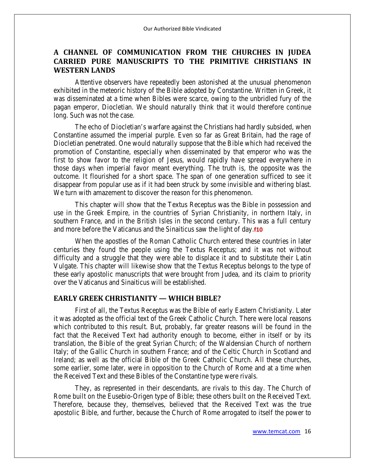## **A CHANNEL OF COMMUNICATION FROM THE CHURCHES IN JUDEA CARRIED PURE MANUSCRIPTS TO THE PRIMITIVE CHRISTIANS IN WESTERN LANDS**

Attentive observers have repeatedly been astonished at the unusual phenomenon exhibited in the meteoric history of the Bible adopted by Constantine. Written in Greek, it was disseminated at a time when Bibles were scarce, owing to the unbridled fury of the pagan emperor, Diocletian. We should naturally think that it would therefore continue long. Such was not the case.

The echo of Diocletian's warfare against the Christians had hardly subsided, when Constantine assumed the imperial purple. Even so far as Great Britain, had the rage of Diocletian penetrated. One would naturally suppose that the Bible which had received the promotion of Constantine, especially when disseminated by that emperor who was the first to show favor to the religion of Jesus, would rapidly have spread everywhere in those days when imperial favor meant everything. The truth is, the opposite was the outcome. It flourished for a short space. The span of one generation sufficed to see it disappear from popular use as if it had been struck by some invisible and withering blast. We turn with amazement to discover the reason for this phenomenon.

This chapter will show that the Textus Receptus was the Bible in possession and use in the Greek Empire, in the countries of Syrian Christianity, in northern Italy, in southern France, and in the British Isles in the second century. This was a full century and more before the Vaticanus and the Sinaiticus saw the light of day.**f10** 

When the apostles of the Roman Catholic Church entered these countries in later centuries they found the people using the Textus Receptus; and it was not without difficulty and a struggle that they were able to displace it and to substitute their Latin Vulgate. This chapter will likewise show that the Textus Receptus belongs to the type of these early apostolic manuscripts that were brought from Judea, and its claim to priority over the Vaticanus and Sinaiticus will be established.

#### **EARLY GREEK CHRISTIANITY — WHICH BIBLE?**

First of all, the Textus Receptus was the Bible of early Eastern Christianity. Later it was adopted as the official text of the Greek Catholic Church. There were local reasons which contributed to this result. But, probably, far greater reasons will be found in the fact that the Received Text had authority enough to become, either in itself or by its translation, the Bible of the great Syrian Church; of the Waldensian Church of northern Italy; of the Gallic Church in southern France; and of the Celtic Church in Scotland and Ireland; as well as the official Bible of the Greek Catholic Church. All these churches, some earlier, some later, were in opposition to the Church of Rome and at a time when the Received Text and these Bibles of the Constantine type were rivals.

They, as represented in their descendants, are rivals to this day. The Church of Rome built on the Eusebio-Origen type of Bible; these others built on the Received Text. Therefore, because they, themselves, believed that the Received Text was the true apostolic Bible, and further, because the Church of Rome arrogated to itself the power to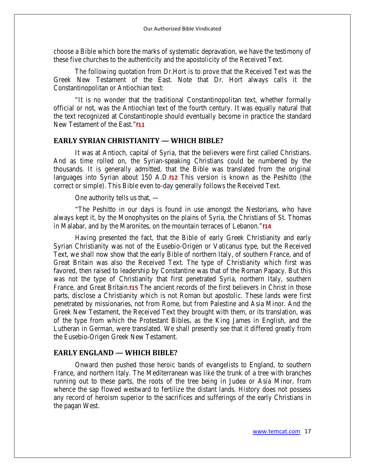choose a Bible which bore the marks of systematic depravation, we have the testimony of these five churches to the authenticity and the apostolicity of the Received Text.

The following quotation from Dr.Hort is to prove that the Received Text was the Greek New Testament of the East. Note that Dr. Hort always calls it the Constantinopolitan or Antiochian text:

"It is no wonder that the traditional Constantinopolitan text, whether formally official or not, was the Antiochian text of the fourth century. It was equally natural that the text recognized at Constantinople should eventually become in practice the standard New Testament of the East."**f11**

#### **EARLY SYRIAN CHRISTIANITY — WHICH BIBLE?**

It was at Antioch, capital of Syria, that the believers were first called Christians. And as time rolled on, the Syrian-speaking Christians could be numbered by the thousands. It is generally admitted, that the Bible was translated from the original languages into Syrian about 150 A.D.**f12** This version is known as the Peshitto (the correct or simple). This Bible even to-day generally follows the Received Text.

One authority tells us that, —

"The Peshitto in our days is found in use amongst the Nestorians, who have always kept it, by the Monophysites on the plains of Syria, the Christians of St. Thomas in Malabar, and by the Maronites, on the mountain terraces of Lebanon."**f14**

Having presented the fact, that the Bible of early Greek Christianity and early Syrian Christianity was not of the Eusebio-Origen or Vaticanus type, but the Received Text, we shall now show that the early Bible of northern Italy, of southern France, and of Great Britain was also the Received Text. The type of Christianity which first was favored, then raised to leadership by Constantine was that of the Roman Papacy. But this was not the type of Christianity that first penetrated Syria, northern Italy, southern France, and Great Britain.**f15** The ancient records of the first believers in Christ in those parts, disclose a Christianity which is not Roman but apostolic. These lands were first penetrated by missionaries, not from Rome, but from Palestine and Asia Minor. And the Greek New Testament, the Received Text they brought with them, or its translation, was of the type from which the Protestant Bibles, as the King James in English, and the Lutheran in German, were translated. We shall presently see that it differed greatly from the Eusebio-Origen Greek New Testament.

#### **EARLY ENGLAND — WHICH BIBLE?**

Onward then pushed those heroic bands of evangelists to England, to southern France, and northern Italy. The Mediterranean was like the trunk of a tree with branches running out to these parts, the roots of the tree being in Judea or Asia Minor, from whence the sap flowed westward to fertilize the distant lands. History does not possess any record of heroism superior to the sacrifices and sufferings of the early Christians in the pagan West.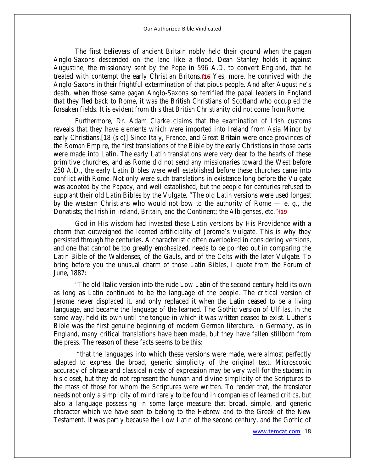The first believers of ancient Britain nobly held their ground when the pagan Anglo-Saxons descended on the land like a flood. Dean Stanley holds it against Augustine, the missionary sent by the Pope in 596 A.D. to convert England, that he treated with contempt the early Christian Britons.**f16** Yes, more, he connived with the Anglo-Saxons in their frightful extermination of that pious people. And after Augustine's death, when those same pagan Anglo-Saxons so terrified the papal leaders in England that they fled back to Rome, it was the British Christians of Scotland who occupied the forsaken fields. It is evident from this that British Christianity did not come from Rome.

Furthermore, Dr. Adam Clarke claims that the examination of Irish customs reveals that they have elements which were imported into Ireland from Asia Minor by early Christians.[18 (sic)] Since Italy, France, and Great Britain were once provinces of the Roman Empire, the first translations of the Bible by the early Christians in those parts were made into Latin. The early Latin translations were very dear to the hearts of these primitive churches, and as Rome did not send any missionaries toward the West before 250 A.D., the early Latin Bibles were well established before these churches came into conflict with Rome. Not only were such translations in existence long before the Vulgate was adopted by the Papacy, and well established, but the people for centuries refused to supplant their old Latin Bibles by the Vulgate. "The old Latin versions were used longest by the western Christians who would not bow to the authority of Rome  $-$  e. g., the Donatists; the Irish in Ireland, Britain, and the Continent; the Albigenses, etc."**f19**

God in His wisdom had invested these Latin versions by His Providence with a charm that outweighed the learned artificiality of Jerome's Vulgate. This is why they persisted through the centuries. A characteristic often overlooked in considering versions, and one that cannot be too greatly emphasized, needs to be pointed out in comparing the Latin Bible of the Waldenses, of the Gauls, and of the Celts with the later Vulgate. To bring before you the unusual charm of those Latin Bibles, I quote from the Forum of June, 1887:

"The old Italic version into the rude Low Latin of the second century held its own as long as Latin continued to be the language of the people. The critical version of Jerome never displaced it, and only replaced it when the Latin ceased to be a living language, and became the language of the learned. The Gothic version of Ulfilas, in the same way, held its own until the tongue in which it was written ceased to exist. Luther's Bible was the first genuine beginning of modern German literature. In Germany, as in England, many critical translations have been made, but they have fallen stillborn from the press. The reason of these facts seems to be this:

"that the languages into which these versions were made, were almost perfectly adapted to express the broad, generic simplicity of the original text. Microscopic accuracy of phrase and classical nicety of expression may be very well for the student in his closet, but they do not represent the human and divine simplicity of the Scriptures to the mass of those for whom the Scriptures were written. To render that, the translator needs not only a simplicity of mind rarely to be found in companies of learned critics, but also a language possessing in some large measure that broad, simple, and generic character which we have seen to belong to the Hebrew and to the Greek of the New Testament. It was partly because the Low Latin of the second century, and the Gothic of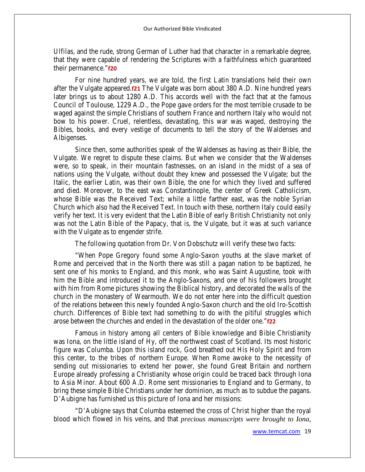Ulfilas, and the rude, strong German of Luther had that character in a remarkable degree, that they were capable of rendering the Scriptures with a faithfulness which guaranteed their permanence."**f20**

For nine hundred years, we are told, the first Latin translations held their own after the Vulgate appeared.**f21** The Vulgate was born about 380 A.D. Nine hundred years later brings us to about 1280 A.D. This accords well with the fact that at the famous Council of Toulouse, 1229 A.D., the Pope gave orders for the most terrible crusade to be waged against the simple Christians of southern France and northern Italy who would not bow to his power. Cruel, relentless, devastating, this war was waged, destroying the Bibles, books, and every vestige of documents to tell the story of the Waldenses and Albigenses.

Since then, some authorities speak of the Waldenses as having as their Bible, the Vulgate. We regret to dispute these claims. But when we consider that the Waldenses were, so to speak, in their mountain fastnesses, on an island in the midst of a sea of nations using the Vulgate, without doubt they knew and possessed the Vulgate; but the Italic, the earlier Latin, was their own Bible, the one for which they lived and suffered and died. Moreover, to the east was Constantinople, the center of Greek Catholicism, whose Bible was the Received Text; while a little farther east, was the noble Syrian Church which also had the Received Text. In touch with these, northern Italy could easily verify her text. It is very evident that the Latin Bible of early British Christianity not only was not the Latin Bible of the Papacy, that is, the Vulgate, but it was at such variance with the Vulgate as to engender strife.

The following quotation from Dr. Von Dobschutz will verify these two facts:

"When Pope Gregory found some Anglo-Saxon youths at the slave market of Rome and perceived that in the North there was still a pagan nation to be baptized, he sent one of his monks to England, and this monk, who was Saint Augustine, took with him the Bible and introduced it to the Anglo-Saxons, and one of his followers brought with him from Rome pictures showing the Biblical history, and decorated the walls of the church in the monastery of Wearmouth. We do not enter here into the difficult question of the relations between this newly founded Anglo-Saxon church and the old Iro-Scottish church. Differences of Bible text had something to do with the pitiful struggles which arose between the churches and ended in the devastation of the older one."**f22**

Famous in history among all centers of Bible knowledge and Bible Christianity was Iona, on the little island of Hy, off the northwest coast of Scotland. Its most historic figure was Columba. Upon this island rock, God breathed out His Holy Spirit and from this center, to the tribes of northern Europe. When Rome awoke to the necessity of sending out missionaries to extend her power, she found Great Britain and northern Europe already professing a Christianity whose origin could be traced back through Iona to Asia Minor. About 600 A.D. Rome sent missionaries to England and to Germany, to bring these simple Bible Christians under her dominion, as much as to subdue the pagans. D'Aubigne has furnished us this picture of Iona and her missions:

"D'Aubigne says that Columba esteemed the cross of Christ higher than the royal blood which flowed in his veins, and that *precious manuscripts were brought to Iona,*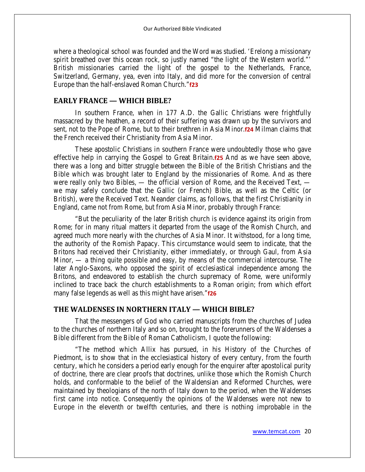where a theological school was founded and the Word was studied. 'Erelong a missionary spirit breathed over this ocean rock, so justly named "the light of the Western world."' British missionaries carried the light of the gospel to the Netherlands, France, Switzerland, Germany, yea, even into Italy, and did more for the conversion of central Europe than the half-enslaved Roman Church."**f23**

#### **EARLY FRANCE — WHICH BIBLE?**

In southern France, when in 177 A.D. the Gallic Christians were frightfully massacred by the heathen, a record of their suffering was drawn up by the survivors and sent, not to the Pope of Rome, but to their brethren in Asia Minor.**f24** Milman claims that the French received their Christianity from Asia Minor.

These apostolic Christians in southern France were undoubtedly those who gave effective help in carrying the Gospel to Great Britain.**f25** And as we have seen above, there was a long and bitter struggle between the Bible of the British Christians and the Bible which was brought later to England by the missionaries of Rome. And as there were really only two Bibles, — the official version of Rome, and the Received Text, we may safely conclude that the Gallic (or French) Bible, as well as the Celtic (or British), were the Received Text. Neander claims, as follows, that the first Christianity in England, came not from Rome, but from Asia Minor, probably through France:

"But the peculiarity of the later British church is evidence against its origin from Rome; for in many ritual matters it departed from the usage of the Romish Church, and agreed much more nearly with the churches of Asia Minor. It withstood, for a long time, the authority of the Romish Papacy. This circumstance would seem to indicate, that the Britons had received their Christianity, either immediately, or through Gaul, from Asia Minor, — a thing quite possible and easy, by means of the commercial intercourse. The later Anglo-Saxons, who opposed the spirit of ecclesiastical independence among the Britons, and endeavored to establish the church supremacy of Rome, were uniformly inclined to trace back the church establishments to a Roman origin; from which effort many false legends as well as this might have arisen."**f26**

#### **THE WALDENSES IN NORTHERN ITALY — WHICH BIBLE?**

That the messengers of God who carried manuscripts from the churches of Judea to the churches of northern Italy and so on, brought to the forerunners of the Waldenses a Bible different from the Bible of Roman Catholicism, I quote the following:

"The method which Allix has pursued, in his History of the Churches of Piedmont, is to show that in the ecclesiastical history of every century, from the fourth century, which he considers a period early enough for the enquirer after apostolical purity of doctrine, there are clear proofs that doctrines, unlike those which the Romish Church holds, and conformable to the belief of the Waldensian and Reformed Churches, were maintained by theologians of the north of Italy down to the period, when the Waldenses first came into notice. Consequently the opinions of the Waldenses were not new to Europe in the eleventh or twelfth centuries, and there is nothing improbable in the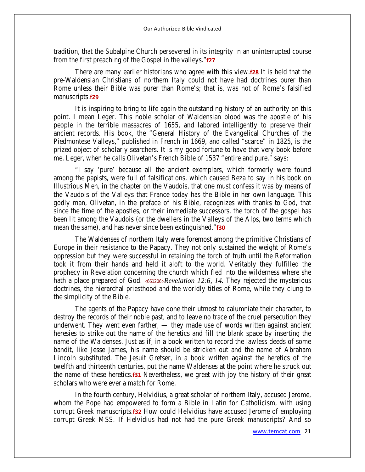tradition, that the Subalpine Church persevered in its integrity in an uninterrupted course from the first preaching of the Gospel in the valleys."**f27**

There are many earlier historians who agree with this view.**f28** It is held that the pre-Waldensian Christians of northern Italy could not have had doctrines purer than Rome unless their Bible was purer than Rome's; that is, was not of Rome's falsified manuscripts.**f29**

It is inspiring to bring to life again the outstanding history of an authority on this point. I mean Leger. This noble scholar of Waldensian blood was the apostle of his people in the terrible massacres of 1655, and labored intelligently to preserve their ancient records. His book, the "General History of the Evangelical Churches of the Piedmontese Valleys," published in French in 1669, and called "scarce" in 1825, is the prized object of scholarly searchers. It is my good fortune to have that very book before me. Leger, when he calls Olivetan's French Bible of 1537 "entire and pure," says:

"I say 'pure' because all the ancient exemplars, which formerly were found among the papists, were full of falsifications, which caused Beza to say in his book on Illustrious Men, in the chapter on the Vaudois, that one must confess it was by means of the Vaudois of the Valleys that France today has the Bible in her own language. This godly man, Olivetan, in the preface of his Bible, recognizes with thanks to God, that since the time of the apostles, or their immediate successors, the torch of the gospel has been lit among the Vaudois (or the dwellers in the Valleys of the Alps, two terms which mean the same), and has never since been extinguished."**f30**

The Waldenses of northern Italy were foremost among the primitive Christians of Europe in their resistance to the Papacy. They not only sustained the weight of Rome's oppression but they were successful in retaining the torch of truth until the Reformation took it from their hands and held it aloft to the world. Veritably they fulfilled the prophecy in Revelation concerning the church which fled into the wilderness where she hath a place prepared of God. <661206>Revelation 12:6, 14. They rejected the mysterious doctrines, the hierarchal priesthood and the worldly titles of Rome, while they clung to the simplicity of the Bible.

The agents of the Papacy have done their utmost to calumniate their character, to destroy the records of their noble past, and to leave no trace of the cruel persecution they underwent. They went even farther, — they made use of words written against ancient heresies to strike out the name of the heretics and fill the blank space by inserting the name of the Waldenses. Just as if, in a book written to record the lawless deeds of some bandit, like Jesse James, his name should be stricken out and the name of Abraham Lincoln substituted. The Jesuit Gretser, in a book written against the heretics of the twelfth and thirteenth centuries, put the name Waldenses at the point where he struck out the name of these heretics.**f31** Nevertheless, we greet with joy the history of their great scholars who were ever a match for Rome.

In the fourth century, Helvidius, a great scholar of northern Italy, accused Jerome, whom the Pope had empowered to form a Bible in Latin for Catholicism, with using corrupt Greek manuscripts.**f32** How could Helvidius have accused Jerome of employing corrupt Greek MSS. If Helvidius had not had the pure Greek manuscripts? And so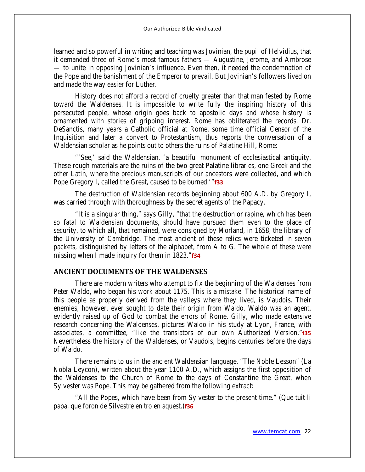learned and so powerful in writing and teaching was Jovinian, the pupil of Helvidius, that it demanded three of Rome's most famous fathers — Augustine, Jerome, and Ambrose — to unite in opposing Jovinian's influence. Even then, it needed the condemnation of the Pope and the banishment of the Emperor to prevail. But Jovinian's followers lived on and made the way easier for Luther.

History does not afford a record of cruelty greater than that manifested by Rome toward the Waldenses. It is impossible to write fully the inspiring history of this persecuted people, whose origin goes back to apostolic days and whose history is ornamented with stories of gripping interest. Rome has obliterated the records. Dr. DeSanctis, many years a Catholic official at Rome, some time official Censor of the Inquisition and later a convert to Protestantism, thus reports the conversation of a Waldensian scholar as he points out to others the ruins of Palatine Hill, Rome:

"'See,' said the Waldensian, 'a beautiful monument of ecclesiastical antiquity. These rough materials are the ruins of the two great Palatine libraries, one Greek and the other Latin, where the precious manuscripts of our ancestors were collected, and which Pope Gregory I, called the Great, caused to be burned.'"**f33**

The destruction of Waldensian records beginning about 600 A.D. by Gregory I, was carried through with thoroughness by the secret agents of the Papacy.

"It is a singular thing," says Gilly, "that the destruction or rapine, which has been so fatal to Waldensian documents, should have pursued them even to the place of security, to which all, that remained, were consigned by Morland, in 1658, the library of the University of Cambridge. The most ancient of these relics were ticketed in seven packets, distinguished by letters of the alphabet, from A to G. The whole of these were missing when I made inquiry for them in 1823."**f34**

#### **ANCIENT DOCUMENTS OF THE WALDENSES**

There are modern writers who attempt to fix the beginning of the Waldenses from Peter Waldo, who began his work about 1175. This is a mistake. The historical name of this people as properly derived from the valleys where they lived, is Vaudois. Their enemies, however, ever sought to date their origin from Waldo. Waldo was an agent, evidently raised up of God to combat the errors of Rome. Gilly, who made extensive research concerning the Waldenses, pictures Waldo in his study at Lyon, France, with associates, a committee, "like the translators of our own Authorized Version."**f35**  Nevertheless the history of the Waldenses, or Vaudois, begins centuries before the days of Waldo.

There remains to us in the ancient Waldensian language, "The Noble Lesson" (La Nobla Leycon), written about the year 1100 A.D., which assigns the first opposition of the Waldenses to the Church of Rome to the days of Constantine the Great, when Sylvester was Pope. This may be gathered from the following extract:

"All the Popes, which have been from Sylvester to the present time." (Que tuit li papa, que foron de Silvestre en tro en aquest.)**f36**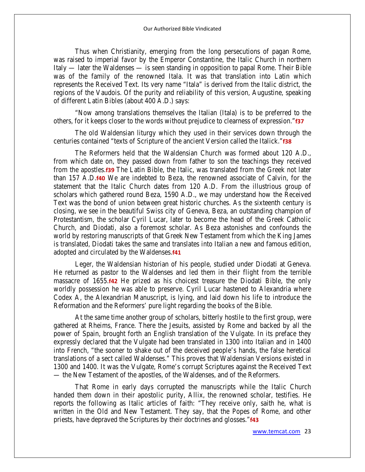Thus when Christianity, emerging from the long persecutions of pagan Rome, was raised to imperial favor by the Emperor Constantine, the Italic Church in northern Italy — later the Waldenses — is seen standing in opposition to papal Rome. Their Bible was of the family of the renowned Itala. It was that translation into Latin which represents the Received Text. Its very name "Itala" is derived from the Italic district, the regions of the Vaudois. Of the purity and reliability of this version, Augustine, speaking of different Latin Bibles (about 400 A.D.) says:

"Now among translations themselves the Italian (Itala) is to be preferred to the others, for it keeps closer to the words without prejudice to clearness of expression."**f37**

The old Waldensian liturgy which they used in their services down through the centuries contained "texts of Scripture of the ancient Version called the Italick."**f38**

The Reformers held that the Waldensian Church was formed about 120 A.D., from which date on, they passed down from father to son the teachings they received from the apostles.**f39** The Latin Bible, the Italic, was translated from the Greek not later than 157 A.D.**f40** We are indebted to Beza, the renowned associate of Calvin, for the statement that the Italic Church dates from 120 A.D. From the illustrious group of scholars which gathered round Beza, 1590 A.D., we may understand how the Received Text was the bond of union between great historic churches. As the sixteenth century is closing, we see in the beautiful Swiss city of Geneva, Beza, an outstanding champion of Protestantism, the scholar Cyril Lucar, later to become the head of the Greek Catholic Church, and Diodati, also a foremost scholar. As Beza astonishes and confounds the world by restoring manuscripts of that Greek New Testament from which the King James is translated, Diodati takes the same and translates into Italian a new and famous edition, adopted and circulated by the Waldenses.**f41** 

Leger, the Waldensian historian of his people, studied under Diodati at Geneva. He returned as pastor to the Waldenses and led them in their flight from the terrible massacre of 1655.**f42** He prized as his choicest treasure the Diodati Bible, the only worldly possession he was able to preserve. Cyril Lucar hastened to Alexandria where Codex A, the Alexandrian Manuscript, is lying, and laid down his life to introduce the Reformation and the Reformers' pure light regarding the books of the Bible.

At the same time another group of scholars, bitterly hostile to the first group, were gathered at Rheims, France. There the Jesuits, assisted by Rome and backed by all the power of Spain, brought forth an English translation of the Vulgate. In its preface they expressly declared that the Vulgate had been translated in 1300 into Italian and in 1400 into French, "the sooner to shake out of the deceived people's hands, the false heretical translations of a sect called Waldenses." This proves that Waldensian Versions existed in 1300 and 1400. It was the Vulgate, Rome's corrupt Scriptures against the Received Text — the New Testament of the apostles, of the Waldenses, and of the Reformers.

That Rome in early days corrupted the manuscripts while the Italic Church handed them down in their apostolic purity, Allix, the renowned scholar, testifies. He reports the following as Italic articles of faith: "They receive only, saith he, what is written in the Old and New Testament. They say, that the Popes of Rome, and other priests, have depraved the Scriptures by their doctrines and glosses."**f43**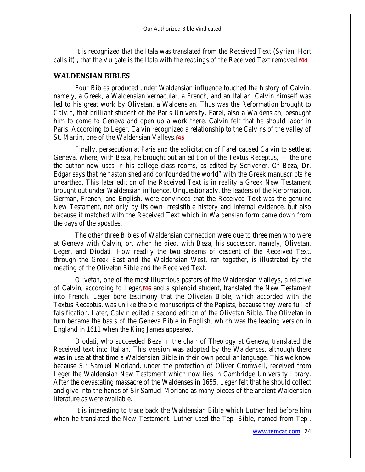It is recognized that the Itala was translated from the Received Text (Syrian, Hort calls it) ; that the Vulgate is the Itala with the readings of the Received Text removed.**f44**

#### **WALDENSIAN BIBLES**

Four Bibles produced under Waldensian influence touched the history of Calvin: namely, a Greek, a Waldensian vernacular, a French, and an Italian. Calvin himself was led to his great work by Olivetan, a Waldensian. Thus was the Reformation brought to Calvin, that brilliant student of the Paris University. Farel, also a Waldensian, besought him to come to Geneva and open up a work there. Calvin felt that he should labor in Paris. According to Leger, Calvin recognized a relationship to the Calvins of the valley of St. Martin, one of the Waldensian Valleys.**f45**

Finally, persecution at Paris and the solicitation of Farel caused Calvin to settle at Geneva, where, with Beza, he brought out an edition of the Textus Receptus, — the one the author now uses in his college class rooms, as edited by Scrivener. Of Beza, Dr. Edgar says that he "astonished and confounded the world" with the Greek manuscripts he unearthed. This later edition of the Received Text is in reality a Greek New Testament brought out under Waldensian influence. Unquestionably, the leaders of the Reformation, German, French, and English, were convinced that the Received Text was the genuine New Testament, not only by its own irresistible history and internal evidence, but also because it matched with the Received Text which in Waldensian form came down from the days of the apostles.

The other three Bibles of Waldensian connection were due to three men who were at Geneva with Calvin, or, when he died, with Beza, his successor, namely, Olivetan, Leger, and Diodati. How readily the two streams of descent of the Received Text, through the Greek East and the Waldensian West, ran together, is illustrated by the meeting of the Olivetan Bible and the Received Text.

Olivetan, one of the most illustrious pastors of the Waldensian Valleys, a relative of Calvin, according to Leger,**f46** and a splendid student, translated the New Testament into French. Leger bore testimony that the Olivetan Bible, which accorded with the Textus Receptus, was unlike the old manuscripts of the Papists, because they were full of falsification. Later, Calvin edited a second edition of the Olivetan Bible. The Olivetan in turn became the basis of the Geneva Bible in English, which was the leading version in England in 1611 when the King James appeared.

Diodati, who succeeded Beza in the chair of Theology at Geneva, translated the Received text into Italian. This version was adopted by the Waldenses, although there was in use at that time a Waldensian Bible in their own peculiar language. This we know because Sir Samuel Morland, under the protection of Oliver Cromwell, received from Leger the Waldensian New Testament which now lies in Cambridge University library. After the devastating massacre of the Waldenses in 1655, Leger felt that he should collect and give into the hands of Sir Samuel Morland as many pieces of the ancient Waldensian literature as were available.

It is interesting to trace back the Waldensian Bible which Luther had before him when he translated the New Testament. Luther used the Tepl Bible, named from Tepl,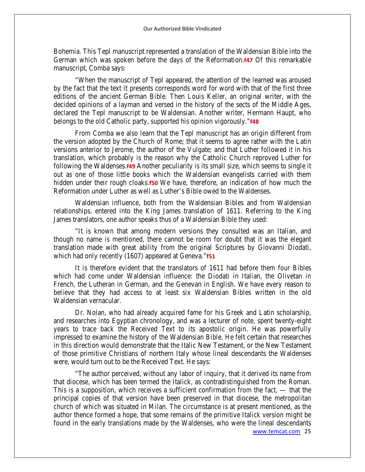Bohemia. This Tepl manuscript represented a translation of the Waldensian Bible into the German which was spoken before the days of the Reformation.**f47** Of this remarkable manuscript, Comba says:

"When the manuscript of Tepl appeared, the attention of the learned was aroused by the fact that the text it presents corresponds word for word with that of the first three editions of the ancient German Bible. Then Louis Keller, an original writer, with the decided opinions of a layman and versed in the history of the sects of the Middle Ages, declared the Tepl manuscript to be Waldensian. Another writer, Hermann Haupt, who belongs to the old Catholic party, supported his opinion vigorously."**f48**

From Comba we also learn that the Tepl manuscript has an origin different from the version adopted by the Church of Rome; that it seems to agree rather with the Latin versions anterior to Jerome, the author of the Vulgate; and that Luther followed it in his translation, which probably is the reason why the Catholic Church reproved Luther for following the Waldenses.**f49** Another peculiarity is its small size, which seems to single it out as one of those little books which the Waldensian evangelists carried with them hidden under their rough cloaks.**f50** We have, therefore, an indication of how much the Reformation under Luther as well as Luther's Bible owed to the Waldenses.

Waldensian influence, both from the Waldensian Bibles and from Waldensian relationships, entered into the King James translation of 1611. Referring to the King James translators, one author speaks thus of a Waldensian Bible they used:

"It is known that among modern versions they consulted was an Italian, and though no name is mentioned, there cannot be room for doubt that it was the elegant translation made with great ability from the original Scriptures by Giovanni Diodati, which had only recently (1607) appeared at Geneva."**f51**

It is therefore evident that the translators of 1611 had before them four Bibles which had come under Waldensian influence: the Diodati in Italian, the Olivetan in French, the Lutheran in German, and the Genevan in English. We have every reason to believe that they had access to at least six Waldensian Bibles written in the old Waldensian vernacular.

Dr. Nolan, who had already acquired fame for his Greek and Latin scholarship, and researches into Egyptian chronology, and was a lecturer of note, spent twenty-eight years to trace back the Received Text to its apostolic origin. He was powerfully impressed to examine the history of the Waldensian Bible. He felt certain that researches in this direction would demonstrate that the Italic New Testament, or the New Testament of those primitive Christians of northern Italy whose lineal descendants the Waldenses were, would turn out to be the Received Text. He says:

[www.temcat.com](http://www.temcat.com/) 25 "The author perceived, without any labor of inquiry, that it derived its name from that diocese, which has been termed the Italick, as contradistinguished from the Roman. This is a supposition, which receives a sufficient confirmation from the fact, — that the principal copies of that version have been preserved in that diocese, the metropolitan church of which was situated in Milan. The circumstance is at present mentioned, as the author thence formed a hope, that some remains of the primitive Italick version might be found in the early translations made by the Waldenses, who were the lineal descendants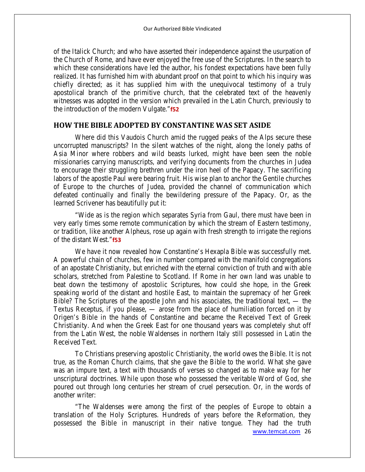of the Italick Church; and who have asserted their independence against the usurpation of the Church of Rome, and have ever enjoyed the free use of the Scriptures. In the search to which these considerations have led the author, his fondest expectations have been fully realized. It has furnished him with abundant proof on that point to which his inquiry was chiefly directed; as it has supplied him with the unequivocal testimony of a truly apostolical branch of the primitive church, that the celebrated text of the heavenly witnesses was adopted in the version which prevailed in the Latin Church, previously to the introduction of the modern Vulgate."**f52**

## **HOW THE BIBLE ADOPTED BY CONSTANTINE WAS SET ASIDE**

Where did this Vaudois Church amid the rugged peaks of the Alps secure these uncorrupted manuscripts? In the silent watches of the night, along the lonely paths of Asia Minor where robbers and wild beasts lurked, might have been seen the noble missionaries carrying manuscripts, and verifying documents from the churches in Judea to encourage their struggling brethren under the iron heel of the Papacy. The sacrificing labors of the apostle Paul were bearing fruit. His wise plan to anchor the Gentile churches of Europe to the churches of Judea, provided the channel of communication which defeated continually and finally the bewildering pressure of the Papacy. Or, as the learned Scrivener has beautifully put it:

"Wide as is the region which separates Syria from Gaul, there must have been in very early times some remote communication by which the stream of Eastern testimony, or tradition, like another Alpheus, rose up again with fresh strength to irrigate the regions of the distant West."**f53**

We have it now revealed how Constantine's Hexapla Bible was successfully met. A powerful chain of churches, few in number compared with the manifold congregations of an apostate Christianity, but enriched with the eternal conviction of truth and with able scholars, stretched from Palestine to Scotland. If Rome in her own land was unable to beat down the testimony of apostolic Scriptures, how could she hope, in the Greek speaking world of the distant and hostile East, to maintain the supremacy of her Greek Bible? The Scriptures of the apostle John and his associates, the traditional text, — the Textus Receptus, if you please, — arose from the place of humiliation forced on it by Origen's Bible in the hands of Constantine and became the Received Text of Greek Christianity. And when the Greek East for one thousand years was completely shut off from the Latin West, the noble Waldenses in northern Italy still possessed in Latin the Received Text.

To Christians preserving apostolic Christianity, the world owes the Bible. It is not true, as the Roman Church claims, that she gave the Bible to the world. What she gave was an impure text, a text with thousands of verses so changed as to make way for her unscriptural doctrines. While upon those who possessed the veritable Word of God, she poured out through long centuries her stream of cruel persecution. Or, in the words of another writer:

"The Waldenses were among the first of the peoples of Europe to obtain a translation of the Holy Scriptures. Hundreds of years before the Reformation, they possessed the Bible in manuscript in their native tongue. They had the truth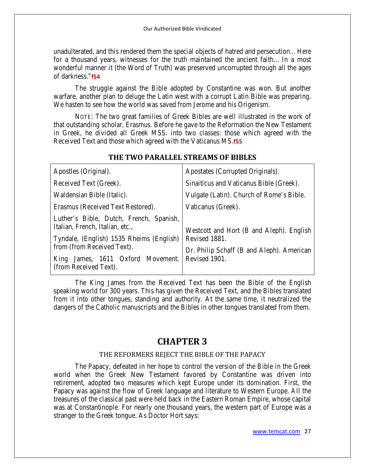unadulterated, and this rendered them the special objects of hatred and persecution... Here for a thousand years, witnesses for the truth maintained the ancient faith... In a most wonderful manner it (the Word of Truth) was preserved uncorrupted through all the ages of darkness."**f54**

The struggle against the Bible adopted by Constantine was won. But another warfare, another plan to deluge the Latin west with a corrupt Latin Bible was preparing. We hasten to see how the world was saved from Jerome and his Origenism.

NOTE: The two great families of Greek Bibles are well illustrated in the work of that outstanding scholar, Erasmus. Before he gave to the Reformation the New Testament in Greek, he divided all Greek MSS. into two classes: those which agreed with the Received Text and those which agreed with the Vaticanus MS.**f55**

| Apostles (Original).                                                       | Apostates (Corrupted Originals).                           |
|----------------------------------------------------------------------------|------------------------------------------------------------|
| Received Text (Greek).                                                     | Sinaiticus and Vaticanus Bible (Greek).                    |
| Waldensian Bible (Italic).                                                 | Vulgate (Latin). Church of Rome's Bible.                   |
| Erasmus (Received Text Restored).                                          | Vaticanus (Greek).                                         |
| Luther's Bible, Dutch, French, Spanish,<br>Italian, French, Italian, etc., | Westcott and Hort (B and Aleph). English                   |
| Tyndale, (English) 1535 Rheims (English)<br>from (from Received Text).     | Revised 1881.<br>Dr. Philip Schaff (B and Aleph). American |
| James, 1611 Oxford Movement.<br>King<br>(from Received Text).              | Revised 1901.                                              |

## **THE TWO PARALLEL STREAMS OF BIBLES**

The King James from the Received Text has been the Bible of the English speaking world for 300 years. This has given the Received Text, and the Bibles translated from it into other tongues, standing and authority. At the same time, it neutralized the dangers of the Catholic manuscripts and the Bibles in other tongues translated from them.

# **CHAPTER 3**

#### THE REFORMERS REJECT THE BIBLE OF THE PAPACY

The Papacy, defeated in her hope to control the version of the Bible in the Greek world when the Greek New Testament favored by Constantine was driven into retirement, adopted two measures which kept Europe under its domination. First, the Papacy was against the flow of Greek language and literature to Western Europe. All the treasures of the classical past were held back in the Eastern Roman Empire, whose capital was at Constantinople. For nearly one thousand years, the western part of Europe was a stranger to the Greek tongue. As Doctor Hort says: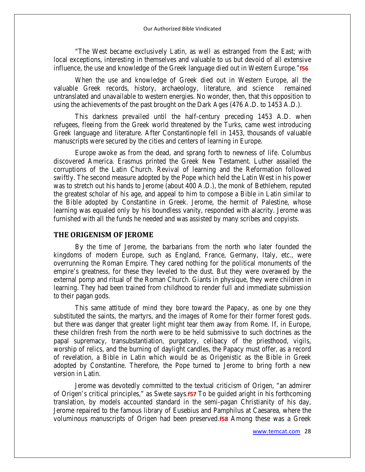"The West became exclusively Latin, as well as estranged from the East; with local exceptions, interesting in themselves and valuable to us but devoid of all extensive influence, the use and knowledge of the Greek language died out in Western Europe."**f56**

When the use and knowledge of Greek died out in Western Europe, all the valuable Greek records, history, archaeology, literature, and science remained untranslated and unavailable to western energies. No wonder, then, that this opposition to using the achievements of the past brought on the Dark Ages (476 A.D. to 1453 A.D.).

This darkness prevailed until the half-century preceding 1453 A.D. when refugees, fleeing from the Greek world threatened by the Turks, came west introducing Greek language and literature. After Constantinople fell in 1453, thousands of valuable manuscripts were secured by the cities and centers of learning in Europe.

Europe awoke as from the dead, and sprang forth to newness of life. Columbus discovered America. Erasmus printed the Greek New Testament. Luther assailed the corruptions of the Latin Church. Revival of learning and the Reformation followed swiftly. The second measure adopted by the Pope which held the Latin West in his power was to stretch out his hands to Jerome (about 400 A.D.), the monk of Bethlehem, reputed the greatest scholar of his age, and appeal to him to compose a Bible in Latin similar to the Bible adopted by Constantine in Greek. Jerome, the hermit of Palestine, whose learning was equaled only by his boundless vanity, responded with alacrity. Jerome was furnished with all the funds he needed and was assisted by many scribes and copyists.

#### **THE ORIGENISM OF JEROME**

By the time of Jerome, the barbarians from the north who later founded the kingdoms of modern Europe, such as England, France, Germany, Italy, etc., were overrunning the Roman Empire. They cared nothing for the political monuments of the empire's greatness, for these they leveled to the dust. But they were overawed by the external pomp and ritual of the Roman Church. Giants in physique, they were children in learning. They had been trained from childhood to render full and immediate submission to their pagan gods.

This same attitude of mind they bore toward the Papacy, as one by one they substituted the saints, the martyrs, and the images of Rome for their former forest gods. but there was danger that greater light might tear them away from Rome. If, in Europe, these children fresh from the north were to be held submissive to such doctrines as the papal supremacy, transubstantiation, purgatory, celibacy of the priesthood, vigils, worship of relics, and the burning of daylight candles, the Papacy must offer, as a record of revelation, a Bible in Latin which would be as Origenistic as the Bible in Greek adopted by Constantine. Therefore, the Pope turned to Jerome to bring forth a new version in Latin.

Jerome was devotedly committed to the textual criticism of Origen, "an admirer of Origen's critical principles," as Swete says.**f57** To be guided aright in his forthcoming translation, by models accounted standard in the semi-pagan Christianity of his day, Jerome repaired to the famous library of Eusebius and Pamphilus at Caesarea, where the voluminous manuscripts of Origen had been preserved.**f58** Among these was a Greek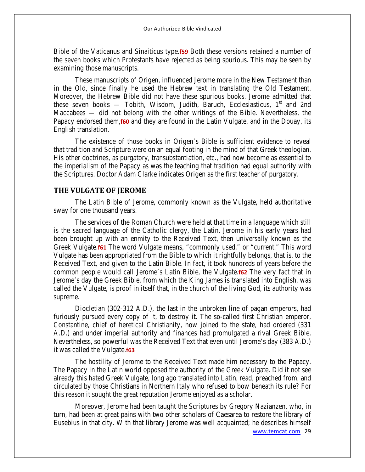Bible of the Vaticanus and Sinaiticus type.**f59** Both these versions retained a number of the seven books which Protestants have rejected as being spurious. This may be seen by examining those manuscripts.

These manuscripts of Origen, influenced Jerome more in the New Testament than in the Old, since finally he used the Hebrew text in translating the Old Testament. Moreover, the Hebrew Bible did not have these spurious books. Jerome admitted that these seven books — Tobith, Wisdom, Judith, Baruch, Ecclesiasticus,  $1<sup>st</sup>$  and 2nd Maccabees — did not belong with the other writings of the Bible. Nevertheless, the Papacy endorsed them,**f60** and they are found in the Latin Vulgate, and in the Douay, its English translation.

The existence of those books in Origen's Bible is sufficient evidence to reveal that tradition and Scripture were on an equal footing in the mind of that Greek theologian. His other doctrines, as purgatory, transubstantiation, etc., had now become as essential to the imperialism of the Papacy as was the teaching that tradition had equal authority with the Scriptures. Doctor Adam Clarke indicates Origen as the first teacher of purgatory.

#### **THE VULGATE OF JEROME**

The Latin Bible of Jerome, commonly known as the Vulgate, held authoritative sway for one thousand years.

The services of the Roman Church were held at that time in a language which still is the sacred language of the Catholic clergy, the Latin. Jerome in his early years had been brought up with an enmity to the Received Text, then universally known as the Greek Vulgate.**f61** The word Vulgate means, "commonly used," or "current." This word Vulgate has been appropriated from the Bible to which it rightfully belongs, that is, to the Received Text, and given to the Latin Bible. In fact, it took hundreds of years before the common people would call Jerome's Latin Bible, the Vulgate.**f62** The very fact that in Jerome's day the Greek Bible, from which the King James is translated into English, was called the Vulgate, is proof in itself that, in the church of the living God, its authority was supreme.

Diocletian (302-312 A.D.), the last in the unbroken line of pagan emperors, had furiously pursued every copy of it, to destroy it. The so-called first Christian emperor, Constantine, chief of heretical Christianity, now joined to the state, had ordered (331 A.D.) and under imperial authority and finances had promulgated a rival Greek Bible. Nevertheless, so powerful was the Received Text that even until Jerome's day (383 A.D.) it was called the Vulgate.**f63**

The hostility of Jerome to the Received Text made him necessary to the Papacy. The Papacy in the Latin world opposed the authority of the Greek Vulgate. Did it not see already this hated Greek Vulgate, long ago translated into Latin, read, preached from, and circulated by those Christians in Northern Italy who refused to bow beneath its rule? For this reason it sought the great reputation Jerome enjoyed as a scholar.

[www.temcat.com](http://www.temcat.com/) 29 Moreover, Jerome had been taught the Scriptures by Gregory Nazianzen, who, in turn, had been at great pains with two other scholars of Caesarea to restore the library of Eusebius in that city. With that library Jerome was well acquainted; he describes himself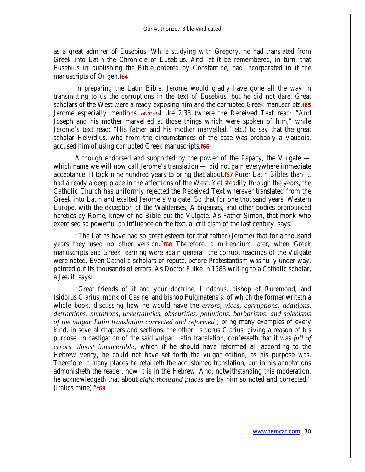as a great admirer of Eusebius. While studying with Gregory, he had translated from Greek into Latin the Chronicle of Eusebius. And let it be remembered, in turn, that Eusebius in publishing the Bible ordered by Constantine, had incorporated in it the manuscripts of Origen.**f64**

In preparing the Latin Bible, Jerome would gladly have gone all the way in transmitting to us the corruptions in the text of Eusebius, but he did not dare. Great scholars of the West were already exposing him and the corrupted Greek manuscripts.**f65**  Jerome especially mentions **<420233>**Luke 2:33 (where the Received Text read: "And Joseph and his mother marvelled at those things which were spoken of him," while Jerome's text read: "His father and his mother marvelled," etc.) to say that the great scholar Helvidius, who from the circumstances of the case was probably a Vaudois, accused him of using corrupted Greek manuscripts.**f66** 

Although endorsed and supported by the power of the Papacy, the Vulgate which name we will now call Jerome's translation — did not gain everywhere immediate acceptance. It took nine hundred years to bring that about.**f67** Purer Latin Bibles than it, had already a deep place in the affections of the West. Yet steadily through the years, the Catholic Church has uniformly rejected the Received Text wherever translated from the Greek into Latin and exalted Jerome's Vulgate. So that for one thousand years, Western Europe, with the exception of the Waldenses, Albigenses, and other bodies pronounced heretics by Rome, knew of no Bible but the Vulgate. As Father Simon, that monk who exercised so powerful an influence on the textual criticism of the last century, says:

"The Latins have had so great esteem for that father (Jerome) that for a thousand years they used no other version."**f68** Therefore, a millennium later, when Greek manuscripts and Greek learning were again general, the corrupt readings of the Vulgate were noted. Even Catholic scholars of repute, before Protestantism was fully under way, pointed out its thousands of errors. As Doctor Fulke in 1583 writing to a Catholic scholar, a Jesuit, says:

"Great friends of it and your doctrine, Lindanus, bishop of Ruremond, and Isidorus Clarius, monk of Casine, and bishop Fulginatensis: of which the former writeth a whole book, discussing how he would have the *errors, vices, corruptions, additions, detractions, mutations, uncertainties, obscurities, pollutions, barbarisms, and solecisms of the vulgar Latin translation corrected and reformed* ; bring many examples of every kind, in several chapters and sections: the other, Isidorus Clarius, giving a reason of his purpose, in castigation of the said vulgar Latin translation, confesseth that it was *full of errors almost innumerable;* which if he should have reformed all according to the Hebrew verity, he could not have set forth the vulgar edition, as his purpose was. Therefore in many places he retaineth the accustomed translation, but in his annotations admonisheth the reader, how it is in the Hebrew. And, notwithstanding this moderation, he acknowledgeth that about *eight thousand places* are by him so noted and corrected." (Italics mine)."**f69**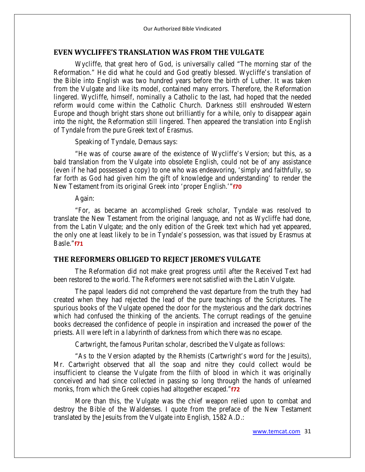#### **EVEN WYCLIFFE'S TRANSLATION WAS FROM THE VULGATE**

Wycliffe, that great hero of God, is universally called "The morning star of the Reformation." He did what he could and God greatly blessed. Wycliffe's translation of the Bible into English was two hundred years before the birth of Luther. It was taken from the Vulgate and like its model, contained many errors. Therefore, the Reformation lingered. Wycliffe, himself, nominally a Catholic to the last, had hoped that the needed reform would come within the Catholic Church. Darkness still enshrouded Western Europe and though bright stars shone out brilliantly for a while, only to disappear again into the night, the Reformation still lingered. Then appeared the translation into English of Tyndale from the pure Greek text of Erasmus.

Speaking of Tyndale, Demaus says:

"He was of course aware of the existence of Wycliffe's Version; but this, as a bald translation from the Vulgate into obsolete English, could not be of any assistance (even if he had possessed a copy) to one who was endeavoring, 'simply and faithfully, so far forth as God had given him the gift of knowledge and understanding' to render the New Testament from its original Greek into 'proper English.'"**f70**

#### Again:

"For, as became an accomplished Greek scholar, Tyndale was resolved to translate the New Testament from the original language, and not as Wycliffe had done, from the Latin Vulgate; and the only edition of the Greek text which had yet appeared, the only one at least likely to be in Tyndale's possession, was that issued by Erasmus at Basle."**f71**

#### **THE REFORMERS OBLIGED TO REJECT JEROME'S VULGATE**

The Reformation did not make great progress until after the Received Text had been restored to the world. The Reformers were not satisfied with the Latin Vulgate.

The papal leaders did not comprehend the vast departure from the truth they had created when they had rejected the lead of the pure teachings of the Scriptures. The spurious books of the Vulgate opened the door for the mysterious and the dark doctrines which had confused the thinking of the ancients. The corrupt readings of the genuine books decreased the confidence of people in inspiration and increased the power of the priests. All were left in a labyrinth of darkness from which there was no escape.

Cartwright, the famous Puritan scholar, described the Vulgate as follows:

"As to the Version adapted by the Rhemists (Cartwright's word for the Jesuits), Mr. Cartwright observed that all the soap and nitre they could collect would be insufficient to cleanse the Vulgate from the filth of blood in which it was originally conceived and had since collected in passing so long through the hands of unlearned monks, from which the Greek copies had altogether escaped."**f72**

More than this, the Vulgate was the chief weapon relied upon to combat and destroy the Bible of the Waldenses. I quote from the preface of the New Testament translated by the Jesuits from the Vulgate into English, 1582 A.D.: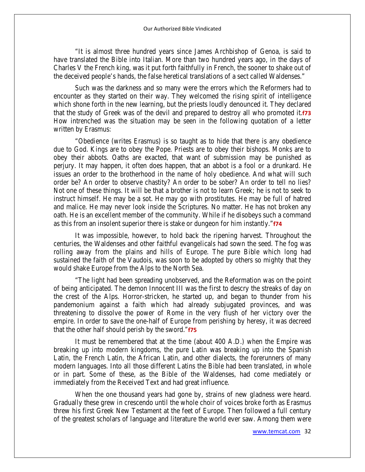"It is almost three hundred years since James Archbishop of Genoa, is said to have translated the Bible into Italian. More than two hundred years ago, in the days of Charles V the French king, was it put forth faithfully in French, the sooner to shake out of the deceived people's hands, the false heretical translations of a sect called Waldenses."

Such was the darkness and so many were the errors which the Reformers had to encounter as they started on their way. They welcomed the rising spirit of intelligence which shone forth in the new learning, but the priests loudly denounced it. They declared that the study of Greek was of the devil and prepared to destroy all who promoted it.**f73**  How intrenched was the situation may be seen in the following quotation of a letter written by Erasmus:

"Obedience (writes Erasmus) is so taught as to hide that there is any obedience due to God. Kings are to obey the Pope. Priests are to obey their bishops. Monks are to obey their abbots. Oaths are exacted, that want of submission may be punished as perjury. It may happen, it often does happen, that an abbot is a fool or a drunkard. He issues an order to the brotherhood in the name of holy obedience. And what will such order be? An order to observe chastity? An order to be sober? An order to tell no lies? Not one of these things. It will be that a brother is not to learn Greek; he is not to seek to instruct himself. He may be a sot. He may go with prostitutes. He may be full of hatred and malice. He may never look inside the Scriptures. No matter. He has not broken any oath. He is an excellent member of the community. While if he disobeys such a command as this from an insolent superior there is stake or dungeon for him instantly."**f74**

It was impossible, however, to hold back the ripening harvest. Throughout the centuries, the Waldenses and other faithful evangelicals had sown the seed. The fog was rolling away from the plains and hills of Europe. The pure Bible which long had sustained the faith of the Vaudois, was soon to be adopted by others so mighty that they would shake Europe from the Alps to the North Sea.

"The light had been spreading unobserved, and the Reformation was on the point of being anticipated. The demon Innocent III was the first to descry the streaks of day on the crest of the Alps. Horror-stricken, he started up, and began to thunder from his pandemonium against a faith which had already subjugated provinces, and was threatening to dissolve the power of Rome in the very flush of her victory over the empire. In order to save the one-half of Europe from perishing by heresy, it was decreed that the other half should perish by the sword."**f75**

It must be remembered that at the time (about 400 A.D.) when the Empire was breaking up into modern kingdoms, the pure Latin was breaking up into the Spanish Latin, the French Latin, the African Latin, and other dialects, the forerunners of many modern languages. Into all those different Latins the Bible had been translated, in whole or in part. Some of these, as the Bible of the Waldenses, had come mediately or immediately from the Received Text and had great influence.

When the one thousand years had gone by, strains of new gladness were heard. Gradually these grew in crescendo until the whole choir of voices broke forth as Erasmus threw his first Greek New Testament at the feet of Europe. Then followed a full century of the greatest scholars of language and literature the world ever saw. Among them were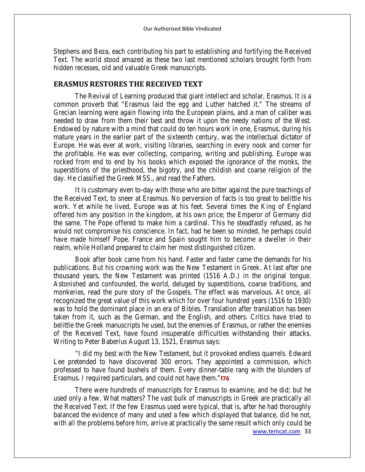Stephens and Beza, each contributing his part to establishing and fortifying the Received Text. The world stood amazed as these two last mentioned scholars brought forth from hidden recesses, old and valuable Greek manuscripts.

#### **ERASMUS RESTORES THE RECEIVED TEXT**

The Revival of Learning produced that giant intellect and scholar, Erasmus. It is a common proverb that "Erasmus laid the egg and Luther hatched it." The streams of Grecian learning were again flowing into the European plains, and a man of caliber was needed to draw from them their best and throw it upon the needy nations of the West. Endowed by nature with a mind that could do ten hours work in one, Erasmus, during his mature years in the earlier part of the sixteenth century, was the intellectual dictator of Europe. He was ever at work, visiting libraries, searching in every nook and corner for the profitable. He was ever collecting, comparing, writing and publishing. Europe was rocked from end to end by his books which exposed the ignorance of the monks, the superstitions of the priesthood, the bigotry, and the childish and coarse religion of the day. He classified the Greek MSS., and read the Fathers.

It is customary even to-day with those who are bitter against the pure teachings of the Received Text, to sneer at Erasmus. No perversion of facts is too great to belittle his work. Yet while he lived, Europe was at his feet. Several times the King of England offered him any position in the kingdom, at his own price; the Emperor of Germany did the same. The Pope offered to make him a cardinal. This he steadfastly refused, as he would not compromise his conscience. In fact, had he been so minded, he perhaps could have made himself Pope. France and Spain sought him to become a dweller in their realm, while Holland prepared to claim her most distinguished citizen.

Book after book came from his hand. Faster and faster came the demands for his publications. But his crowning work was the New Testament in Greek. At last after one thousand years, the New Testament was printed (1516 A.D.) in the original tongue. Astonished and confounded, the world, deluged by superstitions, coarse traditions, and monkeries, read the pure story of the Gospels. The effect was marvelous. At once, all recognized the great value of this work which for over four hundred years (1516 to 1930) was to hold the dominant place in an era of Bibles. Translation after translation has been taken from it, such as the German, and the English, and others. Critics have tried to belittle the Greek manuscripts he used, but the enemies of Erasmus, or rather the enemies of the Received Text, have found insuperable difficulties withstanding their attacks. Writing to Peter Baberius August 13, 1521, Erasmus says:

"I did my best with the New Testament, but it provoked endless quarrels. Edward Lee pretended to have discovered 300 errors. They appointed a commission, which professed to have found bushels of them. Every dinner-table rang with the blunders of Erasmus. I required particulars, and could not have them."**f76**

[www.temcat.com](http://www.temcat.com/) 33 There were hundreds of manuscripts for Erasmus to examine, and he did; but he used only a few. What matters? The vast bulk of manuscripts in Greek are practically all the Received Text. If the few Erasmus used were typical, that is, after he had thoroughly balanced the evidence of many and used a few which displayed that balance, did he not, with all the problems before him, arrive at practically the same result which only could be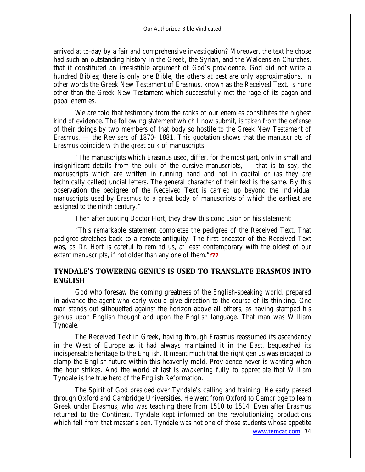arrived at to-day by a fair and comprehensive investigation? Moreover, the text he chose had such an outstanding history in the Greek, the Syrian, and the Waldensian Churches, that it constituted an irresistible argument of God's providence. God did not write a hundred Bibles; there is only one Bible, the others at best are only approximations. In other words the Greek New Testament of Erasmus, known as the Received Text, is none other than the Greek New Testament which successfully met the rage of its pagan and papal enemies.

We are told that testimony from the ranks of our enemies constitutes the highest kind of evidence. The following statement which I now submit, is taken from the defense of their doings by two members of that body so hostile to the Greek New Testament of Erasmus, — the Revisers of 1870- 1881. This quotation shows that the manuscripts of Erasmus coincide with the great bulk of manuscripts.

"The manuscripts which Erasmus used, differ, for the most part, only in small and insignificant details from the bulk of the cursive manuscripts, — that is to say, the manuscripts which are written in running hand and not in capital or (as they are technically called) uncial letters. The general character of their text is the same. By this observation the pedigree of the Received Text is carried up beyond the individual manuscripts used by Erasmus to a great body of manuscripts of which the earliest are assigned to the ninth century."

Then after quoting Doctor Hort, they draw this conclusion on his statement:

"This remarkable statement completes the pedigree of the Received Text. That pedigree stretches back to a remote antiquity. The first ancestor of the Received Text was, as Dr. Hort is careful to remind us, at least contemporary with the oldest of our extant manuscripts, if not older than any one of them."**f77**

## **TYNDALE'S TOWERING GENIUS IS USED TO TRANSLATE ERASMUS INTO ENGLISH**

God who foresaw the coming greatness of the English-speaking world, prepared in advance the agent who early would give direction to the course of its thinking. One man stands out silhouetted against the horizon above all others, as having stamped his genius upon English thought and upon the English language. That man was William Tyndale.

The Received Text in Greek, having through Erasmus reassumed its ascendancy in the West of Europe as it had always maintained it in the East, bequeathed its indispensable heritage to the English. It meant much that the right genius was engaged to clamp the English future within this heavenly mold. Providence never is wanting when the hour strikes. And the world at last is awakening fully to appreciate that William Tyndale is the true hero of the English Reformation.

[www.temcat.com](http://www.temcat.com/) 34 The Spirit of God presided over Tyndale's calling and training. He early passed through Oxford and Cambridge Universities. He went from Oxford to Cambridge to learn Greek under Erasmus, who was teaching there from 1510 to 1514. Even after Erasmus returned to the Continent, Tyndale kept informed on the revolutionizing productions which fell from that master's pen. Tyndale was not one of those students whose appetite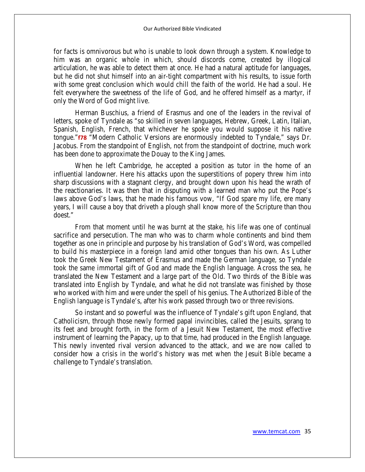for facts is omnivorous but who is unable to look down through a system. Knowledge to him was an organic whole in which, should discords come, created by illogical articulation, he was able to detect them at once. He had a natural aptitude for languages, but he did not shut himself into an air-tight compartment with his results, to issue forth with some great conclusion which would chill the faith of the world. He had a soul. He felt everywhere the sweetness of the life of God, and he offered himself as a martyr, if only the Word of God might live.

Herman Buschius, a friend of Erasmus and one of the leaders in the revival of letters, spoke of Tyndale as "so skilled in seven languages, Hebrew, Greek, Latin, Italian, Spanish, English, French, that whichever he spoke you would suppose it his native tongue."**f78** "Modern Catholic Versions are enormously indebted to Tyndale," says Dr. Jacobus. From the standpoint of English, not from the standpoint of doctrine, much work has been done to approximate the Douay to the King James.

When he left Cambridge, he accepted a position as tutor in the home of an influential landowner. Here his attacks upon the superstitions of popery threw him into sharp discussions with a stagnant clergy, and brought down upon his head the wrath of the reactionaries. It was then that in disputing with a learned man who put the Pope's laws above God's laws, that he made his famous vow, "If God spare my life, ere many years, I will cause a boy that driveth a plough shall know more of the Scripture than thou doest."

From that moment until he was burnt at the stake, his life was one of continual sacrifice and persecution. The man who was to charm whole continents and bind them together as one in principle and purpose by his translation of God's Word, was compelled to build his masterpiece in a foreign land amid other tongues than his own. As Luther took the Greek New Testament of Erasmus and made the German language, so Tyndale took the same immortal gift of God and made the English language. Across the sea, he translated the New Testament and a large part of the Old. Two thirds of the Bible was translated into English by Tyndale, and what he did not translate was finished by those who worked with him and were under the spell of his genius. The Authorized Bible of the English language is Tyndale's, after his work passed through two or three revisions.

So instant and so powerful was the influence of Tyndale's gift upon England, that Catholicism, through those newly formed papal invincibles, called the Jesuits, sprang to its feet and brought forth, in the form of a Jesuit New Testament, the most effective instrument of learning the Papacy, up to that time, had produced in the English language. This newly invented rival version advanced to the attack, and we are now called to consider how a crisis in the world's history was met when the Jesuit Bible became a challenge to Tyndale's translation.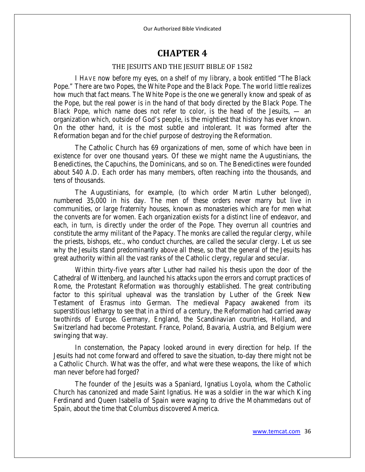# **CHAPTER 4**

#### THE JESUITS AND THE JESUIT BIBLE OF 1582

I HAVE now before my eyes, on a shelf of my library, a book entitled "The Black Pope." There are two Popes, the White Pope and the Black Pope. The world little realizes how much that fact means. The White Pope is the one we generally know and speak of as the Pope, but the real power is in the hand of that body directed by the Black Pope. The Black Pope, which name does not refer to color, is the head of the Jesuits, — an organization which, outside of God's people, is the mightiest that history has ever known. On the other hand, it is the most subtle and intolerant. It was formed after the Reformation began and for the chief purpose of destroying the Reformation.

The Catholic Church has 69 organizations of men, some of which have been in existence for over one thousand years. Of these we might name the Augustinians, the Benedictines, the Capuchins, the Dominicans, and so on. The Benedictines were founded about 540 A.D. Each order has many members, often reaching into the thousands, and tens of thousands.

The Augustinians, for example, (to which order Martin Luther belonged), numbered 35,000 in his day. The men of these orders never marry but live in communities, or large fraternity houses, known as monasteries which are for men what the convents are for women. Each organization exists for a distinct line of endeavor, and each, in turn, is directly under the order of the Pope. They overrun all countries and constitute the army militant of the Papacy. The monks are called the regular clergy, while the priests, bishops, etc., who conduct churches, are called the secular clergy. Let us see why the Jesuits stand predominantly above all these, so that the general of the Jesuits has great authority within all the vast ranks of the Catholic clergy, regular and secular.

Within thirty-five years after Luther had nailed his thesis upon the door of the Cathedral of Wittenberg, and launched his attacks upon the errors and corrupt practices of Rome, the Protestant Reformation was thoroughly established. The great contributing factor to this spiritual upheaval was the translation by Luther of the Greek New Testament of Erasmus into German. The medieval Papacy awakened from its superstitious lethargy to see that in a third of a century, the Reformation had carried away twothirds of Europe. Germany, England, the Scandinavian countries, Holland, and Switzerland had become Protestant. France, Poland, Bavaria, Austria, and Belgium were swinging that way.

In consternation, the Papacy looked around in every direction for help. If the Jesuits had not come forward and offered to save the situation, to-day there might not be a Catholic Church. What was the offer, and what were these weapons, the like of which man never before had forged?

The founder of the Jesuits was a Spaniard, Ignatius Loyola, whom the Catholic Church has canonized and made Saint Ignatius. He was a soldier in the war which King Ferdinand and Queen Isabella of Spain were waging to drive the Mohammedans out of Spain, about the time that Columbus discovered America.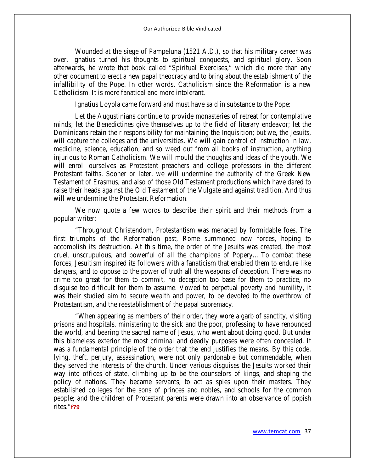Wounded at the siege of Pampeluna (1521 A.D.), so that his military career was over, Ignatius turned his thoughts to spiritual conquests, and spiritual glory. Soon afterwards, he wrote that book called "Spiritual Exercises," which did more than any other document to erect a new papal theocracy and to bring about the establishment of the infallibility of the Pope. In other words, Catholicism since the Reformation is a new Catholicism. It is more fanatical and more intolerant.

Ignatius Loyola came forward and must have said in substance to the Pope:

Let the Augustinians continue to provide monasteries of retreat for contemplative minds; let the Benedictines give themselves up to the field of literary endeavor; let the Dominicans retain their responsibility for maintaining the Inquisition; but we, the Jesuits, will capture the colleges and the universities. We will gain control of instruction in law, medicine, science, education, and so weed out from all books of instruction, anything injurious to Roman Catholicism. We will mould the thoughts and ideas of the youth. We will enroll ourselves as Protestant preachers and college professors in the different Protestant faiths. Sooner or later, we will undermine the authority of the Greek New Testament of Erasmus, and also of those Old Testament productions which have dared to raise their heads against the Old Testament of the Vulgate and against tradition. And thus will we undermine the Protestant Reformation.

We now quote a few words to describe their spirit and their methods from a popular writer:

"Throughout Christendom, Protestantism was menaced by formidable foes. The first triumphs of the Reformation past, Rome summoned new forces, hoping to accomplish its destruction. At this time, the order of the Jesuits was created, the most cruel, unscrupulous, and powerful of all the champions of Popery... To combat these forces, Jesuitism inspired its followers with a fanaticism that enabled them to endure like dangers, and to oppose to the power of truth all the weapons of deception. There was no crime too great for them to commit, no deception too base for them to practice, no disguise too difficult for them to assume. Vowed to perpetual poverty and humility, it was their studied aim to secure wealth and power, to be devoted to the overthrow of Protestantism, and the reestablishment of the papal supremacy.

"When appearing as members of their order, they wore a garb of sanctity, visiting prisons and hospitals, ministering to the sick and the poor, professing to have renounced the world, and bearing the sacred name of Jesus, who went about doing good. But under this blameless exterior the most criminal and deadly purposes were often concealed. It was a fundamental principle of the order that the end justifies the means. By this code, lying, theft, perjury, assassination, were not only pardonable but commendable, when they served the interests of the church. Under various disguises the Jesuits worked their way into offices of state, climbing up to be the counselors of kings, and shaping the policy of nations. They became servants, to act as spies upon their masters. They established colleges for the sons of princes and nobles, and schools for the common people; and the children of Protestant parents were drawn into an observance of popish rites."**f79**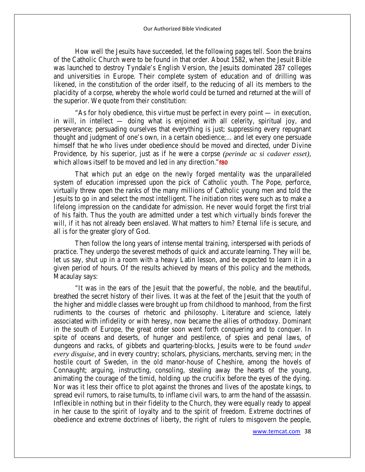How well the Jesuits have succeeded, let the following pages tell. Soon the brains of the Catholic Church were to be found in that order. About 1582, when the Jesuit Bible was launched to destroy Tyndale's English Version, the Jesuits dominated 287 colleges and universities in Europe. Their complete system of education and of drilling was likened, in the constitution of the order itself, to the reducing of all its members to the placidity of a corpse, whereby the whole world could be turned and returned at the will of the superior. We quote from their constitution:

"As for holy obedience, this virtue must be perfect in every point — in execution, in will, in intellect — doing what is enjoined with all celerity, spiritual joy, and perseverance; persuading ourselves that everything is just; suppressing every repugnant thought and judgment of one's own, in a certain obedience;... and let every one persuade himself that he who lives under obedience should be moved and directed, under Divine Providence, by his superior, just as if he were a corpse *(perinde ac si cadaver esset),*  which allows itself to be moved and led in any direction."**f80**

That which put an edge on the newly forged mentality was the unparalleled system of education impressed upon the pick of Catholic youth. The Pope, perforce, virtually threw open the ranks of the many millions of Catholic young men and told the Jesuits to go in and select the most intelligent. The initiation rites were such as to make a lifelong impression on the candidate for admission. He never would forget the first trial of his faith. Thus the youth are admitted under a test which virtually binds forever the will, if it has not already been enslaved. What matters to him? Eternal life is secure, and all is for the greater glory of God.

Then follow the long years of intense mental training, interspersed with periods of practice. They undergo the severest methods of quick and accurate learning. They will be, let us say, shut up in a room with a heavy Latin lesson, and be expected to learn it in a given period of hours. Of the results achieved by means of this policy and the methods, Macaulay says:

"It was in the ears of the Jesuit that the powerful, the noble, and the beautiful, breathed the secret history of their lives. It was at the feet of the Jesuit that the youth of the higher and middle classes were brought up from childhood to manhood, from the first rudiments to the courses of rhetoric and philosophy. Literature and science, lately associated with infidelity or with heresy, now became the allies of orthodoxy. Dominant in the south of Europe, the great order soon went forth conquering and to conquer. In spite of oceans and deserts, of hunger and pestilence, of spies and penal laws, of dungeons and racks, of gibbets and quartering-blocks, Jesuits were to be found *under every disguise,* and in every country; scholars, physicians, merchants, serving men; in the hostile court of Sweden, in the old manor-house of Cheshire, among the hovels of Connaught; arguing, instructing, consoling, stealing away the hearts of the young, animating the courage of the timid, holding up the crucifix before the eyes of the dying. Nor was it less their office to plot against the thrones and lives of the apostate kings, to spread evil rumors, to raise tumults, to inflame civil wars, to arm the hand of the assassin. Inflexible in nothing but in their fidelity to the Church, they were equally ready to appeal in her cause to the spirit of loyalty and to the spirit of freedom. Extreme doctrines of obedience and extreme doctrines of liberty, the right of rulers to misgovern the people,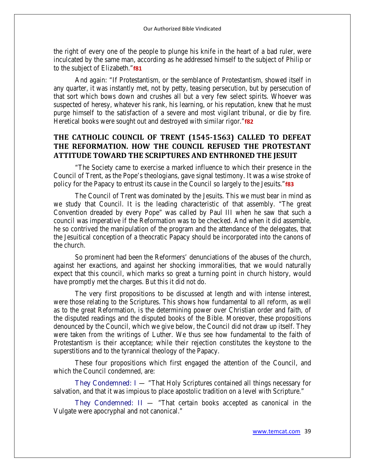the right of every one of the people to plunge his knife in the heart of a bad ruler, were inculcated by the same man, according as he addressed himself to the subject of Philip or to the subject of Elizabeth."**f81**

And again: "If Protestantism, or the semblance of Protestantism, showed itself in any quarter, it was instantly met, not by petty, teasing persecution, but by persecution of that sort which bows down and crushes all but a very few select spirits. Whoever was suspected of heresy, whatever his rank, his learning, or his reputation, knew that he must purge himself to the satisfaction of a severe and most vigilant tribunal, or die by fire. Heretical books were sought out and destroyed with similar rigor."**f82**

# **THE CATHOLIC COUNCIL OF TRENT (1545-1563) CALLED TO DEFEAT THE REFORMATION. HOW THE COUNCIL REFUSED THE PROTESTANT ATTITUDE TOWARD THE SCRIPTURES AND ENTHRONED THE JESUIT**

"The Society came to exercise a marked influence to which their presence in the Council of Trent, as the Pope's theologians, gave signal testimony. It was a wise stroke of policy for the Papacy to entrust its cause in the Council so largely to the Jesuits."**f83**

The Council of Trent was dominated by the Jesuits. This we must bear in mind as we study that Council. It is the leading characteristic of that assembly. "The great Convention dreaded by every Pope" was called by Paul III when he saw that such a council was imperative if the Reformation was to be checked. And when it did assemble, he so contrived the manipulation of the program and the attendance of the delegates, that the Jesuitical conception of a theocratic Papacy should be incorporated into the canons of the church.

So prominent had been the Reformers' denunciations of the abuses of the church, against her exactions, and against her shocking immoralities, that we would naturally expect that this council, which marks so great a turning point in church history, would have promptly met the charges. But this it did not do.

The very first propositions to be discussed at length and with intense interest, were those relating to the Scriptures. This shows how fundamental to all reform, as well as to the great Reformation, is the determining power over Christian order and faith, of the disputed readings and the disputed books of the Bible. Moreover, these propositions denounced by the Council, which we give below, the Council did not draw up itself. They were taken from the writings of Luther. We thus see how fundamental to the faith of Protestantism is their acceptance; while their rejection constitutes the keystone to the superstitions and to the tyrannical theology of the Papacy.

These four propositions which first engaged the attention of the Council, and which the Council condemned, are:

**They Condemned: I** — "That Holy Scriptures contained all things necessary for salvation, and that it was impious to place apostolic tradition on a level with Scripture."

**They Condemned: II** — "That certain books accepted as canonical in the Vulgate were apocryphal and not canonical."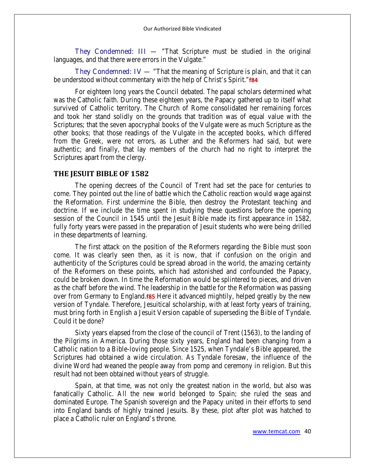**They Condemned: III** — "That Scripture must be studied in the original languages, and that there were errors in the Vulgate."

**They Condemned: IV** — "That the meaning of Scripture is plain, and that it can be understood without commentary with the help of Christ's Spirit."**f84**

For eighteen long years the Council debated. The papal scholars determined what was the Catholic faith. During these eighteen years, the Papacy gathered up to itself what survived of Catholic territory. The Church of Rome consolidated her remaining forces and took her stand solidly on the grounds that tradition was of equal value with the Scriptures; that the seven apocryphal books of the Vulgate were as much Scripture as the other books; that those readings of the Vulgate in the accepted books, which differed from the Greek, were not errors, as Luther and the Reformers had said, but were authentic; and finally, that lay members of the church had no right to interpret the Scriptures apart from the clergy.

## **THE JESUIT BIBLE OF 1582**

The opening decrees of the Council of Trent had set the pace for centuries to come. They pointed out the line of battle which the Catholic reaction would wage against the Reformation. First undermine the Bible, then destroy the Protestant teaching and doctrine. If we include the time spent in studying these questions before the opening session of the Council in 1545 until the Jesuit Bible made its first appearance in 1582, fully forty years were passed in the preparation of Jesuit students who were being drilled in these departments of learning.

The first attack on the position of the Reformers regarding the Bible must soon come. It was clearly seen then, as it is now, that if confusion on the origin and authenticity of the Scriptures could be spread abroad in the world, the amazing certainty of the Reformers on these points, which had astonished and confounded the Papacy, could be broken down. In time the Reformation would be splintered to pieces, and driven as the chaff before the wind. The leadership in the battle for the Reformation was passing over from Germany to England.**f85** Here it advanced mightily, helped greatly by the new version of Tyndale. Therefore, Jesuitical scholarship, with at least forty years of training, must bring forth in English a Jesuit Version capable of superseding the Bible of Tyndale. Could it be done?

Sixty years elapsed from the close of the council of Trent (1563), to the landing of the Pilgrims in America. During those sixty years, England had been changing from a Catholic nation to a Bible-loving people. Since 1525, when Tyndale's Bible appeared, the Scriptures had obtained a wide circulation. As Tyndale foresaw, the influence of the divine Word had weaned the people away from pomp and ceremony in religion. But this result had not been obtained without years of struggle.

Spain, at that time, was not only the greatest nation in the world, but also was fanatically Catholic. All the new world belonged to Spain; she ruled the seas and dominated Europe. The Spanish sovereign and the Papacy united in their efforts to send into England bands of highly trained Jesuits. By these, plot after plot was hatched to place a Catholic ruler on England's throne.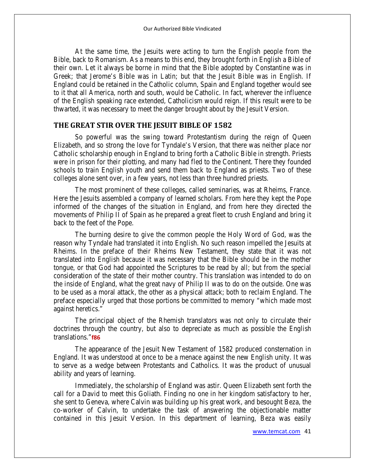At the same time, the Jesuits were acting to turn the English people from the Bible, back to Romanism. As a means to this end, they brought forth in English a Bible of their own. Let it always be borne in mind that the Bible adopted by Constantine was in Greek; that Jerome's Bible was in Latin; but that the Jesuit Bible was in English. If England could be retained in the Catholic column, Spain and England together would see to it that all America, north and south, would be Catholic. In fact, wherever the influence of the English speaking race extended, Catholicism would reign. If this result were to be thwarted, it was necessary to meet the danger brought about by the Jesuit Version.

## **THE GREAT STIR OVER THE JESUIT BIBLE OF 1582**

So powerful was the swing toward Protestantism during the reign of Queen Elizabeth, and so strong the love for Tyndale's Version, that there was neither place nor Catholic scholarship enough in England to bring forth a Catholic Bible in strength. Priests were in prison for their plotting, and many had fled to the Continent. There they founded schools to train English youth and send them back to England as priests. Two of these colleges alone sent over, in a few years, not less than three hundred priests.

The most prominent of these colleges, called seminaries, was at Rheims, France. Here the Jesuits assembled a company of learned scholars. From here they kept the Pope informed of the changes of the situation in England, and from here they directed the movements of Philip II of Spain as he prepared a great fleet to crush England and bring it back to the feet of the Pope.

The burning desire to give the common people the Holy Word of God, was the reason why Tyndale had translated it into English. No such reason impelled the Jesuits at Rheims. In the preface of their Rheims New Testament, they state that it was not translated into English because it was necessary that the Bible should be in the mother tongue, or that God had appointed the Scriptures to be read by all; but from the special consideration of the state of their mother country. This translation was intended to do on the inside of England, what the great navy of Philip II was to do on the outside. One was to be used as a moral attack, the other as a physical attack; both to reclaim England. The preface especially urged that those portions be committed to memory "which made most against heretics."

The principal object of the Rhemish translators was not only to circulate their doctrines through the country, but also to depreciate as much as possible the English translations."**f86**

The appearance of the Jesuit New Testament of 1582 produced consternation in England. It was understood at once to be a menace against the new English unity. It was to serve as a wedge between Protestants and Catholics. It was the product of unusual ability and years of learning.

Immediately, the scholarship of England was astir. Queen Elizabeth sent forth the call for a David to meet this Goliath. Finding no one in her kingdom satisfactory to her, she sent to Geneva, where Calvin was building up his great work, and besought Beza, the co-worker of Calvin, to undertake the task of answering the objectionable matter contained in this Jesuit Version. In this department of learning, Beza was easily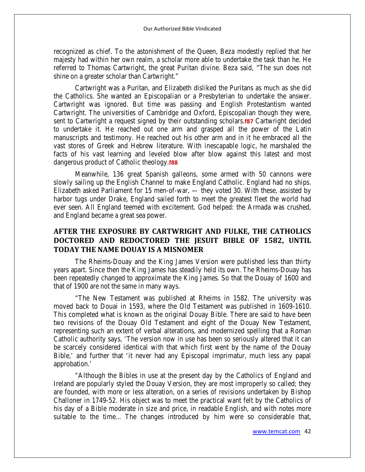recognized as chief. To the astonishment of the Queen, Beza modestly replied that her majesty had within her own realm, a scholar more able to undertake the task than he. He referred to Thomas Cartwright, the great Puritan divine. Beza said, "The sun does not shine on a greater scholar than Cartwright."

Cartwright was a Puritan, and Elizabeth disliked the Puritans as much as she did the Catholics. She wanted an Episcopalian or a Presbyterian to undertake the answer. Cartwright was ignored. But time was passing and English Protestantism wanted Cartwright. The universities of Cambridge and Oxford, Episcopalian though they were, sent to Cartwright a request signed by their outstanding scholars.**f87** Cartwright decided to undertake it. He reached out one arm and grasped all the power of the Latin manuscripts and testimony. He reached out his other arm and in it he embraced all the vast stores of Greek and Hebrew literature. With inescapable logic, he marshaled the facts of his vast learning and leveled blow after blow against this latest and most dangerous product of Catholic theology.**f88**

Meanwhile, 136 great Spanish galleons, some armed with 50 cannons were slowly sailing up the English Channel to make England Catholic. England had no ships. Elizabeth asked Parliament for 15 men-of-war, — they voted 30. With these, assisted by harbor tugs under Drake, England sailed forth to meet the greatest fleet the world had ever seen. All England teemed with excitement. God helped: the Armada was crushed, and England became a great sea power.

# **AFTER THE EXPOSURE BY CARTWRIGHT AND FULKE, THE CATHOLICS DOCTORED AND REDOCTORED THE JESUIT BIBLE OF 1582, UNTIL TODAY THE NAME DOUAY IS A MISNOMER**

The Rheims-Douay and the King James Version were published less than thirty years apart. Since then the King James has steadily held its own. The Rheims-Douay has been repeatedly changed to approximate the King James. So that the Douay of 1600 and that of 1900 are not the same in many ways.

"The New Testament was published at Rheims in 1582. The university was moved back to Douai in 1593, where the Old Testament was published in 1609-1610. This completed what is known as the original Douay Bible. There are said to have been two revisions of the Douay Old Testament and eight of the Douay New Testament, representing such an extent of verbal alterations, and modernized spelling that a Roman Catholic authority says, 'The version now in use has been so seriously altered that it can be scarcely considered identical with that which first went by the name of the Douay Bible,' and further that 'it never had any Episcopal imprimatur, much less any papal approbation.'

"Although the Bibles in use at the present day by the Catholics of England and Ireland are popularly styled the Douay Version, they are most improperly so called; they are founded, with more or less alteration, on a series of revisions undertaken by Bishop Challoner in 1749-52. His object was to meet the practical want felt by the Catholics of his day of a Bible moderate in size and price, in readable English, and with notes more suitable to the time... The changes introduced by him were so considerable that,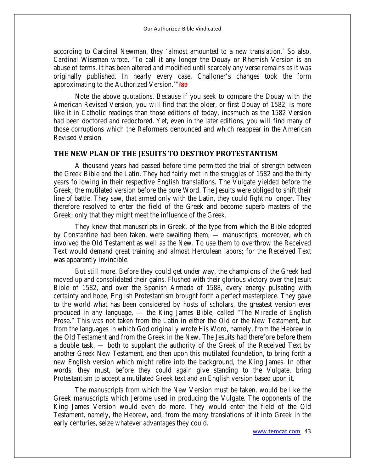according to Cardinal Newman, they 'almost amounted to a new translation.' So also, Cardinal Wiseman wrote, 'To call it any longer the Douay or Rhemish Version is an abuse of terms. It has been altered and modified until scarcely any verse remains as it was originally published. In nearly every case, Challoner's changes took the form approximating to the Authorized Version.'"**f89**

Note the above quotations. Because if you seek to compare the Douay with the American Revised Version, you will find that the older, or first Douay of 1582, is more like it in Catholic readings than those editions of today, inasmuch as the 1582 Version had been doctored and redoctored. Yet, even in the later editions, you will find many of those corruptions which the Reformers denounced and which reappear in the American Revised Version.

## **THE NEW PLAN OF THE JESUITS TO DESTROY PROTESTANTISM**

A thousand years had passed before time permitted the trial of strength between the Greek Bible and the Latin. They had fairly met in the struggles of 1582 and the thirty years following in their respective English translations. The Vulgate yielded before the Greek; the mutilated version before the pure Word. The Jesuits were obliged to shift their line of battle. They saw, that armed only with the Latin, they could fight no longer. They therefore resolved to enter the field of the Greek and become superb masters of the Greek; only that they might meet the influence of the Greek.

They knew that manuscripts in Greek, of the type from which the Bible adopted by Constantine had been taken, were awaiting them, — manuscripts, moreover, which involved the Old Testament as well as the New. To use them to overthrow the Received Text would demand great training and almost Herculean labors; for the Received Text was apparently invincible.

But still more. Before they could get under way, the champions of the Greek had moved up and consolidated their gains. Flushed with their glorious victory over the Jesuit Bible of 1582, and over the Spanish Armada of 1588, every energy pulsating with certainty and hope, English Protestantism brought forth a perfect masterpiece. They gave to the world what has been considered by hosts of scholars, the greatest version ever produced in any language, — the King James Bible, called "The Miracle of English Prose." This was not taken from the Latin in either the Old or the New Testament, but from the languages in which God originally wrote His Word, namely, from the Hebrew in the Old Testament and from the Greek in the New. The Jesuits had therefore before them a double task, — both to supplant the authority of the Greek of the Received Text by another Greek New Testament, and then upon this mutilated foundation, to bring forth a new English version which might retire into the background, the King James. In other words, they must, before they could again give standing to the Vulgate, bring Protestantism to accept a mutilated Greek text and an English version based upon it.

The manuscripts from which the New Version must be taken, would be like the Greek manuscripts which Jerome used in producing the Vulgate. The opponents of the King James Version would even do more. They would enter the field of the Old Testament, namely, the Hebrew, and, from the many translations of it into Greek in the early centuries, seize whatever advantages they could.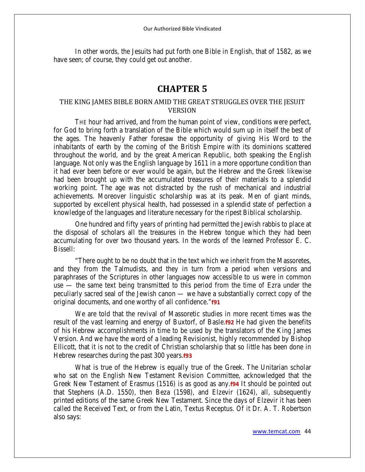In other words, the Jesuits had put forth one Bible in English, that of 1582, as we have seen; of course, they could get out another.

# **CHAPTER 5**

## THE KING JAMES BIBLE BORN AMID THE GREAT STRUGGLES OVER THE JESUIT **VERSION**

THE hour had arrived, and from the human point of view, conditions were perfect, for God to bring forth a translation of the Bible which would sum up in itself the best of the ages. The heavenly Father foresaw the opportunity of giving His Word to the inhabitants of earth by the coming of the British Empire with its dominions scattered throughout the world, and by the great American Republic, both speaking the English language. Not only was the English language by 1611 in a more opportune condition than it had ever been before or ever would be again, but the Hebrew and the Greek likewise had been brought up with the accumulated treasures of their materials to a splendid working point. The age was not distracted by the rush of mechanical and industrial achievements. Moreover linguistic scholarship was at its peak. Men of giant minds, supported by excellent physical health, had possessed in a splendid state of perfection a knowledge of the languages and literature necessary for the ripest Biblical scholarship.

One hundred and fifty years of printing had permitted the Jewish rabbis to place at the disposal of scholars all the treasures in the Hebrew tongue which they had been accumulating for over two thousand years. In the words of the learned Professor E. C. Bissell:

"There ought to be no doubt that in the text which we inherit from the Massoretes, and they from the Talmudists, and they in turn from a period when versions and paraphrases of the Scriptures in other languages now accessible to us were in common use — the same text being transmitted to this period from the time of Ezra under the peculiarly sacred seal of the Jewish canon — we have a substantially correct copy of the original documents, and one worthy of all confidence."**f91**

We are told that the revival of Massoretic studies in more recent times was the result of the vast learning and energy of Buxtorf, of Basle.**f92** He had given the benefits of his Hebrew accomplishments in time to be used by the translators of the King James Version. And we have the word of a leading Revisionist, highly recommended by Bishop Ellicott, that it is not to the credit of Christian scholarship that so little has been done in Hebrew researches during the past 300 years.**f93**

What is true of the Hebrew is equally true of the Greek. The Unitarian scholar who sat on the English New Testament Revision Committee, acknowledged that the Greek New Testament of Erasmus (1516) is as good as any.**f94** It should be pointed out that Stephens (A.D. 1550), then Beza (1598), and Elzevir (1624), all, subsequently printed editions of the same Greek New Testament. Since the days of Elzevir it has been called the Received Text, or from the Latin, Textus Receptus. Of it Dr. A. T. Robertson also says: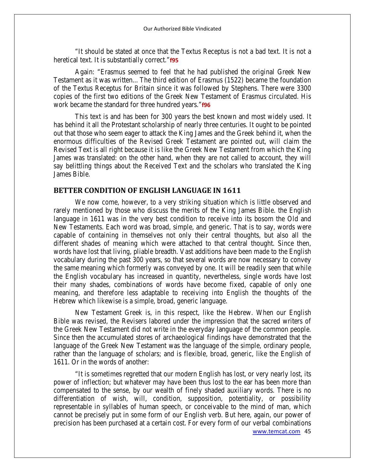"It should be stated at once that the Textus Receptus is not a bad text. It is not a heretical text. It is substantially correct."**f95**

Again: "Erasmus seemed to feel that he had published the original Greek New Testament as it was written... The third edition of Erasmus (1522) became the foundation of the Textus Receptus for Britain since it was followed by Stephens. There were 3300 copies of the first two editions of the Greek New Testament of Erasmus circulated. His work became the standard for three hundred years."**f96**

This text is and has been for 300 years the best known and most widely used. It has behind it all the Protestant scholarship of nearly three centuries. It ought to be pointed out that those who seem eager to attack the King James and the Greek behind it, when the enormous difficulties of the Revised Greek Testament are pointed out, will claim the Revised Text is all right because it is like the Greek New Testament from which the King James was translated: on the other hand, when they are not called to account, they will say belittling things about the Received Text and the scholars who translated the King James Bible.

## **BETTER CONDITION OF ENGLISH LANGUAGE IN 1611**

We now come, however, to a very striking situation which is little observed and rarely mentioned by those who discuss the merits of the King James Bible. the English language in 1611 was in the very best condition to receive into its bosom the Old and New Testaments. Each word was broad, simple, and generic. That is to say, words were capable of containing in themselves not only their central thoughts, but also all the different shades of meaning which were attached to that central thought. Since then, words have lost that living, pliable breadth. Vast additions have been made to the English vocabulary during the past 300 years, so that several words are now necessary to convey the same meaning which formerly was conveyed by one. It will be readily seen that while the English vocabulary has increased in quantity, nevertheless, single words have lost their many shades, combinations of words have become fixed, capable of only one meaning, and therefore less adaptable to receiving into English the thoughts of the Hebrew which likewise is a simple, broad, generic language.

New Testament Greek is, in this respect, like the Hebrew. When our English Bible was revised, the Revisers labored under the impression that the sacred writers of the Greek New Testament did not write in the everyday language of the common people. Since then the accumulated stores of archaeological findings have demonstrated that the language of the Greek New Testament was the language of the simple, ordinary people, rather than the language of scholars; and is flexible, broad, generic, like the English of 1611. Or in the words of another:

"It is sometimes regretted that our modern English has lost, or very nearly lost, its power of inflection; but whatever may have been thus lost to the ear has been more than compensated to the sense, by our wealth of finely shaded auxiliary words. There is no differentiation of wish, will, condition, supposition, potentiality, or possibility representable in syllables of human speech, or conceivable to the mind of man, which cannot be precisely put in some form of our English verb. But here, again, our power of precision has been purchased at a certain cost. For every form of our verbal combinations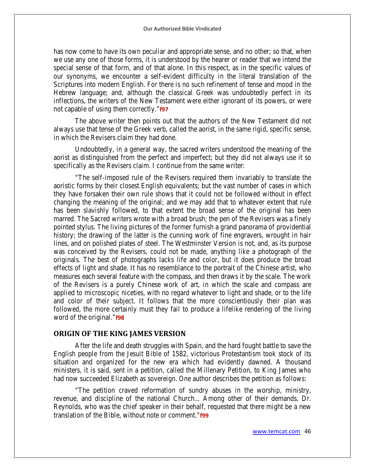has now come to have its own peculiar and appropriate sense, and no other; so that, when we use any one of those forms, it is understood by the hearer or reader that we intend the special sense of that form, and of that alone. In this respect, as in the specific values of our synonyms, we encounter a self-evident difficulty in the literal translation of the Scriptures into modern English. For there is no such refinement of tense and mood in the Hebrew language; and, although the classical Greek was undoubtedly perfect in its inflections, the writers of the New Testament were either ignorant of its powers, or were not capable of using them correctly."**f97**

The above writer then points out that the authors of the New Testament did not always use that tense of the Greek verb, called the aorist, in the same rigid, specific sense, in which the Revisers claim they had done.

Undoubtedly, in a general way, the sacred writers understood the meaning of the aorist as distinguished from the perfect and imperfect; but they did not always use it so specifically as the Revisers claim. I continue from the same writer:

"The self-imposed rule of the Revisers required them invariably to translate the aoristic forms by their closest English equivalents; but the vast number of cases in which they have forsaken their own rule shows that it could not be followed without in effect changing the meaning of the original; and we may add that to whatever extent that rule has been slavishly followed, to that extent the broad sense of the original has been marred. The Sacred writers wrote with a broad brush; the pen of the Revisers was a finely pointed stylus. The living pictures of the former furnish a grand panorama of providential history; the drawing of the latter is the cunning work of fine engravers, wrought in hair lines, and on polished plates of steel. The Westminster Version is not, and, as its purpose was conceived by the Revisers, could not be made, anything like a photograph of the originals. The best of photographs lacks life and color, but it does produce the broad effects of light and shade. It has no resemblance to the portrait of the Chinese artist, who measures each several feature with the compass, and then draws it by the scale. The work of the Revisers is a purely Chinese work of art, in which the scale and compass are applied to microscopic niceties, with no regard whatever to light and shade, or to the life and color of their subject. It follows that the more conscientiously their plan was followed, the more certainly must they fail to produce a lifelike rendering of the living word of the original."**f98**

#### **ORIGIN OF THE KING JAMES VERSION**

After the life and death struggles with Spain, and the hard fought battle to save the English people from the Jesuit Bible of 1582, victorious Protestantism took stock of its situation and organized for the new era which had evidently dawned. A thousand ministers, it is said, sent in a petition, called the Millenary Petition, to King James who had now succeeded Elizabeth as sovereign. One author describes the petition as follows:

"The petition craved reformation of sundry abuses in the worship, ministry, revenue, and discipline of the national Church... Among other of their demands, Dr. Reynolds, who was the chief speaker in their behalf, requested that there might be a new translation of the Bible, without note or comment."**f99**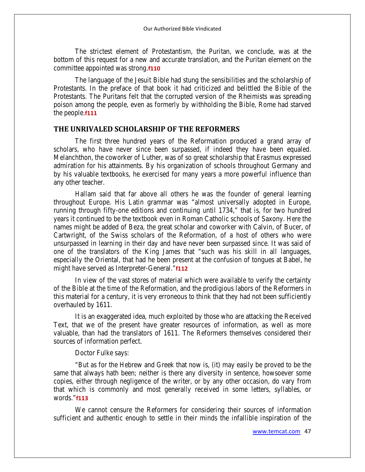The strictest element of Protestantism, the Puritan, we conclude, was at the bottom of this request for a new and accurate translation, and the Puritan element on the committee appointed was strong.**f110**

The language of the Jesuit Bible had stung the sensibilities and the scholarship of Protestants. In the preface of that book it had criticized and belittled the Bible of the Protestants. The Puritans felt that the corrupted version of the Rheimists was spreading poison among the people, even as formerly by withholding the Bible, Rome had starved the people.**f111**

## **THE UNRIVALED SCHOLARSHIP OF THE REFORMERS**

The first three hundred years of the Reformation produced a grand array of scholars, who have never since been surpassed, if indeed they have been equaled. Melanchthon, the coworker of Luther, was of so great scholarship that Erasmus expressed admiration for his attainments. By his organization of schools throughout Germany and by his valuable textbooks, he exercised for many years a more powerful influence than any other teacher.

Hallam said that far above all others he was the founder of general learning throughout Europe. His Latin grammar was "almost universally adopted in Europe, running through fifty-one editions and continuing until 1734," that is, for two hundred years it continued to be the textbook even in Roman Catholic schools of Saxony. Here the names might be added of Beza, the great scholar and coworker with Calvin, of Bucer, of Cartwright, of the Swiss scholars of the Reformation, of a host of others who were unsurpassed in learning in their day and have never been surpassed since. It was said of one of the translators of the King James that "such was his skill in all languages, especially the Oriental, that had he been present at the confusion of tongues at Babel, he might have served as Interpreter-General."**f112** 

In view of the vast stores of material which were available to verify the certainty of the Bible at the time of the Reformation, and the prodigious labors of the Reformers in this material for a century, it is very erroneous to think that they had not been sufficiently overhauled by 1611.

It is an exaggerated idea, much exploited by those who are attacking the Received Text, that we of the present have greater resources of information, as well as more valuable, than had the translators of 1611. The Reformers themselves considered their sources of information perfect.

#### Doctor Fulke says:

"But as for the Hebrew and Greek that now is, (it) may easily be proved to be the same that always hath been; neither is there any diversity in sentence, howsoever some copies, either through negligence of the writer, or by any other occasion, do vary from that which is commonly and most generally received in some letters, syllables, or words."**f113**

We cannot censure the Reformers for considering their sources of information sufficient and authentic enough to settle in their minds the infallible inspiration of the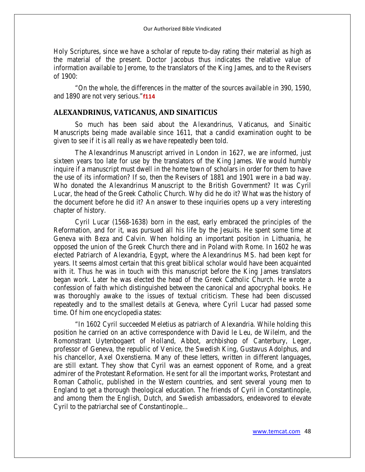Holy Scriptures, since we have a scholar of repute to-day rating their material as high as the material of the present. Doctor Jacobus thus indicates the relative value of information available to Jerome, to the translators of the King James, and to the Revisers of 1900:

"On the whole, the differences in the matter of the sources available in 390, 1590, and 1890 are not very serious."**f114**

# **ALEXANDRINUS, VATICANUS, AND SINAITICUS**

So much has been said about the Alexandrinus, Vaticanus, and Sinaitic Manuscripts being made available since 1611, that a candid examination ought to be given to see if it is all really as we have repeatedly been told.

The Alexandrinus Manuscript arrived in London in 1627, we are informed, just sixteen years too late for use by the translators of the King James. We would humbly inquire if a manuscript must dwell in the home town of scholars in order for them to have the use of its information? If so, then the Revisers of 1881 and 1901 were in a bad way. Who donated the Alexandrinus Manuscript to the British Government? It was Cyril Lucar, the head of the Greek Catholic Church. Why did he do it? What was the history of the document before he did it? An answer to these inquiries opens up a very interesting chapter of history.

Cyril Lucar (1568-1638) born in the east, early embraced the principles of the Reformation, and for it, was pursued all his life by the Jesuits. He spent some time at Geneva with Beza and Calvin. When holding an important position in Lithuania, he opposed the union of the Greek Church there and in Poland with Rome. In 1602 he was elected Patriarch of Alexandria, Egypt, where the Alexandrinus MS. had been kept for years. It seems almost certain that this great biblical scholar would have been acquainted with it. Thus he was in touch with this manuscript before the King James translators began work. Later he was elected the head of the Greek Catholic Church. He wrote a confession of faith which distinguished between the canonical and apocryphal books. He was thoroughly awake to the issues of textual criticism. These had been discussed repeatedly and to the smallest details at Geneva, where Cyril Lucar had passed some time. Of him one encyclopedia states:

"In 1602 Cyril succeeded Meletius as patriarch of Alexandria. While holding this position he carried on an active correspondence with David le Leu, de Wilelm, and the Romonstrant Uytenbogaert of Holland, Abbot, archbishop of Canterbury, Leger, professor of Geneva, the republic of Venice, the Swedish King, Gustavus Adolphus, and his chancellor, Axel Oxenstierna. Many of these letters, written in different languages, are still extant. They show that Cyril was an earnest opponent of Rome, and a great admirer of the Protestant Reformation. He sent for all the important works, Protestant and Roman Catholic, published in the Western countries, and sent several young men to England to get a thorough theological education. The friends of Cyril in Constantinople, and among them the English, Dutch, and Swedish ambassadors, endeavored to elevate Cyril to the patriarchal see of Constantinople...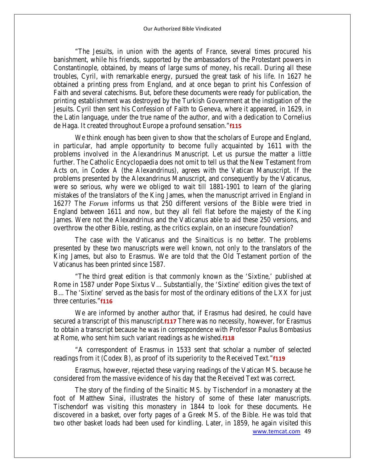"The Jesuits, in union with the agents of France, several times procured his banishment, while his friends, supported by the ambassadors of the Protestant powers in Constantinople, obtained, by means of large sums of money, his recall. During all these troubles, Cyril, with remarkable energy, pursued the great task of his life. In 1627 he obtained a printing press from England, and at once began to print his Confession of Faith and several catechisms. But, before these documents were ready for publication, the printing establishment was destroyed by the Turkish Government at the instigation of the Jesuits. Cyril then sent his Confession of Faith to Geneva, where it appeared, in 1629, in the Latin language, under the true name of the author, and with a dedication to Cornelius de Haga. It created throughout Europe a profound sensation."**f115**

We think enough has been given to show that the scholars of Europe and England, in particular, had ample opportunity to become fully acquainted by 1611 with the problems involved in the Alexandrinus Manuscript. Let us pursue the matter a little further. The Catholic Encyclopaedia does not omit to tell us that the New Testament from Acts on, in Codex A (the Alexandrinus), agrees with the Vatican Manuscript. If the problems presented by the Alexandrinus Manuscript, and consequently by the Vaticanus, were so serious, why were we obliged to wait till 1881-1901 to learn of the glaring mistakes of the translators of the King James, when the manuscript arrived in England in 1627? The *Forum* informs us that 250 different versions of the Bible were tried in England between 1611 and now, but they all fell flat before the majesty of the King James. Were not the Alexandrinus and the Vaticanus able to aid these 250 versions, and overthrow the other Bible, resting, as the critics explain, on an insecure foundation?

The case with the Vaticanus and the Sinaiticus is no better. The problems presented by these two manuscripts were well known, not only to the translators of the King James, but also to Erasmus. We are told that the Old Testament portion of the Vaticanus has been printed since 1587.

"The third great edition is that commonly known as the 'Sixtine,' published at Rome in 1587 under Pope Sixtus V... Substantially, the 'Sixtine' edition gives the text of B... The 'Sixtine' served as the basis for most of the ordinary editions of the LXX for just three centuries."**f116**

We are informed by another author that, if Erasmus had desired, he could have secured a transcript of this manuscript.**f117** There was no necessity, however, for Erasmus to obtain a transcript because he was in correspondence with Professor Paulus Bombasius at Rome, who sent him such variant readings as he wished.**f118**

"A correspondent of Erasmus in 1533 sent that scholar a number of selected readings from it (Codex B), as proof of its superiority to the Received Text."**f119**

Erasmus, however, rejected these varying readings of the Vatican MS. because he considered from the massive evidence of his day that the Received Text was correct.

[www.temcat.com](http://www.temcat.com/) 49 The story of the finding of the Sinaitic MS. by Tischendorf in a monastery at the foot of Matthew Sinai, illustrates the history of some of these later manuscripts. Tischendorf was visiting this monastery in 1844 to look for these documents. He discovered in a basket, over forty pages of a Greek MS. of the Bible. He was told that two other basket loads had been used for kindling. Later, in 1859, he again visited this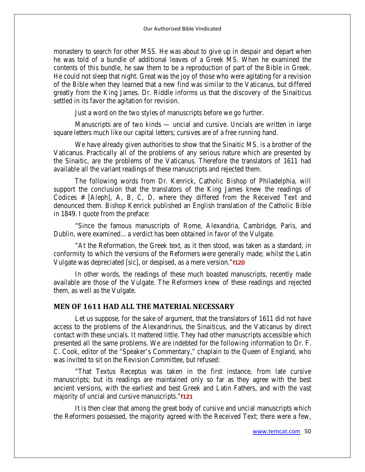monastery to search for other MSS. He was about to give up in despair and depart when he was told of a bundle of additional leaves of a Greek MS. When he examined the contents of this bundle, he saw them to be a reproduction of part of the Bible in Greek. He could not sleep that night. Great was the joy of those who were agitating for a revision of the Bible when they learned that a new find was similar to the Vaticanus, but differed greatly from the King James. Dr. Riddle informs us that the discovery of the Sinaiticus settled in its favor the agitation for revision.

Just a word on the two styles of manuscripts before we go further.

Manuscripts are of two kinds — uncial and cursive. Uncials are written in large square letters much like our capital letters; cursives are of a free running hand.

We have already given authorities to show that the Sinaitic MS. is a brother of the Vaticanus. Practically all of the problems of any serious nature which are presented by the Sinaitic, are the problems of the Vaticanus. Therefore the translators of 1611 had available all the variant readings of these manuscripts and rejected them.

The following words from Dr. Kenrick, Catholic Bishop of Philadelphia, will support the conclusion that the translators of the King James knew the readings of Codices # [Aleph], A, B, C, D, where they differed from the Received Text and denounced them. Bishop Kenrick published an English translation of the Catholic Bible in 1849. I quote from the preface:

"Since the famous manuscripts of Rome, Alexandria, Cambridge, Paris, and Dublin, were examined... a verdict has been obtained in favor of the Vulgate.

"At the Reformation, the Greek text, as it then stood, was taken as a standard, in conformity to which the versions of the Reformers were generally made; whilst the Latin Vulgate was depreciated [sic], or despised, as a mere version."**f120**

In other words, the readings of these much boasted manuscripts, recently made available are those of the Vulgate. The Reformers knew of these readings and rejected them, as well as the Vulgate.

# **MEN OF 1611 HAD ALL THE MATERIAL NECESSARY**

Let us suppose, for the sake of argument, that the translators of 1611 did not have access to the problems of the Alexandrinus, the Sinaiticus, and the Vaticanus by direct contact with these uncials. It mattered little. They had other manuscripts accessible which presented all the same problems. We are indebted for the following information to Dr. F. C. Cook, editor of the "Speaker's Commentary," chaplain to the Queen of England, who was invited to sit on the Revision Committee, but refused:

"That Textus Receptus was taken in the first instance, from late cursive manuscripts; but its readings are maintained only so far as they agree with the best ancient versions, with the earliest and best Greek and Latin Fathers, and with the vast majority of uncial and cursive manuscripts."**f121**

It is then clear that among the great body of cursive and uncial manuscripts which the Reformers possessed, the majority agreed with the Received Text; there were a few,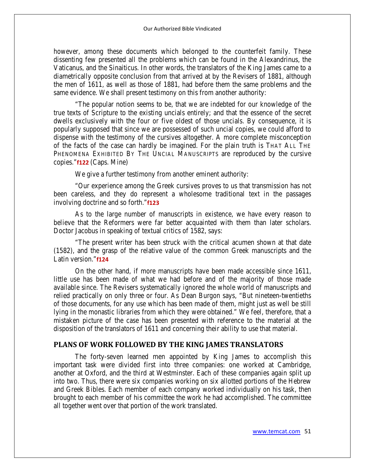however, among these documents which belonged to the counterfeit family. These dissenting few presented all the problems which can be found in the Alexandrinus, the Vaticanus, and the Sinaiticus. In other words, the translators of the King James came to a diametrically opposite conclusion from that arrived at by the Revisers of 1881, although the men of 1611, as well as those of 1881, had before them the same problems and the same evidence. We shall present testimony on this from another authority:

"The popular notion seems to be, that we are indebted for our knowledge of the true texts of Scripture to the existing uncials entirely; and that the essence of the secret dwells exclusively with the four or five oldest of those uncials. By consequence, it is popularly supposed that since we are possessed of such uncial copies, we could afford to dispense with the testimony of the cursives altogether. A more complete misconception of the facts of the case can hardly be imagined. For the plain truth is THAT ALL THE PHENOMENA EXHIBITED BY THE UNCIAL MANUSCRIPTS are reproduced by the cursive copies."**f122** (Caps. Mine)

We give a further testimony from another eminent authority:

"Our experience among the Greek cursives proves to us that transmission has not been careless, and they do represent a wholesome traditional text in the passages involving doctrine and so forth."**f123**

As to the large number of manuscripts in existence, we have every reason to believe that the Reformers were far better acquainted with them than later scholars. Doctor Jacobus in speaking of textual critics of 1582, says:

"The present writer has been struck with the critical acumen shown at that date (1582), and the grasp of the relative value of the common Greek manuscripts and the Latin version."**f124**

On the other hand, if more manuscripts have been made accessible since 1611, little use has been made of what we had before and of the majority of those made available since. The Revisers systematically ignored the whole world of manuscripts and relied practically on only three or four. As Dean Burgon says, "But nineteen-twentieths of those documents, for any use which has been made of them, might just as well be still lying in the monastic libraries from which they were obtained." We feel, therefore, that a mistaken picture of the case has been presented with reference to the material at the disposition of the translators of 1611 and concerning their ability to use that material.

# **PLANS OF WORK FOLLOWED BY THE KING JAMES TRANSLATORS**

The forty-seven learned men appointed by King James to accomplish this important task were divided first into three companies: one worked at Cambridge, another at Oxford, and the third at Westminster. Each of these companies again split up into two. Thus, there were six companies working on six allotted portions of the Hebrew and Greek Bibles. Each member of each company worked individually on his task, then brought to each member of his committee the work he had accomplished. The committee all together went over that portion of the work translated.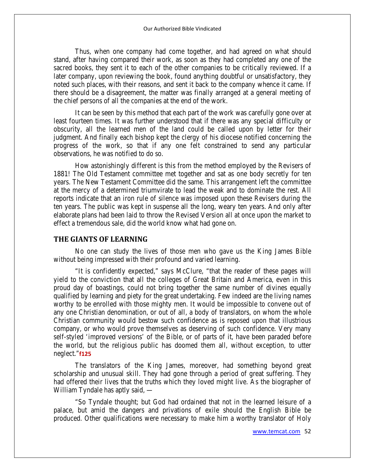Thus, when one company had come together, and had agreed on what should stand, after having compared their work, as soon as they had completed any one of the sacred books, they sent it to each of the other companies to be critically reviewed. If a later company, upon reviewing the book, found anything doubtful or unsatisfactory, they noted such places, with their reasons, and sent it back to the company whence it came. If there should be a disagreement, the matter was finally arranged at a general meeting of the chief persons of all the companies at the end of the work.

It can be seen by this method that each part of the work was carefully gone over at least fourteen times. It was further understood that if there was any special difficulty or obscurity, all the learned men of the land could be called upon by letter for their judgment. And finally each bishop kept the clergy of his diocese notified concerning the progress of the work, so that if any one felt constrained to send any particular observations, he was notified to do so.

How astonishingly different is this from the method employed by the Revisers of 1881! The Old Testament committee met together and sat as one body secretly for ten years. The New Testament Committee did the same. This arrangement left the committee at the mercy of a determined triumvirate to lead the weak and to dominate the rest. All reports indicate that an iron rule of silence was imposed upon these Revisers during the ten years. The public was kept in suspense all the long, weary ten years. And only after elaborate plans had been laid to throw the Revised Version all at once upon the market to effect a tremendous sale, did the world know what had gone on.

### **THE GIANTS OF LEARNING**

No one can study the lives of those men who gave us the King James Bible without being impressed with their profound and varied learning.

"It is confidently expected," says McClure, "that the reader of these pages will yield to the conviction that all the colleges of Great Britain and America, even in this proud day of boastings, could not bring together the same number of divines equally qualified by learning and piety for the great undertaking. Few indeed are the living names worthy to be enrolled with those mighty men. It would be impossible to convene out of any one Christian denomination, or out of all, a body of translators, on whom the whole Christian community would bestow such confidence as is reposed upon that illustrious company, or who would prove themselves as deserving of such confidence. Very many self-styled 'improved versions' of the Bible, or of parts of it, have been paraded before the world, but the religious public has doomed them all, without exception, to utter neglect."**f125**

The translators of the King James, moreover, had something beyond great scholarship and unusual skill. They had gone through a period of great suffering. They had offered their lives that the truths which they loved might live. As the biographer of William Tyndale has aptly said, —

"So Tyndale thought; but God had ordained that not in the learned leisure of a palace, but amid the dangers and privations of exile should the English Bible be produced. Other qualifications were necessary to make him a worthy translator of Holy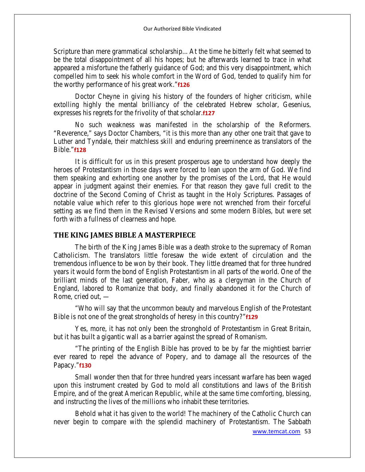Scripture than mere grammatical scholarship... At the time he bitterly felt what seemed to be the total disappointment of all his hopes; but he afterwards learned to trace in what appeared a misfortune the fatherly guidance of God; and this very disappointment, which compelled him to seek his whole comfort in the Word of God, tended to qualify him for the worthy performance of his great work."**f126**

Doctor Cheyne in giving his history of the founders of higher criticism, while extolling highly the mental brilliancy of the celebrated Hebrew scholar, Gesenius, expresses his regrets for the frivolity of that scholar.**f127**

No such weakness was manifested in the scholarship of the Reformers. "Reverence," says Doctor Chambers, "it is this more than any other one trait that gave to Luther and Tyndale, their matchless skill and enduring preeminence as translators of the Bible."**f128**

It is difficult for us in this present prosperous age to understand how deeply the heroes of Protestantism in those days were forced to lean upon the arm of God. We find them speaking and exhorting one another by the promises of the Lord, that He would appear in judgment against their enemies. For that reason they gave full credit to the doctrine of the Second Coming of Christ as taught in the Holy Scriptures. Passages of notable value which refer to this glorious hope were not wrenched from their forceful setting as we find them in the Revised Versions and some modern Bibles, but were set forth with a fullness of clearness and hope.

#### **THE KING JAMES BIBLE A MASTERPIECE**

The birth of the King James Bible was a death stroke to the supremacy of Roman Catholicism. The translators little foresaw the wide extent of circulation and the tremendous influence to be won by their book. They little dreamed that for three hundred years it would form the bond of English Protestantism in all parts of the world. One of the brilliant minds of the last generation, Faber, who as a clergyman in the Church of England, labored to Romanize that body, and finally abandoned it for the Church of Rome, cried out, —

"Who will say that the uncommon beauty and marvelous English of the Protestant Bible is not one of the great strongholds of heresy in this country?"**f129**

Yes, more, it has not only been the stronghold of Protestantism in Great Britain, but it has built a gigantic wall as a barrier against the spread of Romanism.

"The printing of the English Bible has proved to be by far the mightiest barrier ever reared to repel the advance of Popery, and to damage all the resources of the Papacy."**f130**

Small wonder then that for three hundred years incessant warfare has been waged upon this instrument created by God to mold all constitutions and laws of the British Empire, and of the great American Republic, while at the same time comforting, blessing, and instructing the lives of the millions who inhabit these territories.

Behold what it has given to the world! The machinery of the Catholic Church can never begin to compare with the splendid machinery of Protestantism. The Sabbath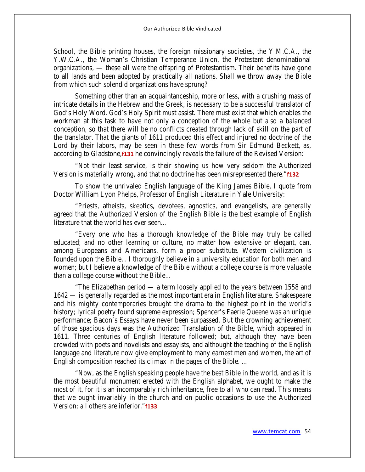School, the Bible printing houses, the foreign missionary societies, the Y.M.C.A., the Y.W.C.A., the Woman's Christian Temperance Union, the Protestant denominational organizations, — these all were the offspring of Protestantism. Their benefits have gone to all lands and been adopted by practically all nations. Shall we throw away the Bible from which such splendid organizations have sprung?

Something other than an acquaintanceship, more or less, with a crushing mass of intricate details in the Hebrew and the Greek, is necessary to be a successful translator of God's Holy Word. God's Holy Spirit must assist. There must exist that which enables the workman at this task to have not only a conception of the whole but also a balanced conception, so that there will be no conflicts created through lack of skill on the part of the translator. That the giants of 1611 produced this effect and injured no doctrine of the Lord by their labors, may be seen in these few words from Sir Edmund Beckett, as, according to Gladstone,**f131** he convincingly reveals the failure of the Revised Version:

"Not their least service, is their showing us how very seldom the Authorized Version is materially wrong, and that no doctrine has been misrepresented there."**f132**

To show the unrivaled English language of the King James Bible, I quote from Doctor William Lyon Phelps, Professor of English Literature in Yale University:

"Priests, atheists, skeptics, devotees, agnostics, and evangelists, are generally agreed that the Authorized Version of the English Bible is the best example of English literature that the world has ever seen...

"Every one who has a thorough knowledge of the Bible may truly be called educated; and no other learning or culture, no matter how extensive or elegant, can, among Europeans and Americans, form a proper substitute. Western civilization is founded upon the Bible... I thoroughly believe in a university education for both men and women; but I believe a knowledge of the Bible without a college course is more valuable than a college course without the Bible...

"The Elizabethan period — a term loosely applied to the years between 1558 and 1642 — is generally regarded as the most important era in English literature. Shakespeare and his mighty contemporaries brought the drama to the highest point in the world's history; lyrical poetry found supreme expression; Spencer's Faerie Queene was an unique performance; Bacon's Essays have never been surpassed. But the crowning achievement of those spacious days was the Authorized Translation of the Bible, which appeared in 1611. Three centuries of English literature followed; but, although they have been crowded with poets and novelists and essayists, and althought the teaching of the English language and literature now give employment to many earnest men and women, the art of English composition reached its climax in the pages of the Bible. ...

"Now, as the English speaking people have the best Bible in the world, and as it is the most beautiful monument erected with the English alphabet, we ought to make the most of it, for it is an incomparably rich inheritance, free to all who can read. This means that we ought invariably in the church and on public occasions to use the Authorized Version; all others are inferior."**f133**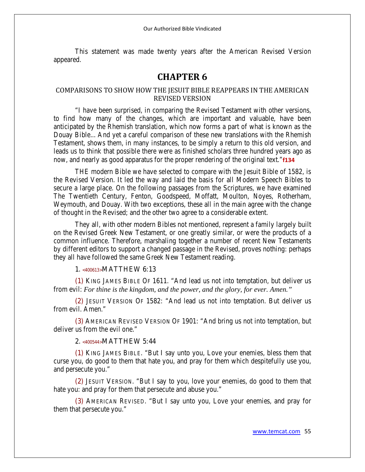This statement was made twenty years after the American Revised Version appeared.

# **CHAPTER 6**

# COMPARISONS TO SHOW HOW THE JESUIT BIBLE REAPPEARS IN THE AMERICAN REVISED VERSION

"I have been surprised, in comparing the Revised Testament with other versions, to find how many of the changes, which are important and valuable, have been anticipated by the Rhemish translation, which now forms a part of what is known as the Douay Bible... And yet a careful comparison of these new translations with the Rhemish Testament, shows them, in many instances, to be simply a return to this old version, and leads us to think that possible there were as finished scholars three hundred years ago as now, and nearly as good apparatus for the proper rendering of the original text."**f134**

THE modern Bible we have selected to compare with the Jesuit Bible of 1582, is the Revised Version. It led the way and laid the basis for all Modern Speech Bibles to secure a large place. On the following passages from the Scriptures, we have examined The Twentieth Century, Fenton, Goodspeed, Moffatt, Moulton, Noyes, Rotherham, Weymouth, and Douay. With two exceptions, these all in the main agree with the change of thought in the Revised; and the other two agree to a considerable extent.

They all, with other modern Bibles not mentioned, represent a family largely built on the Revised Greek New Testament, or one greatly similar, or were the products of a common influence. Therefore, marshaling together a number of recent New Testaments by different editors to support a changed passage in the Revised, proves nothing: perhaps they all have followed the same Greek New Testament reading.

#### **1. <400613>MATTHEW 6:13**

**(1)** KING JAMES BIBLE OF 1611. "And lead us not into temptation, but deliver us from evil: *For thine is the kingdom, and the power, and the glory, for ever. Amen."*

**(2)** JESUIT VERSION OF 1582: "And lead us not into temptation. But deliver us from evil. Amen."

**(3)** AMERICAN REVISED VERSION OF 1901: "And bring us not into temptation, but deliver us from the evil one."

#### **2. <400544>MATTHEW 5:44**

**(1)** KING JAMES BIBLE. "But I say unto you, Love your enemies, bless them that curse you, do good to them that hate you, and pray for them which despitefully use you, and persecute you."

**(2)** JESUIT VERSION. "But I say to you, love your enemies, do good to them that hate you: and pray for them that persecute and abuse you."

**(3)** AMERICAN REVISED. "But I say unto you, Love your enemies, and pray for them that persecute you."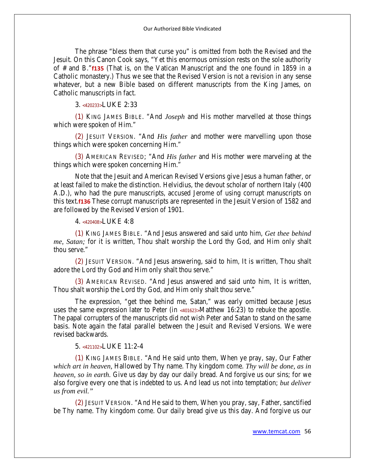The phrase "bless them that curse you" is omitted from both the Revised and the Jesuit. On this Canon Cook says, "Yet this enormous omission rests on the sole authority of # and B."**f135** (That is, on the Vatican Manuscript and the one found in 1859 in a Catholic monastery.) Thus we see that the Revised Version is not a revision in any sense whatever, but a new Bible based on different manuscripts from the King James, on Catholic manuscripts in fact.

## **3. <420233>LUKE 2:33**

**(1)** KING JAMES BIBLE. "And *Joseph* and His mother marvelled at those things which were spoken of Him."

**(2)** JESUIT VERSION. "And *His father* and mother were marvelling upon those things which were spoken concerning Him."

**(3)** AMERICAN REVISED; "And *His father* and His mother were marveling at the things which were spoken concerning Him."

Note that the Jesuit and American Revised Versions give Jesus a human father, or at least failed to make the distinction. Helvidius, the devout scholar of northern Italy (400 A.D.), who had the pure manuscripts, accused Jerome of using corrupt manuscripts on this text.**f136** These corrupt manuscripts are represented in the Jesuit Version of 1582 and are followed by the Revised Version of 1901.

#### **4. <420408>LUKE 4:8**

**(1)** KING JAMES BIBLE. "And Jesus answered and said unto him, *Get thee behind me, Satan;* for it is written, Thou shalt worship the Lord thy God, and Him only shalt thou serve."

**(2)** JESUIT VERSION. "And Jesus answering, said to him, It is written, Thou shalt adore the Lord thy God and Him only shalt thou serve."

**(3)** AMERICAN REVISED. "And Jesus answered and said unto him, It is written, Thou shalt worship the Lord thy God, and Him only shalt thou serve."

The expression, "get thee behind me, Satan," was early omitted because Jesus uses the same expression later to Peter (in **<401623>**Matthew 16:23) to rebuke the apostle. The papal corrupters of the manuscripts did not wish Peter and Satan to stand on the same basis. Note again the fatal parallel between the Jesuit and Revised Versions. We were revised backwards.

#### **5. <421102>LUKE 11:2-4**

**(1)** KING JAMES BIBLE. "And He said unto them, When ye pray, say, Our Father *which art in heaven,* Hallowed by Thy name. Thy kingdom come. *Thy will be done, as in heaven, so in earth.* Give us day by day our daily bread. And forgive us our sins; for we also forgive every one that is indebted to us. And lead us not into temptation; *but deliver us from evil."*

**(2)** JESUIT VERSION. "And He said to them, When you pray, say, Father, sanctified be Thy name. Thy kingdom come. Our daily bread give us this day. And forgive us our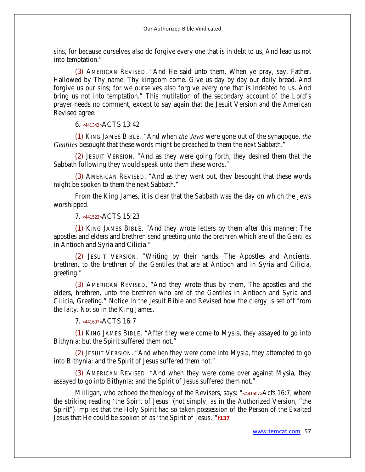sins, for because ourselves also do forgive every one that is in debt to us, And lead us not into temptation."

**(3)** AMERICAN REVISED. "And He said unto them, When ye pray, say, Father, Hallowed by Thy name. Thy kingdom come. Give us day by day our daily bread. And forgive us our sins; for we ourselves also forgive every one that is indebted to us. And bring us not into temptation." This mutilation of the secondary account of the Lord's prayer needs no comment, except to say again that the Jesuit Version and the American Revised agree.

## **6. <441342>ACTS 13:42**

**(1)** KING JAMES BIBLE. "And when *the Jews* were gone out of the synagogue, *the Gentiles* besought that these words might be preached to them the next Sabbath."

**(2)** JESUIT VERSION. "And as they were going forth, they desired them that the Sabbath following they would speak unto them these words."

**(3)** AMERICAN REVISED. "And as they went out, they besought that these words might be spoken to them the next Sabbath."

From the King James, it is clear that the Sabbath was the day on which the Jews worshipped.

### **7. <441523>ACTS 15:23**

**(1)** KING JAMES BIBLE. "And they wrote letters by them after this manner: The apostles and elders and brethren send greeting unto the brethren which are of the Gentiles in Antioch and Syria and Cilicia."

**(2)** JESUIT VERSION. "Writing by their hands. The Apostles and Ancients, brethren, to the brethren of the Gentiles that are at Antioch and in Syria and Cilicia, greeting."

**(3)** AMERICAN REVISED. "And they wrote thus by them, The apostles and the elders, brethren, unto the brethren who are of the Gentiles in Antioch and Syria and Cilicia, Greeting." Notice in the Jesuit Bible and Revised how the clergy is set off from the laity. Not so in the King James.

## **7. <441607>ACTS 16:7**

**(1)** KING JAMES BIBLE. "After they were come to Mysia, they assayed to go into Bithynia: but the Spirit suffered them not."

**(2)** JESUIT VERSION. "And when they were come into Mysia, they attempted to go into Bithynia: and the Spirit of Jesus suffered them not."

**(3)** AMERICAN REVISED. "And when they were come over against Mysia, they assayed to go into Bithynia; and the Spirit of Jesus suffered them not."

Milligan, who echoed the theology of the Revisers, says: "**<441607>**Acts 16:7, where the striking reading 'the Spirit of Jesus' (not simply, as in the Authorized Version, "the Spirit") implies that the Holy Spirit had so taken possession of the Person of the Exalted Jesus that He could be spoken of as 'the Spirit of Jesus.'"**f137**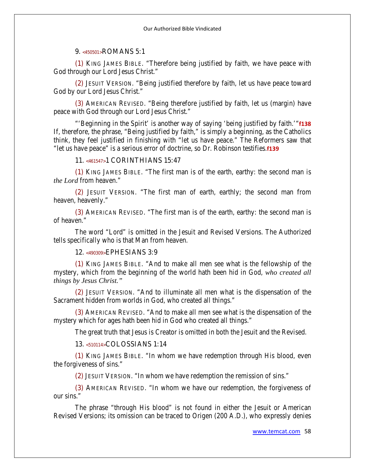#### **9. <450501>ROMANS 5:1**

**(1)** KING JAMES BIBLE. "Therefore being justified by faith, we have peace with God through our Lord Jesus Christ."

**(2)** JESUIT VERSION. "Being justified therefore by faith, let us have peace toward God by our Lord Jesus Christ."

**(3)** AMERICAN REVISED. "Being therefore justified by faith, let us (margin) have peace with God through our Lord Jesus Christ."

"'Beginning in the Spirit' is another way of saying 'being justified by faith.'"**f138**  If, therefore, the phrase, "Being justified by faith," is simply a beginning, as the Catholics think, they feel justified in finishing with "let us have peace." The Reformers saw that "let us have peace" is a serious error of doctrine, so Dr. Robinson testifies.**f139**

#### **11. <461547>1 CORINTHIANS 15:47**

**(1)** KING JAMES BIBLE. "The first man is of the earth, earthy: the second man is *the Lord* from heaven."

**(2)** JESUIT VERSION. "The first man of earth, earthly; the second man from heaven, heavenly."

**(3)** AMERICAN REVISED. "The first man is of the earth, earthy: the second man is of heaven."

The word "Lord" is omitted in the Jesuit and Revised Versions. The Authorized tells specifically who is that Man from heaven.

### **12. <490309>EPHESIANS 3:9**

**(1)** KING JAMES BIBLE. "And to make all men see what is the fellowship of the mystery, which from the beginning of the world hath been hid in God, *who created all things by Jesus Christ."*

**(2)** JESUIT VERSION. "And to illuminate all men what is the dispensation of the Sacrament hidden from worlds in God, who created all things."

**(3)** AMERICAN REVISED. "And to make all men see what is the dispensation of the mystery which for ages hath been hid in God who created all things."

The great truth that Jesus is Creator is omitted in both the Jesuit and the Revised.

#### **13. <510114>COLOSSIANS 1:14**

**(1)** KING JAMES BIBLE. "In whom we have redemption through His blood, even the forgiveness of sins."

**(2)** JESUIT VERSION. "In whom we have redemption the remission of sins."

**(3)** AMERICAN REVISED. "In whom we have our redemption, the forgiveness of our sins."

The phrase "through His blood" is not found in either the Jesuit or American Revised Versions; its omission can be traced to Origen (200 A.D.), who expressly denies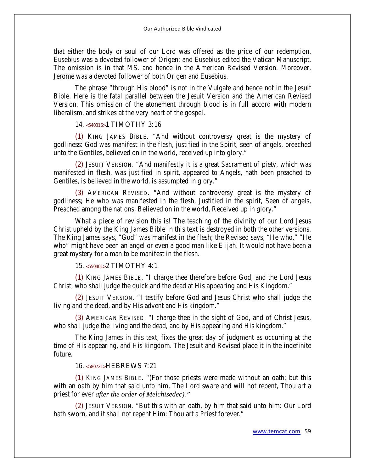that either the body or soul of our Lord was offered as the price of our redemption. Eusebius was a devoted follower of Origen; and Eusebius edited the Vatican Manuscript. The omission is in that MS. and hence in the American Revised Version. Moreover, Jerome was a devoted follower of both Origen and Eusebius.

The phrase "through His blood" is not in the Vulgate and hence not in the Jesuit Bible. Here is the fatal parallel between the Jesuit Version and the American Revised Version. This omission of the atonement through blood is in full accord with modern liberalism, and strikes at the very heart of the gospel.

#### **14. <540316>1 TIMOTHY 3:16**

**(1)** KING JAMES BIBLE. "And without controversy great is the mystery of godliness: God was manifest in the flesh, justified in the Spirit, seen of angels, preached unto the Gentiles, believed on in the world, received up into glory."

**(2)** JESUIT VERSION. "And manifestly it is a great Sacrament of piety, which was manifested in flesh, was justified in spirit, appeared to Angels, hath been preached to Gentiles, is believed in the world, is assumpted in glory."

**(3)** AMERICAN REVISED. "And without controversy great is the mystery of godliness; He who was manifested in the flesh, Justified in the spirit, Seen of angels, Preached among the nations, Believed on in the world, Received up in glory."

What a piece of revision this is! The teaching of the divinity of our Lord Jesus Christ upheld by the King James Bible in this text is destroyed in both the other versions. The King James says, "God" was manifest in the flesh; the Revised says, "He who." "He who" might have been an angel or even a good man like Elijah. It would not have been a great mystery for a man to be manifest in the flesh.

#### **15. <550401>2 TIMOTHY 4:1**

**(1)** KING JAMES BIBLE. "I charge thee therefore before God, and the Lord Jesus Christ, who shall judge the quick and the dead at His appearing and His Kingdom."

**(2)** JESUIT VERSION. "I testify before God and Jesus Christ who shall judge the living and the dead, and by His advent and His kingdom."

**(3)** AMERICAN REVISED. "I charge thee in the sight of God, and of Christ Jesus, who shall judge the living and the dead, and by His appearing and His kingdom."

The King James in this text, fixes the great day of judgment as occurring at the time of His appearing, and His kingdom. The Jesuit and Revised place it in the indefinite future.

#### **16. <580721>HEBREWS 7:21**

**(1)** KING JAMES BIBLE. "(For those priests were made without an oath; but this with an oath by him that said unto him, The Lord sware and will not repent, Thou art a priest for ever *after the order of Melchisedec)."*

**(2)** JESUIT VERSION. "But this with an oath, by him that said unto him: Our Lord hath sworn, and it shall not repent Him: Thou art a Priest forever."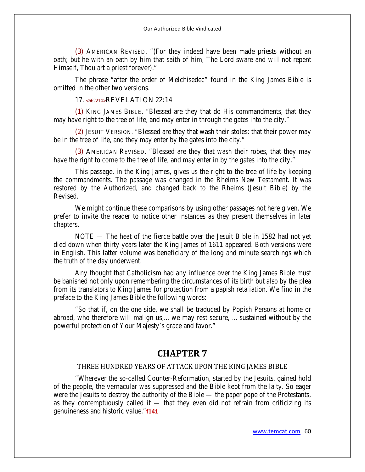**(3)** AMERICAN REVISED. "(For they indeed have been made priests without an oath; but he with an oath by him that saith of him, The Lord sware and will not repent Himself, Thou art a priest forever)."

The phrase "after the order of Melchisedec" found in the King James Bible is omitted in the other two versions.

#### **17. <662214>REVELATION 22:14**

**(1)** KING JAMES BIBLE. "Blessed are they that do His commandments, that they may have right to the tree of life, and may enter in through the gates into the city."

**(2)** JESUIT VERSION. "Blessed are they that wash their stoles: that their power may be in the tree of life, and they may enter by the gates into the city."

**(3)** AMERICAN REVISED. "Blessed are they that wash their robes, that they may have the right to come to the tree of life, and may enter in by the gates into the city."

This passage, in the King James, gives us the right to the tree of life by keeping the commandments. The passage was changed in the Rheims New Testament. It was restored by the Authorized, and changed back to the Rheims (Jesuit Bible) by the Revised.

We might continue these comparisons by using other passages not here given. We prefer to invite the reader to notice other instances as they present themselves in later chapters.

NOTE — The heat of the fierce battle over the Jesuit Bible in 1582 had not yet died down when thirty years later the King James of 1611 appeared. Both versions were in English. This latter volume was beneficiary of the long and minute searchings which the truth of the day underwent.

Any thought that Catholicism had any influence over the King James Bible must be banished not only upon remembering the circumstances of its birth but also by the plea from its translators to King James for protection from a papish retaliation. We find in the preface to the King James Bible the following words:

"So that if, on the one side, we shall be traduced by Popish Persons at home or abroad, who therefore will malign us,... we may rest secure, ... sustained without by the powerful protection of Your Majesty's grace and favor."

# **CHAPTER 7**

#### THREE HUNDRED YEARS OF ATTACK UPON THE KING JAMES BIBLE

"Wherever the so-called Counter-Reformation, started by the Jesuits, gained hold of the people, the vernacular was suppressed and the Bible kept from the laity. So eager were the Jesuits to destroy the authority of the Bible — the paper pope of the Protestants, as they contemptuously called it  $-$  that they even did not refrain from criticizing its genuineness and historic value."**f141**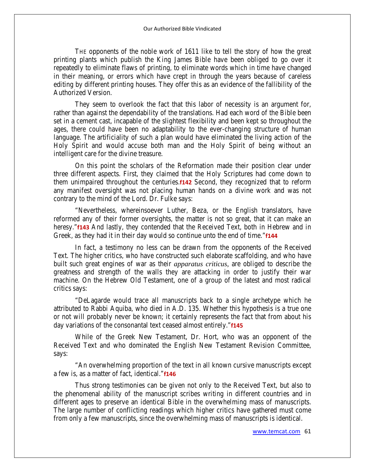THE opponents of the noble work of 1611 like to tell the story of how the great printing plants which publish the King James Bible have been obliged to go over it repeatedly to eliminate flaws of printing, to eliminate words which in time have changed in their meaning, or errors which have crept in through the years because of careless editing by different printing houses. They offer this as an evidence of the fallibility of the Authorized Version.

They seem to overlook the fact that this labor of necessity is an argument for, rather than against the dependability of the translations. Had each word of the Bible been set in a cement cast, incapable of the slightest flexibility and been kept so throughout the ages, there could have been no adaptability to the ever-changing structure of human language. The artificiality of such a plan would have eliminated the living action of the Holy Spirit and would accuse both man and the Holy Spirit of being without an intelligent care for the divine treasure.

On this point the scholars of the Reformation made their position clear under three different aspects. First, they claimed that the Holy Scriptures had come down to them unimpaired throughout the centuries.**f142** Second, they recognized that to reform any manifest oversight was not placing human hands on a divine work and was not contrary to the mind of the Lord. Dr. Fulke says:

"Nevertheless, whereinsoever Luther, Beza, or the English translators, have reformed any of their former oversights, the matter is not so great, that it can make an heresy."**f143** And lastly, they contended that the Received Text, both in Hebrew and in Greek, as they had it in their day would so continue unto the end of time."**f144**

In fact, a testimony no less can be drawn from the opponents of the Received Text. The higher critics, who have constructed such elaborate scaffolding, and who have built such great engines of war as their *apparatus criticus,* are obliged to describe the greatness and strength of the walls they are attacking in order to justify their war machine. On the Hebrew Old Testament, one of a group of the latest and most radical critics says:

"DeLagarde would trace all manuscripts back to a single archetype which he attributed to Rabbi Aquiba, who died in A.D. 135. Whether this hypothesis is a true one or not will probably never be known; it certainly represents the fact that from about his day variations of the consonantal text ceased almost entirely."**f145**

While of the Greek New Testament, Dr. Hort, who was an opponent of the Received Text and who dominated the English New Testament Revision Committee, says:

"An overwhelming proportion of the text in all known cursive manuscripts except a few is, as a matter of fact, identical."**f146**

Thus strong testimonies can be given not only to the Received Text, but also to the phenomenal ability of the manuscript scribes writing in different countries and in different ages to preserve an identical Bible in the overwhelming mass of manuscripts. The large number of conflicting readings which higher critics have gathered must come from only a few manuscripts, since the overwhelming mass of manuscripts is identical.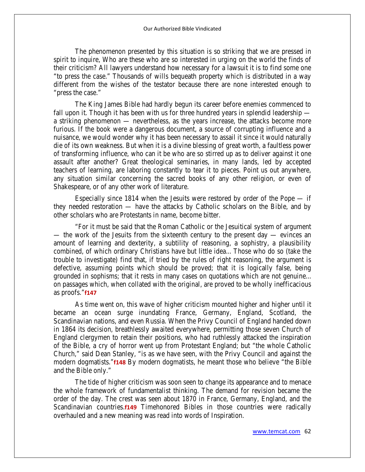The phenomenon presented by this situation is so striking that we are pressed in spirit to inquire, Who are these who are so interested in urging on the world the finds of their criticism? All lawyers understand how necessary for a lawsuit it is to find some one "to press the case." Thousands of wills bequeath property which is distributed in a way different from the wishes of the testator because there are none interested enough to "press the case."

The King James Bible had hardly begun its career before enemies commenced to fall upon it. Though it has been with us for three hundred years in splendid leadership a striking phenomenon — nevertheless, as the years increase, the attacks become more furious. If the book were a dangerous document, a source of corrupting influence and a nuisance, we would wonder why it has been necessary to assail it since it would naturally die of its own weakness. But when it is a divine blessing of great worth, a faultless power of transforming influence, who can it be who are so stirred up as to deliver against it one assault after another? Great theological seminaries, in many lands, led by accepted teachers of learning, are laboring constantly to tear it to pieces. Point us out anywhere, any situation similar concerning the sacred books of any other religion, or even of Shakespeare, or of any other work of literature.

Especially since 1814 when the Jesuits were restored by order of the Pope  $-$  if they needed restoration — have the attacks by Catholic scholars on the Bible, and by other scholars who are Protestants in name, become bitter.

"For it must be said that the Roman Catholic or the Jesuitical system of argument — the work of the Jesuits from the sixteenth century to the present day — evinces an amount of learning and dexterity, a subtility of reasoning, a sophistry, a plausibility combined, of which ordinary Christians have but little idea... Those who do so (take the trouble to investigate) find that, if tried by the rules of right reasoning, the argument is defective, assuming points which should be proved; that it is logically false, being grounded in sophisms; that it rests in many cases on quotations which are not genuine... on passages which, when collated with the original, are proved to be wholly inefficacious as proofs."**f147**

As time went on, this wave of higher criticism mounted higher and higher until it became an ocean surge inundating France, Germany, England, Scotland, the Scandinavian nations, and even Russia. When the Privy Council of England handed down in 1864 its decision, breathlessly awaited everywhere, permitting those seven Church of England clergymen to retain their positions, who had ruthlessly attacked the inspiration of the Bible, a cry of horror went up from Protestant England; but "the whole Catholic Church," said Dean Stanley, "is as we have seen, with the Privy Council and against the modern dogmatists."**f148** By modern dogmatists, he meant those who believe "the Bible and the Bible only."

The tide of higher criticism was soon seen to change its appearance and to menace the whole framework of fundamentalist thinking. The demand for revision became the order of the day. The crest was seen about 1870 in France, Germany, England, and the Scandinavian countries.**f149** Timehonored Bibles in those countries were radically overhauled and a new meaning was read into words of Inspiration.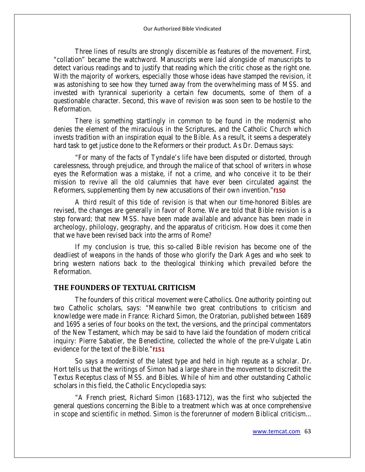Three lines of results are strongly discernible as features of the movement. First, "collation" became the watchword. Manuscripts were laid alongside of manuscripts to detect various readings and to justify that reading which the critic chose as the right one. With the majority of workers, especially those whose ideas have stamped the revision, it was astonishing to see how they turned away from the overwhelming mass of MSS. and invested with tyrannical superiority a certain few documents, some of them of a questionable character. Second, this wave of revision was soon seen to be hostile to the Reformation.

There is something startlingly in common to be found in the modernist who denies the element of the miraculous in the Scriptures, and the Catholic Church which invests tradition with an inspiration equal to the Bible. As a result, it seems a desperately hard task to get justice done to the Reformers or their product. As Dr. Demaus says:

"For many of the facts of Tyndale's life have been disputed or distorted, through carelessness, through prejudice, and through the malice of that school of writers in whose eyes the Reformation was a mistake, if not a crime, and who conceive it to be their mission to revive all the old calumnies that have ever been circulated against the Reformers, supplementing them by new accusations of their own invention."**f150**

A third result of this tide of revision is that when our time-honored Bibles are revised, the changes are generally in favor of Rome. We are told that Bible revision is a step forward; that new MSS. have been made available and advance has been made in archeology, philology, geography, and the apparatus of criticism. How does it come then that we have been revised back into the arms of Rome?

If my conclusion is true, this so-called Bible revision has become one of the deadliest of weapons in the hands of those who glorify the Dark Ages and who seek to bring western nations back to the theological thinking which prevailed before the Reformation.

# **THE FOUNDERS OF TEXTUAL CRITICISM**

The founders of this critical movement were Catholics. One authority pointing out two Catholic scholars, says: "Meanwhile two great contributions to criticism and knowledge were made in France: Richard Simon, the Oratorian, published between 1689 and 1695 a series of four books on the text, the versions, and the principal commentators of the New Testament, which may be said to have laid the foundation of modern critical inquiry: Pierre Sabatier, the Benedictine, collected the whole of the pre-Vulgate Latin evidence for the text of the Bible."**f151**

So says a modernist of the latest type and held in high repute as a scholar. Dr. Hort tells us that the writings of Simon had a large share in the movement to discredit the Textus Receptus class of MSS. and Bibles. While of him and other outstanding Catholic scholars in this field, the Catholic Encyclopedia says:

"A French priest, Richard Simon (1683-1712), was the first who subjected the general questions concerning the Bible to a treatment which was at once comprehensive in scope and scientific in method. Simon is the forerunner of modern Biblical criticism...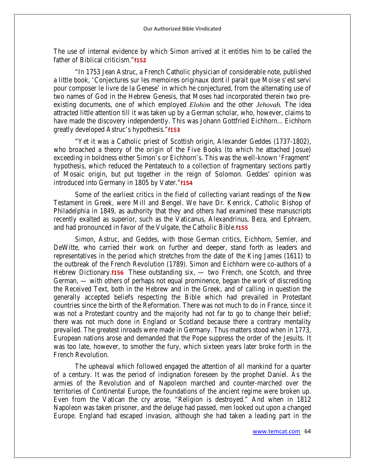The use of internal evidence by which Simon arrived at it entitles him to be called the father of Biblical criticism."**f152**

"In 1753 Jean Astruc, a French Catholic physician of considerable note, published a little book, 'Conjectures sur les memoires originaux dont il parait que Moise s'est servi pour composer le livre de la Genese' in which he conjectured, from the alternating use of two names of God in the Hebrew Genesis, that Moses had incorporated therein two preexisting documents, one of which employed *Elohim* and the other *Jehovah.* The idea attracted little attention till it was taken up by a German scholar, who, however, claims to have made the discovery independently. This was Johann Gottfried Eichhorn... Eichhorn greatly developed Astruc's hypothesis."**f153**

"Yet it was a Catholic priest of Scottish origin, Alexander Geddes (1737-1802), who broached a theory of the origin of the Five Books (to which he attached Josue) exceeding in boldness either Simon's or Eichhorn's. This was the well-known 'Fragment' hypothesis, which reduced the Pentateuch to a collection of fragmentary sections partly of Mosaic origin, but put together in the reign of Solomon. Geddes' opinion was introduced into Germany in 1805 by Vater."**f154**

Some of the earliest critics in the field of collecting variant readings of the New Testament in Greek, were Mill and Bengel. We have Dr. Kenrick, Catholic Bishop of Philadelphia in 1849, as authority that they and others had examined these manuscripts recently exalted as superior, such as the Vaticanus, Alexandrinus, Beza, and Ephraem, and had pronounced in favor of the Vulgate, the Catholic Bible.**f155**

Simon, Astruc, and Geddes, with those German critics, Eichhorn, Semler, and DeWitte, who carried their work on further and deeper, stand forth as leaders and representatives in the period which stretches from the date of the King James (1611) to the outbreak of the French Revolution (1789). Simon and Eichhorn were co-authors of a Hebrew Dictionary.**f156** These outstanding six, — two French, one Scotch, and three German, — with others of perhaps not equal prominence, began the work of discrediting the Received Text, both in the Hebrew and in the Greek, and of calling in question the generally accepted beliefs respecting the Bible which had prevailed in Protestant countries since the birth of the Reformation. There was not much to do in France, since it was not a Protestant country and the majority had not far to go to change their belief; there was not much done in England or Scotland because there a contrary mentality prevailed. The greatest inroads were made in Germany. Thus matters stood when in 1773, European nations arose and demanded that the Pope suppress the order of the Jesuits. It was too late, however, to smother the fury, which sixteen years later broke forth in the French Revolution.

The upheaval which followed engaged the attention of all mankind for a quarter of a century. It was the period of indignation foreseen by the prophet Daniel. As the armies of the Revolution and of Napoleon marched and counter-marched over the territories of Continental Europe, the foundations of the ancient regime were broken up. Even from the Vatican the cry arose, "Religion is destroyed." And when in 1812 Napoleon was taken prisoner, and the deluge had passed, men looked out upon a changed Europe. England had escaped invasion, although she had taken a leading part in the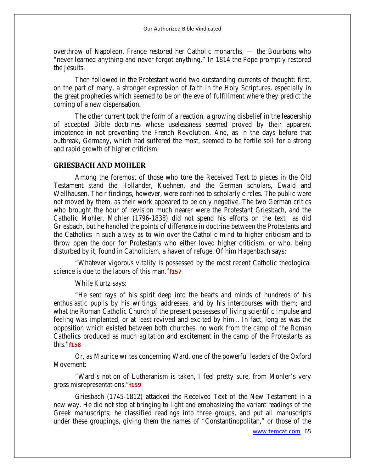overthrow of Napoleon. France restored her Catholic monarchs, — the Bourbons who "never learned anything and never forgot anything." In 1814 the Pope promptly restored the Jesuits.

Then followed in the Protestant world two outstanding currents of thought: first, on the part of many, a stronger expression of faith in the Holy Scriptures, especially in the great prophecies which seemed to be on the eve of fulfillment where they predict the coming of a new dispensation.

The other current took the form of a reaction, a growing disbelief in the leadership of accepted Bible doctrines whose uselessness seemed proved by their apparent impotence in not preventing the French Revolution. And, as in the days before that outbreak, Germany, which had suffered the most, seemed to be fertile soil for a strong and rapid growth of higher criticism.

# **GRIESBACH AND MOHLER**

Among the foremost of those who tore the Received Text to pieces in the Old Testament stand the Hollander, Kuehnen, and the German scholars, Ewald and Wellhausen. Their findings, however, were confined to scholarly circles. The public were not moved by them, as their work appeared to be only negative. The two German critics who brought the hour of revision much nearer were the Protestant Griesbach, and the Catholic Mohler. Mohler (1796-1838) did not spend his efforts on the text as did Griesbach, but he handled the points of difference in doctrine between the Protestants and the Catholics in such a way as to win over the Catholic mind to higher criticism and to throw open the door for Protestants who either loved higher criticism, or who, being disturbed by it, found in Catholicism, a haven of refuge. Of him Hagenbach says:

"Whatever vigorous vitality is possessed by the most recent Catholic theological science is due to the labors of this man."**f157**

#### While Kurtz says:

"He sent rays of his spirit deep into the hearts and minds of hundreds of his enthusiastic pupils by his writings, addresses, and by his intercourses with them; and what the Roman Catholic Church of the present possesses of living scientific impulse and feeling was implanted, or at least revived and excited by him... In fact, long as was the opposition which existed between both churches, no work from the camp of the Roman Catholics produced as much agitation and excitement in the camp of the Protestants as this."**f158**

Or, as Maurice writes concerning Ward, one of the powerful leaders of the Oxford Movement:

"Ward's notion of Lutheranism is taken, I feel pretty sure, from Mohler's very gross misrepresentations."**f159**

Griesbach (1745-1812) attacked the Received Text of the New Testament in a new way. He did not stop at bringing to light and emphasizing the variant readings of the Greek manuscripts; he classified readings into three groups, and put all manuscripts under these groupings, giving them the names of "Constantinopolitan," or those of the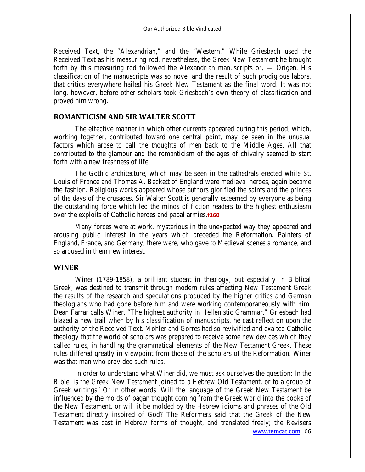Received Text, the "Alexandrian," and the "Western." While Griesbach used the Received Text as his measuring rod, nevertheless, the Greek New Testament he brought forth by this measuring rod followed the Alexandrian manuscripts or, — Origen. His classification of the manuscripts was so novel and the result of such prodigious labors, that critics everywhere hailed his Greek New Testament as the final word. It was not long, however, before other scholars took Griesbach's own theory of classification and proved him wrong.

### **ROMANTICISM AND SIR WALTER SCOTT**

The effective manner in which other currents appeared during this period, which, working together, contributed toward one central point, may be seen in the unusual factors which arose to call the thoughts of men back to the Middle Ages. All that contributed to the glamour and the romanticism of the ages of chivalry seemed to start forth with a new freshness of life.

The Gothic architecture, which may be seen in the cathedrals erected while St. Louis of France and Thomas A. Beckett of England were medieval heroes, again became the fashion. Religious works appeared whose authors glorified the saints and the princes of the days of the crusades. Sir Walter Scott is generally esteemed by everyone as being the outstanding force which led the minds of fiction readers to the highest enthusiasm over the exploits of Catholic heroes and papal armies.**f160**

Many forces were at work, mysterious in the unexpected way they appeared and arousing public interest in the years which preceded the Reformation. Painters of England, France, and Germany, there were, who gave to Medieval scenes a romance, and so aroused in them new interest.

### **WINER**

Winer (1789-1858), a brilliant student in theology, but especially in Biblical Greek, was destined to transmit through modern rules affecting New Testament Greek the results of the research and speculations produced by the higher critics and German theologians who had gone before him and were working contemporaneously with him. Dean Farrar calls Winer, "The highest authority in Hellenistic Grammar." Griesbach had blazed a new trail when by his classification of manuscripts, he cast reflection upon the authority of the Received Text. Mohler and Gorres had so revivified and exalted Catholic theology that the world of scholars was prepared to receive some new devices which they called rules, in handling the grammatical elements of the New Testament Greek. These rules differed greatly in viewpoint from those of the scholars of the Reformation. Winer was that man who provided such rules.

[www.temcat.com](http://www.temcat.com/) 66 In order to understand what Winer did, we must ask ourselves the question: In the Bible, is the Greek New Testament joined to a Hebrew Old Testament, or to a group of Greek writings" Or in other words: Will the language of the Greek New Testament be influenced by the molds of pagan thought coming from the Greek world into the books of the New Testament, or will it be molded by the Hebrew idioms and phrases of the Old Testament directly inspired of God? The Reformers said that the Greek of the New Testament was cast in Hebrew forms of thought, and translated freely; the Revisers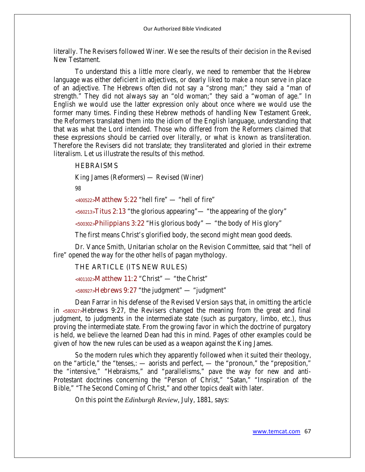literally. The Revisers followed Winer. We see the results of their decision in the Revised New Testament.

To understand this a little more clearly, we need to remember that the Hebrew language was either deficient in adjectives, or dearly liked to make a noun serve in place of an adjective. The Hebrews often did not say a "strong man;" they said a "man of strength." They did not always say an "old woman;" they said a "woman of age." In English we would use the latter expression only about once where we would use the former many times. Finding these Hebrew methods of handling New Testament Greek, the Reformers translated them into the idiom of the English language, understanding that that was what the Lord intended. Those who differed from the Reformers claimed that these expressions should be carried over literally, or what is known as transliteration. Therefore the Revisers did not translate; they transliterated and gloried in their extreme literalism. Let us illustrate the results of this method.

## **HEBRAISMS**

King James (Reformers) — Revised (Winer)

98

**<400522>Matthew 5:22** "hell fire" — "hell of fire"

**<560213>Titus 2:13** "the glorious appearing"— "the appearing of the glory"

**<500302>Philippians 3:22** "His glorious body" — "the body of His glory"

The first means Christ's glorified body, the second might mean good deeds.

Dr. Vance Smith, Unitarian scholar on the Revision Committee, said that "hell of fire" opened the way for the other hells of pagan mythology.

### **THE ARTICLE (ITS NEW RULES)**

**<401102>Matthew 11:2** "Christ" — "the Christ"

**<580927>Hebrews 9:27** "the judgment" — "judgment"

Dean Farrar in his defense of the Revised Version says that, in omitting the article in **<580927>**Hebrews 9:27, the Revisers changed the meaning from the great and final judgment, to judgments in the intermediate state (such as purgatory, limbo, etc.), thus proving the intermediate state. From the growing favor in which the doctrine of purgatory is held, we believe the learned Dean had this in mind. Pages of other examples could be given of how the new rules can be used as a weapon against the King James.

So the modern rules which they apparently followed when it suited their theology, on the "article," the "tenses,: — aorists and perfect, — the "pronoun," the "preposition," the "intensive," "Hebraisms," and "parallelisms," pave the way for new and anti-Protestant doctrines concerning the "Person of Christ," "Satan," "Inspiration of the Bible," "The Second Coming of Christ," and other topics dealt with later.

On this point the *Edinburgh Review,* July, 1881, says: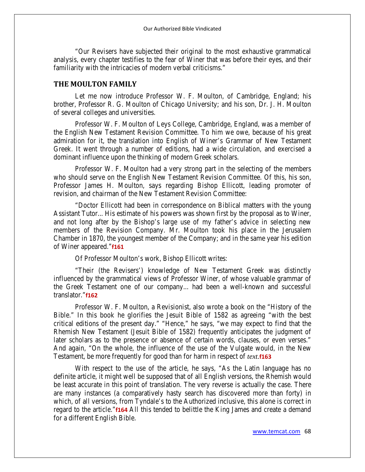"Our Revisers have subjected their original to the most exhaustive grammatical analysis, every chapter testifies to the fear of Winer that was before their eyes, and their familiarity with the intricacies of modern verbal criticisms."

#### **THE MOULTON FAMILY**

Let me now introduce Professor W. F. Moulton, of Cambridge, England; his brother, Professor R. G. Moulton of Chicago University; and his son, Dr. J. H. Moulton of several colleges and universities.

Professor W. F. Moulton of Leys College, Cambridge, England, was a member of the English New Testament Revision Committee. To him we owe, because of his great admiration for it, the translation into English of Winer's Grammar of New Testament Greek. It went through a number of editions, had a wide circulation, and exercised a dominant influence upon the thinking of modern Greek scholars.

Professor W. F. Moulton had a very strong part in the selecting of the members who should serve on the English New Testament Revision Committee. Of this, his son, Professor James H. Moulton, says regarding Bishop Ellicott, leading promoter of revision, and chairman of the New Testament Revision Committee:

"Doctor Ellicott had been in correspondence on Biblical matters with the young Assistant Tutor... His estimate of his powers was shown first by the proposal as to Winer, and not long after by the Bishop's large use of my father's advice in selecting new members of the Revision Company. Mr. Moulton took his place in the Jerusalem Chamber in 1870, the youngest member of the Company; and in the same year his edition of Winer appeared."**f161**

Of Professor Moulton's work, Bishop Ellicott writes:

"Their (the Revisers') knowledge of New Testament Greek was distinctly influenced by the grammatical views of Professor Winer, of whose valuable grammar of the Greek Testament one of our company... had been a well-known and successful translator."**f162**

Professor W. F. Moulton, a Revisionist, also wrote a book on the "History of the Bible." In this book he glorifies the Jesuit Bible of 1582 as agreeing "with the best critical editions of the present day." "Hence," he says, "we may expect to find that the Rhemish New Testament (Jesuit Bible of 1582) frequently anticipates the judgment of later scholars as to the presence or absence of certain words, clauses, or even verses." And again, "On the whole, the influence of the use of the Vulgate would, in the New Testament, be more frequently for good than for harm in respect of *text.***f163** 

With respect to the use of the article, he says, "As the Latin language has no definite article, it might well be supposed that of all English versions, the Rhemish would be least accurate in this point of translation. The very reverse is actually the case. There are many instances (a comparatively hasty search has discovered more than forty) in which, of all versions, from Tyndale's to the Authorized inclusive, this alone is correct in regard to the article."**f164** All this tended to belittle the King James and create a demand for a different English Bible.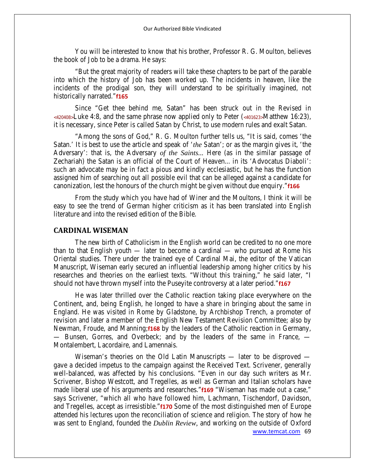You will be interested to know that his brother, Professor R. G. Moulton, believes the book of Job to be a drama. He says:

"But the great majority of readers will take these chapters to be part of the parable into which the history of Job has been worked up. The incidents in heaven, like the incidents of the prodigal son, they will understand to be spiritually imagined, not historically narrated."**f165**

Since "Get thee behind me, Satan" has been struck out in the Revised in **<420408>**Luke 4:8, and the same phrase now applied only to Peter (**<401623>**Matthew 16:23), it is necessary, since Peter is called Satan by Christ, to use modern rules and exalt Satan.

"Among the sons of God," R. G. Moulton further tells us, "It is said, comes 'the Satan.' It is best to use the article and speak of '*the* Satan'; or as the margin gives it, 'the Adversary': that is, the Adversary *of the Saints...* Here (as in the similar passage of Zechariah) the Satan is an official of the Court of Heaven... in its 'Advocatus Diaboli': such an advocate may be in fact a pious and kindly ecclesiastic, but he has the function assigned him of searching out all possible evil that can be alleged against a candidate for canonization, lest the honours of the church might be given without due enquiry."**f166**

From the study which you have had of Winer and the Moultons, I think it will be easy to see the trend of German higher criticism as it has been translated into English literature and into the revised edition of the Bible.

### **CARDINAL WISEMAN**

The new birth of Catholicism in the English world can be credited to no one more than to that English youth — later to become a cardinal — who pursued at Rome his Oriental studies. There under the trained eye of Cardinal Mai, the editor of the Vatican Manuscript, Wiseman early secured an influential leadership among higher critics by his researches and theories on the earliest texts. "Without this training," he said later, "I should not have thrown myself into the Puseyite controversy at a later period."**f167** 

He was later thrilled over the Catholic reaction taking place everywhere on the Continent, and, being English, he longed to have a share in bringing about the same in England. He was visited in Rome by Gladstone, by Archbishop Trench, a promoter of revision and later a member of the English New Testament Revision Committee; also by Newman, Froude, and Manning;**f168** by the leaders of the Catholic reaction in Germany, — Bunsen, Gorres, and Overbeck; and by the leaders of the same in France, — Montalembert, Lacordaire, and Lamennais.

[www.temcat.com](http://www.temcat.com/) 69 Wiseman's theories on the Old Latin Manuscripts — later to be disproved gave a decided impetus to the campaign against the Received Text. Scrivener, generally well-balanced, was affected by his conclusions. "Even in our day such writers as Mr. Scrivener, Bishop Westcott, and Tregelles, as well as German and Italian scholars have made liberal use of his arguments and researches."**f169** "Wiseman has made out a case," says Scrivener, "which all who have followed him, Lachmann, Tischendorf, Davidson, and Tregelles, accept as irresistible."**f170** Some of the most distinguished men of Europe attended his lectures upon the reconciliation of science and religion. The story of how he was sent to England, founded the *Dublin Review,* and working on the outside of Oxford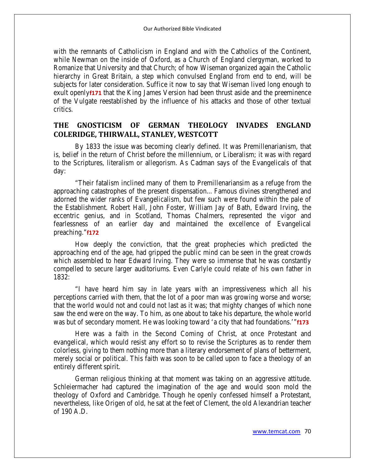with the remnants of Catholicism in England and with the Catholics of the Continent, while Newman on the inside of Oxford, as a Church of England clergyman, worked to Romanize that University and that Church; of how Wiseman organized again the Catholic hierarchy in Great Britain, a step which convulsed England from end to end, will be subjects for later consideration. Suffice it now to say that Wiseman lived long enough to exult openly**f171** that the King James Version had been thrust aside and the preeminence of the Vulgate reestablished by the influence of his attacks and those of other textual critics.

# **THE GNOSTICISM OF GERMAN THEOLOGY INVADES ENGLAND COLERIDGE, THIRWALL, STANLEY, WESTCOTT**

By 1833 the issue was becoming clearly defined. It was Premillenarianism, that is, belief in the return of Christ before the millennium, or Liberalism; it was with regard to the Scriptures, literalism or allegorism. As Cadman says of the Evangelicals of that day:

"Their fatalism inclined many of them to Premillenariansim as a refuge from the approaching catastrophes of the present dispensation... Famous divines strengthened and adorned the wider ranks of Evangelicalism, but few such were found within the pale of the Establishment. Robert Hall, John Foster, William Jay of Bath, Edward Irving, the eccentric genius, and in Scotland, Thomas Chalmers, represented the vigor and fearlessness of an earlier day and maintained the excellence of Evangelical preaching."**f172**

How deeply the conviction, that the great prophecies which predicted the approaching end of the age, had gripped the public mind can be seen in the great crowds which assembled to hear Edward Irving. They were so immense that he was constantly compelled to secure larger auditoriums. Even Carlyle could relate of his own father in 1832:

"I have heard him say in late years with an impressiveness which all his perceptions carried with them, that the lot of a poor man was growing worse and worse; that the world would not and could not last as it was; that mighty changes of which none saw the end were on the way. To him, as one about to take his departure, the whole world was but of secondary moment. He was looking toward 'a city that had foundations."**'f173** 

Here was a faith in the Second Coming of Christ, at once Protestant and evangelical, which would resist any effort so to revise the Scriptures as to render them colorless, giving to them nothing more than a literary endorsement of plans of betterment, merely social or political. This faith was soon to be called upon to face a theology of an entirely different spirit.

German religious thinking at that moment was taking on an aggressive attitude. Schleiermacher had captured the imagination of the age and would soon mold the theology of Oxford and Cambridge. Though he openly confessed himself a Protestant, nevertheless, like Origen of old, he sat at the feet of Clement, the old Alexandrian teacher of 190 A.D.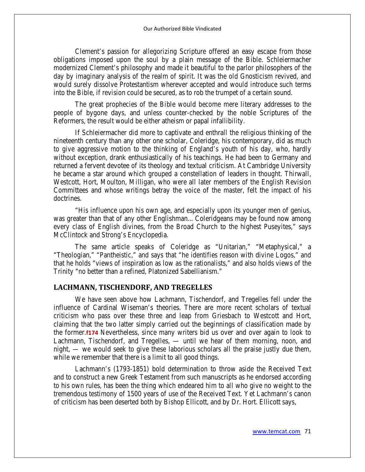Clement's passion for allegorizing Scripture offered an easy escape from those obligations imposed upon the soul by a plain message of the Bible. Schleiermacher modernized Clement's philosophy and made it beautiful to the parlor philosophers of the day by imaginary analysis of the realm of spirit. It was the old Gnosticism revived, and would surely dissolve Protestantism wherever accepted and would introduce such terms into the Bible, if revision could be secured, as to rob the trumpet of a certain sound.

The great prophecies of the Bible would become mere literary addresses to the people of bygone days, and unless counter-checked by the noble Scriptures of the Reformers, the result would be either atheism or papal infallibility.

If Schleiermacher did more to captivate and enthrall the religious thinking of the nineteenth century than any other one scholar, Coleridge, his contemporary, did as much to give aggressive motion to the thinking of England's youth of his day, who, hardly without exception, drank enthusiastically of his teachings. He had been to Germany and returned a fervent devotee of its theology and textual criticism. At Cambridge University he became a star around which grouped a constellation of leaders in thought. Thirwall, Westcott, Hort, Moulton, Milligan, who were all later members of the English Revision Committees and whose writings betray the voice of the master, felt the impact of his doctrines.

"His influence upon his own age, and especially upon its younger men of genius, was greater than that of any other Englishman... Coleridgeans may be found now among every class of English divines, from the Broad Church to the highest Puseyites," says McClintock and Strong's Encyclopedia.

The same article speaks of Coleridge as "Unitarian," "Metaphysical," a "Theologian," "Pantheistic," and says that "he identifies reason with divine Logos," and that he holds "views of inspiration as low as the rationalists," and also holds views of the Trinity "no better than a refined, Platonized Sabellianism."

#### **LACHMANN, TISCHENDORF, AND TREGELLES**

We have seen above how Lachmann, Tischendorf, and Tregelles fell under the influence of Cardinal Wiseman's theories. There are more recent scholars of textual criticism who pass over these three and leap from Griesbach to Westcott and Hort, claiming that the two latter simply carried out the beginnings of classification made by the former.**f174** Nevertheless, since many writers bid us over and over again to look to Lachmann, Tischendorf, and Tregelles, — until we hear of them morning, noon, and night, — we would seek to give these laborious scholars all the praise justly due them, while we remember that there is a limit to all good things.

Lachmann's (1793-1851) bold determination to throw aside the Received Text and to construct a new Greek Testament from such manuscripts as he endorsed according to his own rules, has been the thing which endeared him to all who give no weight to the tremendous testimony of 1500 years of use of the Received Text. Yet Lachmann's canon of criticism has been deserted both by Bishop Ellicott, and by Dr. Hort. Ellicott says,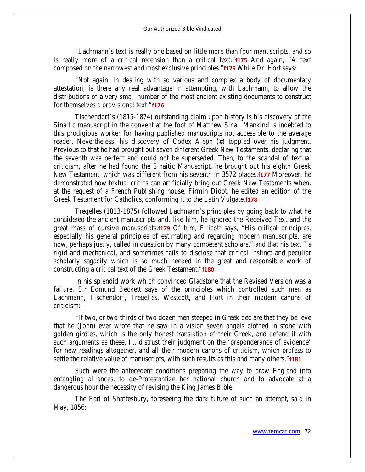"Lachmann's text is really one based on little more than four manuscripts, and so is really more of a critical recension than a critical text."**f175** And again, "A text composed on the narrowest and most exclusive principles."**f175** While Dr. Hort says:

"Not again, in dealing with so various and complex a body of documentary attestation, is there any real advantage in attempting, with Lachmann, to allow the distributions of a very small number of the most ancient existing documents to construct for themselves a provisional text."**f176**

Tischendorf's (1815-1874) outstanding claim upon history is his discovery of the Sinaitic manuscript in the convent at the foot of Matthew Sinai. Mankind is indebted to this prodigious worker for having published manuscripts not accessible to the average reader. Nevertheless, his discovery of Codex Aleph (#) toppled over his judgment. Previous to that he had brought out seven different Greek New Testaments, declaring that the seventh was perfect and could not be superseded. Then, to the scandal of textual criticism, after he had found the Sinaitic Manuscript, he brought out his eighth Greek New Testament, which was different from his seventh in 3572 places.**f177** Moreover, he demonstrated how textual critics can artificially bring out Greek New Testaments when, at the request of a French Publishing house, Firmin Didot, he edited an edition of the Greek Testament for Catholics, conforming it to the Latin Vulgate.**f178**

Tregelles (1813-1875) followed Lachmann's principles by going back to what he considered the ancient manuscripts and, like him, he ignored the Received Text and the great mass of cursive manuscripts.**f179** Of him, Ellicott says, "His critical principles, especially his general principles of estimating and regarding modern manuscripts, are now, perhaps justly, called in question by many competent scholars," and that his text "is rigid and mechanical, and sometimes fails to disclose that critical instinct and peculiar scholarly sagacity which is so much needed in the great and responsible work of constructing a critical text of the Greek Testament."**f180**

In his splendid work which convinced Gladstone that the Revised Version was a failure, Sir Edmund Beckett says of the principles which controlled such men as Lachmann, Tischendorf, Tregelles, Westcott, and Hort in their modern canons of criticism:

"If two, or two-thirds of two dozen men steeped in Greek declare that they believe that he (John) ever wrote that he saw in a vision seven angels clothed in stone with golden girdles, which is the only honest translation of their Greek, and defend it with such arguments as these, I... distrust their judgment on the 'preponderance of evidence' for new readings altogether, and all their modern canons of criticism, which profess to settle the relative value of manuscripts, with such results as this and many others."**f181**

Such were the antecedent conditions preparing the way to draw England into entangling alliances, to de-Protestantize her national church and to advocate at a dangerous hour the necessity of revising the King James Bible.

The Earl of Shaftesbury, foreseeing the dark future of such an attempt, said in May, 1856: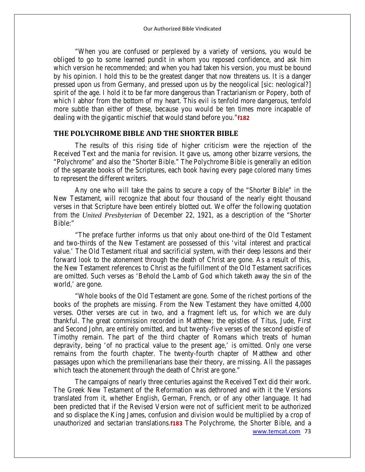"When you are confused or perplexed by a variety of versions, you would be obliged to go to some learned pundit in whom you reposed confidence, and ask him which version he recommended; and when you had taken his version, you must be bound by his opinion. I hold this to be the greatest danger that now threatens us. It is a danger pressed upon us from Germany, and pressed upon us by the neogolical [sic: neological?] spirit of the age. I hold it to be far more dangerous than Tractarianism or Popery, both of which I abhor from the bottom of my heart. This evil is tenfold more dangerous, tenfold more subtle than either of these, because you would be ten times more incapable of dealing with the gigantic mischief that would stand before you."**f182**

#### **THE POLYCHROME BIBLE AND THE SHORTER BIBLE**

The results of this rising tide of higher criticism were the rejection of the Received Text and the mania for revision. It gave us, among other bizarre versions, the "Polychrome" and also the "Shorter Bible." The Polychrome Bible is generally an edition of the separate books of the Scriptures, each book having every page colored many times to represent the different writers.

Any one who will take the pains to secure a copy of the "Shorter Bible" in the New Testament, will recognize that about four thousand of the nearly eight thousand verses in that Scripture have been entirely blotted out. We offer the following quotation from the *United Presbyterian* of December 22, 1921, as a description of the "Shorter Bible:"

"The preface further informs us that only about one-third of the Old Testament and two-thirds of the New Testament are possessed of this 'vital interest and practical value.' The Old Testament ritual and sacrificial system, with their deep lessons and their forward look to the atonement through the death of Christ are gone. As a result of this, the New Testament references to Christ as the fulfillment of the Old Testament sacrifices are omitted. Such verses as 'Behold the Lamb of God which taketh away the sin of the world,' are gone.

"Whole books of the Old Testament are gone. Some of the richest portions of the books of the prophets are missing. From the New Testament they have omitted 4,000 verses. Other verses are cut in two, and a fragment left us, for which we are duly thankful. The great commission recorded in Matthew; the epistles of Titus, Jude, First and Second John, are entirely omitted, and but twenty-five verses of the second epistle of Timothy remain. The part of the third chapter of Romans which treats of human depravity, being 'of no practical value to the present age,' is omitted. Only one verse remains from the fourth chapter. The twenty-fourth chapter of Matthew and other passages upon which the premillenarians base their theory, are missing. All the passages which teach the atonement through the death of Christ are gone."

The campaigns of nearly three centuries against the Received Text did their work. The Greek New Testament of the Reformation was dethroned and with it the Versions translated from it, whether English, German, French, or of any other language. It had been predicted that if the Revised Version were not of sufficient merit to be authorized and so displace the King James, confusion and division would be multiplied by a crop of unauthorized and sectarian translations.**f183** The Polychrome, the Shorter Bible, and a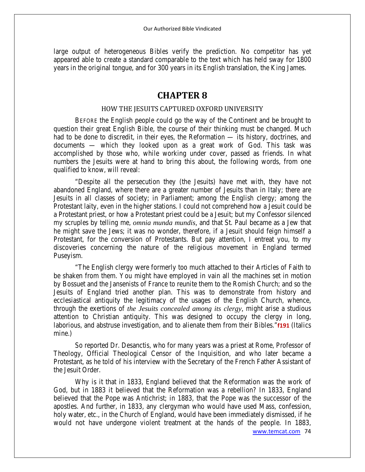large output of heterogeneous Bibles verify the prediction. No competitor has yet appeared able to create a standard comparable to the text which has held sway for 1800 years in the original tongue, and for 300 years in its English translation, the King James.

# **CHAPTER 8**

# HOW THE JESUITS CAPTURED OXFORD UNIVERSITY

BEFORE the English people could go the way of the Continent and be brought to question their great English Bible, the course of their thinking must be changed. Much had to be done to discredit, in their eyes, the Reformation — its history, doctrines, and documents — which they looked upon as a great work of God. This task was accomplished by those who, while working under cover, passed as friends. In what numbers the Jesuits were at hand to bring this about, the following words, from one qualified to know, will reveal:

"Despite all the persecution they (the Jesuits) have met with, they have not abandoned England, where there are a greater number of Jesuits than in Italy; there are Jesuits in all classes of society; in Parliament; among the English clergy; among the Protestant laity, even in the higher stations. I could not comprehend how a Jesuit could be a Protestant priest, or how a Protestant priest could be a Jesuit; but my Confessor silenced my scruples by telling me, *omnia munda mundis,* and that St. Paul became as a Jew that he might save the Jews; it was no wonder, therefore, if a Jesuit should feign himself a Protestant, for the conversion of Protestants. But pay attention, I entreat you, to my discoveries concerning the nature of the religious movement in England termed Puseyism.

"The English clergy were formerly too much attached to their Articles of Faith to be shaken from them. You might have employed in vain all the machines set in motion by Bossuet and the Jansenists of France to reunite them to the Romish Church; and so the Jesuits of England tried another plan. This was to demonstrate from history and ecclesiastical antiquity the legitimacy of the usages of the English Church, whence, through the exertions of *the Jesuits concealed among its clergy,* might arise a studious attention to Christian antiquity. This was designed to occupy the clergy in long, laborious, and abstruse investigation, and to alienate them from their Bibles."**f191** (Italics mine.)

So reported Dr. Desanctis, who for many years was a priest at Rome, Professor of Theology, Official Theological Censor of the Inquisition, and who later became a Protestant, as he told of his interview with the Secretary of the French Father Assistant of the Jesuit Order.

[www.temcat.com](http://www.temcat.com/) 74 Why is it that in 1833, England believed that the Reformation was the work of God, but in 1883 it believed that the Reformation was a rebellion? In 1833, England believed that the Pope was Antichrist; in 1883, that the Pope was the successor of the apostles. And further, in 1833, any clergyman who would have used Mass, confession, holy water, etc., in the Church of England, would have been immediately dismissed, if he would not have undergone violent treatment at the hands of the people. In 1883,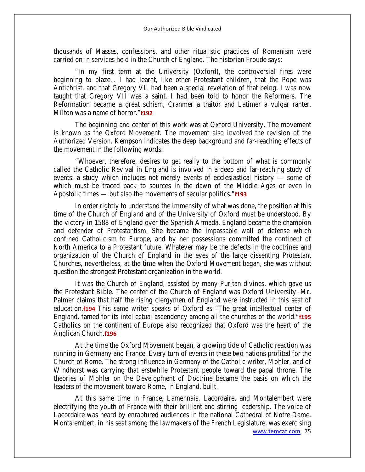thousands of Masses, confessions, and other ritualistic practices of Romanism were carried on in services held in the Church of England. The historian Froude says:

"In my first term at the University (Oxford), the controversial fires were beginning to blaze... I had learnt, like other Protestant children, that the Pope was Antichrist, and that Gregory VII had been a special revelation of that being. I was now taught that Gregory VII was a saint. I had been told to honor the Reformers. The Reformation became a great schism, Cranmer a traitor and Latimer a vulgar ranter. Milton was a name of horror."**f192**

The beginning and center of this work was at Oxford University. The movement is known as the Oxford Movement. The movement also involved the revision of the Authorized Version. Kempson indicates the deep background and far-reaching effects of the movement in the following words:

"Whoever, therefore, desires to get really to the bottom of what is commonly called the Catholic Revival in England is involved in a deep and far-reaching study of events: a study which includes not merely events of ecclesiastical history — some of which must be traced back to sources in the dawn of the Middle Ages or even in Apostolic times — but also the movements of secular politics."**f193**

In order rightly to understand the immensity of what was done, the position at this time of the Church of England and of the University of Oxford must be understood. By the victory in 1588 of England over the Spanish Armada, England became the champion and defender of Protestantism. She became the impassable wall of defense which confined Catholicism to Europe, and by her possessions committed the continent of North America to a Protestant future. Whatever may be the defects in the doctrines and organization of the Church of England in the eyes of the large dissenting Protestant Churches, nevertheless, at the time when the Oxford Movement began, she was without question the strongest Protestant organization in the world.

It was the Church of England, assisted by many Puritan divines, which gave us the Protestant Bible. The center of the Church of England was Oxford University. Mr. Palmer claims that half the rising clergymen of England were instructed in this seat of education.**f194** This same writer speaks of Oxford as "The great intellectual center of England, famed for its intellectual ascendency among all the churches of the world."**f195**  Catholics on the continent of Europe also recognized that Oxford was the heart of the Anglican Church.**f196**

At the time the Oxford Movement began, a growing tide of Catholic reaction was running in Germany and France. Every turn of events in these two nations profited for the Church of Rome. The strong influence in Germany of the Catholic writer, Mohler, and of Windhorst was carrying that erstwhile Protestant people toward the papal throne. The theories of Mohler on the Development of Doctrine became the basis on which the leaders of the movement toward Rome, in England, built.

[www.temcat.com](http://www.temcat.com/) 75 At this same time in France, Lamennais, Lacordaire, and Montalembert were electrifying the youth of France with their brilliant and stirring leadership. The voice of Lacordaire was heard by enraptured audiences in the national Cathedral of Notre Dame. Montalembert, in his seat among the lawmakers of the French Legislature, was exercising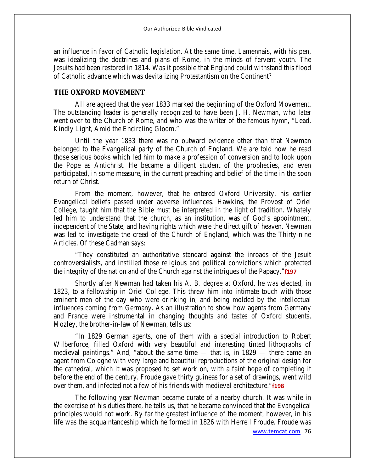an influence in favor of Catholic legislation. At the same time, Lamennais, with his pen, was idealizing the doctrines and plans of Rome, in the minds of fervent youth. The Jesuits had been restored in 1814. Was it possible that England could withstand this flood of Catholic advance which was devitalizing Protestantism on the Continent?

# **THE OXFORD MOVEMENT**

All are agreed that the year 1833 marked the beginning of the Oxford Movement. The outstanding leader is generally recognized to have been J. H. Newman, who later went over to the Church of Rome, and who was the writer of the famous hymn, "Lead, Kindly Light, Amid the Encircling Gloom."

Until the year 1833 there was no outward evidence other than that Newman belonged to the Evangelical party of the Church of England. We are told how he read those serious books which led him to make a profession of conversion and to look upon the Pope as Antichrist. He became a diligent student of the prophecies, and even participated, in some measure, in the current preaching and belief of the time in the soon return of Christ.

From the moment, however, that he entered Oxford University, his earlier Evangelical beliefs passed under adverse influences. Hawkins, the Provost of Oriel College, taught him that the Bible must be interpreted in the light of tradition. Whately led him to understand that the church, as an institution, was of God's appointment, independent of the State, and having rights which were the direct gift of heaven. Newman was led to investigate the creed of the Church of England, which was the Thirty-nine Articles. Of these Cadman says:

"They constituted an authoritative standard against the inroads of the Jesuit controversialists, and instilled those religious and political convictions which protected the integrity of the nation and of the Church against the intrigues of the Papacy."**f197**

Shortly after Newman had taken his A. B. degree at Oxford, he was elected, in 1823, to a fellowship in Oriel College. This threw him into intimate touch with those eminent men of the day who were drinking in, and being molded by the intellectual influences coming from Germany. As an illustration to show how agents from Germany and France were instrumental in changing thoughts and tastes of Oxford students, Mozley, the brother-in-law of Newman, tells us:

"In 1829 German agents, one of them with a special introduction to Robert Wilberforce, filled Oxford with very beautiful and interesting tinted lithographs of medieval paintings." And, "about the same time — that is, in 1829 — there came an agent from Cologne with very large and beautiful reproductions of the original design for the cathedral, which it was proposed to set work on, with a faint hope of completing it before the end of the century. Froude gave thirty guineas for a set of drawings, went wild over them, and infected not a few of his friends with medieval architecture."**f198**

The following year Newman became curate of a nearby church. It was while in the exercise of his duties there, he tells us, that he became convinced that the Evangelical principles would not work. By far the greatest influence of the moment, however, in his life was the acquaintanceship which he formed in 1826 with Herrell Froude. Froude was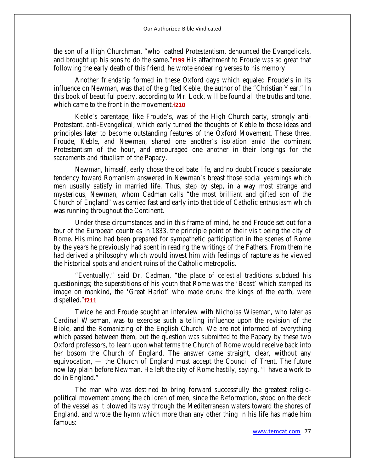the son of a High Churchman, "who loathed Protestantism, denounced the Evangelicals, and brought up his sons to do the same."**f199** His attachment to Froude was so great that following the early death of this friend, he wrote endearing verses to his memory.

Another friendship formed in these Oxford days which equaled Froude's in its influence on Newman, was that of the gifted Keble, the author of the "Christian Year." In this book of beautiful poetry, according to Mr. Lock, will be found all the truths and tone, which came to the front in the movement.**f210** 

Keble's parentage, like Froude's, was of the High Church party, strongly anti-Protestant, anti-Evangelical, which early turned the thoughts of Keble to those ideas and principles later to become outstanding features of the Oxford Movement. These three, Froude, Keble, and Newman, shared one another's isolation amid the dominant Protestantism of the hour, and encouraged one another in their longings for the sacraments and ritualism of the Papacy.

Newman, himself, early chose the celibate life, and no doubt Froude's passionate tendency toward Romanism answered in Newman's breast those social yearnings which men usually satisfy in married life. Thus, step by step, in a way most strange and mysterious, Newman, whom Cadman calls "the most brilliant and gifted son of the Church of England" was carried fast and early into that tide of Catholic enthusiasm which was running throughout the Continent.

Under these circumstances and in this frame of mind, he and Froude set out for a tour of the European countries in 1833, the principle point of their visit being the city of Rome. His mind had been prepared for sympathetic participation in the scenes of Rome by the years he previously had spent in reading the writings of the Fathers. From them he had derived a philosophy which would invest him with feelings of rapture as he viewed the historical spots and ancient ruins of the Catholic metropolis.

"Eventually," said Dr. Cadman, "the place of celestial traditions subdued his questionings; the superstitions of his youth that Rome was the 'Beast' which stamped its image on mankind, the 'Great Harlot' who made drunk the kings of the earth, were dispelled."**f211**

Twice he and Froude sought an interview with Nicholas Wiseman, who later as Cardinal Wiseman, was to exercise such a telling influence upon the revision of the Bible, and the Romanizing of the English Church. We are not informed of everything which passed between them, but the question was submitted to the Papacy by these two Oxford professors, to learn upon what terms the Church of Rome would receive back into her bosom the Church of England. The answer came straight, clear, without any equivocation, — the Church of England must accept the Council of Trent. The future now lay plain before Newman. He left the city of Rome hastily, saying, "I have a work to do in England."

The man who was destined to bring forward successfully the greatest religiopolitical movement among the children of men, since the Reformation, stood on the deck of the vessel as it plowed its way through the Mediterranean waters toward the shores of England, and wrote the hymn which more than any other thing in his life has made him famous: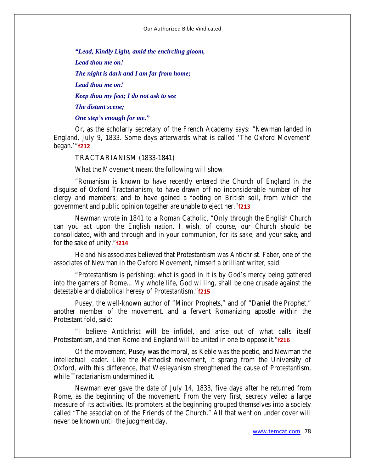*"Lead, Kindly Light, amid the encircling gloom, Lead thou me on! The night is dark and I am far from home; Lead thou me on! Keep thou my feet; I do not ask to see The distant scene; One step's enough for me."*

Or, as the scholarly secretary of the French Academy says: "Newman landed in England, July 9, 1833. Some days afterwards what is called 'The Oxford Movement' began.'"**f212**

#### **TRACTARIANISM (1833-1841)**

What the Movement meant the following will show:

"Romanism is known to have recently entered the Church of England in the disguise of Oxford Tractarianism; to have drawn off no inconsiderable number of her clergy and members; and to have gained a footing on British soil, from which the government and public opinion together are unable to eject her."**f213**

Newman wrote in 1841 to a Roman Catholic, "Only through the English Church can you act upon the English nation. I wish, of course, our Church should be consolidated, with and through and in your communion, for its sake, and your sake, and for the sake of unity."**f214** 

He and his associates believed that Protestantism was Antichrist. Faber, one of the associates of Newman in the Oxford Movement, himself a brilliant writer, said:

"Protestantism is perishing: what is good in it is by God's mercy being gathered into the garners of Rome... My whole life, God willing, shall be one crusade against the detestable and diabolical heresy of Protestantism."**f215**

Pusey, the well-known author of "Minor Prophets," and of "Daniel the Prophet," another member of the movement, and a fervent Romanizing apostle within the Protestant fold, said:

"I believe Antichrist will be infidel, and arise out of what calls itself Protestantism, and then Rome and England will be united in one to oppose it."**f216**

Of the movement, Pusey was the moral, as Keble was the poetic, and Newman the intellectual leader. Like the Methodist movement, it sprang from the University of Oxford, with this difference, that Wesleyanism strengthened the cause of Protestantism, while Tractarianism undermined it.

Newman ever gave the date of July 14, 1833, five days after he returned from Rome, as the beginning of the movement. From the very first, secrecy veiled a large measure of its activities. Its promoters at the beginning grouped themselves into a society called "The association of the Friends of the Church." All that went on under cover will never be known until the judgment day.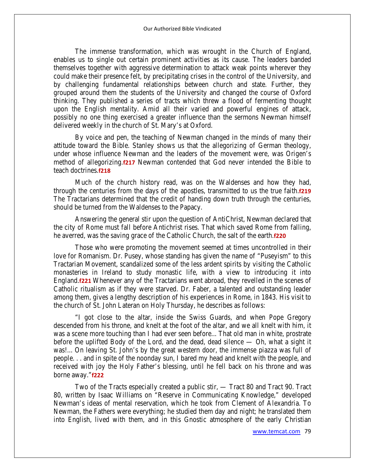The immense transformation, which was wrought in the Church of England, enables us to single out certain prominent activities as its cause. The leaders banded themselves together with aggressive determination to attack weak points wherever they could make their presence felt, by precipitating crises in the control of the University, and by challenging fundamental relationships between church and state. Further, they grouped around them the students of the University and changed the course of Oxford thinking. They published a series of tracts which threw a flood of fermenting thought upon the English mentality. Amid all their varied and powerful engines of attack, possibly no one thing exercised a greater influence than the sermons Newman himself delivered weekly in the church of St. Mary's at Oxford.

By voice and pen, the teaching of Newman changed in the minds of many their attitude toward the Bible. Stanley shows us that the allegorizing of German theology, under whose influence Newman and the leaders of the movement were, was Origen's method of allegorizing.**f217** Newman contended that God never intended the Bible to teach doctrines.**f218** 

Much of the church history read, was on the Waldenses and how they had, through the centuries from the days of the apostles, transmitted to us the true faith.**f219**  The Tractarians determined that the credit of handing down truth through the centuries, should be turned from the Waldenses to the Papacy.

Answering the general stir upon the question of AntiChrist, Newman declared that the city of Rome must fall before Antichrist rises. That which saved Rome from falling, he averred, was the saving grace of the Catholic Church, the salt of the earth.**f220**

Those who were promoting the movement seemed at times uncontrolled in their love for Romanism. Dr. Pusey, whose standing has given the name of "Puseyism" to this Tractarian Movement, scandalized some of the less ardent spirits by visiting the Catholic monasteries in Ireland to study monastic life, with a view to introducing it into England.**f221** Whenever any of the Tractarians went abroad, they revelled in the scenes of Catholic ritualism as if they were starved. Dr. Faber, a talented and outstanding leader among them, gives a lengthy description of his experiences in Rome, in 1843. His visit to the church of St. John Lateran on Holy Thursday, he describes as follows:

"I got close to the altar, inside the Swiss Guards, and when Pope Gregory descended from his throne, and knelt at the foot of the altar, and we all knelt with him, it was a scene more touching than I had ever seen before... That old man in white, prostrate before the uplifted Body of the Lord, and the dead, dead silence — Oh, what a sight it was!... On leaving St. John's by the great western door, the immense piazza was full of people. . . and in spite of the noonday sun, I bared my head and knelt with the people, and received with joy the Holy Father's blessing, until he fell back on his throne and was borne away."**f222**

Two of the Tracts especially created a public stir, — Tract 80 and Tract 90. Tract 80, written by Isaac Williams on "Reserve in Communicating Knowledge," developed Newman's ideas of mental reservation, which he took from Clement of Alexandria. To Newman, the Fathers were everything; he studied them day and night; he translated them into English, lived with them, and in this Gnostic atmosphere of the early Christian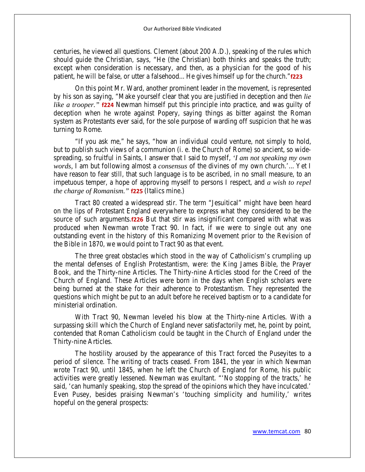centuries, he viewed all questions. Clement (about 200 A.D.), speaking of the rules which should guide the Christian, says, "He (the Christian) both thinks and speaks the truth; except when consideration is necessary, and then, as a physician for the good of his patient, he will be false, or utter a falsehood... He gives himself up for the church."**f223** 

On this point Mr. Ward, another prominent leader in the movement, is represented by his son as saying, "Make yourself clear that you are justified in deception and then *lie like a trooper."* **f224** Newman himself put this principle into practice, and was guilty of deception when he wrote against Popery, saying things as bitter against the Roman system as Protestants ever said, for the sole purpose of warding off suspicion that he was turning to Rome.

"If you ask me," he says, "how an individual could venture, not simply to hold, but to publish such views of a communion (i. e. the Church of Rome) so ancient, so widespreading, so fruitful in Saints, I answer that I said to myself, *'I am not speaking my own words,* I am but following almost a *consensus* of the divines of my own church.'... Yet I have reason to fear still, that such language is to be ascribed, in no small measure, to an impetuous temper, a hope of approving myself to persons I respect, and *a wish to repel the charge of Romanism."* **f225** (Italics mine.)

Tract 80 created a widespread stir. The term "Jesuitical" might have been heard on the lips of Protestant England everywhere to express what they considered to be the source of such arguments.**f226** But that stir was insignificant compared with what was produced when Newman wrote Tract 90. In fact, if we were to single out any one outstanding event in the history of this Romanizing Movement prior to the Revision of the Bible in 1870, we would point to Tract 90 as that event.

The three great obstacles which stood in the way of Catholicism's crumpling up the mental defenses of English Protestantism, were: the King James Bible, the Prayer Book, and the Thirty-nine Articles. The Thirty-nine Articles stood for the Creed of the Church of England. These Articles were born in the days when English scholars were being burned at the stake for their adherence to Protestantism. They represented the questions which might be put to an adult before he received baptism or to a candidate for ministerial ordination.

With Tract 90, Newman leveled his blow at the Thirty-nine Articles. With a surpassing skill which the Church of England never satisfactorily met, he, point by point, contended that Roman Catholicism could be taught in the Church of England under the Thirty-nine Articles.

The hostility aroused by the appearance of this Tract forced the Puseyites to a period of silence. The writing of tracts ceased. From 1841, the year in which Newman wrote Tract 90, until 1845, when he left the Church of England for Rome, his public activities were greatly lessened. Newman was exultant. "'No stopping of the tracts,' he said, 'can humanly speaking, stop the spread of the opinions which they have inculcated.' Even Pusey, besides praising Newman's 'touching simplicity and humility,' writes hopeful on the general prospects: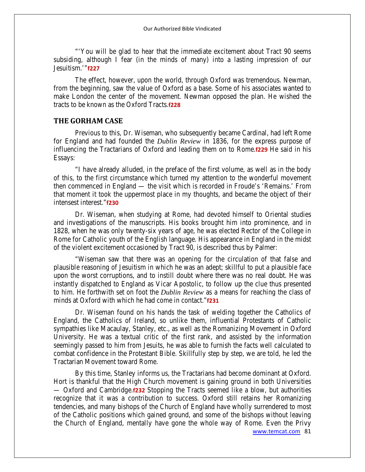"'You will be glad to hear that the immediate excitement about Tract 90 seems subsiding, although I fear (in the minds of many) into a lasting impression of our Jesuitism.'"**f227**

The effect, however, upon the world, through Oxford was tremendous. Newman, from the beginning, saw the value of Oxford as a base. Some of his associates wanted to make London the center of the movement. Newman opposed the plan. He wished the tracts to be known as the Oxford Tracts.**f228**

# **THE GORHAM CASE**

Previous to this, Dr. Wiseman, who subsequently became Cardinal, had left Rome for England and had founded the *Dublin Review* in 1836, for the express purpose of influencing the Tractarians of Oxford and leading them on to Rome.**f229** He said in his Essays:

"I have already alluded, in the preface of the first volume, as well as in the body of this, to the first circumstance which turned my attention to the wonderful movement then commenced in England — the visit which is recorded in Froude's 'Remains.' From that moment it took the uppermost place in my thoughts, and became the object of their intensest interest."**f230**

Dr. Wiseman, when studying at Rome, had devoted himself to Oriental studies and investigations of the manuscripts. His books brought him into prominence, and in 1828, when he was only twenty-six years of age, he was elected Rector of the College in Rome for Catholic youth of the English language. His appearance in England in the midst of the violent excitement occasioned by Tract 90, is described thus by Palmer:

"Wiseman saw that there was an opening for the circulation of that false and plausible reasoning of Jesuitism in which he was an adept; skillful to put a plausible face upon the worst corruptions, and to instill doubt where there was no real doubt. He was instantly dispatched to England as Vicar Apostolic, to follow up the clue thus presented to him. He forthwith set on foot the *Dublin Review* as a means for reaching the class of minds at Oxford with which he had come in contact."**f231**

Dr. Wiseman found on his hands the task of welding together the Catholics of England, the Catholics of Ireland, so unlike them, influential Protestants of Catholic sympathies like Macaulay, Stanley, etc., as well as the Romanizing Movement in Oxford University. He was a textual critic of the first rank, and assisted by the information seemingly passed to him from Jesuits, he was able to furnish the facts well calculated to combat confidence in the Protestant Bible. Skillfully step by step, we are told, he led the Tractarian Movement toward Rome.

[www.temcat.com](http://www.temcat.com/) 81 By this time, Stanley informs us, the Tractarians had become dominant at Oxford. Hort is thankful that the High Church movement is gaining ground in both Universities — Oxford and Cambridge.**f232** Stopping the Tracts seemed like a blow, but authorities recognize that it was a contribution to success. Oxford still retains her Romanizing tendencies, and many bishops of the Church of England have wholly surrendered to most of the Catholic positions which gained ground, and some of the bishops without leaving the Church of England, mentally have gone the whole way of Rome. Even the Privy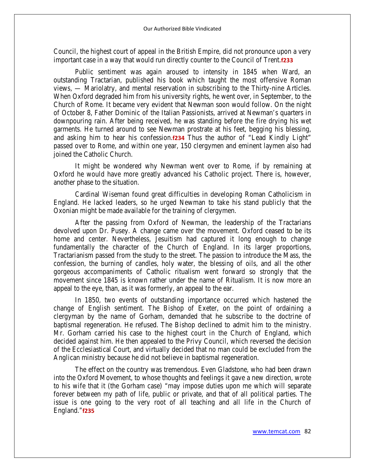Council, the highest court of appeal in the British Empire, did not pronounce upon a very important case in a way that would run directly counter to the Council of Trent.**f233**

Public sentiment was again aroused to intensity in 1845 when Ward, an outstanding Tractarian, published his book which taught the most offensive Roman views, — Mariolatry, and mental reservation in subscribing to the Thirty-nine Articles. When Oxford degraded him from his university rights, he went over, in September, to the Church of Rome. It became very evident that Newman soon would follow. On the night of October 8, Father Dominic of the Italian Passionists, arrived at Newman's quarters in downpouring rain. After being received, he was standing before the fire drying his wet garments. He turned around to see Newman prostrate at his feet, begging his blessing, and asking him to hear his confession.**f234** Thus the author of "Lead Kindly Light" passed over to Rome, and within one year, 150 clergymen and eminent laymen also had joined the Catholic Church.

It might be wondered why Newman went over to Rome, if by remaining at Oxford he would have more greatly advanced his Catholic project. There is, however, another phase to the situation.

Cardinal Wiseman found great difficulties in developing Roman Catholicism in England. He lacked leaders, so he urged Newman to take his stand publicly that the Oxonian might be made available for the training of clergymen.

After the passing from Oxford of Newman, the leadership of the Tractarians devolved upon Dr. Pusey. A change came over the movement. Oxford ceased to be its home and center. Nevertheless, Jesuitism had captured it long enough to change fundamentally the character of the Church of England. In its larger proportions, Tractarianism passed from the study to the street. The passion to introduce the Mass, the confession, the burning of candles, holy water, the blessing of oils, and all the other gorgeous accompaniments of Catholic ritualism went forward so strongly that the movement since 1845 is known rather under the name of Ritualism. It is now more an appeal to the eye, than, as it was formerly, an appeal to the ear.

In 1850, two events of outstanding importance occurred which hastened the change of English sentiment. The Bishop of Exeter, on the point of ordaining a clergyman by the name of Gorham, demanded that he subscribe to the doctrine of baptismal regeneration. He refused. The Bishop declined to admit him to the ministry. Mr. Gorham carried his case to the highest court in the Church of England, which decided against him. He then appealed to the Privy Council, which reversed the decision of the Ecclesiastical Court, and virtually decided that no man could be excluded from the Anglican ministry because he did not believe in baptismal regeneration.

The effect on the country was tremendous. Even Gladstone, who had been drawn into the Oxford Movement, to whose thoughts and feelings it gave a new direction, wrote to his wife that it (the Gorham case) "may impose duties upon me which will separate forever between my path of life, public or private, and that of all political parties. The issue is one going to the very root of all teaching and all life in the Church of England."**f235**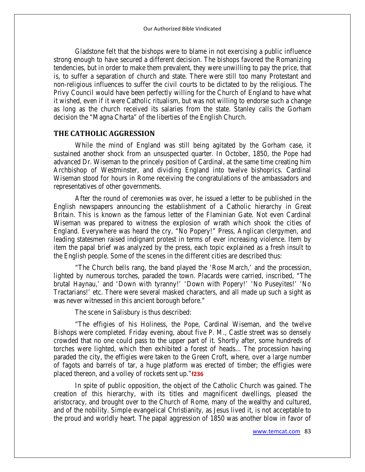Gladstone felt that the bishops were to blame in not exercising a public influence strong enough to have secured a different decision. The bishops favored the Romanizing tendencies, but in order to make them prevalent, they were unwilling to pay the price, that is, to suffer a separation of church and state. There were still too many Protestant and non-religious influences to suffer the civil courts to be dictated to by the religious. The Privy Council would have been perfectly willing for the Church of England to have what it wished, even if it were Catholic ritualism, but was not willing to endorse such a change as long as the church received its salaries from the state. Stanley calls the Gorham decision the "Magna Charta" of the liberties of the English Church.

### **THE CATHOLIC AGGRESSION**

While the mind of England was still being agitated by the Gorham case, it sustained another shock from an unsuspected quarter. In October, 1850, the Pope had advanced Dr. Wiseman to the princely position of Cardinal, at the same time creating him Archbishop of Westminster, and dividing England into twelve bishoprics. Cardinal Wiseman stood for hours in Rome receiving the congratulations of the ambassadors and representatives of other governments.

After the round of ceremonies was over, he issued a letter to be published in the English newspapers announcing the establishment of a Catholic hierarchy in Great Britain. This is known as the famous letter of the Flaminian Gate. Not even Cardinal Wiseman was prepared to witness the explosion of wrath which shook the cities of England. Everywhere was heard the cry, "No Popery!" Press, Anglican clergymen, and leading statesmen raised indignant protest in terms of ever increasing violence. Item by item the papal brief was analyzed by the press, each topic explained as a fresh insult to the English people. Some of the scenes in the different cities are described thus:

"The Church bells rang, the band played the 'Rose March,' and the procession, lighted by numerous torches, paraded the town. Placards were carried, inscribed, "The brutal Haynau,' and 'Down with tyranny!' 'Down with Popery!' 'No Puseyites!' 'No Tractarians!' etc. There were several masked characters, and all made up such a sight as was never witnessed in this ancient borough before."

The scene in Salisbury is thus described:

"The effigies of his Holiness, the Pope, Cardinal Wiseman, and the twelve Bishops were completed. Friday evening, about five P. M., Castle street was so densely crowded that no one could pass to the upper part of it. Shortly after, some hundreds of torches were lighted, which then exhibited a forest of heads... The procession having paraded the city, the effigies were taken to the Green Croft, where, over a large number of fagots and barrels of tar, a huge platform was erected of timber; the effigies were placed thereon, and a volley of rockets sent up."**f236**

In spite of public opposition, the object of the Catholic Church was gained. The creation of this hierarchy, with its titles and magnificent dwellings, pleased the aristocracy, and brought over to the Church of Rome, many of the wealthy and cultured, and of the nobility. Simple evangelical Christianity, as Jesus lived it, is not acceptable to the proud and worldly heart. The papal aggression of 1850 was another blow in favor of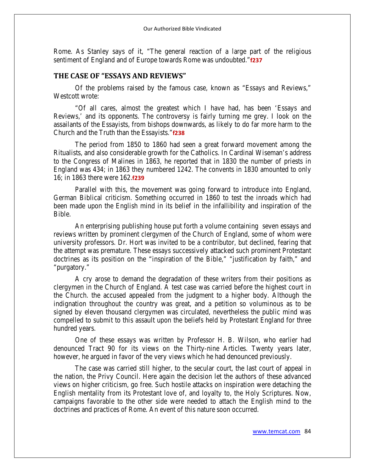Rome. As Stanley says of it, "The general reaction of a large part of the religious sentiment of England and of Europe towards Rome was undoubted."**f237**

# **THE CASE OF "ESSAYS AND REVIEWS"**

Of the problems raised by the famous case, known as "Essays and Reviews," Westcott wrote:

"Of all cares, almost the greatest which I have had, has been 'Essays and Reviews,' and its opponents. The controversy is fairly turning me grey. I look on the assailants of the Essayists, from bishops downwards, as likely to do far more harm to the Church and the Truth than the Essayists."**f238**

The period from 1850 to 1860 had seen a great forward movement among the Ritualists, and also considerable growth for the Catholics. In Cardinal Wiseman's address to the Congress of Malines in 1863, he reported that in 1830 the number of priests in England was 434; in 1863 they numbered 1242. The convents in 1830 amounted to only 16; in 1863 there were 162.**f239** 

Parallel with this, the movement was going forward to introduce into England, German Biblical criticism. Something occurred in 1860 to test the inroads which had been made upon the English mind in its belief in the infallibility and inspiration of the Bible.

An enterprising publishing house put forth a volume containing seven essays and reviews written by prominent clergymen of the Church of England, some of whom were university professors. Dr. Hort was invited to be a contributor, but declined, fearing that the attempt was premature. These essays successively attacked such prominent Protestant doctrines as its position on the "inspiration of the Bible," "justification by faith," and "purgatory."

A cry arose to demand the degradation of these writers from their positions as clergymen in the Church of England. A test case was carried before the highest court in the Church. the accused appealed from the judgment to a higher body. Although the indignation throughout the country was great, and a petition so voluminous as to be signed by eleven thousand clergymen was circulated, nevertheless the public mind was compelled to submit to this assault upon the beliefs held by Protestant England for three hundred years.

One of these essays was written by Professor H. B. Wilson, who earlier had denounced Tract 90 for its views on the Thirty-nine Articles. Twenty years later, however, he argued in favor of the very views which he had denounced previously.

The case was carried still higher, to the secular court, the last court of appeal in the nation, the Privy Council. Here again the decision let the authors of these advanced views on higher criticism, go free. Such hostile attacks on inspiration were detaching the English mentality from its Protestant love of, and loyalty to, the Holy Scriptures. Now, campaigns favorable to the other side were needed to attach the English mind to the doctrines and practices of Rome. An event of this nature soon occurred.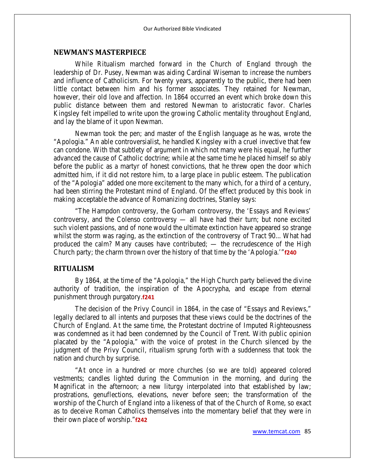#### **NEWMAN'S MASTERPIECE**

While Ritualism marched forward in the Church of England through the leadership of Dr. Pusey, Newman was aiding Cardinal Wiseman to increase the numbers and influence of Catholicism. For twenty years, apparently to the public, there had been little contact between him and his former associates. They retained for Newman, however, their old love and affection. In 1864 occurred an event which broke down this public distance between them and restored Newman to aristocratic favor. Charles Kingsley felt impelled to write upon the growing Catholic mentality throughout England, and lay the blame of it upon Newman.

Newman took the pen; and master of the English language as he was, wrote the "Apologia." An able controversialist, he handled Kingsley with a cruel invective that few can condone. With that subtlety of argument in which not many were his equal, he further advanced the cause of Catholic doctrine; while at the same time he placed himself so ably before the public as a martyr of honest convictions, that he threw open the door which admitted him, if it did not restore him, to a large place in public esteem. The publication of the "Apologia" added one more excitement to the many which, for a third of a century, had been stirring the Protestant mind of England. Of the effect produced by this book in making acceptable the advance of Romanizing doctrines, Stanley says:

"The Hampdon controversy, the Gorham controversy, the 'Essays and Reviews' controversy, and the Colenso controversy — all have had their turn; but none excited such violent passions, and of none would the ultimate extinction have appeared so strange whilst the storm was raging, as the extinction of the controversy of Tract 90... What had produced the calm? Many causes have contributed; — the recrudescence of the High Church party; the charm thrown over the history of that time by the 'Apologia.'"**f240**

# **RITUALISM**

By 1864, at the time of the "Apologia," the High Church party believed the divine authority of tradition, the inspiration of the Apocrypha, and escape from eternal punishment through purgatory.**f241**

The decision of the Privy Council in 1864, in the case of "Essays and Reviews," legally declared to all intents and purposes that these views could be the doctrines of the Church of England. At the same time, the Protestant doctrine of Imputed Righteousness was condemned as it had been condemned by the Council of Trent. With public opinion placated by the "Apologia," with the voice of protest in the Church silenced by the judgment of the Privy Council, ritualism sprung forth with a suddenness that took the nation and church by surprise.

"At once in a hundred or more churches (so we are told) appeared colored vestments; candles lighted during the Communion in the morning, and during the Magnificat in the afternoon; a new liturgy interpolated into that established by law; prostrations, genuflections, elevations, never before seen; the transformation of the worship of the Church of England into a likeness of that of the Church of Rome, so exact as to deceive Roman Catholics themselves into the momentary belief that they were in their own place of worship."**f242**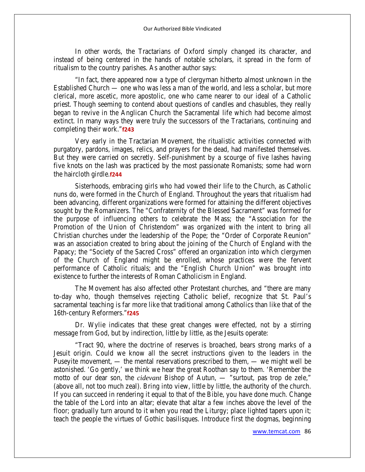In other words, the Tractarians of Oxford simply changed its character, and instead of being centered in the hands of notable scholars, it spread in the form of ritualism to the country parishes. As another author says:

"In fact, there appeared now a type of clergyman hitherto almost unknown in the Established Church — one who was less a man of the world, and less a scholar, but more clerical, more ascetic, more apostolic, one who came nearer to our ideal of a Catholic priest. Though seeming to contend about questions of candles and chasubles, they really began to revive in the Anglican Church the Sacramental life which had become almost extinct. In many ways they were truly the successors of the Tractarians, continuing and completing their work."**f243**

Very early in the Tractarian Movement, the ritualistic activities connected with purgatory, pardons, images, relics, and prayers for the dead, had manifested themselves. But they were carried on secretly. Self-punishment by a scourge of five lashes having five knots on the lash was practiced by the most passionate Romanists; some had worn the haircloth girdle.**f244** 

Sisterhoods, embracing girls who had vowed their life to the Church, as Catholic nuns do, were formed in the Church of England. Throughout the years that ritualism had been advancing, different organizations were formed for attaining the different objectives sought by the Romanizers. The "Confraternity of the Blessed Sacrament" was formed for the purpose of influencing others to celebrate the Mass; the "Association for the Promotion of the Union of Christendom" was organized with the intent to bring all Christian churches under the leadership of the Pope; the "Order of Corporate Reunion" was an association created to bring about the joining of the Church of England with the Papacy; the "Society of the Sacred Cross" offered an organization into which clergymen of the Church of England might be enrolled, whose practices were the fervent performance of Catholic rituals; and the "English Church Union" was brought into existence to further the interests of Roman Catholicism in England.

The Movement has also affected other Protestant churches, and "there are many to-day who, though themselves rejecting Catholic belief, recognize that St. Paul's sacramental teaching is far more like that traditional among Catholics than like that of the 16th-century Reformers."**f245**

Dr. Wylie indicates that these great changes were effected, not by a stirring message from God, but by indirection, little by little, as the Jesuits operate:

"Tract 90, where the doctrine of reserves is broached, bears strong marks of a Jesuit origin. Could we know all the secret instructions given to the leaders in the Puseyite movement, — the mental reservations prescribed to them, — we might well be astonished. 'Go gently,' we think we hear the great Roothan say to them. 'Remember the motto of our dear son, the *cidevant* Bishop of Autun, — "surtout, pas trop de zele," (above all, not too much zeal). Bring into view, little by little, the authority of the church. If you can succeed in rendering it equal to that of the Bible, you have done much. Change the table of the Lord into an altar; elevate that altar a few inches above the level of the floor; gradually turn around to it when you read the Liturgy; place lighted tapers upon it; teach the people the virtues of Gothic basilisques. Introduce first the dogmas, beginning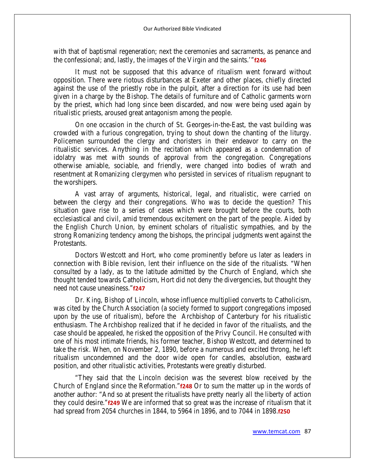with that of baptismal regeneration; next the ceremonies and sacraments, as penance and the confessional; and, lastly, the images of the Virgin and the saints.'"**f246**

It must not be supposed that this advance of ritualism went forward without opposition. There were riotous disturbances at Exeter and other places, chiefly directed against the use of the priestly robe in the pulpit, after a direction for its use had been given in a charge by the Bishop. The details of furniture and of Catholic garments worn by the priest, which had long since been discarded, and now were being used again by ritualistic priests, aroused great antagonism among the people.

On one occasion in the church of St. Georges-in-the-East, the vast building was crowded with a furious congregation, trying to shout down the chanting of the liturgy. Policemen surrounded the clergy and choristers in their endeavor to carry on the ritualistic services. Anything in the recitation which appeared as a condemnation of idolatry was met with sounds of approval from the congregation. Congregations otherwise amiable, sociable, and friendly, were changed into bodies of wrath and resentment at Romanizing clergymen who persisted in services of ritualism repugnant to the worshipers.

A vast array of arguments, historical, legal, and ritualistic, were carried on between the clergy and their congregations. Who was to decide the question? This situation gave rise to a series of cases which were brought before the courts, both ecclesiastical and civil, amid tremendous excitement on the part of the people. Aided by the English Church Union, by eminent scholars of ritualistic sympathies, and by the strong Romanizing tendency among the bishops, the principal judgments went against the Protestants.

Doctors Westcott and Hort, who come prominently before us later as leaders in connection with Bible revision, lent their influence on the side of the ritualists. "When consulted by a lady, as to the latitude admitted by the Church of England, which she thought tended towards Catholicism, Hort did not deny the divergencies, but thought they need not cause uneasiness."**f247**

Dr. King, Bishop of Lincoln, whose influence multiplied converts to Catholicism, was cited by the Church Association (a society formed to support congregations imposed upon by the use of ritualism), before the Archbishop of Canterbury for his ritualistic enthusiasm. The Archbishop realized that if he decided in favor of the ritualists, and the case should be appealed, he risked the opposition of the Privy Council. He consulted with one of his most intimate friends, his former teacher, Bishop Westcott, and determined to take the risk. When, on November 2, 1890, before a numerous and excited throng, he left ritualism uncondemned and the door wide open for candles, absolution, eastward position, and other ritualistic activities, Protestants were greatly disturbed.

"They said that the Lincoln decision was the severest blow received by the Church of England since the Reformation."**f248** Or to sum the matter up in the words of another author: "And so at present the ritualists have pretty nearly all the liberty of action they could desire."**f249** We are informed that so great was the increase of ritualism that it had spread from 2054 churches in 1844, to 5964 in 1896, and to 7044 in 1898.**f250**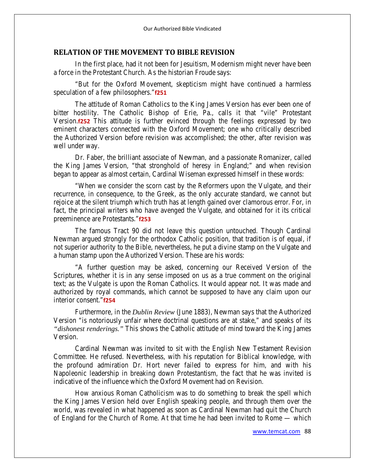### **RELATION OF THE MOVEMENT TO BIBLE REVISION**

In the first place, had it not been for Jesuitism, Modernism might never have been a force in the Protestant Church. As the historian Froude says:

"But for the Oxford Movement, skepticism might have continued a harmless speculation of a few philosophers."**f251**

The attitude of Roman Catholics to the King James Version has ever been one of bitter hostility. The Catholic Bishop of Erie, Pa., calls it that "vile" Protestant Version.**f252** This attitude is further evinced through the feelings expressed by two eminent characters connected with the Oxford Movement; one who critically described the Authorized Version before revision was accomplished; the other, after revision was well under way.

Dr. Faber, the brilliant associate of Newman, and a passionate Romanizer, called the King James Version, "that stronghold of heresy in England;" and when revision began to appear as almost certain, Cardinal Wiseman expressed himself in these words:

"When we consider the scorn cast by the Reformers upon the Vulgate, and their recurrence, in consequence, to the Greek, as the only accurate standard, we cannot but rejoice at the silent triumph which truth has at length gained over clamorous error. For, in fact, the principal writers who have avenged the Vulgate, and obtained for it its critical preeminence are Protestants."**f253**

The famous Tract 90 did not leave this question untouched. Though Cardinal Newman argued strongly for the orthodox Catholic position, that tradition is of equal, if not superior authority to the Bible, nevertheless, he put a divine stamp on the Vulgate and a human stamp upon the Authorized Version. These are his words:

"A further question may be asked, concerning our Received Version of the Scriptures, whether it is in any sense imposed on us as a true comment on the original text; as the Vulgate is upon the Roman Catholics. It would appear not. It was made and authorized by royal commands, which cannot be supposed to have any claim upon our interior consent."**f254**

Furthermore, in the *Dublin Review* (June 1883), Newman says that the Authorized Version "is notoriously unfair where doctrinal questions are at stake," and speaks of its *"dishonest renderings."* This shows the Catholic attitude of mind toward the King James Version.

Cardinal Newman was invited to sit with the English New Testament Revision Committee. He refused. Nevertheless, with his reputation for Biblical knowledge, with the profound admiration Dr. Hort never failed to express for him, and with his Napoleonic leadership in breaking down Protestantism, the fact that he was invited is indicative of the influence which the Oxford Movement had on Revision.

How anxious Roman Catholicism was to do something to break the spell which the King James Version held over English speaking people, and through them over the world, was revealed in what happened as soon as Cardinal Newman had quit the Church of England for the Church of Rome. At that time he had been invited to Rome — which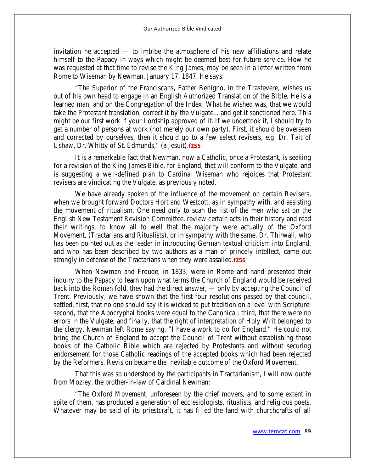invitation he accepted — to imbibe the atmosphere of his new affiliations and relate himself to the Papacy in ways which might be deemed best for future service. How he was requested at that time to revise the King James, may be seen in a letter written from Rome to Wiseman by Newman, January 17, 1847. He says:

"The Superior of the Franciscans, Father Benigno, in the Trastevere, wishes us out of his own head to engage in an English Authorized Translation of the Bible. He is a learned man, and on the Congregation of the Index. What he wished was, that we would take the Protestant translation, correct it by the Vulgate... and get it sanctioned here. This might be our first work if your Lordship approved of it. If we undertook it, I should try to get a number of persons at work (not merely our own party). First, it should be overseen and corrected by ourselves, then it should go to a few select revisers, e.g. Dr. Tait of Ushaw, Dr. Whitty of St. Edmunds," (a Jesuit).**f255**

It is a remarkable fact that Newman, now a Catholic, once a Protestant, is seeking for a revision of the King James Bible, for England, that will conform to the Vulgate, and is suggesting a well-defined plan to Cardinal Wiseman who rejoices that Protestant revisers are vindicating the Vulgate, as previously noted.

We have already spoken of the influence of the movement on certain Revisers, when we brought forward Doctors Hort and Westcott, as in sympathy with, and assisting the movement of ritualism. One need only to scan the list of the men who sat on the English New Testament Revision Committee, review certain acts in their history and read their writings, to know all to well that the majority were actually of the Oxford Movement, (Tractarians and Ritualists), or in sympathy with the same. Dr. Thirwall, who has been pointed out as the leader in introducing German textual criticism into England, and who has been described by two authors as a man of princely intellect, came out strongly in defense of the Tractarians when they were assailed.**f256**

When Newman and Froude, in 1833, were in Rome and hand presented their inquiry to the Papacy to learn upon what terms the Church of England would be received back into the Roman fold, they had the direct answer, — only by accepting the Council of Trent. Previously, we have shown that the first four resolutions passed by that council, settled, first, that no one should say it is wicked to put tradition on a level with Scripture: second, that the Apocryphal books were equal to the Canonical; third, that there were no errors in the Vulgate; and finally, that the right of interpretation of Holy Writ belonged to the clergy. Newman left Rome saying, "I have a work to do for England." He could not bring the Church of England to accept the Council of Trent without establishing those books of the Catholic Bible which are rejected by Protestants and without securing endorsement for those Catholic readings of the accepted books which had been rejected by the Reformers. Revision became the inevitable outcome of the Oxford Movement.

That this was so understood by the participants in Tractarianism, I will now quote from Mozley, the brother-in-law of Cardinal Newman:

"The Oxford Movement, unforeseen by the chief movers, and to some extent in spite of them, has produced a generation of ecclesiologists, ritualists, and religious poets. Whatever may be said of its priestcraft, it has filled the land with churchcrafts of all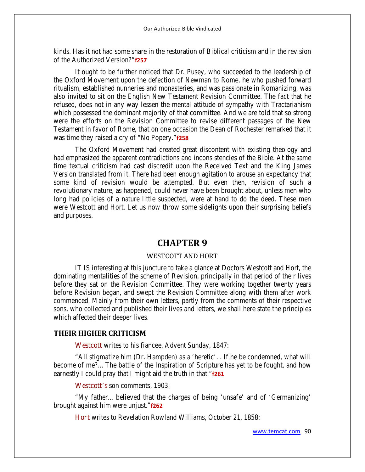kinds. Has it not had some share in the restoration of Biblical criticism and in the revision of the Authorized Version?"**f257**

It ought to be further noticed that Dr. Pusey, who succeeded to the leadership of the Oxford Movement upon the defection of Newman to Rome, he who pushed forward ritualism, established nunneries and monasteries, and was passionate in Romanizing, was also invited to sit on the English New Testament Revision Committee. The fact that he refused, does not in any way lessen the mental attitude of sympathy with Tractarianism which possessed the dominant majority of that committee. And we are told that so strong were the efforts on the Revision Committee to revise different passages of the New Testament in favor of Rome, that on one occasion the Dean of Rochester remarked that it was time they raised a cry of "No Popery."**f258**

The Oxford Movement had created great discontent with existing theology and had emphasized the apparent contradictions and inconsistencies of the Bible. At the same time textual criticism had cast discredit upon the Received Text and the King James Version translated from it. There had been enough agitation to arouse an expectancy that some kind of revision would be attempted. But even then, revision of such a revolutionary nature, as happened, could never have been brought about, unless men who long had policies of a nature little suspected, were at hand to do the deed. These men were Westcott and Hort. Let us now throw some sidelights upon their surprising beliefs and purposes.

# **CHAPTER 9**

# WESTCOTT AND HORT

IT IS interesting at this juncture to take a glance at Doctors Westcott and Hort, the dominating mentalities of the scheme of Revision, principally in that period of their lives before they sat on the Revision Committee. They were working together twenty years before Revision began, and swept the Revision Committee along with them after work commenced. Mainly from their own letters, partly from the comments of their respective sons, who collected and published their lives and letters, we shall here state the principles which affected their deeper lives.

#### **THEIR HIGHER CRITICISM**

**Westcott** writes to his fiancee, Advent Sunday, 1847:

"All stigmatize him (Dr. Hampden) as a 'heretic'... If he be condemned, what will become of me?... The battle of the Inspiration of Scripture has yet to be fought, and how earnestly I could pray that I might aid the truth in that."**f261**

**Westcott's** son comments, 1903:

"My father... believed that the charges of being 'unsafe' and of 'Germanizing' brought against him were unjust."**f262**

**Hort** writes to Revelation Rowland Williams, October 21, 1858: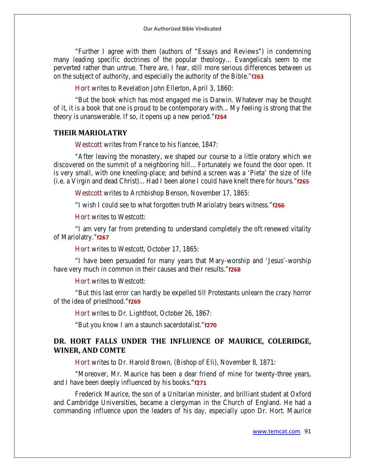"Further I agree with them (authors of "Essays and Reviews") in condemning many leading specific doctrines of the popular theology... Evangelicals seem to me perverted rather than untrue. There are, I fear, still more serious differences between us on the subject of authority, and especially the authority of the Bible."**f263**

**Hort** writes to Revelation John Ellerton, April 3, 1860:

"But the book which has most engaged me is Darwin. Whatever may be thought of it, it is a book that one is proud to be contemporary with... My feeling is strong that the theory is unanswerable. If so, it opens up a new period."**f264**

#### **THEIR MARIOLATRY**

**Westcott** writes from France to his fiancee, 1847:

"After leaving the monastery, we shaped our course to a little oratory which we discovered on the summit of a neighboring hill... Fortunately we found the door open. It is very small, with one kneeling-place; and behind a screen was a 'Pieta' the size of life (i.e. a Virgin and dead Christ)... Had I been alone I could have knelt there for hours."**f265**

**Westcott** writes to Archbishop Benson, November 17, 1865:

"I wish I could see to what forgotten truth Mariolatry bears witness."**f266**

**Hort** writes to Westcott:

"I am very far from pretending to understand completely the oft renewed vitality of Mariolatry."**f267**

**Hort** writes to Westcott, October 17, 1865:

"I have been persuaded for many years that Mary-worship and 'Jesus'-worship have very much in common in their causes and their results."**f268**

**Hort** writes to Westcott:

"But this last error can hardly be expelled till Protestants unlearn the crazy horror of the idea of priesthood."**f269**

**Hort** writes to Dr. Lightfoot, October 26, 1867:

"But you know I am a staunch sacerdotalist."**f270**

# **DR. HORT FALLS UNDER THE INFLUENCE OF MAURICE, COLERIDGE, WINER, AND COMTE**

**Hort** writes to Dr. Harold Brown, (Bishop of Eli), November 8, 1871:

"Moreover, Mr. Maurice has been a dear friend of mine for twenty-three years, and I have been deeply influenced by his books."**f271**

Frederick Maurice, the son of a Unitarian minister, and brilliant student at Oxford and Cambridge Universities, became a clergyman in the Church of England. He had a commanding influence upon the leaders of his day, especially upon Dr. Hort. Maurice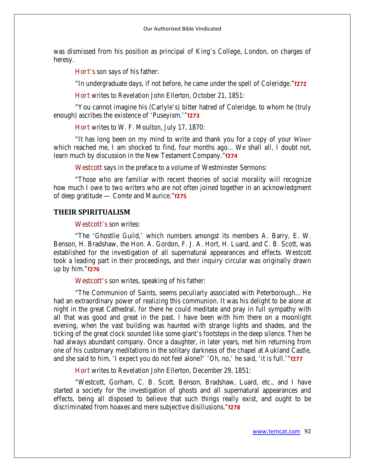was dismissed from his position as principal of King's College, London, on charges of heresy.

**Hort's** son says of his father:

"In undergraduate days, if not before, he came under the spell of Coleridge."**f272**

**Hort** writes to Revelation John Ellerton, October 21, 1851:

"You cannot imagine his (Carlyle's) bitter hatred of Coleridge, to whom he (truly enough) ascribes the existence of 'Puseyism.'"**f273**

**Hort** writes to W. F. Moulton, July 17, 1870:

"It has long been on my mind to write and thank you for a copy of your *Winer*  which reached me, I am shocked to find, four months ago... We shall all, I doubt not, learn much by discussion in the New Testament Company."**f274**

**Westcott** says in the preface to a volume of Westminster Sermons:

"Those who are familiar with recent theories of social morality will recognize how much I owe to two writers who are not often joined together in an acknowledgment of deep gratitude — Comte and Maurice."**f275**

#### **THEIR SPIRITUALISM**

#### **Westcott's** son writes:

"The 'Ghostlie Guild,' which numbers amongst its members A. Barry, E. W. Benson, H. Bradshaw, the Hon. A. Gordon, F. J. A. Hort, H. Luard, and C. B. Scott, was established for the investigation of all supernatural appearances and effects. Westcott took a leading part in their proceedings, and their inquiry circular was originally drawn up by him."**f276**

**Westcott's** son writes, speaking of his father:

"The Communion of Saints, seems peculiarly associated with Peterborough... He had an extraordinary power of realizing this communion. It was his delight to be alone at night in the great Cathedral, for there he could meditate and pray in full sympathy with all that was good and great in the past. I have been with him there on a moonlight evening, when the vast building was haunted with strange lights and shades, and the ticking of the great clock sounded like some giant's footsteps in the deep silence. Then he had always abundant company. Once a daughter, in later years, met him returning from one of his customary meditations in the solitary darkness of the chapel at Aukland Castle, and she said to him, 'I expect you do not feel alone?' 'Oh, no,' he said, 'it is full.'"**f277**

**Hort** writes to Revelation John Ellerton, December 29, 1851:

"Westcott, Gorham, C. B. Scott, Benson, Bradshaw, Luard, etc., and I have started a society for the investigation of ghosts and all supernatural appearances and effects, being all disposed to believe that such things really exist, and ought to be discriminated from hoaxes and mere subjective disillusions."**f278**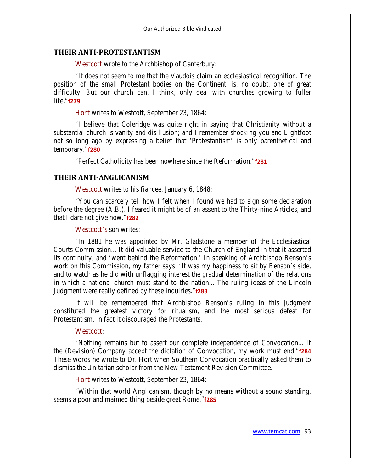#### **THEIR ANTI-PROTESTANTISM**

**Westcott** wrote to the Archbishop of Canterbury:

"It does not seem to me that the Vaudois claim an ecclesiastical recognition. The position of the small Protestant bodies on the Continent, is, no doubt, one of great difficulty. But our church can, I think, only deal with churches growing to fuller life."**f279**

**Hort** writes to Westcott, September 23, 1864:

"I believe that Coleridge was quite right in saying that Christianity without a substantial church is vanity and disillusion; and I remember shocking you and Lightfoot not so long ago by expressing a belief that 'Protestantism' is only parenthetical and temporary."**f280**

"Perfect Catholicity has been nowhere since the Reformation."**f281**

### **THEIR ANTI-ANGLICANISM**

**Westcott** writes to his fiancee, January 6, 1848:

"You can scarcely tell how I felt when I found we had to sign some declaration before the degree (A.B.). I feared it might be of an assent to the Thirty-nine Articles, and that I dare not give now."**f282**

### **Westcott's** son writes:

"In 1881 he was appointed by Mr. Gladstone a member of the Ecclesiastical Courts Commission... It did valuable service to the Church of England in that it asserted its continuity, and 'went behind the Reformation.' In speaking of Archbishop Benson's work on this Commission, my father says: 'It was my happiness to sit by Benson's side, and to watch as he did with unflagging interest the gradual determination of the relations in which a national church must stand to the nation... The ruling ideas of the Lincoln Judgment were really defined by these inquiries."**f283**

It will be remembered that Archbishop Benson's ruling in this judgment constituted the greatest victory for ritualism, and the most serious defeat for Protestantism. In fact it discouraged the Protestants.

#### **Westcott**:

"Nothing remains but to assert our complete independence of Convocation... If the (Revision) Company accept the dictation of Convocation, my work must end."**f284**  These words he wrote to Dr. Hort when Southern Convocation practically asked them to dismiss the Unitarian scholar from the New Testament Revision Committee.

**Hort** writes to Westcott, September 23, 1864:

"Within that world Anglicanism, though by no means without a sound standing, seems a poor and maimed thing beside great Rome."**f285**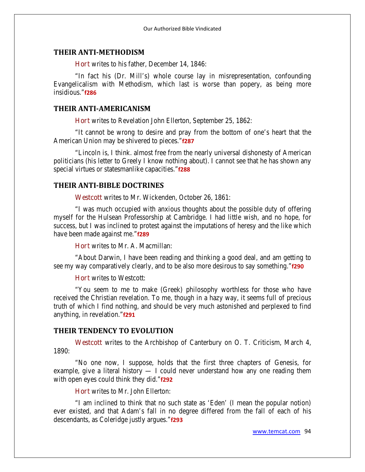#### **THEIR ANTI-METHODISM**

**Hort** writes to his father, December 14, 1846:

"In fact his (Dr. Mill's) whole course lay in misrepresentation, confounding Evangelicalism with Methodism, which last is worse than popery, as being more insidious."**f286**

# **THEIR ANTI-AMERICANISM**

**Hort** writes to Revelation John Ellerton, September 25, 1862:

"It cannot be wrong to desire and pray from the bottom of one's heart that the American Union may be shivered to pieces."**f287**

"Lincoln is, I think. almost free from the nearly universal dishonesty of American politicians (his letter to Greely I know nothing about). I cannot see that he has shown any special virtues or statesmanlike capacities."**f288**

# **THEIR ANTI-BIBLE DOCTRINES**

**Westcott** writes to Mr. Wickenden, October 26, 1861:

"I was much occupied with anxious thoughts about the possible duty of offering myself for the Hulsean Professorship at Cambridge. I had little wish, and no hope, for success, but I was inclined to protest against the imputations of heresy and the like which have been made against me."**f289**

**Hort** writes to Mr. A. Macmillan:

"About Darwin, I have been reading and thinking a good deal, and am getting to see my way comparatively clearly, and to be also more desirous to say something."**f290**

#### **Hort** writes to Westcott:

"You seem to me to make (Greek) philosophy worthless for those who have received the Christian revelation. To me, though in a hazy way, it seems full of precious truth of which I find nothing, and should be very much astonished and perplexed to find anything, in revelation."**f291**

# **THEIR TENDENCY TO EVOLUTION**

**Westcott** writes to the Archbishop of Canterbury on O. T. Criticism, March 4, 1890:

"No one now, I suppose, holds that the first three chapters of Genesis, for example, give a literal history — I could never understand how any one reading them with open eyes could think they did."**f292**

#### **Hort** writes to Mr. John Ellerton:

"I am inclined to think that no such state as 'Eden' (I mean the popular notion) ever existed, and that Adam's fall in no degree differed from the fall of each of his descendants, as Coleridge justly argues."**f293**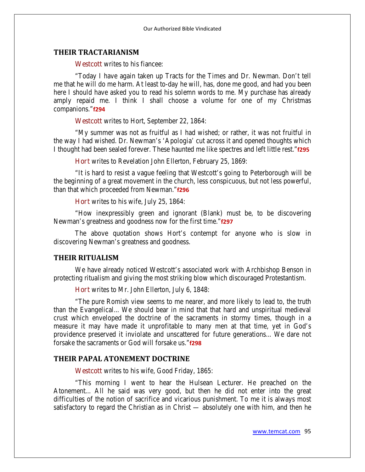#### **THEIR TRACTARIANISM**

**Westcott** writes to his fiancee:

"Today I have again taken up Tracts for the Times and Dr. Newman. Don't tell me that he will do me harm. At least to-day he will, has, done me good, and had you been here I should have asked you to read his solemn words to me. My purchase has already amply repaid me. I think I shall choose a volume for one of my Christmas companions."**f294**

**Westcott** writes to Hort, September 22, 1864:

"My summer was not as fruitful as I had wished; or rather, it was not fruitful in the way I had wished. Dr. Newman's 'Apologia' cut across it and opened thoughts which I thought had been sealed forever. These haunted me like spectres and left little rest."**f295**

**Hort** writes to Revelation John Ellerton, February 25, 1869:

"It is hard to resist a vague feeling that Westcott's going to Peterborough will be the beginning of a great movement in the church, less conspicuous, but not less powerful, than that which proceeded from Newman."**f296**

**Hort** writes to his wife, July 25, 1864:

"How inexpressibly green and ignorant (Blank) must be, to be discovering Newman's greatness and goodness now for the first time."**f297**

The above quotation shows Hort's contempt for anyone who is slow in discovering Newman's greatness and goodness.

# **THEIR RITUALISM**

We have already noticed Westcott's associated work with Archbishop Benson in protecting ritualism and giving the most striking blow which discouraged Protestantism.

**Hort** writes to Mr. John Ellerton, July 6, 1848:

"The pure Romish view seems to me nearer, and more likely to lead to, the truth than the Evangelical... We should bear in mind that that hard and unspiritual medieval crust which enveloped the doctrine of the sacraments in stormy times, though in a measure it may have made it unprofitable to many men at that time, yet in God's providence preserved it inviolate and unscattered for future generations... We dare not forsake the sacraments or God will forsake us."**f298**

# **THEIR PAPAL ATONEMENT DOCTRINE**

**Westcott** writes to his wife, Good Friday, 1865:

"This morning I went to hear the Hulsean Lecturer. He preached on the Atonement... All he said was very good, but then he did not enter into the great difficulties of the notion of sacrifice and vicarious punishment. To me it is always most satisfactory to regard the Christian as in Christ — absolutely one with him, and then he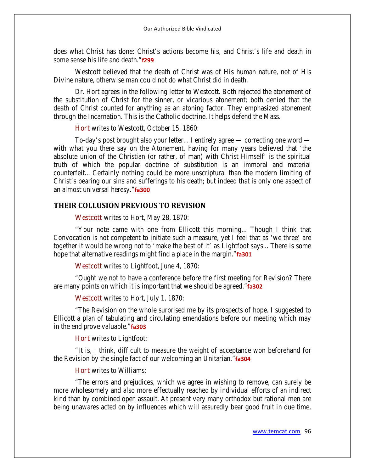does what Christ has done: Christ's actions become his, and Christ's life and death in some sense his life and death."**f299**

Westcott believed that the death of Christ was of His human nature, not of His Divine nature, otherwise man could not do what Christ did in death.

Dr. Hort agrees in the following letter to Westcott. Both rejected the atonement of the substitution of Christ for the sinner, or vicarious atonement; both denied that the death of Christ counted for anything as an atoning factor. They emphasized atonement through the Incarnation. This is the Catholic doctrine. It helps defend the Mass.

**Hort** writes to Westcott, October 15, 1860:

To-day's post brought also your letter... I entirely agree — correcting one word with what you there say on the Atonement, having for many years believed that 'the absolute union of the Christian (or rather, of man) with Christ Himself' is the spiritual truth of which the popular doctrine of substitution is an immoral and material counterfeit... Certainly nothing could be more unscriptural than the modern limiting of Christ's bearing our sins and sufferings to his death; but indeed that is only one aspect of an almost universal heresy."**fa300**

# **THEIR COLLUSION PREVIOUS TO REVISION**

**Westcott** writes to Hort, May 28, 1870:

"Your note came with one from Ellicott this morning... Though I think that Convocation is not competent to initiate such a measure, yet I feel that as 'we three' are together it would be wrong not to 'make the best of it' as Lightfoot says... There is some hope that alternative readings might find a place in the margin."**fa301**

**Westcott** writes to Lightfoot, June 4, 1870:

"Ought we not to have a conference before the first meeting for Revision? There are many points on which it is important that we should be agreed."**fa302**

**Westcott** writes to Hort, July 1, 1870:

"The Revision on the whole surprised me by its prospects of hope. I suggested to Ellicott a plan of tabulating and circulating emendations before our meeting which may in the end prove valuable."**fa303**

**Hort** writes to Lightfoot:

"It is, I think, difficult to measure the weight of acceptance won beforehand for the Revision by the single fact of our welcoming an Unitarian."**fa304**

**Hort** writes to Williams:

"The errors and prejudices, which we agree in wishing to remove, can surely be more wholesomely and also more effectually reached by individual efforts of an indirect kind than by combined open assault. At present very many orthodox but rational men are being unawares acted on by influences which will assuredly bear good fruit in due time,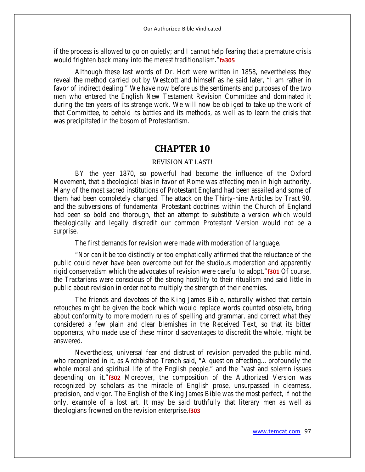if the process is allowed to go on quietly; and I cannot help fearing that a premature crisis would frighten back many into the merest traditionalism."**fa305**

Although these last words of Dr. Hort were written in 1858, nevertheless they reveal the method carried out by Westcott and himself as he said later, "I am rather in favor of indirect dealing." We have now before us the sentiments and purposes of the two men who entered the English New Testament Revision Committee and dominated it during the ten years of its strange work. We will now be obliged to take up the work of that Committee, to behold its battles and its methods, as well as to learn the crisis that was precipitated in the bosom of Protestantism.

# **CHAPTER 10**

#### REVISION AT LAST!

BY the year 1870, so powerful had become the influence of the Oxford Movement, that a theological bias in favor of Rome was affecting men in high authority. Many of the most sacred institutions of Protestant England had been assailed and some of them had been completely changed. The attack on the Thirty-nine Articles by Tract 90, and the subversions of fundamental Protestant doctrines within the Church of England had been so bold and thorough, that an attempt to substitute a version which would theologically and legally discredit our common Protestant Version would not be a surprise.

The first demands for revision were made with moderation of language.

"Nor can it be too distinctly or too emphatically affirmed that the reluctance of the public could never have been overcome but for the studious moderation and apparently rigid conservatism which the advocates of revision were careful to adopt."**f301** Of course, the Tractarians were conscious of the strong hostility to their ritualism and said little in public about revision in order not to multiply the strength of their enemies.

The friends and devotees of the King James Bible, naturally wished that certain retouches might be given the book which would replace words counted obsolete, bring about conformity to more modern rules of spelling and grammar, and correct what they considered a few plain and clear blemishes in the Received Text, so that its bitter opponents, who made use of these minor disadvantages to discredit the whole, might be answered.

Nevertheless, universal fear and distrust of revision pervaded the public mind, who recognized in it, as Archbishop Trench said, "A question affecting... profoundly the whole moral and spiritual life of the English people," and the "vast and solemn issues depending on it."**f302** Moreover, the composition of the Authorized Version was recognized by scholars as the miracle of English prose, unsurpassed in clearness, precision, and vigor. The English of the King James Bible was the most perfect, if not the only, example of a lost art. It may be said truthfully that literary men as well as theologians frowned on the revision enterprise.**f303**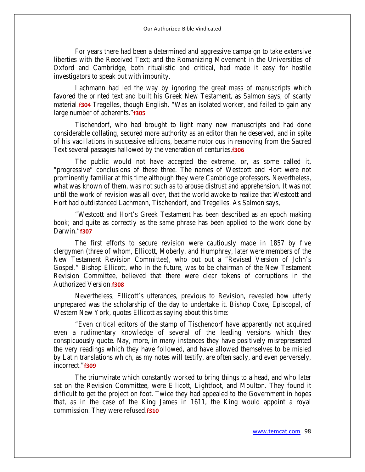For years there had been a determined and aggressive campaign to take extensive liberties with the Received Text; and the Romanizing Movement in the Universities of Oxford and Cambridge, both ritualistic and critical, had made it easy for hostile investigators to speak out with impunity.

Lachmann had led the way by ignoring the great mass of manuscripts which favored the printed text and built his Greek New Testament, as Salmon says, of scanty material.**f304** Tregelles, though English, "Was an isolated worker, and failed to gain any large number of adherents."**f305** 

Tischendorf, who had brought to light many new manuscripts and had done considerable collating, secured more authority as an editor than he deserved, and in spite of his vacillations in successive editions, became notorious in removing from the Sacred Text several passages hallowed by the veneration of centuries.**f306**

The public would not have accepted the extreme, or, as some called it, "progressive" conclusions of these three. The names of Westcott and Hort were not prominently familiar at this time although they were Cambridge professors. Nevertheless, what was known of them, was not such as to arouse distrust and apprehension. It was not until the work of revision was all over, that the world awoke to realize that Westcott and Hort had outdistanced Lachmann, Tischendorf, and Tregelles. As Salmon says,

"Westcott and Hort's Greek Testament has been described as an epoch making book; and quite as correctly as the same phrase has been applied to the work done by Darwin."**f307**

The first efforts to secure revision were cautiously made in 1857 by five clergymen (three of whom, Ellicott, Moberly, and Humphrey, later were members of the New Testament Revision Committee), who put out a "Revised Version of John's Gospel." Bishop Ellicott, who in the future, was to be chairman of the New Testament Revision Committee, believed that there were clear tokens of corruptions in the Authorized Version.**f308**

Nevertheless, Ellicott's utterances, previous to Revision, revealed how utterly unprepared was the scholarship of the day to undertake it. Bishop Coxe, Episcopal, of Western New York, quotes Ellicott as saying about this time:

"Even critical editors of the stamp of Tischendorf have apparently not acquired even a rudimentary knowledge of several of the leading versions which they conspicuously quote. Nay, more, in many instances they have positively misrepresented the very readings which they have followed, and have allowed themselves to be misled by Latin translations which, as my notes will testify, are often sadly, and even perversely, incorrect."**f309**

The triumvirate which constantly worked to bring things to a head, and who later sat on the Revision Committee, were Ellicott, Lightfoot, and Moulton. They found it difficult to get the project on foot. Twice they had appealed to the Government in hopes that, as in the case of the King James in 1611, the King would appoint a royal commission. They were refused.**f310**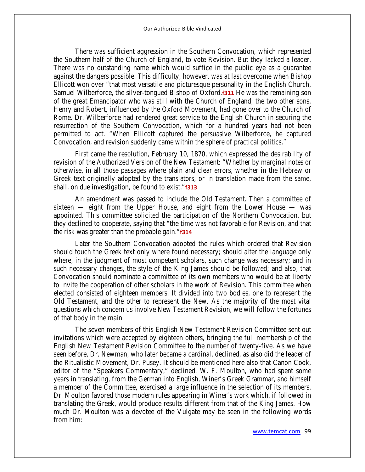There was sufficient aggression in the Southern Convocation, which represented the Southern half of the Church of England, to vote Revision. But they lacked a leader. There was no outstanding name which would suffice in the public eye as a guarantee against the dangers possible. This difficulty, however, was at last overcome when Bishop Ellicott won over "that most versatile and picturesque personality in the English Church, Samuel Wilberforce, the silver-tongued Bishop of Oxford.**f311** He was the remaining son of the great Emancipator who was still with the Church of England; the two other sons, Henry and Robert, influenced by the Oxford Movement, had gone over to the Church of Rome. Dr. Wilberforce had rendered great service to the English Church in securing the resurrection of the Southern Convocation, which for a hundred years had not been permitted to act. "When Ellicott captured the persuasive Wilberforce, he captured Convocation, and revision suddenly came within the sphere of practical politics."

First came the resolution, February 10, 1870, which expressed the desirability of revision of the Authorized Version of the New Testament: "Whether by marginal notes or otherwise, in all those passages where plain and clear errors, whether in the Hebrew or Greek text originally adopted by the translators, or in translation made from the same, shall, on due investigation, be found to exist."**f313**

An amendment was passed to include the Old Testament. Then a committee of sixteen — eight from the Upper House, and eight from the Lower House — was appointed. This committee solicited the participation of the Northern Convocation, but they declined to cooperate, saying that "the time was not favorable for Revision, and that the risk was greater than the probable gain."**f314**

Later the Southern Convocation adopted the rules which ordered that Revision should touch the Greek text only where found necessary; should alter the language only where, in the judgment of most competent scholars, such change was necessary; and in such necessary changes, the style of the King James should be followed; and also, that Convocation should nominate a committee of its own members who would be at liberty to invite the cooperation of other scholars in the work of Revision. This committee when elected consisted of eighteen members. It divided into two bodies, one to represent the Old Testament, and the other to represent the New. As the majority of the most vital questions which concern us involve New Testament Revision, we will follow the fortunes of that body in the main.

The seven members of this English New Testament Revision Committee sent out invitations which were accepted by eighteen others, bringing the full membership of the English New Testament Revision Committee to the number of twenty-five. As we have seen before, Dr. Newman, who later became a cardinal, declined, as also did the leader of the Ritualistic Movement, Dr. Pusey. It should be mentioned here also that Canon Cook, editor of the "Speakers Commentary," declined. W. F. Moulton, who had spent some years in translating, from the German into English, Winer's Greek Grammar, and himself a member of the Committee, exercised a large influence in the selection of its members. Dr. Moulton favored those modern rules appearing in Winer's work which, if followed in translating the Greek, would produce results different from that of the King James. How much Dr. Moulton was a devotee of the Vulgate may be seen in the following words from him: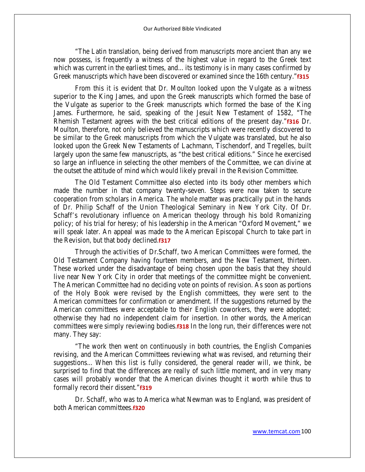"The Latin translation, being derived from manuscripts more ancient than any we now possess, is frequently a witness of the highest value in regard to the Greek text which was current in the earliest times, and... its testimony is in many cases confirmed by Greek manuscripts which have been discovered or examined since the 16th century."**f315**

From this it is evident that Dr. Moulton looked upon the Vulgate as a witness superior to the King James, and upon the Greek manuscripts which formed the base of the Vulgate as superior to the Greek manuscripts which formed the base of the King James. Furthermore, he said, speaking of the Jesuit New Testament of 1582, "The Rhemish Testament agrees with the best critical editions of the present day."**f316** Dr. Moulton, therefore, not only believed the manuscripts which were recently discovered to be similar to the Greek manuscripts from which the Vulgate was translated, but he also looked upon the Greek New Testaments of Lachmann, Tischendorf, and Tregelles, built largely upon the same few manuscripts, as "the best critical editions." Since he exercised so large an influence in selecting the other members of the Committee, we can divine at the outset the attitude of mind which would likely prevail in the Revision Committee.

The Old Testament Committee also elected into its body other members which made the number in that company twenty-seven. Steps were now taken to secure cooperation from scholars in America. The whole matter was practically put in the hands of Dr. Philip Schaff of the Union Theological Seminary in New York City. Of Dr. Schaff's revolutionary influence on American theology through his bold Romanizing policy; of his trial for heresy; of his leadership in the American "Oxford Movement," we will speak later. An appeal was made to the American Episcopal Church to take part in the Revision, but that body declined.**f317**

Through the activities of Dr.Schaff, two American Committees were formed, the Old Testament Company having fourteen members, and the New Testament, thirteen. These worked under the disadvantage of being chosen upon the basis that they should live near New York City in order that meetings of the committee might be convenient. The American Committee had no deciding vote on points of revision. As soon as portions of the Holy Book were revised by the English committees, they were sent to the American committees for confirmation or amendment. If the suggestions returned by the American committees were acceptable to their English coworkers, they were adopted; otherwise they had no independent claim for insertion. In other words, the American committees were simply reviewing bodies.**f318** In the long run, their differences were not many. They say:

"The work then went on continuously in both countries, the English Companies revising, and the American Committees reviewing what was revised, and returning their suggestions... When this list is fully considered, the general reader will, we think, be surprised to find that the differences are really of such little moment, and in very many cases will probably wonder that the American divines thought it worth while thus to formally record their dissent."**f319**

Dr. Schaff, who was to America what Newman was to England, was president of both American committees.**f320**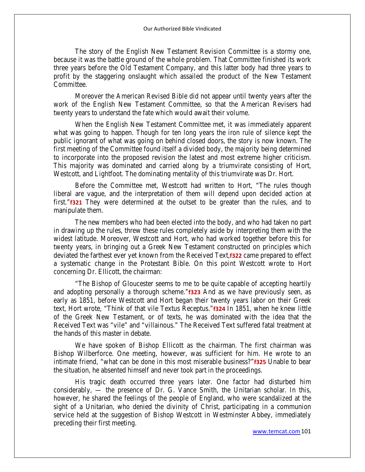The story of the English New Testament Revision Committee is a stormy one, because it was the battle ground of the whole problem. That Committee finished its work three years before the Old Testament Company, and this latter body had three years to profit by the staggering onslaught which assailed the product of the New Testament Committee.

Moreover the American Revised Bible did not appear until twenty years after the work of the English New Testament Committee, so that the American Revisers had twenty years to understand the fate which would await their volume.

When the English New Testament Committee met, it was immediately apparent what was going to happen. Though for ten long years the iron rule of silence kept the public ignorant of what was going on behind closed doors, the story is now known. The first meeting of the Committee found itself a divided body, the majority being determined to incorporate into the proposed revision the latest and most extreme higher criticism. This majority was dominated and carried along by a triumvirate consisting of Hort, Westcott, and Lightfoot. The dominating mentality of this triumvirate was Dr. Hort.

Before the Committee met, Westcott had written to Hort, "The rules though liberal are vague, and the interpretation of them will depend upon decided action at first."**f321** They were determined at the outset to be greater than the rules, and to manipulate them.

The new members who had been elected into the body, and who had taken no part in drawing up the rules, threw these rules completely aside by interpreting them with the widest latitude. Moreover, Westcott and Hort, who had worked together before this for twenty years, in bringing out a Greek New Testament constructed on principles which deviated the farthest ever yet known from the Received Text,**f322** came prepared to effect a systematic change in the Protestant Bible. On this point Westcott wrote to Hort concerning Dr. Ellicott, the chairman:

"The Bishop of Gloucester seems to me to be quite capable of accepting heartily and adopting personally a thorough scheme."**f323** And as we have previously seen, as early as 1851, before Westcott and Hort began their twenty years labor on their Greek text, Hort wrote, "Think of that vile Textus Receptus."**f324** In 1851, when he knew little of the Greek New Testament, or of texts, he was dominated with the idea that the Received Text was "vile" and "villainous." The Received Text suffered fatal treatment at the hands of this master in debate.

We have spoken of Bishop Ellicott as the chairman. The first chairman was Bishop Wilberforce. One meeting, however, was sufficient for him. He wrote to an intimate friend, "what can be done in this most miserable business?"**f325** Unable to bear the situation, he absented himself and never took part in the proceedings.

His tragic death occurred three years later. One factor had disturbed him considerably, — the presence of Dr. G. Vance Smith, the Unitarian scholar. In this, however, he shared the feelings of the people of England, who were scandalized at the sight of a Unitarian, who denied the divinity of Christ, participating in a communion service held at the suggestion of Bishop Westcott in Westminster Abbey, immediately preceding their first meeting.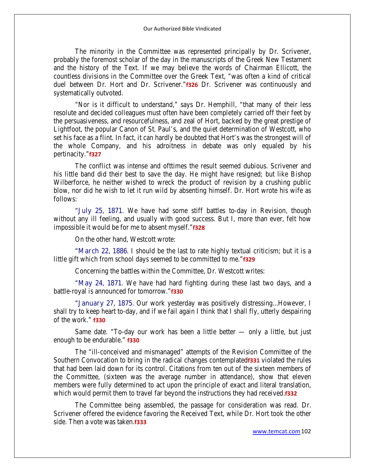The minority in the Committee was represented principally by Dr. Scrivener, probably the foremost scholar of the day in the manuscripts of the Greek New Testament and the history of the Text. If we may believe the words of Chairman Ellicott, the countless divisions in the Committee over the Greek Text, "was often a kind of critical duel between Dr. Hort and Dr. Scrivener."**f326** Dr. Scrivener was continuously and systematically outvoted.

"Nor is it difficult to understand," says Dr. Hemphill, "that many of their less resolute and decided colleagues must often have been completely carried off their feet by the persuasiveness, and resourcefulness, and zeal of Hort, backed by the great prestige of Lightfoot, the popular Canon of St. Paul's, and the quiet determination of Westcott, who set his face as a flint. In fact, it can hardly be doubted that Hort's was the strongest will of the whole Company, and his adroitness in debate was only equaled by his pertinacity."**f327**

The conflict was intense and ofttimes the result seemed dubious. Scrivener and his little band did their best to save the day. He might have resigned; but like Bishop Wilberforce, he neither wished to wreck the product of revision by a crushing public blow, nor did he wish to let it run wild by absenting himself. Dr. Hort wrote his wife as follows:

"**July 25, 1871.** We have had some stiff battles to-day in Revision, though without any ill feeling, and usually with good success. But I, more than ever, felt how impossible it would be for me to absent myself."**f328**

On the other hand, Westcott wrote:

"**March 22, 1886**. I should be the last to rate highly textual criticism; but it is a little gift which from school days seemed to be committed to me."**f329**

Concerning the battles within the Committee, Dr. Westcott writes:

"**May 24, 1871**. We have had hard fighting during these last two days, and a battle-royal is announced for tomorrow."**f330**

"**January 27, 1875.** Our work yesterday was positively distressing...However, I shall try to keep heart to-day, and if we fail again I think that I shall fly, utterly despairing of the work." **f330**

Same date. "To-day our work has been a little better — only a little, but just enough to be endurable." **f330**

The "ill-conceived and mismanaged" attempts of the Revision Committee of the Southern Convocation to bring in the radical changes contemplated**f331** violated the rules that had been laid down for its control. Citations from ten out of the sixteen members of the Committee, (sixteen was the average number in attendance), show that eleven members were fully determined to act upon the principle of exact and literal translation, which would permit them to travel far beyond the instructions they had received.**f332**

The Committee being assembled, the passage for consideration was read. Dr. Scrivener offered the evidence favoring the Received Text, while Dr. Hort took the other side. Then a vote was taken.**f333**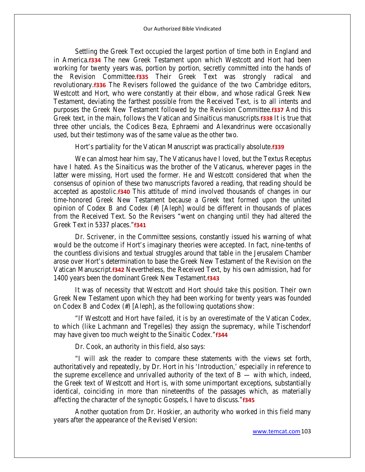Settling the Greek Text occupied the largest portion of time both in England and in America.**f334** The new Greek Testament upon which Westcott and Hort had been working for twenty years was, portion by portion, secretly committed into the hands of the Revision Committee.**f335** Their Greek Text was strongly radical and revolutionary.**f336** The Revisers followed the guidance of the two Cambridge editors, Westcott and Hort, who were constantly at their elbow, and whose radical Greek New Testament, deviating the farthest possible from the Received Text, is to all intents and purposes the Greek New Testament followed by the Revision Committee.**f337** And this Greek text, in the main, follows the Vatican and Sinaiticus manuscripts.**f338** It is true that three other uncials, the Codices Beza, Ephraemi and Alexandrinus were occasionally used, but their testimony was of the same value as the other two.

Hort's partiality for the Vatican Manuscript was practically absolute.**f339**

We can almost hear him say, The Vaticanus have I loved, but the Textus Receptus have I hated. As the Sinaiticus was the brother of the Vaticanus, wherever pages in the latter were missing, Hort used the former. He and Westcott considered that when the consensus of opinion of these two manuscripts favored a reading, that reading should be accepted as apostolic.**f340** This attitude of mind involved thousands of changes in our time-honored Greek New Testament because a Greek text formed upon the united opinion of Codex B and Codex (#) [Aleph] would be different in thousands of places from the Received Text. So the Revisers "went on changing until they had altered the Greek Text in 5337 places."**f341** 

Dr. Scrivener, in the Committee sessions, constantly issued his warning of what would be the outcome if Hort's imaginary theories were accepted. In fact, nine-tenths of the countless divisions and textual struggles around that table in the Jerusalem Chamber arose over Hort's determination to base the Greek New Testament of the Revision on the Vatican Manuscript.**f342** Nevertheless, the Received Text, by his own admission, had for 1400 years been the dominant Greek New Testament.**f343**

It was of necessity that Westcott and Hort should take this position. Their own Greek New Testament upon which they had been working for twenty years was founded on Codex B and Codex (#) [Aleph], as the following quotations show:

"If Westcott and Hort have failed, it is by an overestimate of the Vatican Codex, to which (like Lachmann and Tregelles) they assign the supremacy, while Tischendorf may have given too much weight to the Sinaitic Codex."**f344**

Dr. Cook, an authority in this field, also says:

"I will ask the reader to compare these statements with the views set forth, authoritatively and repeatedly, by Dr. Hort in his 'Introduction,' especially in reference to the supreme excellence and unrivalled authority of the text of  $B$  — with which, indeed, the Greek text of Westcott and Hort is, with some unimportant exceptions, substantially identical, coinciding in more than nineteenths of the passages which, as materially affecting the character of the synoptic Gospels, I have to discuss."**f345**

Another quotation from Dr. Hoskier, an authority who worked in this field many years after the appearance of the Revised Version: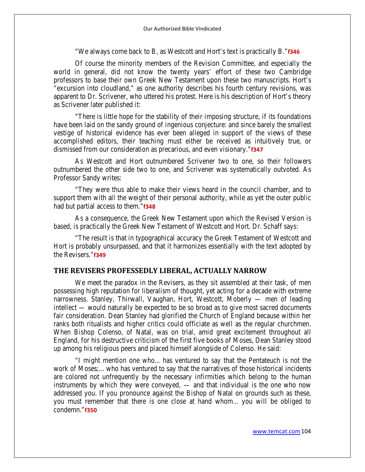"We always come back to B, as Westcott and Hort's text is practically B."**f346**

Of course the minority members of the Revision Committee, and especially the world in general, did not know the twenty years' effort of these two Cambridge professors to base their own Greek New Testament upon these two manuscripts. Hort's "excursion into cloudland," as one authority describes his fourth century revisions, was apparent to Dr. Scrivener, who uttered his protest. Here is his description of Hort's theory as Scrivener later published it:

"There is little hope for the stability of their imposing structure, if its foundations have been laid on the sandy ground of ingenious conjecture: and since barely the smallest vestige of historical evidence has ever been alleged in support of the views of these accomplished editors, their teaching must either be received as intuitively true, or dismissed from our consideration as precarious, and even visionary."**f347**

As Westcott and Hort outnumbered Scrivener two to one, so their followers outnumbered the other side two to one, and Scrivener was systematically outvoted. As Professor Sandy writes:

"They were thus able to make their views heard in the council chamber, and to support them with all the weight of their personal authority, while as yet the outer public had but partial access to them."**f348**

As a consequence, the Greek New Testament upon which the Revised Version is based, is practically the Greek New Testament of Westcott and Hort. Dr. Schaff says:

"The result is that in typographical accuracy the Greek Testament of Westcott and Hort is probably unsurpassed, and that it harmonizes essentially with the text adopted by the Revisers."**f349**

#### **THE REVISERS PROFESSEDLY LIBERAL, ACTUALLY NARROW**

We meet the paradox in the Revisers, as they sit assembled at their task, of men possessing high reputation for liberalism of thought, yet acting for a decade with extreme narrowness. Stanley, Thirwall, Vaughan, Hort, Westcott, Moberly — men of leading intellect — would naturally be expected to be so broad as to give most sacred documents fair consideration. Dean Stanley had glorified the Church of England because within her ranks both ritualists and higher critics could officiate as well as the regular churchmen. When Bishop Colenso, of Natal, was on trial, amid great excitement throughout all England, for his destructive criticism of the first five books of Moses, Dean Stanley stood up among his religious peers and placed himself alongside of Colenso. He said:

"I might mention one who... has ventured to say that the Pentateuch is not the work of Moses;... who has ventured to say that the narratives of those historical incidents are colored not unfrequently by the necessary infirmities which belong to the human instruments by which they were conveyed, — and that individual is the one who now addressed you. If you pronounce against the Bishop of Natal on grounds such as these, you must remember that there is one close at hand whom... you will be obliged to condemn."**f350**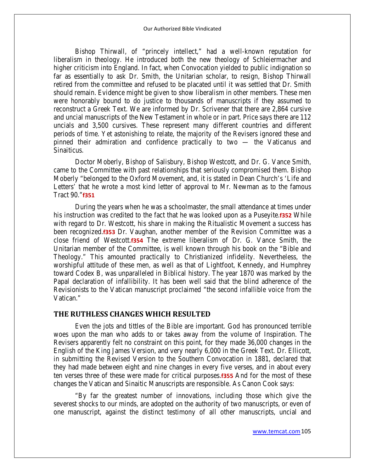Bishop Thirwall, of "princely intellect," had a well-known reputation for liberalism in theology. He introduced both the new theology of Schleiermacher and higher criticism into England. In fact, when Convocation yielded to public indignation so far as essentially to ask Dr. Smith, the Unitarian scholar, to resign, Bishop Thirwall retired from the committee and refused to be placated until it was settled that Dr. Smith should remain. Evidence might be given to show liberalism in other members. These men were honorably bound to do justice to thousands of manuscripts if they assumed to reconstruct a Greek Text. We are informed by Dr. Scrivener that there are 2,864 cursive and uncial manuscripts of the New Testament in whole or in part. Price says there are 112 uncials and 3,500 cursives. These represent many different countries and different periods of time. Yet astonishing to relate, the majority of the Revisers ignored these and pinned their admiration and confidence practically to two — the Vaticanus and Sinaiticus.

Doctor Moberly, Bishop of Salisbury, Bishop Westcott, and Dr. G. Vance Smith, came to the Committee with past relationships that seriously compromised them. Bishop Moberly "belonged to the Oxford Movement, and, it is stated in Dean Church's 'Life and Letters' that he wrote a most kind letter of approval to Mr. Newman as to the famous Tract 90."**f351**

During the years when he was a schoolmaster, the small attendance at times under his instruction was credited to the fact that he was looked upon as a Puseyite.**f352** While with regard to Dr. Westcott, his share in making the Ritualistic Movement a success has been recognized.**f353** Dr. Vaughan, another member of the Revision Committee was a close friend of Westcott.**f354** The extreme liberalism of Dr. G. Vance Smith, the Unitarian member of the Committee, is well known through his book on the "Bible and Theology." This amounted practically to Christianized infidelity. Nevertheless, the worshipful attitude of these men, as well as that of Lightfoot, Kennedy, and Humphrey toward Codex B, was unparalleled in Biblical history. The year 1870 was marked by the Papal declaration of infallibility. It has been well said that the blind adherence of the Revisionists to the Vatican manuscript proclaimed "the second infallible voice from the Vatican."

### **THE RUTHLESS CHANGES WHICH RESULTED**

Even the jots and tittles of the Bible are important. God has pronounced terrible woes upon the man who adds to or takes away from the volume of Inspiration. The Revisers apparently felt no constraint on this point, for they made 36,000 changes in the English of the King James Version, and very nearly 6,000 in the Greek Text. Dr. Ellicott, in submitting the Revised Version to the Southern Convocation in 1881, declared that they had made between eight and nine changes in every five verses, and in about every ten verses three of these were made for critical purposes.**f355** And for the most of these changes the Vatican and Sinaitic Manuscripts are responsible. As Canon Cook says:

"By far the greatest number of innovations, including those which give the severest shocks to our minds, are adopted on the authority of two manuscripts, or even of one manuscript, against the distinct testimony of all other manuscripts, uncial and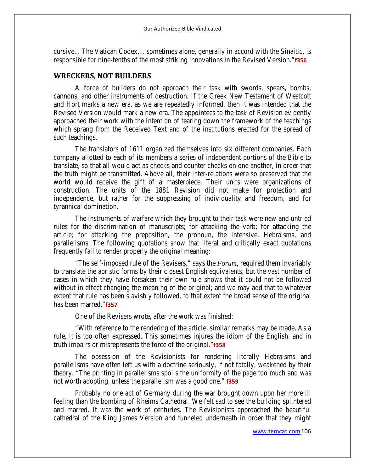cursive... The Vatican Codex,... sometimes alone, generally in accord with the Sinaitic, is responsible for nine-tenths of the most striking innovations in the Revised Version."**f356**

# **WRECKERS, NOT BUILDERS**

A force of builders do not approach their task with swords, spears, bombs, cannons, and other instruments of destruction. If the Greek New Testament of Westcott and Hort marks a new era, as we are repeatedly informed, then it was intended that the Revised Version would mark a new era. The appointees to the task of Revision evidently approached their work with the intention of tearing down the framework of the teachings which sprang from the Received Text and of the institutions erected for the spread of such teachings.

The translators of 1611 organized themselves into six different companies. Each company allotted to each of its members a series of independent portions of the Bible to translate, so that all would act as checks and counter checks on one another, in order that the truth might be transmitted. Above all, their inter-relations were so preserved that the world would receive the gift of a masterpiece. Their units were organizations of construction. The units of the 1881 Revision did not make for protection and independence, but rather for the suppressing of individuality and freedom, and for tyrannical domination.

The instruments of warfare which they brought to their task were new and untried rules for the discrimination of manuscripts; for attacking the verb; for attacking the article; for attacking the preposition, the pronoun, the intensive, Hebraisms, and parallelisms. The following quotations show that literal and critically exact quotations frequently fail to render properly the original meaning:

"The self-imposed rule of the Revisers," says the *Forum,* required them invariably to translate the aoristic forms by their closest English equivalents; but the vast number of cases in which they have forsaken their own rule shows that it could not be followed without in effect changing the meaning of the original; and we may add that to whatever extent that rule has been slavishly followed, to that extent the broad sense of the original has been marred."**f357**

One of the Revisers wrote, after the work was finished:

"With reference to the rendering of the article, similar remarks may be made. As a rule, it is too often expressed. This sometimes injures the idiom of the English, and in truth impairs or misrepresents the force of the original."**f358**

The obsession of the Revisionists for rendering literally Hebraisms and parallelisms have often left us with a doctrine seriously, if not fatally, weakened by their theory. "The printing in parallelisms spoils the uniformity of the page too much and was not worth adopting, unless the parallelism was a good one." **f359**

Probably no one act of Germany during the war brought down upon her more ill feeling than the bombing of Rheims Cathedral. We felt sad to see the building splintered and marred. It was the work of centuries. The Revisionists approached the beautiful cathedral of the King James Version and tunneled underneath in order that they might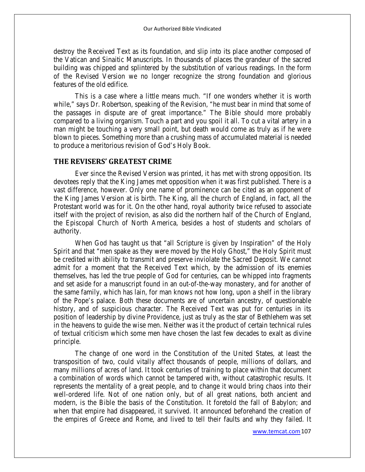destroy the Received Text as its foundation, and slip into its place another composed of the Vatican and Sinaitic Manuscripts. In thousands of places the grandeur of the sacred building was chipped and splintered by the substitution of various readings. In the form of the Revised Version we no longer recognize the strong foundation and glorious features of the old edifice.

This is a case where a little means much. "If one wonders whether it is worth while," says Dr. Robertson, speaking of the Revision, "he must bear in mind that some of the passages in dispute are of great importance." The Bible should more probably compared to a living organism. Touch a part and you spoil it all. To cut a vital artery in a man might be touching a very small point, but death would come as truly as if he were blown to pieces. Something more than a crushing mass of accumulated material is needed to produce a meritorious revision of God's Holy Book.

# **THE REVISERS' GREATEST CRIME**

Ever since the Revised Version was printed, it has met with strong opposition. Its devotees reply that the King James met opposition when it was first published. There is a vast difference, however. Only one name of prominence can be cited as an opponent of the King James Version at is birth. The King, all the church of England, in fact, all the Protestant world was for it. On the other hand, royal authority twice refused to associate itself with the project of revision, as also did the northern half of the Church of England, the Episcopal Church of North America, besides a host of students and scholars of authority.

When God has taught us that "all Scripture is given by Inspiration" of the Holy Spirit and that "men spake as they were moved by the Holy Ghost," the Holy Spirit must be credited with ability to transmit and preserve inviolate the Sacred Deposit. We cannot admit for a moment that the Received Text which, by the admission of its enemies themselves, has led the true people of God for centuries, can be whipped into fragments and set aside for a manuscript found in an out-of-the-way monastery, and for another of the same family, which has lain, for man knows not how long, upon a shelf in the library of the Pope's palace. Both these documents are of uncertain ancestry, of questionable history, and of suspicious character. The Received Text was put for centuries in its position of leadership by divine Providence, just as truly as the star of Bethlehem was set in the heavens to guide the wise men. Neither was it the product of certain technical rules of textual criticism which some men have chosen the last few decades to exalt as divine principle.

The change of one word in the Constitution of the United States, at least the transposition of two, could vitally affect thousands of people, millions of dollars, and many millions of acres of land. It took centuries of training to place within that document a combination of words which cannot be tampered with, without catastrophic results. It represents the mentality of a great people, and to change it would bring chaos into their well-ordered life. Not of one nation only, but of all great nations, both ancient and modern, is the Bible the basis of the Constitution. It foretold the fall of Babylon; and when that empire had disappeared, it survived. It announced beforehand the creation of the empires of Greece and Rome, and lived to tell their faults and why they failed. It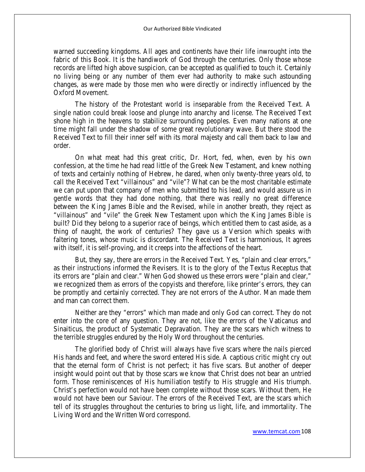warned succeeding kingdoms. All ages and continents have their life inwrought into the fabric of this Book. It is the handiwork of God through the centuries. Only those whose records are lifted high above suspicion, can be accepted as qualified to touch it. Certainly no living being or any number of them ever had authority to make such astounding changes, as were made by those men who were directly or indirectly influenced by the Oxford Movement.

The history of the Protestant world is inseparable from the Received Text. A single nation could break loose and plunge into anarchy and license. The Received Text shone high in the heavens to stabilize surrounding peoples. Even many nations at one time might fall under the shadow of some great revolutionary wave. But there stood the Received Text to fill their inner self with its moral majesty and call them back to law and order.

On what meat had this great critic, Dr. Hort, fed, when, even by his own confession, at the time he had read little of the Greek New Testament, and knew nothing of texts and certainly nothing of Hebrew, he dared, when only twenty-three years old, to call the Received Text "villainous" and "vile"? What can be the most charitable estimate we can put upon that company of men who submitted to his lead, and would assure us in gentle words that they had done nothing, that there was really no great difference between the King James Bible and the Revised, while in another breath, they reject as "villainous" and "vile" the Greek New Testament upon which the King James Bible is built? Did they belong to a superior race of beings, which entitled them to cast aside, as a thing of naught, the work of centuries? They gave us a Version which speaks with faltering tones, whose music is discordant. The Received Text is harmonious, It agrees with itself, it is self-proving, and it creeps into the affections of the heart.

But, they say, there are errors in the Received Text. Yes, "plain and clear errors," as their instructions informed the Revisers. It is to the glory of the Textus Receptus that its errors are "plain and clear." When God showed us these errors were "plain and clear," we recognized them as errors of the copyists and therefore, like printer's errors, they can be promptly and certainly corrected. They are not errors of the Author. Man made them and man can correct them.

Neither are they "errors" which man made and only God can correct. They do not enter into the core of any question. They are not, like the errors of the Vaticanus and Sinaiticus, the product of Systematic Depravation. They are the scars which witness to the terrible struggles endured by the Holy Word throughout the centuries.

The glorified body of Christ will always have five scars where the nails pierced His hands and feet, and where the sword entered His side. A captious critic might cry out that the eternal form of Christ is not perfect; it has five scars. But another of deeper insight would point out that by those scars we know that Christ does not bear an untried form. Those reminiscences of His humiliation testify to His struggle and His triumph. Christ's perfection would not have been complete without those scars. Without them, He would not have been our Saviour. The errors of the Received Text, are the scars which tell of its struggles throughout the centuries to bring us light, life, and immortality. The Living Word and the Written Word correspond.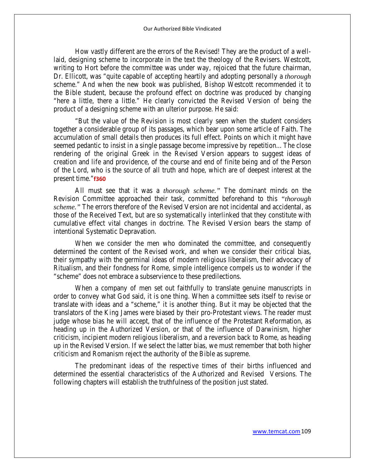How vastly different are the errors of the Revised! They are the product of a welllaid, designing scheme to incorporate in the text the theology of the Revisers. Westcott, writing to Hort before the committee was under way, rejoiced that the future chairman, Dr. Ellicott, was "quite capable of accepting heartily and adopting personally a *thorough*  scheme." And when the new book was published, Bishop Westcott recommended it to the Bible student, because the profound effect on doctrine was produced by changing "here a little, there a little." He clearly convicted the Revised Version of being the product of a designing scheme with an ulterior purpose. He said:

"But the value of the Revision is most clearly seen when the student considers together a considerable group of its passages, which bear upon some article of Faith. The accumulation of small details then produces its full effect. Points on which it might have seemed pedantic to insist in a single passage become impressive by repetition... The close rendering of the original Greek in the Revised Version appears to suggest ideas of creation and life and providence, of the course and end of finite being and of the Person of the Lord, who is the source of all truth and hope, which are of deepest interest at the present time."**f360**

All must see that it was a *thorough scheme."* The dominant minds on the Revision Committee approached their task, committed beforehand to this *"thorough scheme."* The errors therefore of the Revised Version are not incidental and accidental, as those of the Received Text, but are so systematically interlinked that they constitute with cumulative effect vital changes in doctrine. The Revised Version bears the stamp of intentional Systematic Depravation.

When we consider the men who dominated the committee, and consequently determined the content of the Revised work, and when we consider their critical bias, their sympathy with the germinal ideas of modern religious liberalism, their advocacy of Ritualism, and their fondness for Rome, simple intelligence compels us to wonder if the "scheme" does not embrace a subservience to these predilections.

When a company of men set out faithfully to translate genuine manuscripts in order to convey what God said, it is one thing. When a committee sets itself to revise or translate with ideas and a "scheme," it is another thing. But it may be objected that the translators of the King James were biased by their pro-Protestant views. The reader must judge whose bias he will accept, that of the influence of the Protestant Reformation, as heading up in the Authorized Version, or that of the influence of Darwinism, higher criticism, incipient modern religious liberalism, and a reversion back to Rome, as heading up in the Revised Version. If we select the latter bias, we must remember that both higher criticism and Romanism reject the authority of the Bible as supreme.

The predominant ideas of the respective times of their births influenced and determined the essential characteristics of the Authorized and Revised Versions. The following chapters will establish the truthfulness of the position just stated.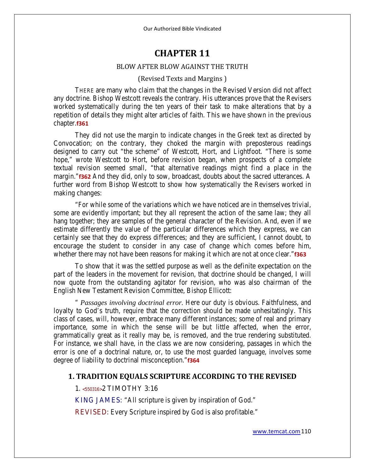# **CHAPTER 11**

## BLOW AFTER BLOW AGAINST THE TRUTH

## (Revised Texts and Margins )

THERE are many who claim that the changes in the Revised Version did not affect any doctrine. Bishop Westcott reveals the contrary. His utterances prove that the Revisers worked systematically during the ten years of their task to make alterations that by a repetition of details they might alter articles of faith. This we have shown in the previous chapter.**f361** 

They did not use the margin to indicate changes in the Greek text as directed by Convocation; on the contrary, they choked the margin with preposterous readings designed to carry out "the scheme" of Westcott, Hort, and Lightfoot. "There is some hope," wrote Westcott to Hort, before revision began, when prospects of a complete textual revision seemed small, "that alternative readings might find a place in the margin."**f362** And they did, only to sow, broadcast, doubts about the sacred utterances. A further word from Bishop Westcott to show how systematically the Revisers worked in making changes:

"For while some of the variations which we have noticed are in themselves trivial, some are evidently important; but they all represent the action of the same law; they all hang together; they are samples of the general character of the Revision. And, even if we estimate differently the value of the particular differences which they express, we can certainly see that they do express differences; and they are sufficient, I cannot doubt, to encourage the student to consider in any case of change which comes before him, whether there may not have been reasons for making it which are not at once clear."**f363**

To show that it was the settled purpose as well as the definite expectation on the part of the leaders in the movement for revision, that doctrine should be changed, I will now quote from the outstanding agitator for revision, who was also chairman of the English New Testament Revision Committee, Bishop Ellicott:

" *Passages involving doctrinal error.* Here our duty is obvious. Faithfulness, and loyalty to God's truth, require that the correction should be made unhesitatingly. This class of cases, will, however, embrace many different instances; some of real and primary importance, some in which the sense will be but little affected, when the error, grammatically great as it really may be, is removed, and the true rendering substituted. For instance, we shall have, in the class we are now considering, passages in which the error is one of a doctrinal nature, or, to use the most guarded language, involves some degree of liability to doctrinal misconception."**f364**

### **1. TRADITION EQUALS SCRIPTURE ACCORDING TO THE REVISED**

#### **1. <550316>2 TIMOTHY 3:16**

**KING JAMES:** "All scripture is given by inspiration of God."

**REVISED**: Every Scripture inspired by God is also profitable."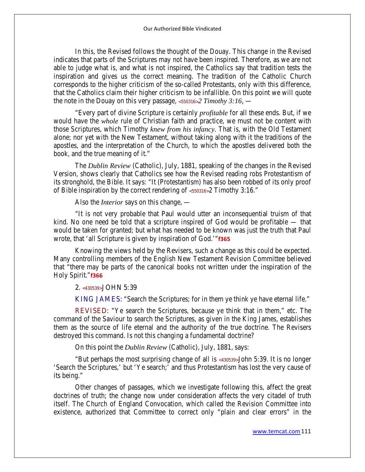In this, the Revised follows the thought of the Douay. This change in the Revised indicates that parts of the Scriptures may not have been inspired. Therefore, as we are not able to judge what is, and what is not inspired, the Catholics say that tradition tests the inspiration and gives us the correct meaning. The tradition of the Catholic Church corresponds to the higher criticism of the so-called Protestants, only with this difference, that the Catholics claim their higher criticism to be infallible. On this point we will quote the note in the Douay on this very passage, **<550316>***2 Timothy 3:16,* —

"Every part of divine Scripture is certainly *profitable* for all these ends. But, if we would have the *whole* rule of Christian faith and practice, we must not be content with those Scriptures, which Timothy *knew from his infancy.* That is, with the Old Testament alone; nor yet with the New Testament, without taking along with it the traditions of the apostles, and the interpretation of the Church, to which the apostles delivered both the book, and the true meaning of it."

The *Dublin Review* (Catholic), July, 1881, speaking of the changes in the Revised Version, shows clearly that Catholics see how the Revised reading robs Protestantism of its stronghold, the Bible. It says: "It (Protestantism) has also been robbed of its only proof of Bible inspiration by the correct rendering of **<550316>**2 Timothy 3:16."

Also the *Interior* says on this change, —

"It is not very probable that Paul would utter an inconsequential truism of that kind. No one need be told that a scripture inspired of God would be profitable — that would be taken for granted; but what has needed to be known was just the truth that Paul wrote, that 'all Scripture is given by inspiration of God.'"**f365**

Knowing the views held by the Revisers, such a change as this could be expected. Many controlling members of the English New Testament Revision Committee believed that "there may be parts of the canonical books not written under the inspiration of the Holy Spirit."**f366**

#### **2. <430539>JOHN 5:39**

**KING JAMES**: "Search the Scriptures; for in them ye think ye have eternal life."

**REVISED**: "Ye search the Scriptures, because ye think that in them," etc. The command of the Saviour to search the Scriptures, as given in the King James, establishes them as the source of life eternal and the authority of the true doctrine. The Revisers destroyed this command. Is not this changing a fundamental doctrine?

On this point the *Dublin Review* (Catholic), July, 1881, says:

"But perhaps the most surprising change of all is **<430539>**John 5:39. It is no longer 'Search the Scriptures,' but 'Ye search;' and thus Protestantism has lost the very cause of its being."

Other changes of passages, which we investigate following this, affect the great doctrines of truth; the change now under consideration affects the very citadel of truth itself. The Church of England Convocation, which called the Revision Committee into existence, authorized that Committee to correct only "plain and clear errors" in the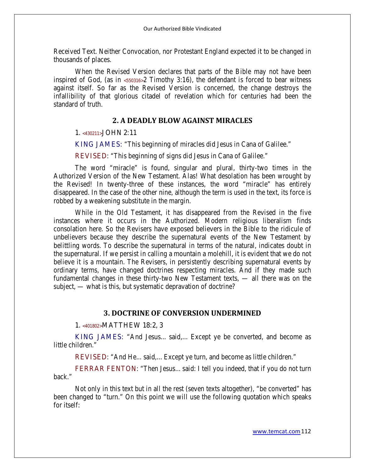Received Text. Neither Convocation, nor Protestant England expected it to be changed in thousands of places.

When the Revised Version declares that parts of the Bible may not have been inspired of God, (as in **<550316>**2 Timothy 3:16), the defendant is forced to bear witness against itself. So far as the Revised Version is concerned, the change destroys the infallibility of that glorious citadel of revelation which for centuries had been the standard of truth.

## **2. A DEADLY BLOW AGAINST MIRACLES**

#### **1. <430211>JOHN 2:11**

**KING JAMES:** "This beginning of miracles did Jesus in Cana of Galilee."

**REVISED:** "This beginning of signs did Jesus in Cana of Galilee."

The word "miracle" is found, singular and plural, thirty-two times in the Authorized Version of the New Testament. Alas! What desolation has been wrought by the Revised! In twenty-three of these instances, the word "miracle" has entirely disappeared. In the case of the other nine, although the term is used in the text, its force is robbed by a weakening substitute in the margin.

While in the Old Testament, it has disappeared from the Revised in the five instances where it occurs in the Authorized. Modern religious liberalism finds consolation here. So the Revisers have exposed believers in the Bible to the ridicule of unbelievers because they describe the supernatural events of the New Testament by belittling words. To describe the supernatural in terms of the natural, indicates doubt in the supernatural. If we persist in calling a mountain a molehill, it is evident that we do not believe it is a mountain. The Revisers, in persistently describing supernatural events by ordinary terms, have changed doctrines respecting miracles. And if they made such fundamental changes in these thirty-two New Testament texts, — all there was on the subject, — what is this, but systematic depravation of doctrine?

## **3. DOCTRINE OF CONVERSION UNDERMINED**

#### **1. <401802>MATTHEW 18:2, 3**

**KING JAMES:** "And Jesus... said,... Except ye be converted, and become as little children."

**REVISED**: "And He... said,... Except ye turn, and become as little children."

**FERRAR FENTON:** "Then Jesus... said: I tell you indeed, that if you do not turn back."

Not only in this text but in all the rest (seven texts altogether), "be converted" has been changed to "turn." On this point we will use the following quotation which speaks for itself: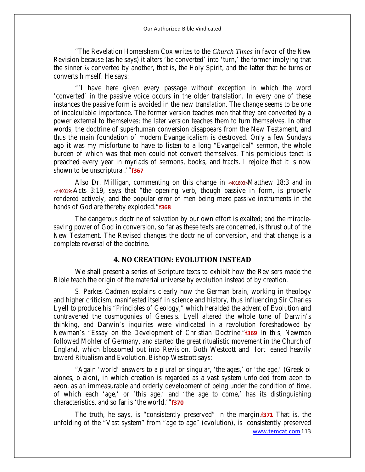"The Revelation Homersham Cox writes to the *Church Times* in favor of the New Revision because (as he says) it alters 'be converted' into 'turn,' the former implying that the sinner *is* converted by another, that is, the Holy Spirit, and the latter that he turns or converts himself. He says:

"'I have here given every passage without exception in which the word 'converted' in the passive voice occurs in the older translation. In every one of these instances the passive form is avoided in the new translation. The change seems to be one of incalculable importance. The former version teaches men that they are converted by a power external to themselves; the later version teaches them to turn themselves. In other words, the doctrine of superhuman conversion disappears from the New Testament, and thus the main foundation of modern Evangelicalism is destroyed. Only a few Sundays ago it was my misfortune to have to listen to a long "Evangelical" sermon, the whole burden of which was that men could not convert themselves. This pernicious tenet is preached every year in myriads of sermons, books, and tracts. I rejoice that it is now shown to be unscriptural.'"**f367**

Also Dr. Milligan, commenting on this change in **<401803>**Matthew 18:3 and in **<440319>**Acts 3:19, says that "the opening verb, though passive in form, is properly rendered actively, and the popular error of men being mere passive instruments in the hands of God are thereby exploded."**f368** 

The dangerous doctrine of salvation by our own effort is exalted; and the miraclesaving power of God in conversion, so far as these texts are concerned, is thrust out of the New Testament. The Revised changes the doctrine of conversion, and that change is a complete reversal of the doctrine.

## **4. NO CREATION: EVOLUTION INSTEAD**

We shall present a series of Scripture texts to exhibit how the Revisers made the Bible teach the origin of the material universe by evolution instead of by creation.

S. Parkes Cadman explains clearly how the German brain, working in theology and higher criticism, manifested itself in science and history, thus influencing Sir Charles Lyell to produce his "Principles of Geology," which heralded the advent of Evolution and contravened the cosmogonies of Genesis. Lyell altered the whole tone of Darwin's thinking, and Darwin's inquiries were vindicated in a revolution foreshadowed by Newman's "Essay on the Development of Christian Doctrine."**f369** In this, Newman followed Mohler of Germany, and started the great ritualistic movement in the Church of England, which blossomed out into Revision. Both Westcott and Hort leaned heavily toward Ritualism and Evolution. Bishop Westcott says:

"Again 'world' answers to a plural or singular, 'the ages,' or 'the age,' (Greek oi aiones, o aion), in which creation is regarded as a vast system unfolded from aeon to aeon, as an immeasurable and orderly development of being under the condition of time, of which each 'age,' or 'this age,' and 'the age to come,' has its distinguishing characteristics, and so far is 'the world.'"**f370**

[www.temcat.com 1](http://www.temcat.com/)13 The truth, he says, is "consistently preserved" in the margin.**f371** That is, the unfolding of the "Vast system" from "age to age" (evolution), is consistently preserved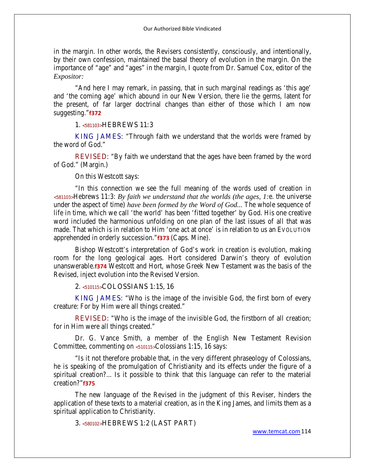in the margin. In other words, the Revisers consistently, consciously, and intentionally, by their own confession, maintained the basal theory of evolution in the margin. On the importance of "age" and "ages" in the margin, I quote from Dr. Samuel Cox, editor of the *Expositor:*

"And here I may remark, in passing, that in such marginal readings as 'this age' and 'the coming age' which abound in our New Version, there lie the germs, latent for the present, of far larger doctrinal changes than either of those which I am now suggesting."**f372**

## **1. <581103>HEBREWS 11:3**

**KING JAMES**: "Through faith we understand that the worlds were framed by the word of God."

**REVISED:** "By faith we understand that the ages have been framed by the word of God." (Margin.)

### On this Westcott says:

"In this connection we see the full meaning of the words used of creation in **<581103>**Hebrews 11:3: *By faith we understand that the worlds (the ages, 1:*e. the universe under the aspect of time) *have been formed by the Word of God...* The whole sequence of life in time, which we call 'the world' has been 'fitted together' by God. His one creative word included the harmonious unfolding on one plan of the last issues of all that was made. That which is in relation to Him 'one act at once' is in relation to us an EVOLUTION apprehended in orderly succession."**f373** (Caps. Mine).

Bishop Westcott's interpretation of God's work in creation is evolution, making room for the long geological ages. Hort considered Darwin's theory of evolution unanswerable.**f374** Westcott and Hort, whose Greek New Testament was the basis of the Revised, inject evolution into the Revised Version.

## **2. <510115>COLOSSIANS 1:15, 16**

**KING JAMES**: "Who is the image of the invisible God, the first born of every creature: For by Him were all things created."

**REVISED**: "Who is the image of the invisible God, the firstborn of all creation; for in Him were all things created."

Dr. G. Vance Smith, a member of the English New Testament Revision Committee, commenting on **<510115>**Colossians 1:15, 16 says:

"Is it not therefore probable that, in the very different phraseology of Colossians, he is speaking of the promulgation of Christianity and its effects under the figure of a spiritual creation?... Is it possible to think that this language can refer to the material creation?"**f375**

The new language of the Revised in the judgment of this Reviser, hinders the application of these texts to a material creation, as in the King James, and limits them as a spiritual application to Christianity.

## **3. <580102>HEBREWS 1:2 (LAST PART)**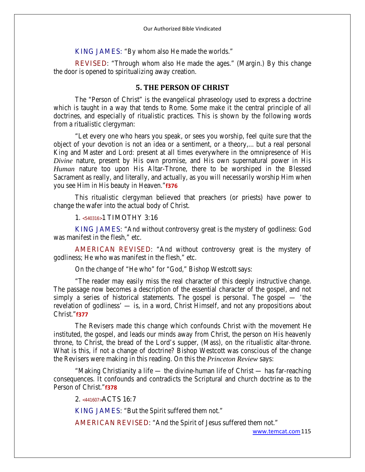**KING JAMES:** "By whom also He made the worlds."

**REVISED**: "Through whom also He made the ages." (Margin.) By this change the door is opened to spiritualizing away creation.

### **5. THE PERSON OF CHRIST**

The "Person of Christ" is the evangelical phraseology used to express a doctrine which is taught in a way that tends to Rome. Some make it the central principle of all doctrines, and especially of ritualistic practices. This is shown by the following words from a ritualistic clergyman:

"Let every one who hears you speak, or sees you worship, feel quite sure that the object of your devotion is not an idea or a sentiment, or a theory,... but a real personal King and Master and Lord: present at all times everywhere in the omnipresence of His *Divine* nature, present by His own promise, and His own supernatural power in His *Human* nature too upon His Altar-Throne, there to be worshiped in the Blessed Sacrament as really, and literally, and actually, as you will necessarily worship Him when you see Him in His beauty in Heaven."**f376**

This ritualistic clergyman believed that preachers (or priests) have power to change the wafer into the actual body of Christ.

#### **1. <540316>1 TIMOTHY 3:16**

**KING JAMES**: "And without controversy great is the mystery of godliness: God was manifest in the flesh," etc.

**AMERICAN REVISED:** "And without controversy great is the mystery of godliness; He who was manifest in the flesh," etc.

On the change of "He who" for "God," Bishop Westcott says:

"The reader may easily miss the real character of this deeply instructive change. The passage now becomes a description of the essential character of the gospel, and not simply a series of historical statements. The gospel is personal. The gospel  $-$  'the revelation of godliness' — is, in a word, Christ Himself, and not any propositions about Christ."**f377**

The Revisers made this change which confounds Christ with the movement He instituted, the gospel, and leads our minds away from Christ, the person on His heavenly throne, to Christ, the bread of the Lord's supper, (Mass), on the ritualistic altar-throne. What is this, if not a change of doctrine? Bishop Westcott was conscious of the change the Revisers were making in this reading. On this the *Princeton Review* says:

"Making Christianity a life — the divine-human life of Christ — has far-reaching consequences. It confounds and contradicts the Scriptural and church doctrine as to the Person of Christ."**f378**

#### **2. <441607>ACTS 16:7**

**KING JAMES**: "But the Spirit suffered them not."

**AMERICAN REVISED**: "And the Spirit of Jesus suffered them not."

[www.temcat.com 1](http://www.temcat.com/)15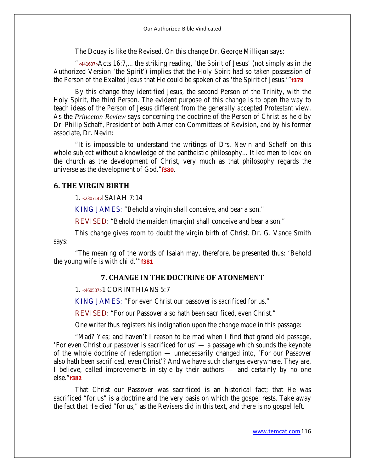The Douay is like the Revised. On this change Dr. George Milligan says:

"**<441607>**Acts 16:7,... the striking reading, 'the Spirit of Jesus' (not simply as in the Authorized Version 'the Spirit') implies that the Holy Spirit had so taken possession of the Person of the Exalted Jesus that He could be spoken of as 'the Spirit of Jesus.'"**f379**

By this change they identified Jesus, the second Person of the Trinity, with the Holy Spirit, the third Person. The evident purpose of this change is to open the way to teach ideas of the Person of Jesus different from the generally accepted Protestant view. As the *Princeton Review* says concerning the doctrine of the Person of Christ as held by Dr. Philip Schaff, President of both American Committees of Revision, and by his former associate, Dr. Nevin:

"It is impossible to understand the writings of Drs. Nevin and Schaff on this whole subject without a knowledge of the pantheistic philosophy... It led men to look on the church as the development of Christ, very much as that philosophy regards the universe as the development of God."**f380**.

# **6. THE VIRGIN BIRTH**

## **1. <230714>ISAIAH 7:14**

**KING JAMES:** "Behold a virgin shall conceive, and bear a son."

**REVISED:** "Behold the maiden (margin) shall conceive and bear a son."

This change gives room to doubt the virgin birth of Christ. Dr. G. Vance Smith says:

"The meaning of the words of Isaiah may, therefore, be presented thus: 'Behold the young wife is with child.'"**f381**

# **7. CHANGE IN THE DOCTRINE OF ATONEMENT**

## **1. <460507>1 CORINTHIANS 5:7**

**KING JAMES:** "For even Christ our passover is sacrificed for us."

**REVISED**: "For our Passover also hath been sacrificed, even Christ."

One writer thus registers his indignation upon the change made in this passage:

"Mad? Yes; and haven't I reason to be mad when I find that grand old passage, 'For even Christ our passover is sacrificed for us' — a passage which sounds the keynote of the whole doctrine of redemption — unnecessarily changed into, 'For our Passover also hath been sacrificed, even Christ'? And we have such changes everywhere. They are, I believe, called improvements in style by their authors — and certainly by no one else."**f382**

That Christ our Passover was sacrificed is an historical fact; that He was sacrificed "for us" is a doctrine and the very basis on which the gospel rests. Take away the fact that He died "for us," as the Revisers did in this text, and there is no gospel left.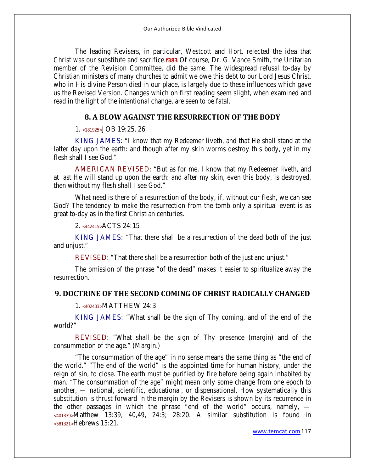The leading Revisers, in particular, Westcott and Hort, rejected the idea that Christ was our substitute and sacrifice.**f383** Of course, Dr. G. Vance Smith, the Unitarian member of the Revision Committee, did the same. The widespread refusal to-day by Christian ministers of many churches to admit we owe this debt to our Lord Jesus Christ, who in His divine Person died in our place, is largely due to these influences which gave us the Revised Version. Changes which on first reading seem slight, when examined and read in the light of the intentional change, are seen to be fatal.

## **8. A BLOW AGAINST THE RESURRECTION OF THE BODY**

#### **1. <181925>JOB 19:25, 26**

**KING JAMES**: "I know that my Redeemer liveth, and that He shall stand at the latter day upon the earth: and though after my skin worms destroy this body, yet in my flesh shall I see God."

**AMERICAN REVISED**: "But as for me, I know that my Redeemer liveth, and at last He will stand up upon the earth: and after my skin, even this body, is destroyed, then without my flesh shall I see God."

What need is there of a resurrection of the body, if, without our flesh, we can see God? The tendency to make the resurrection from the tomb only a spiritual event is as great to-day as in the first Christian centuries.

## **2. <442415>ACTS 24:15**

**KING JAMES:** "That there shall be a resurrection of the dead both of the just and unjust."

**REVISED:** "That there shall be a resurrection both of the just and unjust."

The omission of the phrase "of the dead" makes it easier to spiritualize away the resurrection.

## **9. DOCTRINE OF THE SECOND COMING OF CHRIST RADICALLY CHANGED**

#### **1. <402403>MATTHEW 24:3**

**KING JAMES:** "What shall be the sign of Thy coming, and of the end of the world?"

**REVISED**: "What shall be the sign of Thy presence (margin) and of the consummation of the age." (Margin.)

"The consummation of the age" in no sense means the same thing as "the end of the world." "The end of the world" is the appointed time for human history, under the reign of sin, to close. The earth must be purified by fire before being again inhabited by man. "The consummation of the age" might mean only some change from one epoch to another, — national, scientific, educational, or dispensational. How systematically this substitution is thrust forward in the margin by the Revisers is shown by its recurrence in the other passages in which the phrase "end of the world" occurs, namely, — **<401339>**Matthew 13:39, 40,49, 24:3; 28:20. A similar substitution is found in **<581321>**Hebrews 13:21.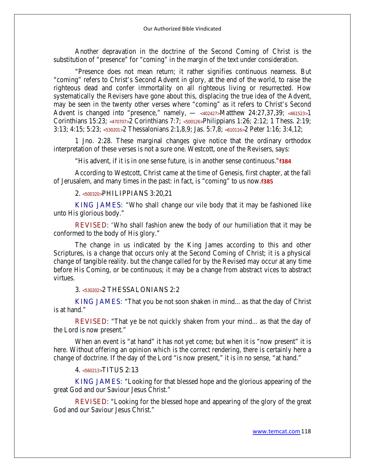Another depravation in the doctrine of the Second Coming of Christ is the substitution of "presence" for "coming" in the margin of the text under consideration.

"Presence does not mean return; it rather signifies continuous nearness. But "coming" refers to Christ's Second Advent in glory, at the end of the world, to raise the righteous dead and confer immortality on all righteous living or resurrected. How systematically the Revisers have gone about this, displacing the true idea of the Advent, may be seen in the twenty other verses where "coming" as it refers to Christ's Second Advent is changed into "presence," namely, — **<402427>**Matthew 24:27,37,39; **<461523>**1 Corinthians 15:23; **<470707>**2 Corinthians 7:7; **<500126>**Philippians 1:26; 2:12; 1 Thess. 2:19; 3:13; 4:15; 5:23; **<530201>**2 Thessalonians 2:1,8,9; Jas. 5:7,8; **<610116>**2 Peter 1:16; 3:4,12;

1 Jno. 2:28. These marginal changes give notice that the ordinary orthodox interpretation of these verses is not a sure one. Westcott, one of the Revisers, says:

"His advent, if it is in one sense future, is in another sense continuous."**f384**

According to Westcott, Christ came at the time of Genesis, first chapter, at the fall of Jerusalem, and many times in the past: in fact, is "coming" to us now.**f385**

#### **2. <500320>PHILIPPIANS 3:20,21**

**KING JAMES:** "Who shall change our vile body that it may be fashioned like unto His glorious body."

**REVISED**: 'Who shall fashion anew the body of our humiliation that it may be conformed to the body of His glory."

The change in us indicated by the King James according to this and other Scriptures, is a change that occurs only at the Second Coming of Christ; it is a physical change of tangible reality. but the change called for by the Revised may occur at any time before His Coming, or be continuous; it may be a change from abstract vices to abstract virtues.

#### **3. <530202>2 THESSALONIANS 2:2**

**KING JAMES:** "That you be not soon shaken in mind... as that the day of Christ is at hand."

**REVISED:** "That ye be not quickly shaken from your mind... as that the day of the Lord is now present."

When an event is "at hand" it has not yet come; but when it is "now present" it is here. Without offering an opinion which is the correct rendering, there is certainly here a change of doctrine. If the day of the Lord "is now present," it is in no sense, "at hand."

#### **4. <560213>TITUS 2:13**

**KING JAMES:** "Looking for that blessed hope and the glorious appearing of the great God and our Saviour Jesus Christ."

**REVISED:** "Looking for the blessed hope and appearing of the glory of the great God and our Saviour Jesus Christ."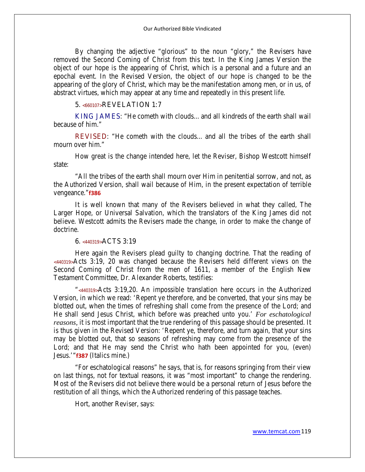By changing the adjective "glorious" to the noun "glory," the Revisers have removed the Second Coming of Christ from this text. In the King James Version the object of our hope is the appearing of Christ, which is a personal and a future and an epochal event. In the Revised Version, the object of our hope is changed to be the appearing of the glory of Christ, which may be the manifestation among men, or in us, of abstract virtues, which may appear at any time and repeatedly in this present life.

### **5. <660107>REVELATION 1:7**

**KING JAMES**: "He cometh with clouds... and all kindreds of the earth shall wail because of him."

**REVISED**: "He cometh with the clouds... and all the tribes of the earth shall mourn over him."

How great is the change intended here, let the Reviser, Bishop Westcott himself state:

"All the tribes of the earth shall mourn over Him in penitential sorrow, and not, as the Authorized Version, shall wail because of Him, in the present expectation of terrible vengeance."**f386**

It is well known that many of the Revisers believed in what they called, The Larger Hope, or Universal Salvation, which the translators of the King James did not believe. Westcott admits the Revisers made the change, in order to make the change of doctrine.

#### **6. <440319>ACTS 3:19**

Here again the Revisers plead guilty to changing doctrine. That the reading of **<440319>**Acts 3:19, 20 was changed because the Revisers held different views on the Second Coming of Christ from the men of 1611, a member of the English New Testament Committee, Dr. Alexander Roberts, testifies:

"**<440319>**Acts 3:19,20. An impossible translation here occurs in the Authorized Version, in which we read: 'Repent ye therefore, and be converted, that your sins may be blotted out, when the times of refreshing shall come from the presence of the Lord; and He shall send Jesus Christ, which before was preached unto you.' *For eschatological reasons,* it is most important that the true rendering of this passage should be presented. It is thus given in the Revised Version: 'Repent ye, therefore, and turn again, that your sins may be blotted out, that so seasons of refreshing may come from the presence of the Lord; and that He may send the Christ who hath been appointed for you, (even) Jesus.'"**f387** (Italics mine.)

"For eschatological reasons" he says, that is, for reasons springing from their view on last things, not for textual reasons, it was "most important" to change the rendering. Most of the Revisers did not believe there would be a personal return of Jesus before the restitution of all things, which the Authorized rendering of this passage teaches.

Hort, another Reviser, says: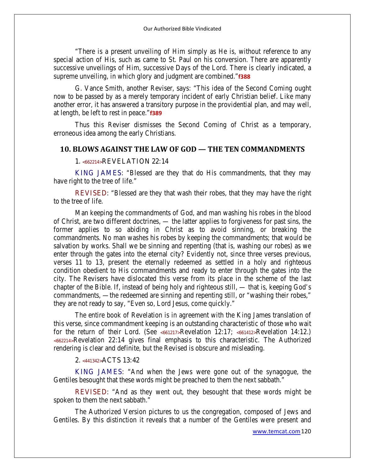"There is a present unveiling of Him simply as He is, without reference to any special action of His, such as came to St. Paul on his conversion. There are apparently successive unveilings of Him, successive Days of the Lord. There is clearly indicated, a supreme unveiling, in which glory and judgment are combined."**f388**

G. Vance Smith, another Reviser, says: "This idea of the Second Coming ought now to be passed by as a merely temporary incident of early Christian belief. Like many another error, it has answered a transitory purpose in the providential plan, and may well, at length, be left to rest in peace."**f389**

Thus this Reviser dismisses the Second Coming of Christ as a temporary, erroneous idea among the early Christians.

# **10. BLOWS AGAINST THE LAW OF GOD — THE TEN COMMANDMENTS 1. <662214>REVELATION 22:14**

**KING JAMES**: "Blessed are they that do His commandments, that they may have right to the tree of life."

**REVISED:** "Blessed are they that wash their robes, that they may have the right to the tree of life.

Man keeping the commandments of God, and man washing his robes in the blood of Christ, are two different doctrines, — the latter applies to forgiveness for past sins, the former applies to so abiding in Christ as to avoid sinning, or breaking the commandments. No man washes his robes by keeping the commandments; that would be salvation by works. Shall we be sinning and repenting (that is, washing our robes) as we enter through the gates into the eternal city? Evidently not, since three verses previous, verses 11 to 13, present the eternally redeemed as settled in a holy and righteous condition obedient to His commandments and ready to enter through the gates into the city. The Revisers have dislocated this verse from its place in the scheme of the last chapter of the Bible. If, instead of being holy and righteous still, — that is, keeping God's commandments, —the redeemed are sinning and repenting still, or "washing their robes," they are not ready to say, "Even so, Lord Jesus, come quickly."

The entire book of Revelation is in agreement with the King James translation of this verse, since commandment keeping is an outstanding characteristic of those who wait for the return of their Lord. (See **<661217>**Revelation 12:17; **<661412>**Revelation 14:12.) **<662214>**Revelation 22:14 gives final emphasis to this characteristic. The Authorized rendering is clear and definite, but the Revised is obscure and misleading.

#### **2. <441342>ACTS 13:42**

**KING JAMES**: "And when the Jews were gone out of the synagogue, the Gentiles besought that these words might be preached to them the next sabbath."

**REVISED**: "And as they went out, they besought that these words might be spoken to them the next sabbath."

The Authorized Version pictures to us the congregation, composed of Jews and Gentiles. By this distinction it reveals that a number of the Gentiles were present and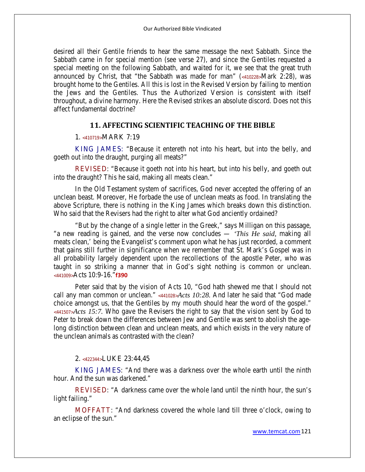desired all their Gentile friends to hear the same message the next Sabbath. Since the Sabbath came in for special mention (see verse 27), and since the Gentiles requested a special meeting on the following Sabbath, and waited for it, we see that the great truth announced by Christ, that "the Sabbath was made for man" (**<410228>**Mark 2:28), was brought home to the Gentiles. All this is lost in the Revised Version by failing to mention the Jews and the Gentiles. Thus the Authorized Version is consistent with itself throughout, a divine harmony. Here the Revised strikes an absolute discord. Does not this affect fundamental doctrine?

## **11. AFFECTING SCIENTIFIC TEACHING OF THE BIBLE**

## **1. <410719>MARK 7:19**

**KING JAMES:** "Because it entereth not into his heart, but into the belly, and goeth out into the draught, purging all meats?"

**REVISED**: "Because it goeth not into his heart, but into his belly, and goeth out into the draught? This he said, making all meats clean."

In the Old Testament system of sacrifices, God never accepted the offering of an unclean beast. Moreover, He forbade the use of unclean meats as food. In translating the above Scripture, there is nothing in the King James which breaks down this distinction. Who said that the Revisers had the right to alter what God anciently ordained?

"But by the change of a single letter in the Greek," says Milligan on this passage, "a new reading is gained, and the verse now concludes — *'This He said,* making all meats clean,' being the Evangelist's comment upon what he has just recorded, a comment that gains still further in significance when we remember that St. Mark's Gospel was in all probability largely dependent upon the recollections of the apostle Peter, who was taught in so striking a manner that in God's sight nothing is common or unclean. **<441009>**Acts 10:9-16."**f390**

Peter said that by the vision of Acts 10, "God hath shewed me that I should not call any man common or unclean." **<441028>***Acts 10:28.* And later he said that "God made choice amongst us, that the Gentiles by my mouth should hear the word of the gospel." **<441507>***Acts 15:7.* Who gave the Revisers the right to say that the vision sent by God to Peter to break down the differences between Jew and Gentile was sent to abolish the agelong distinction between clean and unclean meats, and which exists in the very nature of the unclean animals as contrasted with the clean?

## **2. <422344>LUKE 23:44,45**

**KING JAMES**: "And there was a darkness over the whole earth until the ninth hour. And the sun was darkened."

**REVISED**: "A darkness came over the whole land until the ninth hour, the sun's light failing."

**MOFFATT**: "And darkness covered the whole land till three o'clock, owing to an eclipse of the sun."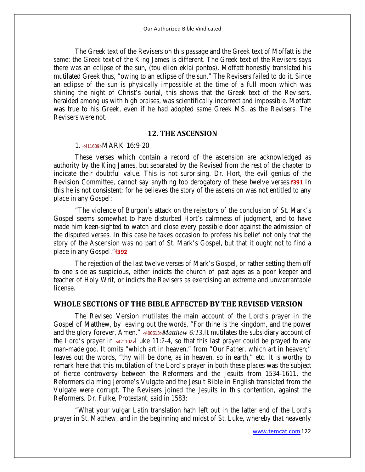The Greek text of the Revisers on this passage and the Greek text of Moffatt is the same; the Greek text of the King James is different. The Greek text of the Revisers says there was an eclipse of the sun, (tou elion eklai pontos). Moffatt honestly translated his mutilated Greek thus, "owing to an eclipse of the sun." The Revisers failed to do it. Since an eclipse of the sun is physically impossible at the time of a full moon which was shining the night of Christ's burial, this shows that the Greek text of the Revisers, heralded among us with high praises, was scientifically incorrect and impossible. Moffatt was true to his Greek, even if he had adopted same Greek MS. as the Revisers. The Revisers were not.

## **12. THE ASCENSION**

#### **1. <411609>MARK 16:9-20**

These verses which contain a record of the ascension are acknowledged as authority by the King James, but separated by the Revised from the rest of the chapter to indicate their doubtful value. This is not surprising. Dr. Hort, the evil genius of the Revision Committee, cannot say anything too derogatory of these twelve verses.**f391** In this he is not consistent; for he believes the story of the ascension was not entitled to any place in any Gospel:

"The violence of Burgon's attack on the rejectors of the conclusion of St. Mark's Gospel seems somewhat to have disturbed Hort's calmness of judgment, and to have made him keen-sighted to watch and close every possible door against the admission of the disputed verses. In this case he takes occasion to profess his belief not only that the story of the Ascension was no part of St. Mark's Gospel, but that it ought not to find a place in any Gospel."**f392**

The rejection of the last twelve verses of Mark's Gospel, or rather setting them off to one side as suspicious, either indicts the church of past ages as a poor keeper and teacher of Holy Writ, or indicts the Revisers as exercising an extreme and unwarrantable license.

## **WHOLE SECTIONS OF THE BIBLE AFFECTED BY THE REVISED VERSION**

The Revised Version mutilates the main account of the Lord's prayer in the Gospel of Matthew, by leaving out the words, "For thine is the kingdom, and the power and the glory forever, Amen." **<400613>***Matthew 6:13.*It mutilates the subsidiary account of the Lord's prayer in **<421102>**Luke 11:2-4, so that this last prayer could be prayed to any man-made god. It omits "which art in heaven," from "Our Father, which art in heaven;" leaves out the words, "thy will be done, as in heaven, so in earth," etc. It is worthy to remark here that this mutilation of the Lord's prayer in both these places was the subject of fierce controversy between the Reformers and the Jesuits from 1534-1611, the Reformers claiming Jerome's Vulgate and the Jesuit Bible in English translated from the Vulgate were corrupt. The Revisers joined the Jesuits in this contention, against the Reformers. Dr. Fulke, Protestant, said in 1583:

"What your vulgar Latin translation hath left out in the latter end of the Lord's prayer in St. Matthew, and in the beginning and midst of St. Luke, whereby that heavenly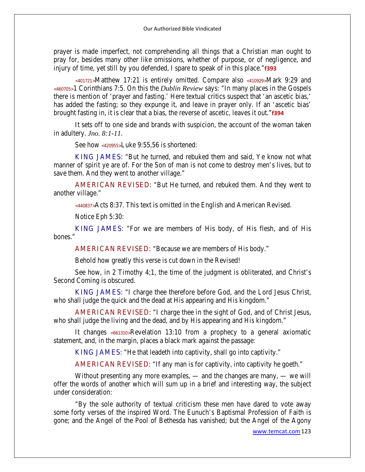prayer is made imperfect, not comprehending all things that a Christian man ought to pray for, besides many other like omissions, whether of purpose, or of negligence, and injury of time, yet still by you defended, I spare to speak of in this place."**f393**

**<401721>**Matthew 17:21 is entirely omitted. Compare also **<410929>**Mark 9:29 and **<460705>**1 Corinthians 7:5. On this the *Dublin Review* says: "In many places in the Gospels there is mention of 'prayer and fasting.' Here textual critics suspect that 'an ascetic bias,' has added the fasting; so they expunge it, and leave in prayer only. If an 'ascetic bias' brought fasting in, it is clear that a bias, the reverse of ascetic, leaves it out."**f394**

It sets off to one side and brands with suspicion, the account of the woman taken in adultery. *Jno. 8:1-11.*

See how **<420955>**Luke 9:55,56 is shortened:

**KING JAMES**: "But he turned, and rebuked them and said, Ye know not what manner of spirit ye are of. For the Son of man is not come to destroy men's lives, but to save them. And they went to another village."

**AMERICAN REVISED**: "But He turned, and rebuked them. And they went to another village."

**<440837>**Acts 8:37. This text is omitted in the English and American Revised.

Notice Eph 5:30:

**KING JAMES**: "For we are members of His body, of His flesh, and of His bones."

**AMERICAN REVISED:** "Because we are members of His body."

Behold how greatly this verse is cut down in the Revised!

See how, in 2 Timothy 4;1, the time of the judgment is obliterated, and Christ's Second Coming is obscured.

**KING JAMES**: "I charge thee therefore before God, and the Lord Jesus Christ, who shall judge the quick and the dead at His appearing and His kingdom."

**AMERICAN REVISED**: "I charge thee in the sight of God, and of Christ Jesus, who shall judge the living and the dead, and by His appearing and His kingdom."

It changes **<661310>**Revelation 13:10 from a prophecy to a general axiomatic statement, and, in the margin, places a black mark against the passage:

**KING JAMES**: "He that leadeth into captivity, shall go into captivity."

**AMERICAN REVISED:** "If any man is for captivity, into captivity he goeth."

Without presenting any more examples, — and the changes are many, — we will offer the words of another which will sum up in a brief and interesting way, the subject under consideration:

"By the sole authority of textual criticism these men have dared to vote away some forty verses of the inspired Word. The Eunuch's Baptismal Profession of Faith is gone; and the Angel of the Pool of Bethesda has vanished; but the Angel of the Agony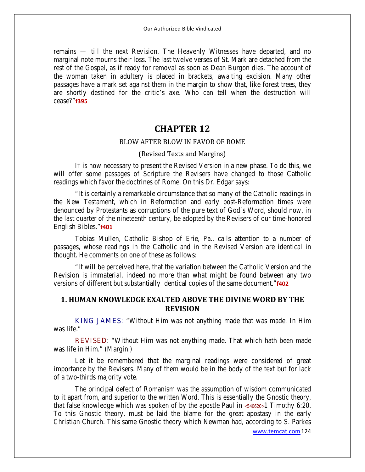remains — till the next Revision. The Heavenly Witnesses have departed, and no marginal note mourns their loss. The last twelve verses of St. Mark are detached from the rest of the Gospel, as if ready for removal as soon as Dean Burgon dies. The account of the woman taken in adultery is placed in brackets, awaiting excision. Many other passages have a mark set against them in the margin to show that, like forest trees, they are shortly destined for the critic's axe. Who can tell when the destruction will cease?"**f395**

# **CHAPTER 12**

#### BLOW AFTER BLOW IN FAVOR OF ROME

#### (Revised Texts and Margins)

IT is now necessary to present the Revised Version in a new phase. To do this, we will offer some passages of Scripture the Revisers have changed to those Catholic readings which favor the doctrines of Rome. On this Dr. Edgar says:

"It is certainly a remarkable circumstance that so many of the Catholic readings in the New Testament, which in Reformation and early post-Reformation times were denounced by Protestants as corruptions of the pure text of God's Word, should now, in the last quarter of the nineteenth century, be adopted by the Revisers of our time-honored English Bibles."**f401**

Tobias Mullen, Catholic Bishop of Erie, Pa., calls attention to a number of passages, whose readings in the Catholic and in the Revised Version are identical in thought. He comments on one of these as follows:

"It will be perceived here, that the variation between the Catholic Version and the Revision is immaterial, indeed no more than what might be found between any two versions of different but substantially identical copies of the same document."**f402**

# **1. HUMAN KNOWLEDGE EXALTED ABOVE THE DIVINE WORD BY THE REVISION**

**KING JAMES:** "Without Him was not anything made that was made. In Him was life."

**REVISED**: "Without Him was not anything made. That which hath been made was life in Him." (Margin.)

Let it be remembered that the marginal readings were considered of great importance by the Revisers. Many of them would be in the body of the text but for lack of a two-thirds majority vote.

The principal defect of Romanism was the assumption of wisdom communicated to it apart from, and superior to the written Word. This is essentially the Gnostic theory, that false knowledge which was spoken of by the apostle Paul in **<540620>**1 Timothy 6:20. To this Gnostic theory, must be laid the blame for the great apostasy in the early Christian Church. This same Gnostic theory which Newman had, according to S. Parkes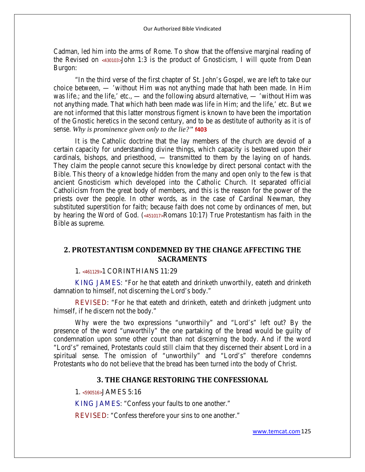Cadman, led him into the arms of Rome. To show that the offensive marginal reading of the Revised on **<430103>**John 1:3 is the product of Gnosticism, I will quote from Dean Burgon:

"In the third verse of the first chapter of St. John's Gospel, we are left to take our choice between, — 'without Him was not anything made that hath been made. In Him was life.; and the life,' etc., — and the following absurd alternative, — 'without Him was not anything made. That which hath been made was life in Him; and the life,' etc. But we are not informed that this latter monstrous figment is known to have been the importation of the Gnostic heretics in the second century, and to be as destitute of authority as it is of sense. *Why is prominence given only to the lie?"* **f403**

It is the Catholic doctrine that the lay members of the church are devoid of a certain capacity for understanding divine things, which capacity is bestowed upon their cardinals, bishops, and priesthood, — transmitted to them by the laying on of hands. They claim the people cannot secure this knowledge by direct personal contact with the Bible. This theory of a knowledge hidden from the many and open only to the few is that ancient Gnosticism which developed into the Catholic Church. It separated official Catholicism from the great body of members, and this is the reason for the power of the priests over the people. In other words, as in the case of Cardinal Newman, they substituted superstition for faith; because faith does not come by ordinances of men, but by hearing the Word of God. (**<451017>**Romans 10:17) True Protestantism has faith in the Bible as supreme.

# **2. PROTESTANTISM CONDEMNED BY THE CHANGE AFFECTING THE SACRAMENTS**

#### **1. <461129>1 CORINTHIANS 11:29**

**KING JAMES**: "For he that eateth and drinketh unworthily, eateth and drinketh damnation to himself, not discerning the Lord's body."

**REVISED**: "For he that eateth and drinketh, eateth and drinketh judgment unto himself, if he discern not the body."

Why were the two expressions "unworthily" and "Lord's" left out? By the presence of the word "unworthily" the one partaking of the bread would be guilty of condemnation upon some other count than not discerning the body. And if the word "Lord's" remained, Protestants could still claim that they discerned their absent Lord in a spiritual sense. The omission of "unworthily" and "Lord's" therefore condemns Protestants who do not believe that the bread has been turned into the body of Christ.

## **3. THE CHANGE RESTORING THE CONFESSIONAL**

#### **1. <590516>JAMES 5:16**

**KING JAMES**: "Confess your faults to one another."

**REVISED:** "Confess therefore your sins to one another."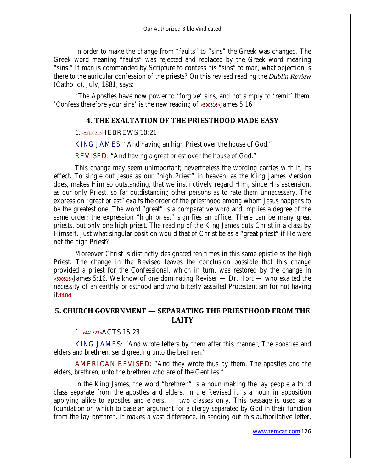In order to make the change from "faults" to "sins" the Greek was changed. The Greek word meaning "faults" was rejected and replaced by the Greek word meaning "sins." If man is commanded by Scripture to confess his "sins" to man, what objection is there to the auricular confession of the priests? On this revised reading the *Dublin Review*  (Catholic), July, 1881, says:

"The Apostles have now power to 'forgive' sins, and not simply to 'remit' them. 'Confess therefore your sins' is the new reading of **<590516>**James 5:16."

## **4. THE EXALTATION OF THE PRIESTHOOD MADE EASY**

## **1. <581021>HEBREWS 10:21**

**KING JAMES**: "And having an high Priest over the house of God."

**REVISED:** "And having a great priest over the house of God."

This change may seem unimportant; nevertheless the wording carries with it, its effect. To single out Jesus as our "high Priest" in heaven, as the King James Version does, makes Him so outstanding, that we instinctively regard Him, since His ascension, as our only Priest, so far outdistancing other persons as to rate them unnecessary. The expression "great priest" exalts the order of the priesthood among whom Jesus happens to be the greatest one. The word "great" is a comparative word and implies a degree of the same order; the expression "high priest" signifies an office. There can be many great priests, but only one high priest. The reading of the King James puts Christ in a class by Himself. Just what singular position would that of Christ be as a "great priest" if He were not the high Priest?

Moreover Christ is distinctly designated ten times in this same epistle as the high Priest. The change in the Revised leaves the conclusion possible that this change provided a priest for the Confessional, which in turn, was restored by the change in **<590516>**James 5:16. We know of one dominating Reviser — Dr. Hort — who exalted the necessity of an earthly priesthood and who bitterly assailed Protestantism for not having it.**f404**

# **5. CHURCH GOVERNMENT — SEPARATING THE PRIESTHOOD FROM THE LAITY**

### **1. <441523>ACTS 15:23**

**KING JAMES**: "And wrote letters by them after this manner, The apostles and elders and brethren, send greeting unto the brethren."

**AMERICAN REVISED**: "And they wrote thus by them, The apostles and the elders, brethren, unto the brethren who are of the Gentiles."

In the King James, the word "brethren" is a noun making the lay people a third class separate from the apostles and elders. In the Revised it is a noun in apposition applying alike to apostles and elders, — two classes only. This passage is used as a foundation on which to base an argument for a clergy separated by God in their function from the lay brethren. It makes a vast difference, in sending out this authoritative letter,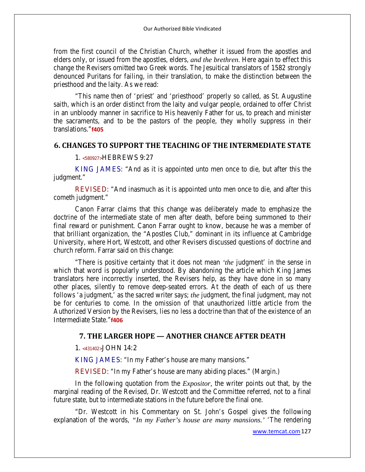from the first council of the Christian Church, whether it issued from the apostles and elders only, or issued from the apostles, elders, *and the brethren.* Here again to effect this change the Revisers omitted two Greek words. The Jesuitical translators of 1582 strongly denounced Puritans for failing, in their translation, to make the distinction between the priesthood and the laity. As we read:

"This name then of 'priest' and 'priesthood' properly so called, as St. Augustine saith, which is an order distinct from the laity and vulgar people, ordained to offer Christ in an unbloody manner in sacrifice to His heavenly Father for us, to preach and minister the sacraments, and to be the pastors of the people, they wholly suppress in their translations."**f405**

## **6. CHANGES TO SUPPORT THE TEACHING OF THE INTERMEDIATE STATE**

## **1. <580927>HEBREWS 9:27**

**KING JAMES**: "And as it is appointed unto men once to die, but after this the judgment."

**REVISED:** "And inasmuch as it is appointed unto men once to die, and after this cometh judgment."

Canon Farrar claims that this change was deliberately made to emphasize the doctrine of the intermediate state of men after death, before being summoned to their final reward or punishment. Canon Farrar ought to know, because he was a member of that brilliant organization, the "Apostles Club," dominant in its influence at Cambridge University, where Hort, Westcott, and other Revisers discussed questions of doctrine and church reform. Farrar said on this change:

"There is positive certainty that it does not mean *'the* judgment' in the sense in which that word is popularly understood. By abandoning the article which King James translators here incorrectly inserted, the Revisers help, as they have done in so many other places, silently to remove deep-seated errors. At the death of each of us there follows 'a judgment,' as the sacred writer says; *the* judgment, the final judgment, may not be for centuries to come. In the omission of that unauthorized little article from the Authorized Version by the Revisers, lies no less a doctrine than that of the existence of an Intermediate State."**f406**

## **7. THE LARGER HOPE — ANOTHER CHANCE AFTER DEATH**

#### **1. <431402>JOHN 14:2**

**KING JAMES**: "In my Father's house are many mansions."

**REVISED:** "In my Father's house are many abiding places." (Margin.)

In the following quotation from the *Expositor,* the writer points out that, by the marginal reading of the Revised, Dr. Westcott and the Committee referred, not to a final future state, but to intermediate stations in the future before the final one.

"Dr. Westcott in his Commentary on St. John's Gospel gives the following explanation of the words, *"In my Father's house are many mansions.'* 'The rendering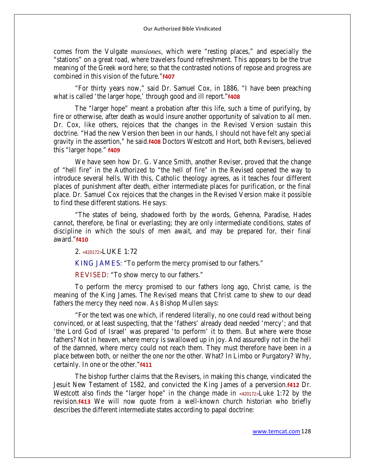Our Authorized Bible Vindicated

comes from the Vulgate *mansiones,* which were "resting places," and especially the "stations" on a great road, where travelers found refreshment. This appears to be the true meaning of the Greek word here; so that the contrasted notions of repose and progress are combined in this vision of the future."**f407**

"For thirty years now," said Dr. Samuel Cox, in 1886, "I have been preaching what is called 'the larger hope,' through good and ill report."**f408**

The "larger hope" meant a probation after this life, such a time of purifying, by fire or otherwise, after death as would insure another opportunity of salvation to all men. Dr. Cox, like others, rejoices that the changes in the Revised Version sustain this doctrine. "Had the new Version then been in our hands, I should not have felt any special gravity in the assertion," he said.**f408** Doctors Westcott and Hort, both Revisers, believed this "larger hope." **f409**

We have seen how Dr. G. Vance Smith, another Reviser, proved that the change of "hell fire" in the Authorized to "the hell of fire" in the Revised opened the way to introduce several hells. With this, Catholic theology agrees, as it teaches four different places of punishment after death, either intermediate places for purification, or the final place. Dr. Samuel Cox rejoices that the changes in the Revised Version make it possible to find these different stations. He says:

"The states of being, shadowed forth by the words, Gehenna, Paradise, Hades cannot, therefore, be final or everlasting; they are only intermediate conditions, states of discipline in which the souls of men await, and may be prepared for, their final award."**f410**

### **2. <420172>LUKE 1:72**

**KING JAMES**: "To perform the mercy promised to our fathers."

**REVISED**: "To show mercy to our fathers."

To perform the mercy promised to our fathers long ago, Christ came, is the meaning of the King James. The Revised means that Christ came to shew to our dead fathers the mercy they need now. As Bishop Mullen says:

"For the text was one which, if rendered literally, no one could read without being convinced, or at least suspecting, that the 'fathers' already dead needed 'mercy'; and that 'the Lord God of Israel' was prepared 'to perform' it to them. But where were those fathers? Not in heaven, where mercy is swallowed up in joy. And assuredly not in the hell of the damned, where mercy could not reach them. They must therefore have been in a place between both, or neither the one nor the other. What? In Limbo or Purgatory? Why, certainly. In one or the other."**f411**

The bishop further claims that the Revisers, in making this change, vindicated the Jesuit New Testament of 1582, and convicted the King James of a perversion.**f412** Dr. Westcott also finds the "larger hope" in the change made in **<420172>**Luke 1:72 by the revision.**f413** We will now quote from a well-known church historian who briefly describes the different intermediate states according to papal doctrine: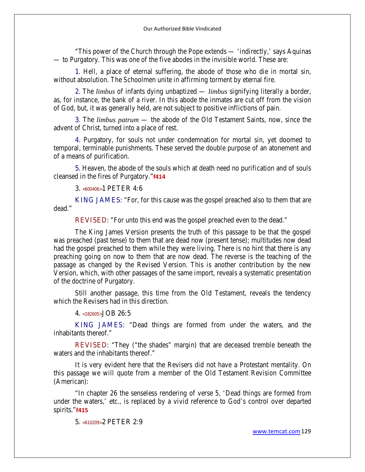"This power of the Church through the Pope extends — 'indirectly,' says Aquinas — to Purgatory. This was one of the five abodes in the invisible world. These are:

**1.** Hell, a place of eternal suffering, the abode of those who die in mortal sin, without absolution. The Schoolmen unite in affirming torment by eternal fire.

**2.** The *limbus* of infants dying unbaptized — *limbus* signifying literally a border, as, for instance, the bank of a river. In this abode the inmates are cut off from the vision of God, but, it was generally held, are not subject to positive inflictions of pain.

**3.** The *limbus patrum* — the abode of the Old Testament Saints, now, since the advent of Christ, turned into a place of rest.

**4.** Purgatory, for souls not under condemnation for mortal sin, yet doomed to temporal, terminable punishments. These served the double purpose of an atonement and of a means of purification.

**5.** Heaven, the abode of the souls which at death need no purification and of souls cleansed in the fires of Purgatory."**f414**

#### **3. <600406>1 PETER 4:6**

**KING JAMES**: "For, for this cause was the gospel preached also to them that are dead."

**REVISED:** "For unto this end was the gospel preached even to the dead."

The King James Version presents the truth of this passage to be that the gospel was preached (past tense) to them that are dead now (present tense); multitudes now dead had the gospel preached to them while they were living. There is no hint that there is any preaching going on now to them that are now dead. The reverse is the teaching of the passage as changed by the Revised Version. This is another contribution by the new Version, which, with other passages of the same import, reveals a systematic presentation of the doctrine of Purgatory.

Still another passage, this time from the Old Testament, reveals the tendency which the Revisers had in this direction.

#### **4. <182605>JOB 26:5**

**KING JAMES:** "Dead things are formed from under the waters, and the inhabitants thereof."

**REVISED**: "They ("the shades" margin) that are deceased tremble beneath the waters and the inhabitants thereof."

It is very evident here that the Revisers did not have a Protestant mentality. On this passage we will quote from a member of the Old Testament Revision Committee (American):

"In chapter 26 the senseless rendering of verse 5, 'Dead things are formed from under the waters,' etc., is replaced by a vivid reference to God's control over departed spirits."**f415**

#### **5. <610209>2 PETER 2:9**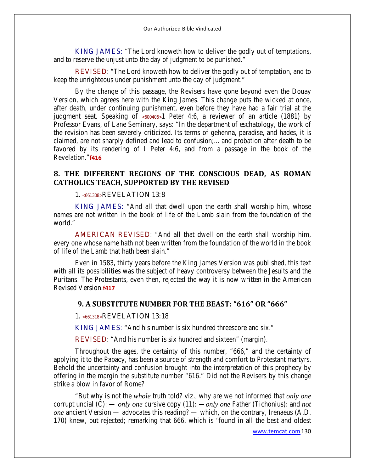**KING JAMES:** "The Lord knoweth how to deliver the godly out of temptations, and to reserve the unjust unto the day of judgment to be punished."

**REVISED**: "The Lord knoweth how to deliver the godly out of temptation, and to keep the unrighteous under punishment unto the day of judgment."

By the change of this passage, the Revisers have gone beyond even the Douay Version, which agrees here with the King James. This change puts the wicked at once, after death, under continuing punishment, even before they have had a fair trial at the judgment seat. Speaking of **<600406>**1 Peter 4:6, a reviewer of an article (1881) by Professor Evans, of Lane Seminary, says: "In the department of eschatology, the work of the revision has been severely criticized. Its terms of gehenna, paradise, and hades, it is claimed, are not sharply defined and lead to confusion;... and probation after death to be favored by its rendering of I Peter 4:6, and from a passage in the book of the Revelation."**f416**

# **8. THE DIFFERENT REGIONS OF THE CONSCIOUS DEAD, AS ROMAN CATHOLICS TEACH, SUPPORTED BY THE REVISED**

#### **1. <661308>REVELATION 13:8**

**KING JAMES:** "And all that dwell upon the earth shall worship him, whose names are not written in the book of life of the Lamb slain from the foundation of the world."

**AMERICAN REVISED**: "And all that dwell on the earth shall worship him, every one whose name hath not been written from the foundation of the world in the book of life of the Lamb that hath been slain."

Even in 1583, thirty years before the King James Version was published, this text with all its possibilities was the subject of heavy controversy between the Jesuits and the Puritans. The Protestants, even then, rejected the way it is now written in the American Revised Version.**f417**

# **9. A SUBSTITUTE NUMBER FOR THE BEAST: "616" OR "666"**

#### **1. <661318>REVELATION 13:18**

**KING JAMES:** "And his number is six hundred threescore and six."

**REVISED**: "And his number is six hundred and sixteen" (margin).

Throughout the ages, the certainty of this number, "666," and the certainty of applying it to the Papacy, has been a source of strength and comfort to Protestant martyrs. Behold the uncertainty and confusion brought into the interpretation of this prophecy by offering in the margin the substitute number "616." Did not the Revisers by this change strike a blow in favor of Rome?

"But why is not the *whole* truth told? viz., why are we not informed that *only one*  corrupt uncial (C): — *only one* cursive copy (11): —*only one* Father (Tichonius): and *not one* ancient Version — advocates this reading? — which, on the contrary, Irenaeus (A.D. 170) knew, but rejected; remarking that 666, which is 'found in all the best and oldest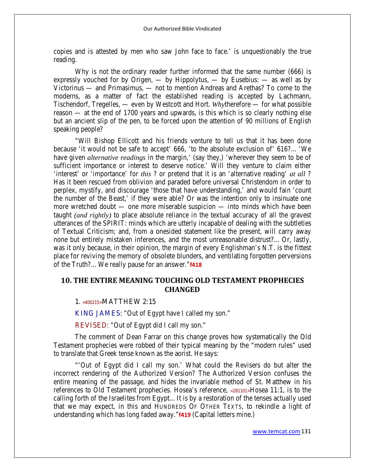copies and is attested by men who saw John face to face.' is unquestionably the true reading.

Why is not the ordinary reader further informed that the same number (666) is expressly vouched for by Origen, — by Hippolytus, — by Eusebius: — as well as by Victorinus — and Primasimus, — not to mention Andreas and Arethas? To come to the moderns, as a matter of fact the established reading is accepted by Lachmann, Tischendorf, Tregelles, — even by Westcott and Hort. *Why*therefore — for what possible reason — at the end of 1700 years and upwards, is this which is so clearly nothing else but an ancient slip of the pen, to be forced upon the attention of 90 millions of English speaking people?

"Will Bishop Ellicott and his friends venture to tell us that it has been done because 'it would not be safe to accept' 666, 'to the absolute exclusion of' 616?... 'We have given *alternative readings* in the margin,' (say they,) 'wherever they seem to be of sufficient importance or interest to deserve notice.' Will they venture to claim either 'interest' or 'importance' for *this* ? or pretend that it is an 'alternative reading' *at all* ? Has it been rescued from oblivion and paraded before universal Christendom in order to perplex, mystify, and discourage 'those that have understanding,' and would fain 'count the number of the Beast,' if they were able? Or was the intention only to insinuate one more wretched doubt — one more miserable suspicion — into minds which have been taught *(and rightly)* to place absolute reliance in the textual accuracy of all the gravest utterances of the SPIRIT: minds which are utterly incapable of dealing with the subtleties of Textual Criticism; and, from a onesided statement like the present, will carry away none but entirely mistaken inferences, and the most unreasonable distrust?... Or, lastly, was it only because, in their opinion, the margin of every Englishman's N.T. is the fittest place for reviving the memory of obsolete blunders, and ventilating forgotten perversions of the Truth?... We really pause for an answer."**f418**

# **10. THE ENTIRE MEANING TOUCHING OLD TESTAMENT PROPHECIES CHANGED**

#### **1. <400215>MATTHEW 2:15**

**KING JAMES**: "Out of Egypt have I called my son."

**REVISED**: "Out of Egypt did I call my son."

The comment of Dean Farrar on this change proves how systematically the Old Testament prophecies were robbed of their typical meaning by the "modern rules" used to translate that Greek tense known as the aorist. He says:

"'Out of Egypt did I call my son.' What could the Revisers do but alter the incorrect rendering of the Authorized Version? The Authorized Version confuses the entire meaning of the passage, and hides the invariable method of St. Matthew in his references to Old Testament prophecies. Hosea's reference, **<281101>**Hosea 11:1, is to the calling forth of the Israelites from Egypt... It is by a restoration of the tenses actually used that we may expect, in this and HUNDREDS OF OTHER TEXTS, to rekindle a light of understanding which has long faded away."**f419** (Capital letters mine.)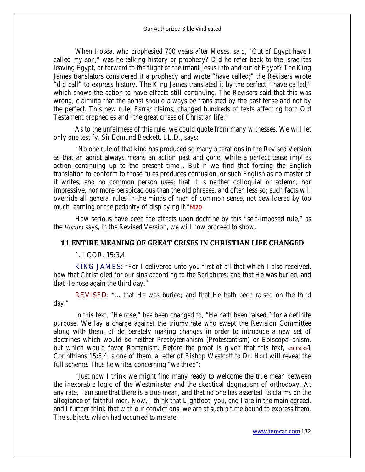When Hosea, who prophesied 700 years after Moses, said, "Out of Egypt have I called my son," was he talking history or prophecy? Did he refer back to the Israelites leaving Egypt, or forward to the flight of the infant Jesus into and out of Egypt? The King James translators considered it a prophecy and wrote "have called;" the Revisers wrote "did call" to express history. The King James translated it by the perfect, "have called," which shows the action to have effects still continuing. The Revisers said that this was wrong, claiming that the aorist should always be translated by the past tense and not by the perfect. This new rule, Farrar claims, changed hundreds of texts affecting both Old Testament prophecies and "the great crises of Christian life."

As to the unfairness of this rule, we could quote from many witnesses. We will let only one testify. Sir Edmund Beckett, LL.D., says:

"No one rule of that kind has produced so many alterations in the Revised Version as that an aorist always means an action past and gone, while a perfect tense implies action continuing up to the present time... But if we find that forcing the English translation to conform to those rules produces confusion, or such English as no master of it writes, and no common person uses; that it is neither colloquial or solemn, nor impressive, nor more perspicacious than the old phrases, and often less so; such facts will override all general rules in the minds of men of common sense, not bewildered by too much learning or the pedantry of displaying it."**f420**

How serious have been the effects upon doctrine by this "self-imposed rule," as the *Forum* says, in the Revised Version, we will now proceed to show.

## **11 ENTIRE MEANING OF GREAT CRISES IN CHRISTIAN LIFE CHANGED**

## **1. I COR. 15:3,4**

**KING JAMES**: "For I delivered unto you first of all that which I also received, how that Christ died for our sins according to the Scriptures; and that He was buried, and that He rose again the third day."

**REVISED**: "... that He was buried; and that He hath been raised on the third day."

In this text, "He rose," has been changed to, "He hath been raised," for a definite purpose. We lay a charge against the triumvirate who swept the Revision Committee along with them, of deliberately making changes in order to introduce a new set of doctrines which would be neither Presbyterianism (Protestantism) or Episcopalianism, but which would favor Romanism. Before the proof is given that this text, **<461503>**1 Corinthians 15:3,4 is one of them, a letter of Bishop Westcott to Dr. Hort will reveal the full scheme. Thus he writes concerning "we three":

"Just now I think we might find many ready to welcome the true mean between the inexorable logic of the Westminster and the skeptical dogmatism of orthodoxy. At any rate, I am sure that there is a true mean, and that no one has asserted its claims on the allegiance of faithful men. Now, I think that Lightfoot, you, and I are in the main agreed, and I further think that with our convictions, we are at such a time bound to express them. The subjects which had occurred to me are —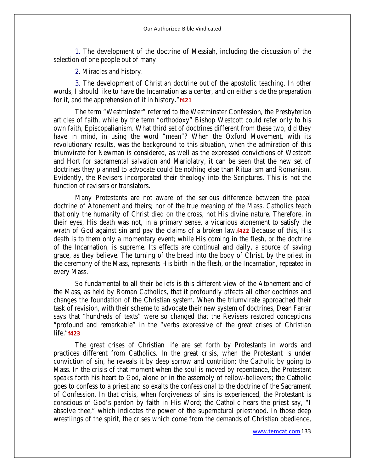**1.** The development of the doctrine of Messiah, including the discussion of the selection of one people out of many.

**2**. Miracles and history.

**3.** The development of Christian doctrine out of the apostolic teaching. In other words, I should like to have the Incarnation as a center, and on either side the preparation for it, and the apprehension of it in history."**f421**

The term "Westminster" referred to the Westminster Confession, the Presbyterian articles of faith, while by the term "orthodoxy" Bishop Westcott could refer only to his own faith, Episcopalianism. What third set of doctrines different from these two, did they have in mind, in using the word "mean"? When the Oxford Movement, with its revolutionary results, was the background to this situation, when the admiration of this triumvirate for Newman is considered, as well as the expressed convictions of Westcott and Hort for sacramental salvation and Mariolatry, it can be seen that the new set of doctrines they planned to advocate could be nothing else than Ritualism and Romanism. Evidently, the Revisers incorporated their theology into the Scriptures. This is not the function of revisers or translators.

Many Protestants are not aware of the serious difference between the papal doctrine of Atonement and theirs; nor of the true meaning of the Mass. Catholics teach that only the humanity of Christ died on the cross, not His divine nature. Therefore, in their eyes, His death was not, in a primary sense, a vicarious atonement to satisfy the wrath of God against sin and pay the claims of a broken law.**f422** Because of this, His death is to them only a momentary event; while His coming in the flesh, or the doctrine of the Incarnation, is supreme. Its effects are continual and daily, a source of saving grace, as they believe. The turning of the bread into the body of Christ, by the priest in the ceremony of the Mass, represents His birth in the flesh, or the Incarnation, repeated in every Mass.

So fundamental to all their beliefs is this different view of the Atonement and of the Mass, as held by Roman Catholics, that it profoundly affects all other doctrines and changes the foundation of the Christian system. When the triumvirate approached their task of revision, with their scheme to advocate their new system of doctrines, Dean Farrar says that "hundreds of texts" were so changed that the Revisers restored conceptions "profound and remarkable" in the "verbs expressive of the great crises of Christian life."**f423**

The great crises of Christian life are set forth by Protestants in words and practices different from Catholics. In the great crisis, when the Protestant is under conviction of sin, he reveals it by deep sorrow and contrition; the Catholic by going to Mass. In the crisis of that moment when the soul is moved by repentance, the Protestant speaks forth his heart to God, alone or in the assembly of fellow-believers; the Catholic goes to confess to a priest and so exalts the confessional to the doctrine of the Sacrament of Confession. In that crisis, when forgiveness of sins is experienced, the Protestant is conscious of God's pardon by faith in His Word; the Catholic hears the priest say, "I absolve thee," which indicates the power of the supernatural priesthood. In those deep wrestlings of the spirit, the crises which come from the demands of Christian obedience,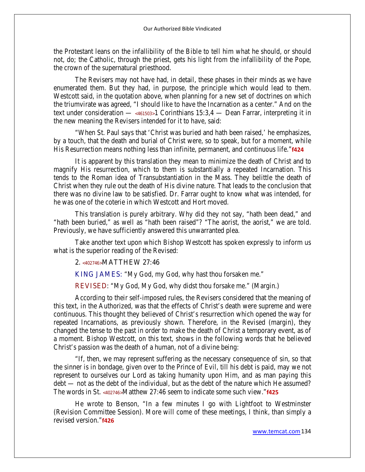the Protestant leans on the infallibility of the Bible to tell him what he should, or should not, do; the Catholic, through the priest, gets his light from the infallibility of the Pope, the crown of the supernatural priesthood.

The Revisers may not have had, in detail, these phases in their minds as we have enumerated them. But they had, in purpose, the principle which would lead to them. Westcott said, in the quotation above, when planning for a new set of doctrines on which the triumvirate was agreed, "I should like to have the Incarnation as a center." And on the text under consideration — **<461503>**1 Corinthians 15:3,4 — Dean Farrar, interpreting it in the new meaning the Revisers intended for it to have, said:

"When St. Paul says that 'Christ was buried and hath been raised,' he emphasizes, by a touch, that the death and burial of Christ were, so to speak, but for a moment, while His Resurrection means nothing less than infinite, permanent, and continuous life."**f424**

It is apparent by this translation they mean to minimize the death of Christ and to magnify His resurrection, which to them is substantially a repeated Incarnation. This tends to the Roman idea of Transubstantiation in the Mass. They belittle the death of Christ when they rule out the death of His divine nature. That leads to the conclusion that there was no divine law to be satisfied. Dr. Farrar ought to know what was intended, for he was one of the coterie in which Westcott and Hort moved.

This translation is purely arbitrary. Why did they not say, "hath been dead," and "hath been buried," as well as "hath been raised"? "The aorist, the aorist," we are told. Previously, we have sufficiently answered this unwarranted plea.

Take another text upon which Bishop Westcott has spoken expressly to inform us what is the superior reading of the Revised:

#### **2. <402746>MATTHEW 27:46**

**KING JAMES:** "My God, my God, why hast thou forsaken me."

**REVISED:** "My God, My God, why didst thou forsake me." (Margin.)

According to their self-imposed rules, the Revisers considered that the meaning of this text, in the Authorized, was that the effects of Christ's death were supreme and were continuous. This thought they believed of Christ's resurrection which opened the way for repeated Incarnations, as previously shown. Therefore, in the Revised (margin), they changed the tense to the past in order to make the death of Christ a temporary event, as of a moment. Bishop Westcott, on this text, shows in the following words that he believed Christ's passion was the death of a human, not of a divine being:

"If, then, we may represent suffering as the necessary consequence of sin, so that the sinner is in bondage, given over to the Prince of Evil, till his debt is paid, may we not represent to ourselves our Lord as taking humanity upon Him, and as man paying this debt — not as the debt of the individual, but as the debt of the nature which He assumed? The words in St. **<402746>**Matthew 27:46 seem to indicate some such view."**f425**

He wrote to Benson, "In a few minutes I go with Lightfoot to Westminster (Revision Committee Session). More will come of these meetings, I think, than simply a revised version."**f426**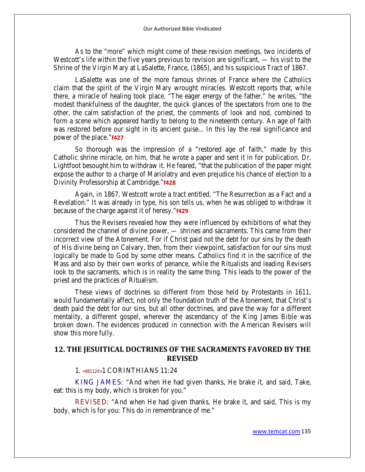As to the "more" which might come of these revision meetings, two incidents of Westcott's life within the five years previous to revision are significant, — his visit to the Shrine of the Virgin Mary at LaSalette, France, (1865), and his suspicious Tract of 1867.

LaSalette was one of the more famous shrines of France where the Catholics claim that the spirit of the Virgin Mary wrought miracles. Westcott reports that, while there, a miracle of healing took place. "The eager energy of the father," he writes, "the modest thankfulness of the daughter, the quick glances of the spectators from one to the other, the calm satisfaction of the priest, the comments of look and nod, combined to form a scene which appeared hardly to belong to the nineteenth century. An age of faith was restored before our sight in its ancient guise... In this lay the real significance and power of the place."**f427**

So thorough was the impression of a "restored age of faith," made by this Catholic shrine miracle, on him, that he wrote a paper and sent it in for publication. Dr. Lightfoot besought him to withdraw it. He feared, "that the publication of the paper might expose the author to a charge of Mariolatry and even prejudice his chance of election to a Divinity Professorship at Cambridge."**f428**

Again, in 1867, Westcott wrote a tract entitled, "The Resurrection as a Fact and a Revelation." It was already in type, his son tells us, when he was obliged to withdraw it because of the charge against it of heresy."**f429**

Thus the Revisers revealed how they were influenced by exhibitions of what they considered the channel of divine power, — shrines and sacraments. This came from their incorrect view of the Atonement. For if Christ paid not the debt for our sins by the death of His divine being on Calvary, then, from their viewpoint, satisfaction for our sins must logically be made to God by some other means. Catholics find it in the sacrifice of the Mass and also by their own works of penance, while the Ritualists and leading Revisers look to the sacraments, which is in reality the same thing. This leads to the power of the priest and the practices of Ritualism.

These views of doctrines so different from those held by Protestants in 1611, would fundamentally affect, not only the foundation truth of the Atonement, that Christ's death paid the debt for our sins, but all other doctrines, and pave the way for a different mentality, a different gospel, wherever the ascendancy of the King James Bible was broken down. The evidences produced in connection with the American Revisers will show this more fully.

# **12. THE JESUITICAL DOCTRINES OF THE SACRAMENTS FAVORED BY THE REVISED**

## **1. <461124>1 CORINTHIANS 11:24**

**KING JAMES:** "And when He had given thanks, He brake it, and said, Take, eat: this is my body, which is broken for you."

**REVISED**: "And when He had given thanks, He brake it, and said, This is my body, which is for you: This do in remembrance of me."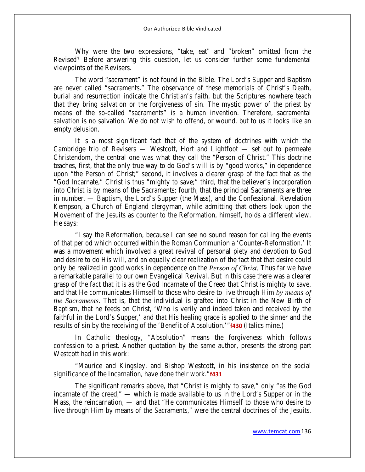Why were the two expressions, "take, eat" and "broken" omitted from the Revised? Before answering this question, let us consider further some fundamental viewpoints of the Revisers.

The word "sacrament" is not found in the Bible. The Lord's Supper and Baptism are never called "sacraments." The observance of these memorials of Christ's Death, burial and resurrection indicate the Christian's faith, but the Scriptures nowhere teach that they bring salvation or the forgiveness of sin. The mystic power of the priest by means of the so-called "sacraments" is a human invention. Therefore, sacramental salvation is no salvation. We do not wish to offend, or wound, but to us it looks like an empty delusion.

It is a most significant fact that of the system of doctrines with which the Cambridge trio of Revisers — Westcott, Hort and Lightfoot — set out to permeate Christendom, the central one was what they call the "Person of Christ." This doctrine teaches, first, that the only true way to do God's will is by "good works," in dependence upon "the Person of Christ;" second, it involves a clearer grasp of the fact that as the "God Incarnate," Christ is thus "mighty to save;" third, that the believer's incorporation into Christ is by means of the Sacraments; fourth, that the principal Sacraments are three in number, — Baptism, the Lord's Supper (the Mass), and the Confessional. Revelation Kempson, a Church of England clergyman, while admitting that others look upon the Movement of the Jesuits as counter to the Reformation, himself, holds a different view. He says:

"I say the Reformation, because I can see no sound reason for calling the events of that period which occurred within the Roman Communion a 'Counter-Reformation.' It was a movement which involved a great revival of personal piety and devotion to God and desire to do His will, and an equally clear realization of the fact that that desire could only be realized in good works in dependence on the *Person of Christ.* Thus far we have a remarkable parallel to our own Evangelical Revival. But in this case there was a clearer grasp of the fact that it is as the God Incarnate of the Creed that Christ is mighty to save, and that He communicates Himself to those who desire to live through Him *by means of the Sacraments.* That is, that the individual is grafted into Christ in the New Birth of Baptism, that he feeds on Christ, 'Who is verily and indeed taken and received by the faithful in the Lord's Supper,' and that His healing grace is applied to the sinner and the results of sin by the receiving of the 'Benefit of Absolution.'"**f430** (Italics mine.)

In Catholic theology, "Absolution" means the forgiveness which follows confession to a priest. Another quotation by the same author, presents the strong part Westcott had in this work:

"Maurice and Kingsley, and Bishop Westcott, in his insistence on the social significance of the Incarnation, have done their work."**f431**

The significant remarks above, that "Christ is mighty to save," only "as the God incarnate of the creed," — which is made available to us in the Lord's Supper or in the Mass, the reincarnation, — and that "He communicates Himself to those who desire to live through Him by means of the Sacraments," were the central doctrines of the Jesuits.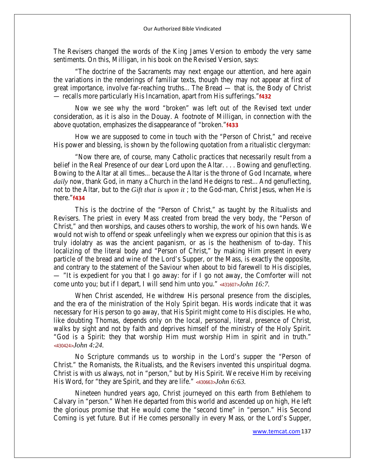The Revisers changed the words of the King James Version to embody the very same sentiments. On this, Milligan, in his book on the Revised Version, says:

"The doctrine of the Sacraments may next engage our attention, and here again the variations in the renderings of familiar texts, though they may not appear at first of great importance, involve far-reaching truths... The Bread — that is, the Body of Christ — recalls more particularly His Incarnation, apart from His sufferings."**f432**

Now we see why the word "broken" was left out of the Revised text under consideration, as it is also in the Douay. A footnote of Milligan, in connection with the above quotation, emphasizes the disappearance of "broken."**f433**

How we are supposed to come in touch with the "Person of Christ," and receive His power and blessing, is shown by the following quotation from a ritualistic clergyman:

"Now there are, of course, many Catholic practices that necessarily result from a belief in the Real Presence of our dear Lord upon the Altar.... Bowing and genuflecting. Bowing to the Altar at all times... because the Altar is the throne of God Incarnate, where *daily* now, thank God, in many a Church in the land He deigns to rest... And genuflecting, not to the Altar, but to the *Gift that is upon it* ; to the God-man, Christ Jesus, when He is there."**f434**

This is the doctrine of the "Person of Christ," as taught by the Ritualists and Revisers. The priest in every Mass created from bread the very body, the "Person of Christ," and then worships, and causes others to worship, the work of his own hands. We would not wish to offend or speak unfeelingly when we express our opinion that this is as truly idolatry as was the ancient paganism, or as is the heathenism of to-day. This localizing of the literal body and "Person of Christ," by making Him present in every particle of the bread and wine of the Lord's Supper, or the Mass, is exactly the opposite, and contrary to the statement of the Saviour when about to bid farewell to His disciples, — "It is expedient for you that I go away: for if I go not away, the Comforter will not come unto you; but if I depart, I will send him unto you." **<431607>***John 16:7.*

When Christ ascended, He withdrew His personal presence from the disciples, and the era of the ministration of the Holy Spirit began. His words indicate that it was necessary for His person to go away, that His Spirit might come to His disciples. He who, like doubting Thomas, depends only on the local, personal, literal, presence of Christ, walks by sight and not by faith and deprives himself of the ministry of the Holy Spirit. "God is a Spirit: they that worship Him must worship Him in spirit and in truth." **<430424>***John 4:24.* 

No Scripture commands us to worship in the Lord's supper the "Person of Christ." the Romanists, the Ritualists, and the Revisers invented this unspiritual dogma. Christ is with us always, not in "person," but by His Spirit. We receive Him by receiving His Word, for "they are Spirit, and they are life." **<430663>***John 6:63.*

Nineteen hundred years ago, Christ journeyed on this earth from Bethlehem to Calvary in "person." When He departed from this world and ascended up on high, He left the glorious promise that He would come the "second time" in "person." His Second Coming is yet future. But if He comes personally in every Mass, or the Lord's Supper,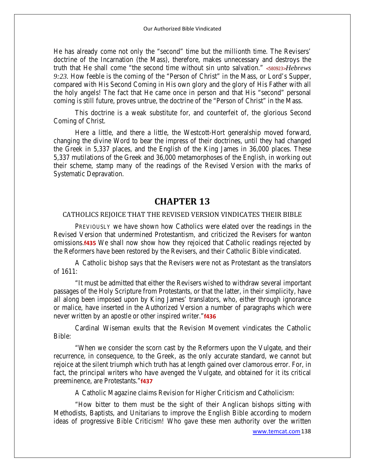He has already come not only the "second" time but the millionth time. The Revisers' doctrine of the Incarnation (the Mass), therefore, makes unnecessary and destroys the truth that He shall come "the second time without sin unto salvation." **<580923>***Hebrews 9:23.* How feeble is the coming of the "Person of Christ" in the Mass, or Lord's Supper, compared with His Second Coming in His own glory and the glory of His Father with all the holy angels! The fact that He came once in person and that His "second" personal coming is still future, proves untrue, the doctrine of the "Person of Christ" in the Mass.

This doctrine is a weak substitute for, and counterfeit of, the glorious Second Coming of Christ.

Here a little, and there a little, the Westcott-Hort generalship moved forward, changing the divine Word to bear the impress of their doctrines, until they had changed the Greek in 5,337 places, and the English of the King James in 36,000 places. These 5,337 mutilations of the Greek and 36,000 metamorphoses of the English, in working out their scheme, stamp many of the readings of the Revised Version with the marks of Systematic Depravation.

# **CHAPTER 13**

#### CATHOLICS REJOICE THAT THE REVISED VERSION VINDICATES THEIR BIBLE

PREVIOUSLY we have shown how Catholics were elated over the readings in the Revised Version that undermined Protestantism, and criticized the Revisers for wanton omissions.**f435** We shall now show how they rejoiced that Catholic readings rejected by the Reformers have been restored by the Revisers, and their Catholic Bible vindicated.

A Catholic bishop says that the Revisers were not as Protestant as the translators of 1611:

"It must be admitted that either the Revisers wished to withdraw several important passages of the Holy Scripture from Protestants, or that the latter, in their simplicity, have all along been imposed upon by King James' translators, who, either through ignorance or malice, have inserted in the Authorized Version a number of paragraphs which were never written by an apostle or other inspired writer."**f436**

Cardinal Wiseman exults that the Revision Movement vindicates the Catholic Bible:

"When we consider the scorn cast by the Reformers upon the Vulgate, and their recurrence, in consequence, to the Greek, as the only accurate standard, we cannot but rejoice at the silent triumph which truth has at length gained over clamorous error. For, in fact, the principal writers who have avenged the Vulgate, and obtained for it its critical preeminence, are Protestants."**f437**

A Catholic Magazine claims Revision for Higher Criticism and Catholicism:

"How bitter to them must be the sight of their Anglican bishops sitting with Methodists, Baptists, and Unitarians to improve the English Bible according to modern ideas of progressive Bible Criticism! Who gave these men authority over the written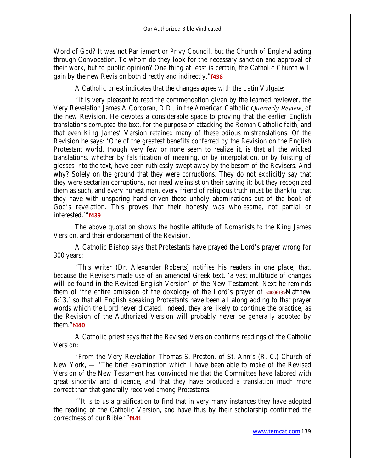Word of God? It was not Parliament or Privy Council, but the Church of England acting through Convocation. To whom do they look for the necessary sanction and approval of their work, but to public opinion? One thing at least is certain, the Catholic Church will gain by the new Revision both directly and indirectly."**f438**

A Catholic priest indicates that the changes agree with the Latin Vulgate:

"It is very pleasant to read the commendation given by the learned reviewer, the Very Revelation James A Corcoran, D.D., in the American Catholic *Quarterly Review,* of the new Revision. He devotes a considerable space to proving that the earlier English translations corrupted the text, for the purpose of attacking the Roman Catholic faith, and that even King James' Version retained many of these odious mistranslations. Of the Revision he says: 'One of the greatest benefits conferred by the Revision on the English Protestant world, though very few or none seem to realize it, is that all the wicked translations, whether by falsification of meaning, or by interpolation, or by foisting of glosses into the text, have been ruthlessly swept away by the besom of the Revisers. And why? Solely on the ground that they were corruptions. They do not explicitly say that they were sectarian corruptions, nor need we insist on their saying it; but they recognized them as such, and every honest man, every friend of religious truth must be thankful that they have with unsparing hand driven these unholy abominations out of the book of God's revelation. This proves that their honesty was wholesome, not partial or interested.'"**f439** 

The above quotation shows the hostile attitude of Romanists to the King James Version, and their endorsement of the Revision.

A Catholic Bishop says that Protestants have prayed the Lord's prayer wrong for 300 years:

"This writer (Dr. Alexander Roberts) notifies his readers in one place, that, because the Revisers made use of an amended Greek text, 'a vast multitude of changes will be found in the Revised English Version' of the New Testament. Next he reminds them of 'the entire omission of the doxology of the Lord's prayer of **<400613>**Matthew 6:13,' so that all English speaking Protestants have been all along adding to that prayer words which the Lord never dictated. Indeed, they are likely to continue the practice, as the Revision of the Authorized Version will probably never be generally adopted by them."**f440**

A Catholic priest says that the Revised Version confirms readings of the Catholic Version:

"From the Very Revelation Thomas S. Preston, of St. Ann's (R. C.) Church of New York, — 'The brief examination which I have been able to make of the Revised Version of the New Testament has convinced me that the Committee have labored with great sincerity and diligence, and that they have produced a translation much more correct than that generally received among Protestants.

"'It is to us a gratification to find that in very many instances they have adopted the reading of the Catholic Version, and have thus by their scholarship confirmed the correctness of our Bible.'"**f441**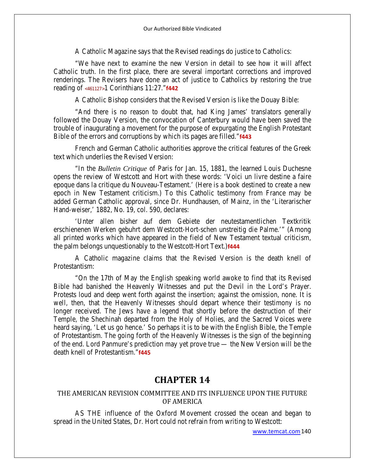A Catholic Magazine says that the Revised readings do justice to Catholics:

"We have next to examine the new Version in detail to see how it will affect Catholic truth. In the first place, there are several important corrections and improved renderings. The Revisers have done an act of justice to Catholics by restoring the true reading of **<461127>**1 Corinthians 11:27."**f442**

A Catholic Bishop considers that the Revised Version is like the Douay Bible:

"And there is no reason to doubt that, had King James' translators generally followed the Douay Version, the convocation of Canterbury would have been saved the trouble of inaugurating a movement for the purpose of expurgating the English Protestant Bible of the errors and corruptions by which its pages are filled."**f443**

French and German Catholic authorities approve the critical features of the Greek text which underlies the Revised Version:

"In the *Bulletin Critique* of Paris for Jan. 15, 1881, the learned Louis Duchesne opens the review of Westcott and Hort with these words: 'Voici un livre destine a faire epoque dans la critique du Nouveau-Testament.' (Here is a book destined to create a new epoch in New Testament criticism.) To this Catholic testimony from France may be added German Catholic approval, since Dr. Hundhausen, of Mainz, in the 'Literarischer Hand-weiser,' 1882, No. 19, col. 590, declares:

'Unter allen bisher auf dem Gebiete der neutestamentlichen Textkritik erschienenen Werken gebuhrt dem Westcott-Hort-schen unstreitig die Palme.'" (Among all printed works which have appeared in the field of New Testament textual criticism, the palm belongs unquestionably to the Westcott-Hort Text.)**f444**

A Catholic magazine claims that the Revised Version is the death knell of Protestantism:

"On the 17th of May the English speaking world awoke to find that its Revised Bible had banished the Heavenly Witnesses and put the Devil in the Lord's Prayer. Protests loud and deep went forth against the insertion; against the omission, none. It is well, then, that the Heavenly Witnesses should depart whence their testimony is no longer received. The Jews have a legend that shortly before the destruction of their Temple, the Shechinah departed from the Holy of Holies, and the Sacred Voices were heard saying, 'Let us go hence.' So perhaps it is to be with the English Bible, the Temple of Protestantism. The going forth of the Heavenly Witnesses is the sign of the beginning of the end. Lord Panmure's prediction may yet prove true — the New Version will be the death knell of Protestantism."**f445**

# **CHAPTER 14**

## THE AMERICAN REVISION COMMITTEE AND ITS INFLUENCE UPON THE FUTURE OF AMERICA

AS THE influence of the Oxford Movement crossed the ocean and began to spread in the United States, Dr. Hort could not refrain from writing to Westcott: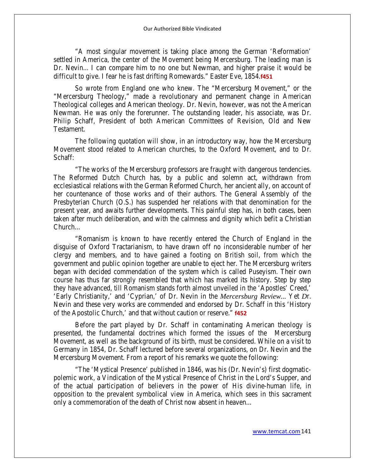"A most singular movement is taking place among the German 'Reformation' settled in America, the center of the Movement being Mercersburg. The leading man is Dr. Nevin... I can compare him to no one but Newman, and higher praise it would be difficult to give. I fear he is fast drifting Romewards." Easter Eve, 1854.**f451**

So wrote from England one who knew. The "Mercersburg Movement," or the "Mercersburg Theology," made a revolutionary and permanent change in American Theological colleges and American theology. Dr. Nevin, however, was not the American Newman. He was only the forerunner. The outstanding leader, his associate, was Dr. Philip Schaff, President of both American Committees of Revision, Old and New Testament.

The following quotation will show, in an introductory way, how the Mercersburg Movement stood related to American churches, to the Oxford Movement, and to Dr. Schaff:

"The works of the Mercersburg professors are fraught with dangerous tendencies. The Reformed Dutch Church has, by a public and solemn act, withdrawn from ecclesiastical relations with the German Reformed Church, her ancient ally, on account of her countenance of those works and of their authors. The General Assembly of the Presbyterian Church (O.S.) has suspended her relations with that denomination for the present year, and awaits further developments. This painful step has, in both cases, been taken after much deliberation, and with the calmness and dignity which befit a Christian Church...

"Romanism is known to have recently entered the Church of England in the disguise of Oxford Tractarianism, to have drawn off no inconsiderable number of her clergy and members, and to have gained a footing on British soil, from which the government and public opinion together are unable to eject her. The Mercersburg writers began with decided commendation of the system which is called Puseyism. Their own course has thus far strongly resembled that which has marked its history. Step by step they have advanced, till Romanism stands forth almost unveiled in the 'Apostles' Creed,' 'Early Christianity,' and 'Cyprian,' of Dr. Nevin in the *Mercersburg Review...* Yet *D*r. Nevin and these very works are commended and endorsed by Dr. Schaff in this 'History of the Apostolic Church,' and that without caution or reserve." **f452**

Before the part played by Dr. Schaff in contaminating American theology is presented, the fundamental doctrines which formed the issues of the Mercersburg Movement, as well as the background of its birth, must be considered. While on a visit to Germany in 1854, Dr. Schaff lectured before several organizations, on Dr. Nevin and the Mercersburg Movement. From a report of his remarks we quote the following:

"The 'Mystical Presence' published in 1846, was his (Dr. Nevin's) first dogmaticpolemic work, a Vindication of the Mystical Presence of Christ in the Lord's Supper, and of the actual participation of believers in the power of His divine-human life, in opposition to the prevalent symbolical view in America, which sees in this sacrament only a commemoration of the death of Christ now absent in heaven...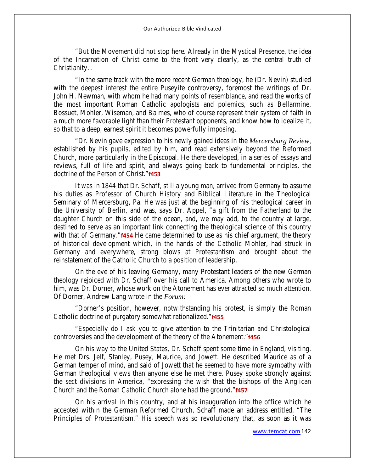"But the Movement did not stop here. Already in the Mystical Presence, the idea of the Incarnation of Christ came to the front very clearly, as the central truth of Christianity...

"In the same track with the more recent German theology, he (Dr. Nevin) studied with the deepest interest the entire Puseyite controversy, foremost the writings of Dr. John H. Newman, with whom he had many points of resemblance, and read the works of the most important Roman Catholic apologists and polemics, such as Bellarmine, Bossuet, Mohler, Wiseman, and Balmes, who of course represent their system of faith in a much more favorable light than their Protestant opponents, and know how to idealize it, so that to a deep, earnest spirit it becomes powerfully imposing.

"Dr. Nevin gave expression to his newly gained ideas in the *Mercersburg Review,*  established by his pupils, edited by him, and read extensively beyond the Reformed Church, more particularly in the Episcopal. He there developed, in a series of essays and reviews, full of life and spirit, and always going back to fundamental principles, the doctrine of the Person of Christ."**f453**

It was in 1844 that Dr. Schaff, still a young man, arrived from Germany to assume his duties as Professor of Church History and Biblical Literature in the Theological Seminary of Mercersburg, Pa. He was just at the beginning of his theological career in the University of Berlin, and was, says Dr. Appel, "a gift from the Fatherland to the daughter Church on this side of the ocean, and, we may add, to the country at large, destined to serve as an important link connecting the theological science of this country with that of Germany."**f454** He came determined to use as his chief argument, the theory of historical development which, in the hands of the Catholic Mohler, had struck in Germany and everywhere, strong blows at Protestantism and brought about the reinstatement of the Catholic Church to a position of leadership.

On the eve of his leaving Germany, many Protestant leaders of the new German theology rejoiced with Dr. Schaff over his call to America. Among others who wrote to him, was Dr. Dorner, whose work on the Atonement has ever attracted so much attention. Of Dorner, Andrew Lang wrote in the *Forum:*

"Dorner's position, however, notwithstanding his protest, is simply the Roman Catholic doctrine of purgatory somewhat rationalized."**f455**

"Especially do I ask you to give attention to the Trinitarian and Christological controversies and the development of the theory of the Atonement."**f456**

On his way to the United States, Dr. Schaff spent some time in England, visiting. He met Drs. Jelf, Stanley, Pusey, Maurice, and Jowett. He described Maurice as of a German temper of mind, and said of Jowett that he seemed to have more sympathy with German theological views than anyone else he met there. Pusey spoke strongly against the sect divisions in America, "expressing the wish that the bishops of the Anglican Church and the Roman Catholic Church alone had the ground."**f457**

On his arrival in this country, and at his inauguration into the office which he accepted within the German Reformed Church, Schaff made an address entitled, "The Principles of Protestantism." His speech was so revolutionary that, as soon as it was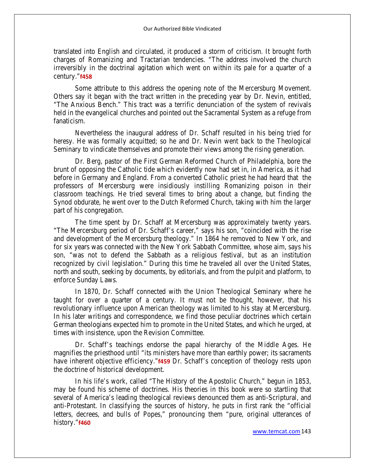translated into English and circulated, it produced a storm of criticism. It brought forth charges of Romanizing and Tractarian tendencies. "The address involved the church irreversibly in the doctrinal agitation which went on within its pale for a quarter of a century."**f458**

Some attribute to this address the opening note of the Mercersburg Movement. Others say it began with the tract written in the preceding year by Dr. Nevin, entitled, "The Anxious Bench." This tract was a terrific denunciation of the system of revivals held in the evangelical churches and pointed out the Sacramental System as a refuge from fanaticism.

Nevertheless the inaugural address of Dr. Schaff resulted in his being tried for heresy. He was formally acquitted; so he and Dr. Nevin went back to the Theological Seminary to vindicate themselves and promote their views among the rising generation.

Dr. Berg, pastor of the First German Reformed Church of Philadelphia, bore the brunt of opposing the Catholic tide which evidently now had set in, in America, as it had before in Germany and England. From a converted Catholic priest he had heard that the professors of Mercersburg were insidiously instilling Romanizing poison in their classroom teachings. He tried several times to bring about a change, but finding the Synod obdurate, he went over to the Dutch Reformed Church, taking with him the larger part of his congregation.

The time spent by Dr. Schaff at Mercersburg was approximately twenty years. "The Mercersburg period of Dr. Schaff's career," says his son, "coincided with the rise and development of the Mercersburg theology." In 1864 he removed to New York, and for six years was connected with the New York Sabbath Committee, whose aim, says his son, "was not to defend the Sabbath as a religious festival, but as an institution recognized by civil legislation." During this time he traveled all over the United States, north and south, seeking by documents, by editorials, and from the pulpit and platform, to enforce Sunday Laws.

In 1870, Dr. Schaff connected with the Union Theological Seminary where he taught for over a quarter of a century. It must not be thought, however, that his revolutionary influence upon American theology was limited to his stay at Mercersburg. In his later writings and correspondence, we find those peculiar doctrines which certain German theologians expected him to promote in the United States, and which he urged, at times with insistence, upon the Revision Committee.

Dr. Schaff's teachings endorse the papal hierarchy of the Middle Ages. He magnifies the priesthood until "its ministers have more than earthly power; its sacraments have inherent objective efficiency."**f459** Dr. Schaff's conception of theology rests upon the doctrine of historical development.

In his life's work, called "The History of the Apostolic Church," begun in 1853, may be found his scheme of doctrines. His theories in this book were so startling that several of America's leading theological reviews denounced them as anti-Scriptural, and anti-Protestant. In classifying the sources of history, he puts in first rank the "official letters, decrees, and bulls of Popes," pronouncing them "pure, original utterances of history."**f460**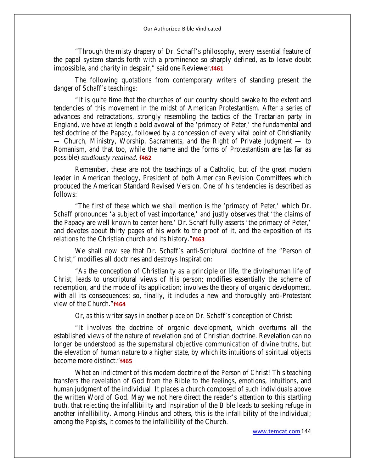"Through the misty drapery of Dr. Schaff's philosophy, every essential feature of the papal system stands forth with a prominence so sharply defined, as to leave doubt impossible, and charity in despair," said one Reviewer.**f461**

The following quotations from contemporary writers of standing present the danger of Schaff's teachings:

"It is quite time that the churches of our country should awake to the extent and tendencies of this movement in the midst of American Protestantism. After a series of advances and retractations, strongly resembling the tactics of the Tractarian party in England, we have at length a bold avowal of the 'primacy of Peter,' the fundamental and test doctrine of the Papacy, followed by a concession of every vital point of Christianity — Church, Ministry, Worship, Sacraments, and the Right of Private Judgment — to Romanism, and that too, while the name and the forms of Protestantism are (as far as possible) *studiously retained.* **f462**

Remember, these are not the teachings of a Catholic, but of the great modern leader in American theology, President of both American Revision Committees which produced the American Standard Revised Version. One of his tendencies is described as follows:

"The first of these which we shall mention is the 'primacy of Peter,' which Dr. Schaff pronounces 'a subject of vast importance,' and justly observes that 'the claims of the Papacy are well known to center here.' Dr. Schaff fully asserts 'the primacy of Peter,' and devotes about thirty pages of his work to the proof of it, and the exposition of its relations to the Christian church and its history."**f463**

We shall now see that Dr. Schaff's anti-Scriptural doctrine of the "Person of Christ," modifies all doctrines and destroys Inspiration:

"As the conception of Christianity as a principle or life, the divinehuman life of Christ, leads to unscriptural views of His person; modifies essentially the scheme of redemption, and the mode of its application; involves the theory of organic development, with all its consequences; so, finally, it includes a new and thoroughly anti-Protestant view of the Church."**f464**

Or, as this writer says in another place on Dr. Schaff's conception of Christ:

"It involves the doctrine of organic development, which overturns all the established views of the nature of revelation and of Christian doctrine. Revelation can no longer be understood as the supernatural objective communication of divine truths, but the elevation of human nature to a higher state, by which its intuitions of spiritual objects become more distinct."**f465**

What an indictment of this modern doctrine of the Person of Christ! This teaching transfers the revelation of God from the Bible to the feelings, emotions, intuitions, and human judgment of the individual. It places a church composed of such individuals above the written Word of God. May we not here direct the reader's attention to this startling truth, that rejecting the infallibility and inspiration of the Bible leads to seeking refuge in another infallibility. Among Hindus and others, this is the infallibility of the individual; among the Papists, it comes to the infallibility of the Church.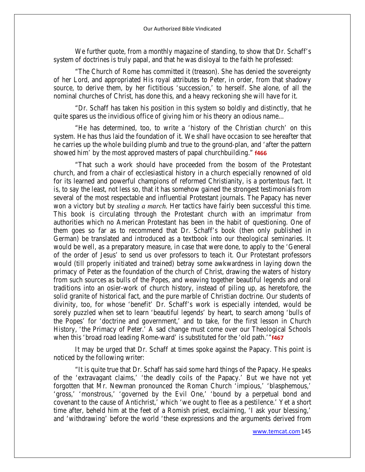We further quote, from a monthly magazine of standing, to show that Dr. Schaff's system of doctrines is truly papal, and that he was disloyal to the faith he professed:

"The Church of Rome has committed it (treason). She has denied the sovereignty of her Lord, and appropriated His royal attributes to Peter, in order, from that shadowy source, to derive them, by her fictitious 'succession,' to herself. She alone, of all the nominal churches of Christ, has done this, and a heavy reckoning she will have for it.

"Dr. Schaff has taken his position in this system so boldly and distinctly, that he quite spares us the invidious office of giving him or his theory an odious name...

"He has determined, too, to write a 'history of the Christian church' on this system. He has thus laid the foundation of it. We shall have occasion to see hereafter that he carries up the whole building plumb and true to the ground-plan, and 'after the pattern showed him' by the most approved masters of papal churchbuilding." **f466**

"That such a work should have proceeded from the bosom of the Protestant church, and from a chair of ecclesiastical history in a church especially renowned of old for its learned and powerful champions of reformed Christianity, is a portentous fact. It is, to say the least, not less so, that it has somehow gained the strongest testimonials from several of the most respectable and influential Protestant journals. The Papacy has never won a victory but by *stealing a march.* Her tactics have fairly been successful this time. This book is circulating through the Protestant church with an imprimatur from authorities which no American Protestant has been in the habit of questioning. One of them goes so far as to recommend that Dr. Schaff's book (then only published in German) be translated and introduced as a textbook into our theological seminaries. It would be well, as a preparatory measure, in case that were done, to apply to the 'General of the order of Jesus' to send us over professors to teach it. Our Protestant professors would (till properly initiated and trained) betray some awkwardness in laying down the primacy of Peter as the foundation of the church of Christ, drawing the waters of history from such sources as bulls of the Popes, and weaving together beautiful legends and oral traditions into an osier-work of church history, instead of piling up, as heretofore, the solid granite of historical fact, and the pure marble of Christian doctrine. Our students of divinity, too, for whose 'benefit' Dr. Schaff's work is especially intended, would be sorely puzzled when set to learn 'beautiful legends' by heart, to search among 'bulls of the Popes' for 'doctrine and government,' and to take, for the first lesson in Church History, 'the Primacy of Peter.' A sad change must come over our Theological Schools when this 'broad road leading Rome-ward' is substituted for the 'old path."<sup>\*</sup>**f467** 

It may be urged that Dr. Schaff at times spoke against the Papacy. This point is noticed by the following writer:

"It is quite true that Dr. Schaff has said some hard things of the Papacy. He speaks of the 'extravagant claims,' 'the deadly coils of the Papacy.' But we have not yet forgotten that Mr. Newman pronounced the Roman Church 'impious,' 'blasphemous,' 'gross,' 'monstrous,' 'governed by the Evil One,' 'bound by a perpetual bond and covenant to the cause of Antichrist,' which 'we ought to flee as a pestilence.' Yet a short time after, beheld him at the feet of a Romish priest, exclaiming, 'I ask your blessing,' and 'withdrawing' before the world 'these expressions and the arguments derived from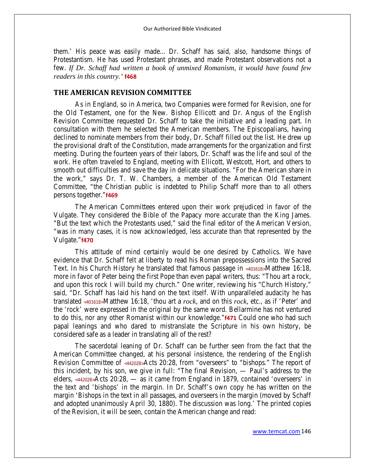them.' His peace was easily made... Dr. Schaff has said, also, handsome things of Protestantism. He has used Protestant phrases, and made Protestant observations not a few. *If Dr. Schaff had written a book of unmixed Romanism, it would have found few readers in this country.'* **f468**

## **THE AMERICAN REVISION COMMITTEE**

As in England, so in America, two Companies were formed for Revision, one for the Old Testament, one for the New. Bishop Ellicott and Dr. Angus of the English Revision Committee requested Dr. Schaff to take the initiative and a leading part. In consultation with them he selected the American members. The Episcopalians, having declined to nominate members from their body, Dr. Schaff filled out the list. He drew up the provisional draft of the Constitution, made arrangements for the organization and first meeting. During the fourteen years of their labors, Dr. Schaff was the life and soul of the work. He often traveled to England, meeting with Ellicott, Westcott, Hort, and others to smooth out difficulties and save the day in delicate situations. "For the American share in the work," says Dr. T. W. Chambers, a member of the American Old Testament Committee, "the Christian public is indebted to Philip Schaff more than to all others persons together."**f469**

The American Committees entered upon their work prejudiced in favor of the Vulgate. They considered the Bible of the Papacy more accurate than the King James. "But the text which the Protestants used," said the final editor of the American Version, "was in many cases, it is now acknowledged, less accurate than that represented by the Vulgate."**f470** 

This attitude of mind certainly would be one desired by Catholics. We have evidence that Dr. Schaff felt at liberty to read his Roman prepossessions into the Sacred Text. In his Church History he translated that famous passage in **<401618>**Matthew 16:18, more in favor of Peter being the first Pope than even papal writers, thus: "Thou art a rock, and upon this rock I will build my church." One writer, reviewing his "Church History," said, "Dr. Schaff has laid his hand on the text itself. With unparalleled audacity he has translated **<401618>**Matthew 16:18, 'thou art a *rock,* and on this *rock,* etc., as if 'Peter' and the 'rock' were expressed in the original by the same word. Bellarmine has not ventured to do this, nor any other Romanist within our knowledge."**f471** Could one who had such papal leanings and who dared to mistranslate the Scripture in his own history, be considered safe as a leader in translating all of the rest?

The sacerdotal leaning of Dr. Schaff can be further seen from the fact that the American Committee changed, at his personal insistence, the rendering of the English Revision Committee of **<442028>**Acts 20:28, from "overseers" to "bishops." The report of this incident, by his son, we give in full: "The final Revision, — Paul's address to the elders, **<442028>**Acts 20:28, — as it came from England in 1879, contained 'overseers' in the text and 'bishops' in the margin. In Dr. Schaff's own copy he has written on the margin 'Bishops in the text in all passages, and overseers in the margin (moved by Schaff and adopted unanimously April 30, 1880). The discussion was long.' The printed copies of the Revision, it will be seen, contain the American change and read: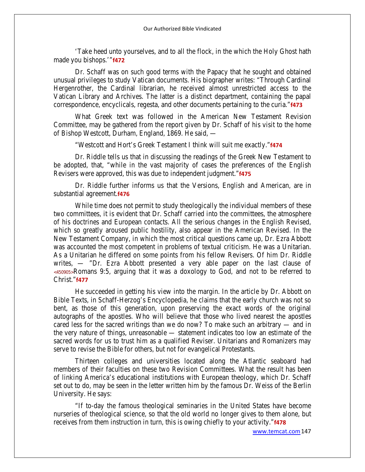'Take heed unto yourselves, and to all the flock, in the which the Holy Ghost hath made you bishops.'"**f472**

Dr. Schaff was on such good terms with the Papacy that he sought and obtained unusual privileges to study Vatican documents. His biographer writes: "Through Cardinal Hergenrother, the Cardinal librarian, he received almost unrestricted access to the Vatican Library and Archives. The latter is a distinct department, containing the papal correspondence, encyclicals, regesta, and other documents pertaining to the curia."**f473**

What Greek text was followed in the American New Testament Revision Committee, may be gathered from the report given by Dr. Schaff of his visit to the home of Bishop Westcott, Durham, England, 1869. He said, —

"Westcott and Hort's Greek Testament I think will suit me exactly."**f474**

Dr. Riddle tells us that in discussing the readings of the Greek New Testament to be adopted, that, "while in the vast majority of cases the preferences of the English Revisers were approved, this was due to independent judgment."**f475** 

Dr. Riddle further informs us that the Versions, English and American, are in substantial agreement.**f476**

While time does not permit to study theologically the individual members of these two committees, it is evident that Dr. Schaff carried into the committees, the atmosphere of his doctrines and European contacts. All the serious changes in the English Revised, which so greatly aroused public hostility, also appear in the American Revised. In the New Testament Company, in which the most critical questions came up, Dr. Ezra Abbott was accounted the most competent in problems of textual criticism. He was a Unitarian. As a Unitarian he differed on some points from his fellow Revisers. Of him Dr. Riddle writes, — "Dr. Ezra Abbott presented a very able paper on the last clause of **<450905>**Romans 9:5, arguing that it was a doxology to God, and not to be referred to Christ."**f477**

He succeeded in getting his view into the margin. In the article by Dr. Abbott on Bible Texts, in Schaff-Herzog's Encyclopedia, he claims that the early church was not so bent, as those of this generation, upon preserving the exact words of the original autographs of the apostles. Who will believe that those who lived nearest the apostles cared less for the sacred writings than we do now? To make such an arbitrary — and in the very nature of things, unreasonable — statement indicates too low an estimate of the sacred words for us to trust him as a qualified Reviser. Unitarians and Romanizers may serve to revise the Bible for others, but not for evangelical Protestants.

Thirteen colleges and universities located along the Atlantic seaboard had members of their faculties on these two Revision Committees. What the result has been of linking America's educational institutions with European theology, which Dr. Schaff set out to do, may be seen in the letter written him by the famous Dr. Weiss of the Berlin University. He says:

"If to-day the famous theological seminaries in the United States have become nurseries of theological science, so that the old world no longer gives to them alone, but receives from them instruction in turn, this is owing chiefly to your activity."**f478**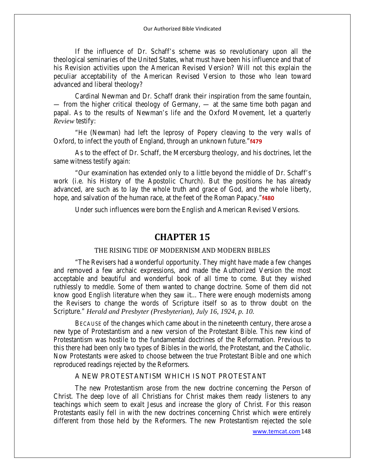If the influence of Dr. Schaff's scheme was so revolutionary upon all the theological seminaries of the United States, what must have been his influence and that of his Revision activities upon the American Revised Version? Will not this explain the peculiar acceptability of the American Revised Version to those who lean toward advanced and liberal theology?

Cardinal Newman and Dr. Schaff drank their inspiration from the same fountain, — from the higher critical theology of Germany, — at the same time both pagan and papal. As to the results of Newman's life and the Oxford Movement, let a quarterly *Review* testify:

"He (Newman) had left the leprosy of Popery cleaving to the very walls of Oxford, to infect the youth of England, through an unknown future."**f479**

As to the effect of Dr. Schaff, the Mercersburg theology, and his doctrines, let the same witness testify again:

"Our examination has extended only to a little beyond the middle of Dr. Schaff's work (i.e. his History of the Apostolic Church). But the positions he has already advanced, are such as to lay the whole truth and grace of God, and the whole liberty, hope, and salvation of the human race, at the feet of the Roman Papacy."**f480**

Under such influences were born the English and American Revised Versions.

## **CHAPTER 15**

### THE RISING TIDE OF MODERNISM AND MODERN BIBLES

"The Revisers had a wonderful opportunity. They might have made a few changes and removed a few archaic expressions, and made the Authorized Version the most acceptable and beautiful and wonderful book of all time to come. But they wished ruthlessly to meddle. Some of them wanted to change doctrine. Some of them did not know good English literature when they saw it... There were enough modernists among the Revisers to change the words of Scripture itself so as to throw doubt on the Scripture." *Herald and Presbyter (Presbyterian), July 16, 1924, p. 10.*

BECAUSE of the changes which came about in the nineteenth century, there arose a new type of Protestantism and a new version of the Protestant Bible. This new kind of Protestantism was hostile to the fundamental doctrines of the Reformation. Previous to this there had been only two types of Bibles in the world, the Protestant, and the Catholic. Now Protestants were asked to choose between the true Protestant Bible and one which reproduced readings rejected by the Reformers.

#### **A NEW PROTESTANTISM WHICH IS NOT PROTESTANT**

The new Protestantism arose from the new doctrine concerning the Person of Christ. The deep love of all Christians for Christ makes them ready listeners to any teachings which seem to exalt Jesus and increase the glory of Christ. For this reason Protestants easily fell in with the new doctrines concerning Christ which were entirely different from those held by the Reformers. The new Protestantism rejected the sole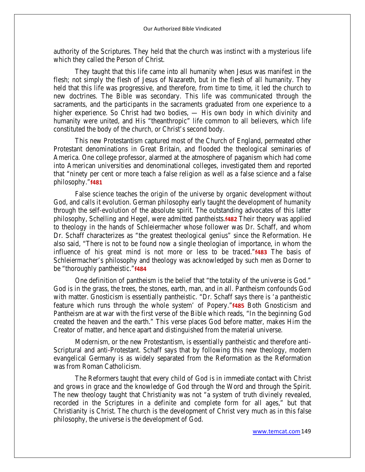authority of the Scriptures. They held that the church was instinct with a mysterious life which they called the Person of Christ.

They taught that this life came into all humanity when Jesus was manifest in the flesh; not simply the flesh of Jesus of Nazareth, but in the flesh of all humanity. They held that this life was progressive, and therefore, from time to time, it led the church to new doctrines. The Bible was secondary. This life was communicated through the sacraments, and the participants in the sacraments graduated from one experience to a higher experience. So Christ had two bodies, — His own body in which divinity and humanity were united, and His "theanthropic" life common to all believers, which life constituted the body of the church, or Christ's second body.

This new Protestantism captured most of the Church of England, permeated other Protestant denominations in Great Britain, and flooded the theological seminaries of America. One college professor, alarmed at the atmosphere of paganism which had come into American universities and denominational colleges, investigated them and reported that "ninety per cent or more teach a false religion as well as a false science and a false philosophy."**f481**

False science teaches the origin of the universe by organic development without God, and calls it evolution. German philosophy early taught the development of humanity through the self-evolution of the absolute spirit. The outstanding advocates of this latter philosophy, Schelling and Hegel, were admitted pantheists.**f482** Their theory was applied to theology in the hands of Schleiermacher whose follower was Dr. Schaff, and whom Dr. Schaff characterizes as "the greatest theological genius" since the Reformation. He also said, "There is not to be found now a single theologian of importance, in whom the influence of his great mind is not more or less to be traced."**f483** The basis of Schleiermacher's philosophy and theology was acknowledged by such men as Dorner to be "thoroughly pantheistic."**f484**

One definition of pantheism is the belief that "the totality of the universe is God." God is in the grass, the trees, the stones, earth, man, and in all. Pantheism confounds God with matter. Gnosticism is essentially pantheistic. "Dr. Schaff says there is 'a pantheistic feature which runs through the whole system' of Popery."**f485** Both Gnosticism and Pantheism are at war with the first verse of the Bible which reads, "In the beginning God created the heaven and the earth." This verse places God before matter, makes Him the Creator of matter, and hence apart and distinguished from the material universe.

Modernism, or the new Protestantism, is essentially pantheistic and therefore anti-Scriptural and anti-Protestant. Schaff says that by following this new theology, modern evangelical Germany is as widely separated from the Reformation as the Reformation was from Roman Catholicism.

The Reformers taught that every child of God is in immediate contact with Christ and grows in grace and the knowledge of God through the Word and through the Spirit. The new theology taught that Christianity was not "a system of truth divinely revealed, recorded in the Scriptures in a definite and complete form for all ages," but that Christianity is Christ. The church is the development of Christ very much as in this false philosophy, the universe is the development of God.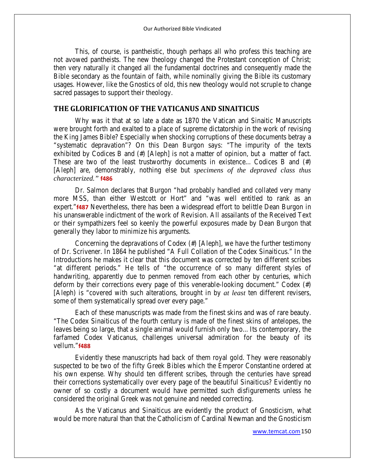This, of course, is pantheistic, though perhaps all who profess this teaching are not avowed pantheists. The new theology changed the Protestant conception of Christ; then very naturally it changed all the fundamental doctrines and consequently made the Bible secondary as the fountain of faith, while nominally giving the Bible its customary usages. However, like the Gnostics of old, this new theology would not scruple to change sacred passages to support their theology.

### **THE GLORIFICATION OF THE VATICANUS AND SINAITICUS**

Why was it that at so late a date as 1870 the Vatican and Sinaitic Manuscripts were brought forth and exalted to a place of supreme dictatorship in the work of revising the King James Bible? Especially when shocking corruptions of these documents betray a "systematic depravation"? On this Dean Burgon says: "The impurity of the texts exhibited by Codices B and (#) [Aleph] is not a matter of opinion, but a matter of fact. These are two of the least trustworthy documents in existence... Codices B and (#) [Aleph] are, demonstrably, nothing else but *specimens of the depraved class thus characterized."* **f486**

Dr. Salmon declares that Burgon "had probably handled and collated very many more MSS, than either Westcott or Hort" and "was well entitled to rank as an expert."**f487** Nevertheless, there has been a widespread effort to belittle Dean Burgon in his unanswerable indictment of the work of Revision. All assailants of the Received Text or their sympathizers feel so keenly the powerful exposures made by Dean Burgon that generally they labor to minimize his arguments.

Concerning the depravations of Codex (#) [Aleph], we have the further testimony of Dr. Scrivener. In 1864 he published "A Full Collation of the Codex Sinaiticus." In the Introductions he makes it clear that this document was corrected by ten different scribes "at different periods." He tells of "the occurrence of so many different styles of handwriting, apparently due to penmen removed from each other by centuries, which deform by their corrections every page of this venerable-looking document." Codex (#) [Aleph) is "covered with such alterations, brought in by *at least* ten different revisers, some of them systematically spread over every page."

Each of these manuscripts was made from the finest skins and was of rare beauty. "The Codex Sinaiticus of the fourth century is made of the finest skins of antelopes, the leaves being so large, that a single animal would furnish only two... Its contemporary, the farfamed Codex Vaticanus, challenges universal admiration for the beauty of its vellum."**f488**

Evidently these manuscripts had back of them royal gold. They were reasonably suspected to be two of the fifty Greek Bibles which the Emperor Constantine ordered at his own expense. Why should ten different scribes, through the centuries have spread their corrections systematically over every page of the beautiful Sinaiticus? Evidently no owner of so costly a document would have permitted such disfigurements unless he considered the original Greek was not genuine and needed correcting.

As the Vaticanus and Sinaiticus are evidently the product of Gnosticism, what would be more natural than that the Catholicism of Cardinal Newman and the Gnosticism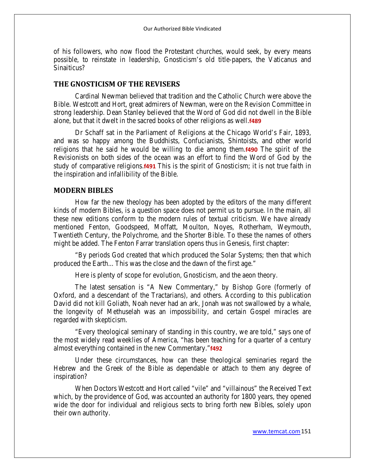of his followers, who now flood the Protestant churches, would seek, by every means possible, to reinstate in leadership, Gnosticism's old title-papers, the Vaticanus and Sinaiticus?

## **THE GNOSTICISM OF THE REVISERS**

Cardinal Newman believed that tradition and the Catholic Church were above the Bible. Westcott and Hort, great admirers of Newman, were on the Revision Committee in strong leadership. Dean Stanley believed that the Word of God did not dwell in the Bible alone, but that it dwelt in the sacred books of other religions as well.**f489** 

Dr Schaff sat in the Parliament of Religions at the Chicago World's Fair, 1893, and was so happy among the Buddhists, Confucianists, Shintoists, and other world religions that he said he would be willing to die among them.**f490** The spirit of the Revisionists on both sides of the ocean was an effort to find the Word of God by the study of comparative religions.**f491** This is the spirit of Gnosticism; it is not true faith in the inspiration and infallibility of the Bible.

### **MODERN BIBLES**

How far the new theology has been adopted by the editors of the many different kinds of modern Bibles, is a question space does not permit us to pursue. In the main, all these new editions conform to the modern rules of textual criticism. We have already mentioned Fenton, Goodspeed, Moffatt, Moulton, Noyes, Rotherham, Weymouth, Twentieth Century, the Polychrome, and the Shorter Bible. To these the names of others might be added. The Fenton Farrar translation opens thus in Genesis, first chapter:

"By periods God created that which produced the Solar Systems; then that which produced the Earth... This was the close and the dawn of the first age."

Here is plenty of scope for evolution, Gnosticism, and the aeon theory.

The latest sensation is "A New Commentary," by Bishop Gore (formerly of Oxford, and a descendant of the Tractarians), and others. According to this publication David did not kill Goliath, Noah never had an ark, Jonah was not swallowed by a whale, the longevity of Methuselah was an impossibility, and certain Gospel miracles are regarded with skepticism.

"Every theological seminary of standing in this country, we are told," says one of the most widely read weeklies of America, "has been teaching for a quarter of a century almost everything contained in the new Commentary."**f492**

Under these circumstances, how can these theological seminaries regard the Hebrew and the Greek of the Bible as dependable or attach to them any degree of inspiration?

When Doctors Westcott and Hort called "vile" and "villainous" the Received Text which, by the providence of God, was accounted an authority for 1800 years, they opened wide the door for individual and religious sects to bring forth new Bibles, solely upon their own authority.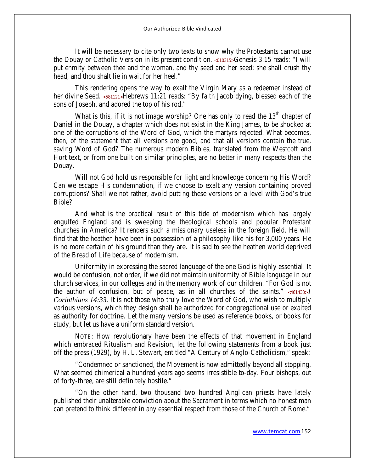It will be necessary to cite only two texts to show why the Protestants cannot use the Douay or Catholic Version in its present condition. **<010315>**Genesis 3:15 reads: "I will put enmity between thee and the woman, and thy seed and her seed: she shall crush thy head, and thou shalt lie in wait for her heel."

This rendering opens the way to exalt the Virgin Mary as a redeemer instead of her divine Seed. **<581121>**Hebrews 11:21 reads: "By faith Jacob dying, blessed each of the sons of Joseph, and adored the top of his rod."

What is this, if it is not image worship? One has only to read the  $13<sup>th</sup>$  chapter of Daniel in the Douay, a chapter which does not exist in the King James, to be shocked at one of the corruptions of the Word of God, which the martyrs rejected. What becomes, then, of the statement that all versions are good, and that all versions contain the true, saving Word of God? The numerous modern Bibles, translated from the Westcott and Hort text, or from one built on similar principles, are no better in many respects than the Douay.

Will not God hold us responsible for light and knowledge concerning His Word? Can we escape His condemnation, if we choose to exalt any version containing proved corruptions? Shall we not rather, avoid putting these versions on a level with God's true Bible?

And what is the practical result of this tide of modernism which has largely engulfed England and is sweeping the theological schools and popular Protestant churches in America? It renders such a missionary useless in the foreign field. He will find that the heathen have been in possession of a philosophy like his for 3,000 years. He is no more certain of his ground than they are. It is sad to see the heathen world deprived of the Bread of Life because of modernism.

Uniformity in expressing the sacred language of the one God is highly essential. It would be confusion, not order, if we did not maintain uniformity of Bible language in our church services, in our colleges and in the memory work of our children. "For God is not the author of confusion, but of peace, as in all churches of the saints." **<461433>***1 Corinthians 14:33.* It is not those who truly love the Word of God, who wish to multiply various versions, which they design shall be authorized for congregational use or exalted as authority for doctrine. Let the many versions be used as reference books, or books for study, but let us have a uniform standard version.

NOTE: How revolutionary have been the effects of that movement in England which embraced Ritualism and Revision, let the following statements from a book just off the press (1929), by H. L. Stewart, entitled "A Century of Anglo-Catholicism," speak:

"Condemned or sanctioned, the Movement is now admittedly beyond all stopping. What seemed chimerical a hundred years ago seems irresistible to-day. Four bishops, out of forty-three, are still definitely hostile."

"On the other hand, two thousand two hundred Anglican priests have lately published their unalterable conviction about the Sacrament in terms which no honest man can pretend to think different in any essential respect from those of the Church of Rome."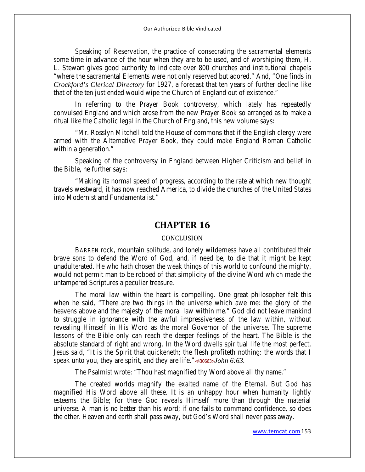Speaking of Reservation, the practice of consecrating the sacramental elements some time in advance of the hour when they are to be used, and of worshiping them, H. L. Stewart gives good authority to indicate over 800 churches and institutional chapels "where the sacramental Elements were not only reserved but adored." And, "One finds in *Crockford's Clerical Directory* for 1927, a forecast that ten years of further decline like that of the ten just ended would wipe the Church of England out of existence."

In referring to the Prayer Book controversy, which lately has repeatedly convulsed England and which arose from the new Prayer Book so arranged as to make a ritual like the Catholic legal in the Church of England, this new volume says:

"Mr. Rosslyn Mitchell told the House of commons that if the English clergy were armed with the Alternative Prayer Book, they could make England Roman Catholic within a generation."

Speaking of the controversy in England between Higher Criticism and belief in the Bible, he further says:

"Making its normal speed of progress, according to the rate at which new thought travels westward, it has now reached America, to divide the churches of the United States into Modernist and Fundamentalist."

# **CHAPTER 16**

#### **CONCLUSION**

BARREN rock, mountain solitude, and lonely wilderness have all contributed their brave sons to defend the Word of God, and, if need be, to die that it might be kept unadulterated. He who hath chosen the weak things of this world to confound the mighty, would not permit man to be robbed of that simplicity of the divine Word which made the untampered Scriptures a peculiar treasure.

The moral law within the heart is compelling. One great philosopher felt this when he said, "There are two things in the universe which awe me: the glory of the heavens above and the majesty of the moral law within me." God did not leave mankind to struggle in ignorance with the awful impressiveness of the law within, without revealing Himself in His Word as the moral Governor of the universe. The supreme lessons of the Bible only can reach the deeper feelings of the heart. The Bible is the absolute standard of right and wrong. In the Word dwells spiritual life the most perfect. Jesus said, "It is the Spirit that quickeneth; the flesh profiteth nothing: the words that I speak unto you, they are spirit, and they are life."**<430663>***John 6:63.*

The Psalmist wrote: "Thou hast magnified thy Word above all thy name."

The created worlds magnify the exalted name of the Eternal. But God has magnified His Word above all these. It is an unhappy hour when humanity lightly esteems the Bible; for there God reveals Himself more than through the material universe. A man is no better than his word; if one fails to command confidence, so does the other. Heaven and earth shall pass away, but God's Word shall never pass away.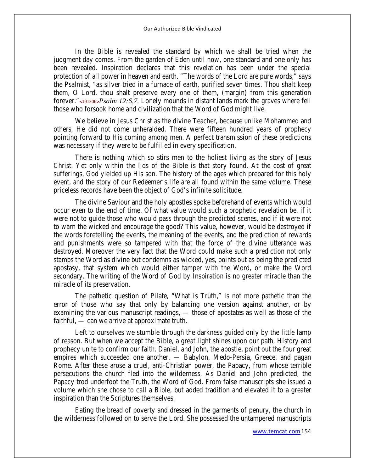In the Bible is revealed the standard by which we shall be tried when the judgment day comes. From the garden of Eden until now, one standard and one only has been revealed. Inspiration declares that this revelation has been under the special protection of all power in heaven and earth. "The words of the Lord are pure words," says the Psalmist, "as silver tried in a furnace of earth, purified seven times. Thou shalt keep them, O Lord, thou shalt preserve every one of them, (margin) from this generation forever."**<191206>***Psalm 12:6,7.* Lonely mounds in distant lands mark the graves where fell those who forsook home and civilization that the Word of God might live.

We believe in Jesus Christ as the divine Teacher, because unlike Mohammed and others, He did not come unheralded. There were fifteen hundred years of prophecy pointing forward to His coming among men. A perfect transmission of these predictions was necessary if they were to be fulfilled in every specification.

There is nothing which so stirs men to the holiest living as the story of Jesus Christ. Yet only within the lids of the Bible is that story found. At the cost of great sufferings, God yielded up His son. The history of the ages which prepared for this holy event, and the story of our Redeemer's life are all found within the same volume. These priceless records have been the object of God's infinite solicitude.

The divine Saviour and the holy apostles spoke beforehand of events which would occur even to the end of time. Of what value would such a prophetic revelation be, if it were not to guide those who would pass through the predicted scenes, and if it were not to warn the wicked and encourage the good? This value, however, would be destroyed if the words foretelling the events, the meaning of the events, and the prediction of rewards and punishments were so tampered with that the force of the divine utterance was destroyed. Moreover the very fact that the Word could make such a prediction not only stamps the Word as divine but condemns as wicked, yes, points out as being the predicted apostasy, that system which would either tamper with the Word, or make the Word secondary. The writing of the Word of God by Inspiration is no greater miracle than the miracle of its preservation.

The pathetic question of Pilate, "What is Truth," is not more pathetic than the error of those who say that only by balancing one version against another, or by examining the various manuscript readings, — those of apostates as well as those of the faithful, — can we arrive at approximate truth.

Left to ourselves we stumble through the darkness guided only by the little lamp of reason. But when we accept the Bible, a great light shines upon our path. History and prophecy unite to confirm our faith. Daniel, and John, the apostle, point out the four great empires which succeeded one another, — Babylon, Medo-Persia, Greece, and pagan Rome. After these arose a cruel, anti-Christian power, the Papacy, from whose terrible persecutions the church fled into the wilderness. As Daniel and John predicted, the Papacy trod underfoot the Truth, the Word of God. From false manuscripts she issued a volume which she chose to call a Bible, but added tradition and elevated it to a greater inspiration than the Scriptures themselves.

Eating the bread of poverty and dressed in the garments of penury, the church in the wilderness followed on to serve the Lord. She possessed the untampered manuscripts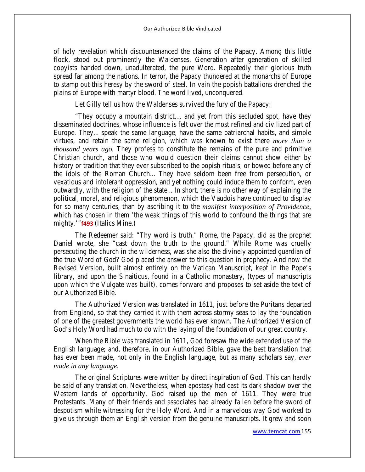of holy revelation which discountenanced the claims of the Papacy. Among this little flock, stood out prominently the Waldenses. Generation after generation of skilled copyists handed down, unadulterated, the pure Word. Repeatedly their glorious truth spread far among the nations. In terror, the Papacy thundered at the monarchs of Europe to stamp out this heresy by the sword of steel. In vain the popish battalions drenched the plains of Europe with martyr blood. The word lived, unconquered.

Let Gilly tell us how the Waldenses survived the fury of the Papacy:

"They occupy a mountain district,... and yet from this secluded spot, have they disseminated doctrines, whose influence is felt over the most refined and civilized part of Europe. They... speak the same language, have the same patriarchal habits, and simple virtues, and retain the same religion, which was known to exist there *more than a thousand years ago.* They profess to constitute the remains of the pure and primitive Christian church, and those who would question their claims cannot show either by history or tradition that they ever subscribed to the popish rituals, or bowed before any of the idols of the Roman Church... They have seldom been free from persecution, or vexatious and intolerant oppression, and yet nothing could induce them to conform, even outwardly, with the religion of the state... In short, there is no other way of explaining the political, moral, and religious phenomenon, which the Vaudois have continued to display for so many centuries, than by ascribing it to the *manifest interposition of Providence,*  which has chosen in them 'the weak things of this world to confound the things that are mighty.'"**f493** (Italics Mine.)

The Redeemer said: "Thy word is truth." Rome, the Papacy, did as the prophet Daniel wrote, she "cast down the truth to the ground." While Rome was cruelly persecuting the church in the wilderness, was she also the divinely appointed guardian of the true Word of God? God placed the answer to this question in prophecy. And now the Revised Version, built almost entirely on the Vatican Manuscript, kept in the Pope's library, and upon the Sinaiticus, found in a Catholic monastery, (types of manuscripts upon which the Vulgate was built), comes forward and proposes to set aside the text of our Authorized Bible.

The Authorized Version was translated in 1611, just before the Puritans departed from England, so that they carried it with them across stormy seas to lay the foundation of one of the greatest governments the world has ever known. The Authorized Version of God's Holy Word had much to do with the laying of the foundation of our great country.

When the Bible was translated in 1611, God foresaw the wide extended use of the English language; and, therefore, in our Authorized Bible, gave the best translation that has ever been made, not only in the English language, but as many scholars say, *ever made in any language.*

The original Scriptures were written by direct inspiration of God. This can hardly be said of any translation. Nevertheless, when apostasy had cast its dark shadow over the Western lands of opportunity, God raised up the men of 1611. They were true Protestants. Many of their friends and associates had already fallen before the sword of despotism while witnessing for the Holy Word. And in a marvelous way God worked to give us through them an English version from the genuine manuscripts. It grew and soon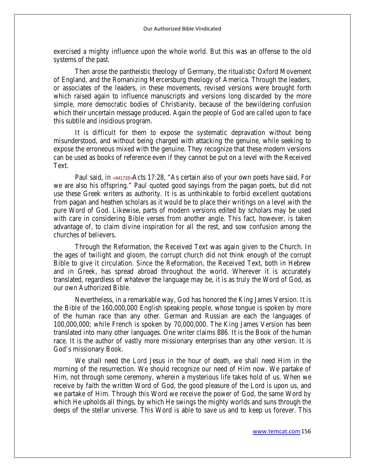exercised a mighty influence upon the whole world. But this was an offense to the old systems of the past.

Then arose the pantheistic theology of Germany, the ritualistic Oxford Movement of England, and the Romanizing Mercersburg theology of America. Through the leaders, or associates of the leaders, in these movements, revised versions were brought forth which raised again to influence manuscripts and versions long discarded by the more simple, more democratic bodies of Christianity, because of the bewildering confusion which their uncertain message produced. Again the people of God are called upon to face this subtile and insidious program.

It is difficult for them to expose the systematic depravation without being misunderstood, and without being charged with attacking the genuine, while seeking to expose the erroneous mixed with the genuine. They recognize that these modern versions can be used as books of reference even if they cannot be put on a level with the Received Text.

Paul said, in **<441728>**Acts 17:28, "As certain also of your own poets have said, For we are also his offspring." Paul quoted good sayings from the pagan poets, but did not use these Greek writers as authority. It is as unthinkable to forbid excellent quotations from pagan and heathen scholars as it would be to place their writings on a level with the pure Word of God. Likewise, parts of modern versions edited by scholars may be used with care in considering Bible verses from another angle. This fact, however, is taken advantage of, to claim divine inspiration for all the rest, and sow confusion among the churches of believers.

Through the Reformation, the Received Text was again given to the Church. In the ages of twilight and gloom, the corrupt church did not think enough of the corrupt Bible to give it circulation. Since the Reformation, the Received Text, both in Hebrew and in Greek, has spread abroad throughout the world. Wherever it is accurately translated, regardless of whatever the language may be, it is as truly the Word of God, as our own Authorized Bible.

Nevertheless, in a remarkable way, God has honored the King James Version. It is the Bible of the 160,000,000 English speaking people, whose tongue is spoken by more of the human race than any other. German and Russian are each the languages of 100,000,000; while French is spoken by 70,000,000. The King James Version has been translated into many other languages. One writer claims 886. It is the Book of the human race. It is the author of vastly more missionary enterprises than any other version. It is God's missionary Book.

We shall need the Lord Jesus in the hour of death, we shall need Him in the morning of the resurrection. We should recognize our need of Him now. We partake of Him, not through some ceremony, wherein a mysterious life takes hold of us. When we receive by faith the written Word of God, the good pleasure of the Lord is upon us, and we partake of Him. Through this Word we receive the power of God, the same Word by which He upholds all things, by which He swings the mighty worlds and suns through the deeps of the stellar universe. This Word is able to save us and to keep us forever. This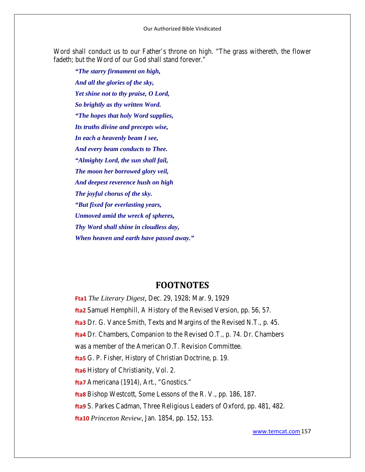Word shall conduct us to our Father's throne on high. "The grass withereth, the flower fadeth; but the Word of our God shall stand forever."

*"The starry firmament on high, And all the glories of the sky, Yet shine not to thy praise, O Lord, So brightly as thy written Word. "The hopes that holy Word supplies, Its truths divine and precepts wise, In each a heavenly beam I see, And every beam conducts to Thee. "Almighty Lord, the sun shall fail, The moon her borrowed glory veil, And deepest reverence hush on high The joyful chorus of the sky. "But fixed for everlasting years, Unmoved amid the wreck of spheres, Thy Word shall shine in cloudless day, When heaven and earth have passed away."*

## **FOOTNOTES**

**Fta1** *The Literary Digest,* Dec. 29, 1928; Mar. 9, 1929 **fta2** Samuel Hemphill, A History of the Revised Version, pp. 56, 57. **fta3** Dr. G. Vance Smith, Texts and Margins of the Revised N.T., p. 45. **fta4** Dr. Chambers, Companion to the Revised O.T., p. 74. Dr. Chambers was a member of the American O.T. Revision Committee. **fta5** G. P. Fisher, History of Christian Doctrine, p. 19. **fta6** History of Christianity, Vol. 2. **fta7** Americana (1914), Art., "Gnostics." **fta8** Bishop Westcott, Some Lessons of the R. V., pp. 186, 187. **fta9** S. Parkes Cadman, Three Religious Leaders of Oxford, pp. 481, 482. **fta10** *Princeton Review,* Jan. 1854, pp. 152, 153.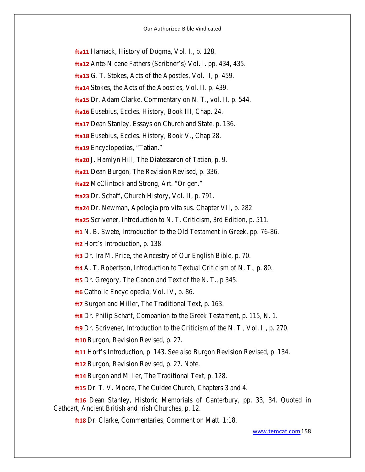**fta11** Harnack, History of Dogma, Vol. I., p. 128.

**fta12** Ante-Nicene Fathers (Scribner's) Vol. I. pp. 434, 435.

**fta13** G. T. Stokes, Acts of the Apostles, Vol. II, p. 459.

**fta14** Stokes, the Acts of the Apostles, Vol. II. p. 439.

**fta15** Dr. Adam Clarke, Commentary on N. T., vol. II. p. 544.

**fta16** Eusebius, Eccles. History, Book III, Chap. 24.

**fta17** Dean Stanley, Essays on Church and State, p. 136.

**fta18** Eusebius, Eccles. History, Book V., Chap 28.

**fta19** Encyclopedias, "Tatian."

**fta20** J. Hamlyn Hill, The Diatessaron of Tatian, p. 9.

**fta21** Dean Burgon, The Revision Revised, p. 336.

**fta22** McClintock and Strong, Art. "Origen."

**fta23** Dr. Schaff, Church History, Vol. II, p. 791.

**fta24** Dr. Newman, Apologia pro vita sus. Chapter VII, p. 282.

**fta25** Scrivener, Introduction to N. T. Criticism, 3rd Edition, p. 511.

**ft1** N. B. Swete, Introduction to the Old Testament in Greek, pp. 76-86.

**ft2** Hort's Introduction, p. 138.

**ft3** Dr. Ira M. Price, the Ancestry of Our English Bible, p. 70.

**ft4** A. T. Robertson, Introduction to Textual Criticism of N. T., p. 80.

**ft5** Dr. Gregory, The Canon and Text of the N. T., p 345.

**ft6** Catholic Encyclopedia, Vol. IV, p. 86.

**ft7** Burgon and Miller, The Traditional Text, p. 163.

**ft8** Dr. Philip Schaff, Companion to the Greek Testament, p. 115, N. 1.

**ft9** Dr. Scrivener, Introduction to the Criticism of the N. T., Vol. II, p. 270.

**ft10** Burgon, Revision Revised, p. 27.

**ft11** Hort's Introduction, p. 143. See also Burgon Revision Revised, p. 134.

**ft12** Burgon, Revision Revised, p. 27. Note.

**ft14** Burgon and Miller, The Traditional Text, p. 128.

**ft15** Dr. T. V. Moore, The Culdee Church, Chapters 3 and 4.

**ft16** Dean Stanley, Historic Memorials of Canterbury, pp. 33, 34. Quoted in Cathcart, Ancient British and Irish Churches, p. 12.

**ft18** Dr. Clarke, Commentaries, Comment on Matt. 1:18.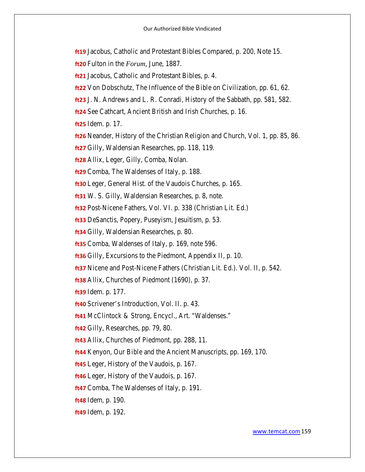**ft19** Jacobus, Catholic and Protestant Bibles Compared, p. 200, Note 15. **ft20** Fulton in the *Forum,* June, 1887. **ft21** Jacobus, Catholic and Protestant Bibles, p. 4. **ft22** Von Dobschutz, The Influence of the Bible on Civilization, pp. 61, 62. **ft23** J. N. Andrews and L. R. Conradi, History of the Sabbath, pp. 581, 582. **ft24** See Cathcart, Ancient British and Irish Churches, p. 16. **ft25** Idem. p. 17. **ft26** Neander, History of the Christian Religion and Church, Vol. 1, pp. 85, 86. **ft27** Gilly, Waldensian Researches, pp. 118, 119. **ft28** Allix, Leger, Gilly, Comba, Nolan. **ft29** Comba, The Waldenses of Italy, p. 188. **ft30** Leger, General Hist. of the Vaudois Churches, p. 165. **ft31** W. S. Gilly, Waldensian Researches, p. 8, note. **ft32** Post-Nicene Fathers, Vol. VI. p. 338 (Christian Lit. Ed.) **ft33** DeSanctis, Popery, Puseyism, Jesuitism, p. 53. **ft34** Gilly, Waldensian Researches, p. 80. **ft35** Comba, Waldenses of Italy, p. 169, note 596. **ft36** Gilly, Excursions to the Piedmont, Appendix II, p. 10. **ft37** Nicene and Post-Nicene Fathers (Christian Lit. Ed.). Vol. II, p. 542. **ft38** Allix, Churches of Piedmont (1690), p. 37. **ft39** Idem. p. 177. **ft40** Scrivener's Introduction, Vol. II. p. 43. **ft41** McClintock & Strong, Encycl., Art. "Waldenses." **ft42** Gilly, Researches, pp. 79, 80. **ft43** Allix, Churches of Piedmont, pp. 288, 11. **ft44** Kenyon, Our Bible and the Ancient Manuscripts, pp. 169, 170. **ft45** Leger, History of the Vaudois, p. 167. **ft46** Leger, History of the Vaudois, p. 167. **ft47** Comba, The Waldenses of Italy, p. 191. **ft48** Idem, p. 190. **ft49** Idem, p. 192.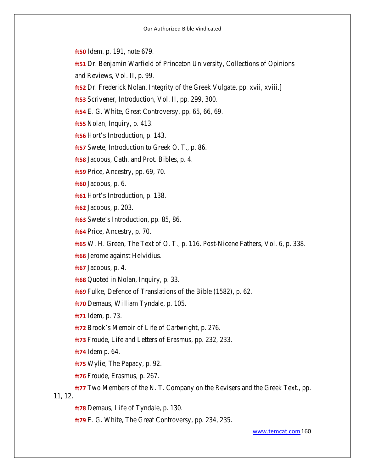**ft50** Idem. p. 191, note 679.

**ft51** Dr. Benjamin Warfield of Princeton University, Collections of Opinions

and Reviews, Vol. II, p. 99.

**ft52** Dr. Frederick Nolan, Integrity of the Greek Vulgate, pp. xvii, xviii.]

**ft53** Scrivener, Introduction, Vol. II, pp. 299, 300.

**ft54** E. G. White, Great Controversy, pp. 65, 66, 69.

**ft55** Nolan, Inquiry, p. 413.

**ft56** Hort's Introduction, p. 143.

**ft57** Swete, Introduction to Greek O. T., p. 86.

**ft58** Jacobus, Cath. and Prot. Bibles, p. 4.

**ft59** Price, Ancestry, pp. 69, 70.

**ft60** Jacobus, p. 6.

**ft61** Hort's Introduction, p. 138.

**ft62** Jacobus, p. 203.

**ft63** Swete's Introduction, pp. 85, 86.

**ft64** Price, Ancestry, p. 70.

**ft65** W. H. Green, The Text of O. T., p. 116. Post-Nicene Fathers, Vol. 6, p. 338.

**ft66** Jerome against Helvidius.

**ft67** Jacobus, p. 4.

**ft68** Quoted in Nolan, Inquiry, p. 33.

**ft69** Fulke, Defence of Translations of the Bible (1582), p. 62.

**ft70** Demaus, William Tyndale, p. 105.

**ft71** Idem, p. 73.

**ft72** Brook's Memoir of Life of Cartwright, p. 276.

**ft73** Froude, Life and Letters of Erasmus, pp. 232, 233.

**ft74** Idem p. 64.

**ft75** Wylie, The Papacy, p. 92.

**ft76** Froude, Erasmus, p. 267.

**ft77** Two Members of the N. T. Company on the Revisers and the Greek Text., pp. 11, 12.

**ft78** Demaus, Life of Tyndale, p. 130.

**ft79** E. G. White, The Great Controversy, pp. 234, 235.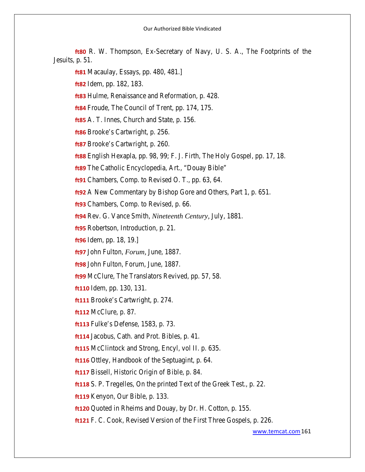**ft80** R. W. Thompson, Ex-Secretary of Navy, U. S. A., The Footprints of the Jesuits, p. 51.

**ft81** Macaulay, Essays, pp. 480, 481.]

**ft82** Idem, pp. 182, 183.

**ft83** Hulme, Renaissance and Reformation, p. 428.

**ft84** Froude, The Council of Trent, pp. 174, 175.

**ft85** A. T. Innes, Church and State, p. 156.

**ft86** Brooke's Cartwright, p. 256.

**ft87** Brooke's Cartwright, p. 260.

**ft88** English Hexapla, pp. 98, 99; F. J. Firth, The Holy Gospel, pp. 17, 18.

**ft89** The Catholic Encyclopedia, Art., "Douay Bible"

**ft91** Chambers, Comp. to Revised O. T., pp. 63, 64.

**ft92** A New Commentary by Bishop Gore and Others, Part 1, p. 651.

**ft93** Chambers, Comp. to Revised, p. 66.

**ft94** Rev. G. Vance Smith, *Nineteenth Century,* July, 1881.

**ft95** Robertson, Introduction, p. 21.

**ft96** Idem, pp. 18, 19.]

**ft97** John Fulton, *Forum,* June, 1887.

**ft98** John Fulton, Forum, June, 1887.

**ft99** McClure, The Translators Revived, pp. 57, 58.

**ft110** Idem, pp. 130, 131.

**ft111** Brooke's Cartwright, p. 274.

**ft112** McClure, p. 87.

**ft113** Fulke's Defense, 1583, p. 73.

**ft114** Jacobus, Cath. and Prot. Bibles, p. 41.

**ft115** McClintock and Strong, Encyl, vol II. p. 635.

**ft116** Ottley, Handbook of the Septuagint, p. 64.

**ft117** Bissell, Historic Origin of Bible, p. 84.

**ft118** S. P. Tregelles, On the printed Text of the Greek Test., p. 22.

**ft119** Kenyon, Our Bible, p. 133.

**ft120** Quoted in Rheims and Douay, by Dr. H. Cotton, p. 155.

**ft121** F. C. Cook, Revised Version of the First Three Gospels, p. 226.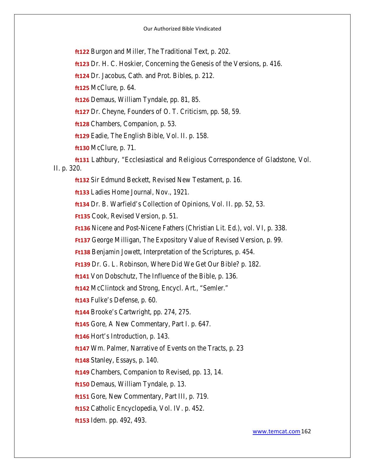**ft122** Burgon and Miller, The Traditional Text, p. 202.

**ft123** Dr. H. C. Hoskier, Concerning the Genesis of the Versions, p. 416.

**ft124** Dr. Jacobus, Cath. and Prot. Bibles, p. 212.

**ft125** McClure, p. 64.

**ft126** Demaus, William Tyndale, pp. 81, 85.

**ft127** Dr. Cheyne, Founders of O. T. Criticism, pp. 58, 59.

**ft128** Chambers, Companion, p. 53.

**ft129** Eadie, The English Bible, Vol. II. p. 158.

**ft130** McClure, p. 71.

**ft131** Lathbury, "Ecclesiastical and Religious Correspondence of Gladstone, Vol. II. p. 320.

**ft132** Sir Edmund Beckett, Revised New Testament, p. 16.

**ft133** Ladies Home Journal, Nov., 1921.

**ft134** Dr. B. Warfield's Collection of Opinions, Vol. II. pp. 52, 53.

**Ft135** Cook, Revised Version, p. 51.

**Ft136** Nicene and Post-Nicene Fathers (Christian Lit. Ed.), vol. VI, p. 338.

**Ft137** George Milligan, The Expository Value of Revised Version, p. 99.

**Ft138** Benjamin Jowett, Interpretation of the Scriptures, p. 454.

**Ft139** Dr. G. L. Robinson, Where Did We Get Our Bible? p. 182.

**ft141** Von Dobschutz, The Influence of the Bible, p. 136.

**ft142** McClintock and Strong, Encycl. Art., "Semler."

**ft143** Fulke's Defense, p. 60.

**ft144** Brooke's Cartwright, pp. 274, 275.

**ft145** Gore, A New Commentary, Part I. p. 647.

**ft146** Hort's Introduction, p. 143.

**ft147** Wm. Palmer, Narrative of Events on the Tracts, p. 23

**ft148** Stanley, Essays, p. 140.

**ft149** Chambers, Companion to Revised, pp. 13, 14.

**ft150** Demaus, William Tyndale, p. 13.

**ft151** Gore, New Commentary, Part III, p. 719.

**ft152** Catholic Encyclopedia, Vol. IV. p. 452.

**ft153** Idem. pp. 492, 493.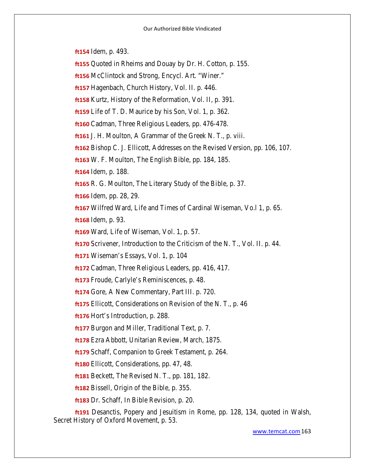**ft154** Idem, p. 493.

**ft155** Quoted in Rheims and Douay by Dr. H. Cotton, p. 155.

**ft156** McClintock and Strong, Encycl. Art. "Winer."

**ft157** Hagenbach, Church History, Vol. II. p. 446.

**ft158** Kurtz, History of the Reformation, Vol. II, p. 391.

**ft159** Life of T. D. Maurice by his Son, Vol. 1, p. 362.

**ft160** Cadman, Three Religious Leaders, pp. 476-478.

**ft161** J. H. Moulton, A Grammar of the Greek N. T., p. viii.

**ft162** Bishop C. J. Ellicott, Addresses on the Revised Version, pp. 106, 107.

**ft163** W. F. Moulton, The English Bible, pp. 184, 185.

**ft164** Idem, p. 188.

**ft165** R. G. Moulton, The Literary Study of the Bible, p. 37.

**ft166** Idem, pp. 28, 29.

**ft167** Wilfred Ward, Life and Times of Cardinal Wiseman, Vo.l 1, p. 65.

**ft168** Idem, p. 93.

**ft169** Ward, Life of Wiseman, Vol. 1, p. 57.

**ft170** Scrivener, Introduction to the Criticism of the N. T., Vol. II. p. 44.

**ft171** Wiseman's Essays, Vol. 1, p. 104

**ft172** Cadman, Three Religious Leaders, pp. 416, 417.

**ft173** Froude, Carlyle's Reminiscences, p. 48.

**ft174** Gore, A New Commentary, Part III. p. 720.

**ft175** Ellicott, Considerations on Revision of the N. T., p. 46

**ft176** Hort's Introduction, p. 288.

**ft177** Burgon and Miller, Traditional Text, p. 7.

**ft178** Ezra Abbott, Unitarian Review, March, 1875.

**ft179** Schaff, Companion to Greek Testament, p. 264.

**ft180** Ellicott, Considerations, pp. 47, 48.

**ft181** Beckett, The Revised N. T., pp. 181, 182.

**ft182** Bissell, Origin of the Bible, p. 355.

**ft183** Dr. Schaff, In Bible Revision, p. 20.

**ft191** Desanctis, Popery and Jesuitism in Rome, pp. 128, 134, quoted in Walsh, Secret History of Oxford Movement, p. 53.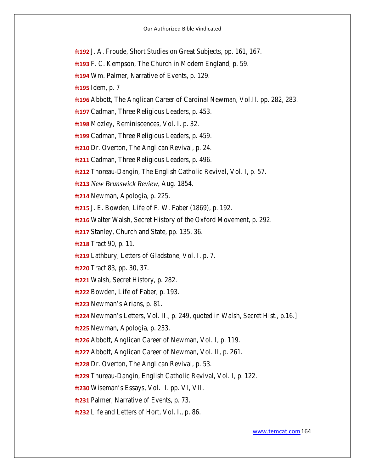**ft192** J. A. Froude, Short Studies on Great Subjects, pp. 161, 167.

**ft193** F. C. Kempson, The Church in Modern England, p. 59.

**ft194** Wm. Palmer, Narrative of Events, p. 129.

**ft195** Idem, p. 7

**ft196** Abbott, The Anglican Career of Cardinal Newman, Vol.II. pp. 282, 283.

**ft197** Cadman, Three Religious Leaders, p. 453.

**ft198** Mozley, Reminiscences, Vol. I. p. 32.

**ft199** Cadman, Three Religious Leaders, p. 459.

**ft210** Dr. Overton, The Anglican Revival, p. 24.

**ft211** Cadman, Three Religious Leaders, p. 496.

**ft212** Thoreau-Dangin, The English Catholic Revival, Vol. I, p. 57.

**ft213** *New Brunswick Review,* Aug. 1854.

**ft214** Newman, Apologia, p. 225.

**ft215** J. E. Bowden, Life of F. W. Faber (1869), p. 192.

**ft216** Walter Walsh, Secret History of the Oxford Movement, p. 292.

**ft217** Stanley, Church and State, pp. 135, 36.

**ft218** Tract 90, p. 11.

**ft219** Lathbury, Letters of Gladstone, Vol. I. p. 7.

**ft220** Tract 83, pp. 30, 37.

**ft221** Walsh, Secret History, p. 282.

**ft222** Bowden, Life of Faber, p. 193.

**ft223** Newman's Arians, p. 81.

**ft224** Newman's Letters, Vol. II., p. 249, quoted in Walsh, Secret Hist., p.16.]

**ft225** Newman, Apologia, p. 233.

**ft226** Abbott, Anglican Career of Newman, Vol. I, p. 119.

**ft227** Abbott, Anglican Career of Newman, Vol. II, p. 261.

**ft228** Dr. Overton, The Anglican Revival, p. 53.

**ft229** Thureau-Dangin, English Catholic Revival, Vol. I, p. 122.

**ft230** Wiseman's Essays, Vol. II. pp. VI, VII.

**ft231** Palmer, Narrative of Events, p. 73.

**ft232** Life and Letters of Hort, Vol. I., p. 86.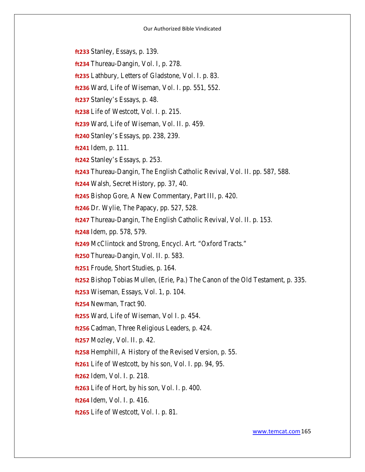- **ft233** Stanley, Essays, p. 139.
- **ft234** Thureau-Dangin, Vol. I, p. 278.
- **ft235** Lathbury, Letters of Gladstone, Vol. I. p. 83.
- **ft236** Ward, Life of Wiseman, Vol. I. pp. 551, 552.
- **ft237** Stanley's Essays, p. 48.
- **ft238** Life of Westcott, Vol. I. p. 215.
- **ft239** Ward, Life of Wiseman, Vol. II. p. 459.
- **ft240** Stanley's Essays, pp. 238, 239.
- **ft241** Idem, p. 111.
- **ft242** Stanley's Essays, p. 253.
- **ft243** Thureau-Dangin, The English Catholic Revival, Vol. II. pp. 587, 588.
- **ft244** Walsh, Secret History, pp. 37, 40.
- **ft245** Bishop Gore, A New Commentary, Part III, p. 420.
- **ft246** Dr. Wylie, The Papacy, pp. 527, 528.
- **ft247** Thureau-Dangin, The English Catholic Revival, Vol. II. p. 153.
- **ft248** Idem, pp. 578, 579.
- **ft249** McClintock and Strong, Encycl. Art. "Oxford Tracts."
- **ft250** Thureau-Dangin, Vol. II. p. 583.
- **ft251** Froude, Short Studies, p. 164.
- **ft252** Bishop Tobias Mullen, (Erie, Pa.) The Canon of the Old Testament, p. 335.
- **ft253** Wiseman, Essays, Vol. 1, p. 104.
- **ft254** Newman, Tract 90.
- **ft255** Ward, Life of Wiseman, Vol I. p. 454.
- **ft256** Cadman, Three Religious Leaders, p. 424.
- **ft257** Mozley, Vol. II. p. 42.
- **ft258** Hemphill, A History of the Revised Version, p. 55.
- **ft261** Life of Westcott, by his son, Vol. I. pp. 94, 95.
- **ft262** Idem, Vol. I. p. 218.
- **ft263** Life of Hort, by his son, Vol. I. p. 400.
- **ft264** Idem, Vol. I. p. 416.
- **ft265** Life of Westcott, Vol. I. p. 81.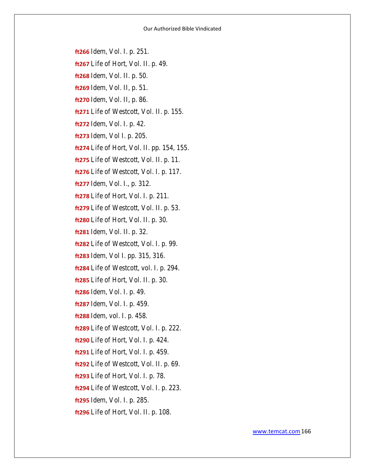**ft266** Idem, Vol. I. p. 251. **ft267** Life of Hort, Vol. II. p. 49. **ft268** Idem, Vol. II. p. 50. **ft269** Idem, Vol. II, p. 51. **ft270** Idem, Vol. II, p. 86. **ft271** Life of Westcott, Vol. II. p. 155. **ft272** Idem, Vol. I. p. 42. **ft273** Idem, Vol I. p. 205. **ft274** Life of Hort, Vol. II. pp. 154, 155. **ft275** Life of Westcott, Vol. II. p. 11. **ft276** Life of Westcott, Vol. I. p. 117. **ft277** Idem, Vol. I., p. 312. **ft278** Life of Hort, Vol. I. p. 211. **ft279** Life of Westcott, Vol. II. p. 53. **ft280** Life of Hort, Vol. II. p. 30. **ft281** Idem, Vol. II. p. 32. **ft282** Life of Westcott, Vol. I. p. 99. **ft283** Idem, Vol I. pp. 315, 316. **ft284** Life of Westcott, vol. I. p. 294. **ft285** Life of Hort, Vol. II. p. 30. **ft286** Idem, Vol. I. p. 49. **ft287** Idem, Vol. I. p. 459. **ft288** Idem, vol. I. p. 458. **ft289** Life of Westcott, Vol. I. p. 222. **ft290** Life of Hort, Vol. I. p. 424. **ft291** Life of Hort, Vol. I. p. 459. **ft292** Life of Westcott, Vol. II. p. 69. **ft293** Life of Hort, Vol. I. p. 78. **ft294** Life of Westcott, Vol. I. p. 223. **ft295** Idem, Vol. I. p. 285. **ft296** Life of Hort, Vol. II. p. 108.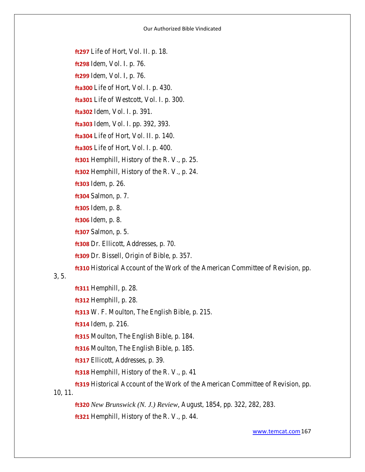**ft297** Life of Hort, Vol. II. p. 18.

**ft298** Idem, Vol. I. p. 76.

**ft299** Idem, Vol. I, p. 76.

**fta300** Life of Hort, Vol. I. p. 430.

**fta301** Life of Westcott, Vol. I. p. 300.

**fta302** Idem, Vol. I. p. 391.

**fta303** Idem, Vol. I. pp. 392, 393.

**fta304** Life of Hort, Vol. II. p. 140.

**fta305** Life of Hort, Vol. I. p. 400.

**ft301** Hemphill, History of the R. V., p. 25.

**ft302** Hemphill, History of the R. V., p. 24.

**ft303** Idem, p. 26.

**ft304** Salmon, p. 7.

**ft305** Idem, p. 8.

**ft306** Idem, p. 8.

**ft307** Salmon, p. 5.

**ft308** Dr. Ellicott, Addresses, p. 70.

**ft309** Dr. Bissell, Origin of Bible, p. 357.

**ft310** Historical Account of the Work of the American Committee of Revision, pp.

## 3, 5.

**ft311** Hemphill, p. 28.

**ft312** Hemphill, p. 28.

**ft313** W. F. Moulton, The English Bible, p. 215.

**ft314** Idem, p. 216.

**ft315** Moulton, The English Bible, p. 184.

**ft316** Moulton, The English Bible, p. 185.

**ft317** Ellicott, Addresses, p. 39.

**ft318** Hemphill, History of the R. V., p. 41

**ft319** Historical Account of the Work of the American Committee of Revision, pp. 10, 11.

**ft320** *New Brunswick (N. J.) Review,* August, 1854, pp. 322, 282, 283.

**ft321** Hemphill, History of the R. V., p. 44.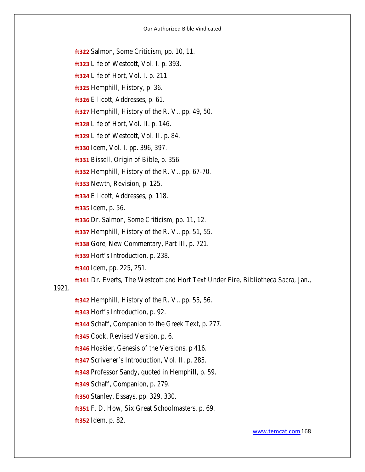- **ft322** Salmon, Some Criticism, pp. 10, 11.
- **ft323** Life of Westcott, Vol. I. p. 393.
- **ft324** Life of Hort, Vol. I. p. 211.
- **ft325** Hemphill, History, p. 36.
- **ft326** Ellicott, Addresses, p. 61.
- **ft327** Hemphill, History of the R. V., pp. 49, 50.
- **ft328** Life of Hort, Vol. II. p. 146.
- **ft329** Life of Westcott, Vol. II. p. 84.
- **ft330** Idem, Vol. I. pp. 396, 397.
- **ft331** Bissell, Origin of Bible, p. 356.
- **ft332** Hemphill, History of the R. V., pp. 67-70.
- **ft333** Newth, Revision, p. 125.
- **ft334** Ellicott, Addresses, p. 118.
- **ft335** Idem, p. 56.
- **ft336** Dr. Salmon, Some Criticism, pp. 11, 12.
- **ft337** Hemphill, History of the R. V., pp. 51, 55.
- **ft338** Gore, New Commentary, Part III, p. 721.
- **ft339** Hort's Introduction, p. 238.
- **ft340** Idem, pp. 225, 251.
- **ft341** Dr. Everts, The Westcott and Hort Text Under Fire, Bibliotheca Sacra, Jan.,

### 1921.

- **ft342** Hemphill, History of the R. V., pp. 55, 56.
- **ft343** Hort's Introduction, p. 92.
- **ft344** Schaff, Companion to the Greek Text, p. 277.
- **ft345** Cook, Revised Version, p. 6.
- **ft346** Hoskier, Genesis of the Versions, p 416.
- **ft347** Scrivener's Introduction, Vol. II. p. 285.
- **ft348** Professor Sandy, quoted in Hemphill, p. 59.
- **ft349** Schaff, Companion, p. 279.
- **ft350** Stanley, Essays, pp. 329, 330.
- **ft351** F. D. How, Six Great Schoolmasters, p. 69.
- **ft352** Idem, p. 82.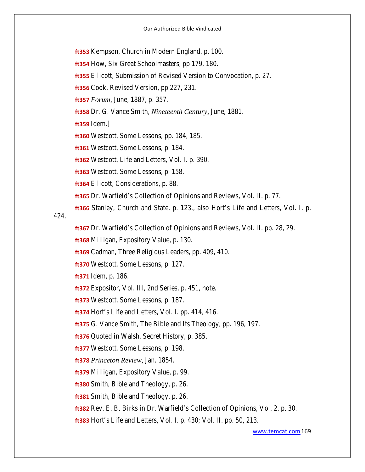**ft353** Kempson, Church in Modern England, p. 100.

**ft354** How, Six Great Schoolmasters, pp 179, 180.

**ft355** Ellicott, Submission of Revised Version to Convocation, p. 27.

**ft356** Cook, Revised Version, pp 227, 231.

**ft357** *Forum,* June, 1887, p. 357.

**ft358** Dr. G. Vance Smith, *Nineteenth Century,* June, 1881.

**ft359** Idem.]

**ft360** Westcott, Some Lessons, pp. 184, 185.

**ft361** Westcott, Some Lessons, p. 184.

**ft362** Westcott, Life and Letters, Vol. I. p. 390.

**ft363** Westcott, Some Lessons, p. 158.

**ft364** Ellicott, Considerations, p. 88.

**ft365** Dr. Warfield's Collection of Opinions and Reviews, Vol. II. p. 77.

**ft366** Stanley, Church and State, p. 123., also Hort's Life and Letters, Vol. I. p.

424.

[www.temcat.com 1](http://www.temcat.com/)69 **ft367** Dr. Warfield's Collection of Opinions and Reviews, Vol. II. pp. 28, 29. **ft368** Milligan, Expository Value, p. 130. **ft369** Cadman, Three Religious Leaders, pp. 409, 410. **ft370** Westcott, Some Lessons, p. 127. **ft371** Idem, p. 186. **ft372** Expositor, Vol. III, 2nd Series, p. 451, note. **ft373** Westcott, Some Lessons, p. 187. **ft374** Hort's Life and Letters, Vol. I. pp. 414, 416. **ft375** G. Vance Smith, The Bible and Its Theology, pp. 196, 197. **ft376** Quoted in Walsh, Secret History, p. 385. **ft377** Westcott, Some Lessons, p. 198. **ft378** *Princeton Review,* Jan. 1854. **ft379** Milligan, Expository Value, p. 99. **ft380** Smith, Bible and Theology, p. 26. **ft381** Smith, Bible and Theology, p. 26. **ft382** Rev. E. B. Birks in Dr. Warfield's Collection of Opinions, Vol. 2, p. 30. **ft383** Hort's Life and Letters, Vol. I. p. 430; Vol. II. pp. 50, 213.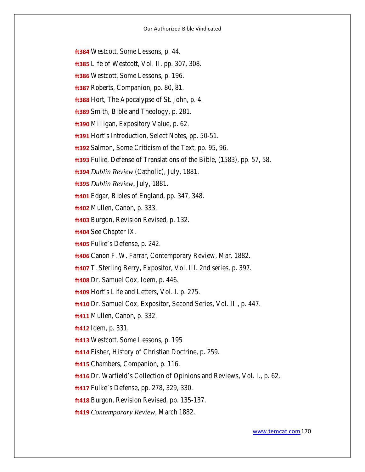**ft384** Westcott, Some Lessons, p. 44.

**ft385** Life of Westcott, Vol. II. pp. 307, 308.

**ft386** Westcott, Some Lessons, p. 196.

**ft387** Roberts, Companion, pp. 80, 81.

**ft388** Hort, The Apocalypse of St. John, p. 4.

**ft389** Smith, Bible and Theology, p. 281.

**ft390** Milligan, Expository Value, p. 62.

**ft391** Hort's Introduction, Select Notes, pp. 50-51.

**ft392** Salmon, Some Criticism of the Text, pp. 95, 96.

**ft393** Fulke, Defense of Translations of the Bible, (1583), pp. 57, 58.

**ft394** *Dublin Review* (Catholic), July, 1881.

**ft395** *Dublin Review,* July, 1881.

**ft401** Edgar, Bibles of England, pp. 347, 348.

**ft402** Mullen, Canon, p. 333.

**ft403** Burgon, Revision Revised, p. 132.

**ft404** See Chapter IX.

**ft405** Fulke's Defense, p. 242.

**ft406** Canon F. W. Farrar, Contemporary Review, Mar. 1882.

**ft407** T. Sterling Berry, Expositor, Vol. III. 2nd series, p. 397.

**ft408** Dr. Samuel Cox, Idem, p. 446.

**ft409** Hort's Life and Letters, Vol. I. p. 275.

**ft410** Dr. Samuel Cox, Expositor, Second Series, Vol. III, p. 447.

**ft411** Mullen, Canon, p. 332.

**ft412** Idem, p. 331.

**ft413** Westcott, Some Lessons, p. 195

**ft414** Fisher, History of Christian Doctrine, p. 259.

**ft415** Chambers, Companion, p. 116.

**ft416** Dr. Warfield's Collection of Opinions and Reviews, Vol. I., p. 62.

**ft417** Fulke's Defense, pp. 278, 329, 330.

**ft418** Burgon, Revision Revised, pp. 135-137.

**ft419** *Contemporary Review,* March 1882.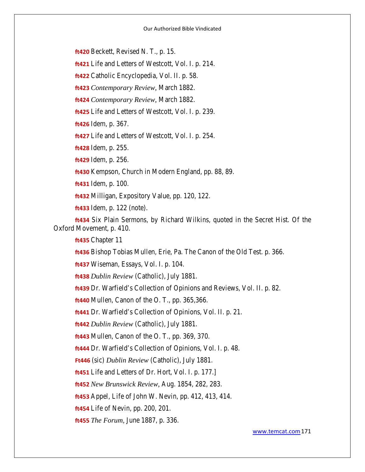**ft420** Beckett, Revised N. T., p. 15.

**ft421** Life and Letters of Westcott, Vol. I. p. 214.

**ft422** Catholic Encyclopedia, Vol. II. p. 58.

**ft423** *Contemporary Review,* March 1882.

**ft424** *Contemporary Review,* March 1882.

**ft425** Life and Letters of Westcott, Vol. I. p. 239.

**ft426** Idem, p. 367.

**ft427** Life and Letters of Westcott, Vol. I. p. 254.

**ft428** Idem, p. 255.

**ft429** Idem, p. 256.

**ft430** Kempson, Church in Modern England, pp. 88, 89.

**ft431** Idem, p. 100.

**ft432** Milligan, Expository Value, pp. 120, 122.

**ft433** Idem, p. 122 (note).

**ft434** Six Plain Sermons, by Richard Wilkins, quoted in the Secret Hist. Of the Oxford Movement, p. 410.

**ft435** Chapter 11

**ft436** Bishop Tobias Mullen, Erie, Pa. The Canon of the Old Test. p. 366.

**ft437** Wiseman, Essays, Vol. I. p. 104.

**ft438** *Dublin Review* (Catholic), July 1881.

**ft439** Dr. Warfield's Collection of Opinions and Reviews, Vol. II. p. 82.

**ft440** Mullen, Canon of the O. T., pp. 365,366.

**ft441** Dr. Warfield's Collection of Opinions, Vol. II. p. 21.

**ft442** *Dublin Review* (Catholic), July 1881.

**ft443** Mullen, Canon of the O. T., pp. 369, 370.

**ft444** Dr. Warfield's Collection of Opinions, Vol. I. p. 48.

**Ft446** (sic) *Dublin Review* (Catholic), July 1881.

**ft451** Life and Letters of Dr. Hort, Vol. I. p. 177.]

**ft452** *New Brunswick Review,* Aug. 1854, 282, 283.

**ft453** Appel, Life of John W. Nevin, pp. 412, 413, 414.

**ft454** Life of Nevin, pp. 200, 201.

**ft455** *The Forum,* June 1887, p. 336.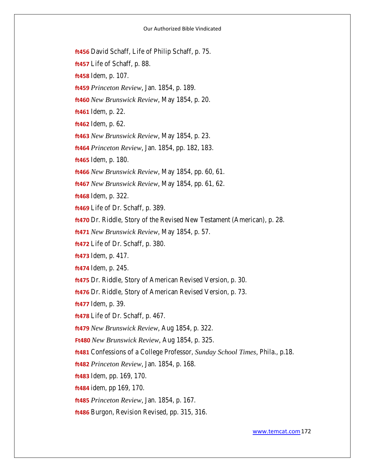**ft456** David Schaff, Life of Philip Schaff, p. 75. **ft457** Life of Schaff, p. 88. **ft458** Idem, p. 107. **ft459** *Princeton Review,* Jan. 1854, p. 189. **ft460** *New Brunswick Review,* May 1854, p. 20. **ft461** Idem, p. 22. **ft462** Idem, p. 62. **ft463** *New Brunswick Review,* May 1854, p. 23. **ft464** *Princeton Review,* Jan. 1854, pp. 182, 183. **ft465** Idem, p. 180. **ft466** *New Brunswick Review,* May 1854, pp. 60, 61. **ft467** *New Brunswick Review,* May 1854, pp. 61, 62. **ft468** Idem, p. 322. **ft469** Life of Dr. Schaff, p. 389. **ft470** Dr. Riddle, Story of the Revised New Testament (American), p. 28. **ft471** *New Brunswick Review,* May 1854, p. 57. **ft472** Life of Dr. Schaff, p. 380. **ft473** Idem, p. 417. **ft474** Idem, p. 245. **ft475** Dr. Riddle, Story of American Revised Version, p. 30. **ft476** Dr. Riddle, Story of American Revised Version, p. 73. **ft477** Idem, p. 39. **ft478** Life of Dr. Schaff, p. 467. **ft479** *New Brunswick Review,* Aug 1854, p. 322. **Ft480** *New Brunswick Review,* Aug 1854, p. 325. **ft481** Confessions of a College Professor, *Sunday School Times,* Phila., p.18. **ft482** *Princeton Review,* Jan. 1854, p. 168. **ft483** Idem, pp. 169, 170. **ft484** idem, pp 169, 170. **ft485** *Princeton Review,* Jan. 1854, p. 167. **ft486** Burgon, Revision Revised, pp. 315, 316.